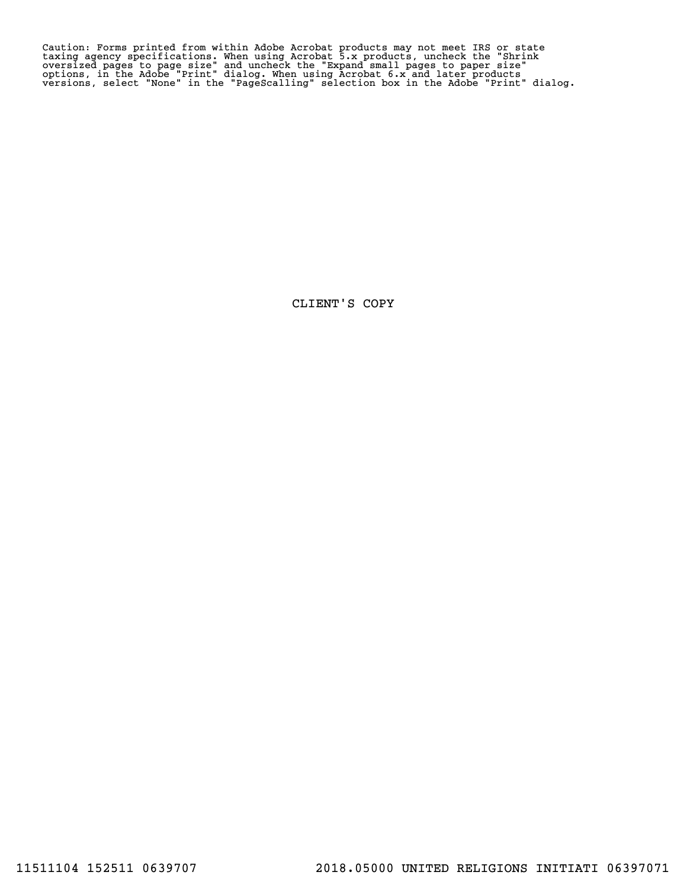Caution: Forms printed from within Adobe Acrobat products may not meet IRS or state<br>taxing agency specifications. When using Acrobat 5.x products, uncheck the "Shrink<br>oversized pages to page size" and uncheck the "Expand s

CLIENT'S COPY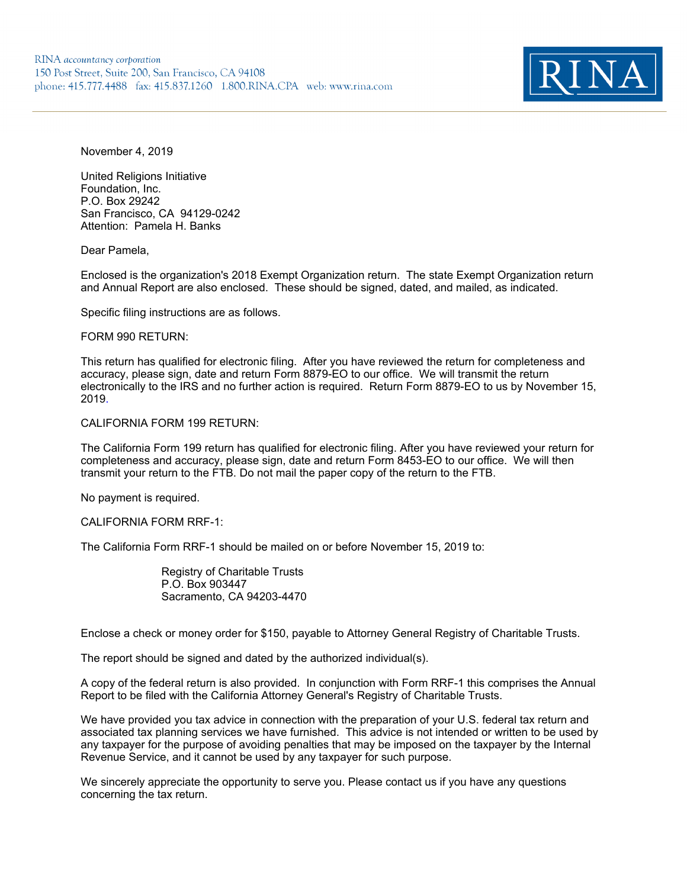

November 4, 2019

United Religions Initiative Foundation, Inc. P.O. Box 29242 San Francisco, CA 94129-0242 Attention: Pamela H. Banks

Dear Pamela,

Enclosed is the organization's 2018 Exempt Organization return. The state Exempt Organization return and Annual Report are also enclosed. These should be signed, dated, and mailed, as indicated.

Specific filing instructions are as follows.

#### FORM 990 RETURN:

This return has qualified for electronic filing. After you have reviewed the return for completeness and accuracy, please sign, date and return Form 8879-EO to our office. We will transmit the return electronically to the IRS and no further action is required. Return Form 8879-EO to us by November 15, 2019.

#### CALIFORNIA FORM 199 RETURN:

The California Form 199 return has qualified for electronic filing. After you have reviewed your return for completeness and accuracy, please sign, date and return Form 8453-EO to our office. We will then transmit your return to the FTB. Do not mail the paper copy of the return to the FTB.

No payment is required.

#### CALIFORNIA FORM RRF-1:

The California Form RRF-1 should be mailed on or before November 15, 2019 to:

Registry of Charitable Trusts P.O. Box 903447 Sacramento, CA 94203-4470

Enclose a check or money order for \$150, payable to Attorney General Registry of Charitable Trusts.

The report should be signed and dated by the authorized individual(s).

A copy of the federal return is also provided. In conjunction with Form RRF-1 this comprises the Annual Report to be filed with the California Attorney General's Registry of Charitable Trusts.

We have provided you tax advice in connection with the preparation of your U.S. federal tax return and associated tax planning services we have furnished. This advice is not intended or written to be used by any taxpayer for the purpose of avoiding penalties that may be imposed on the taxpayer by the Internal Revenue Service, and it cannot be used by any taxpayer for such purpose.

We sincerely appreciate the opportunity to serve you. Please contact us if you have any questions concerning the tax return.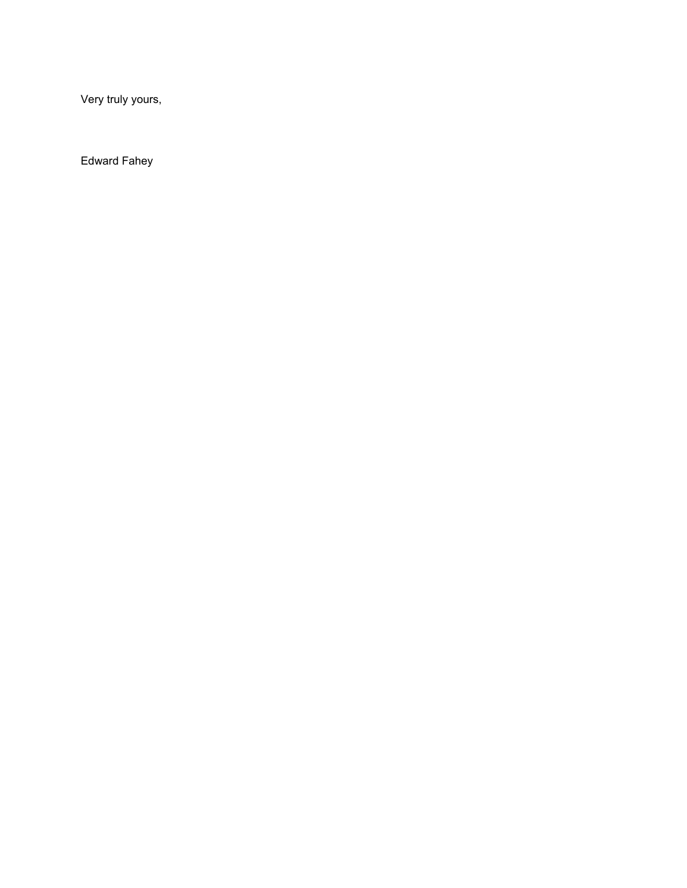Very truly yours,

Edward Fahey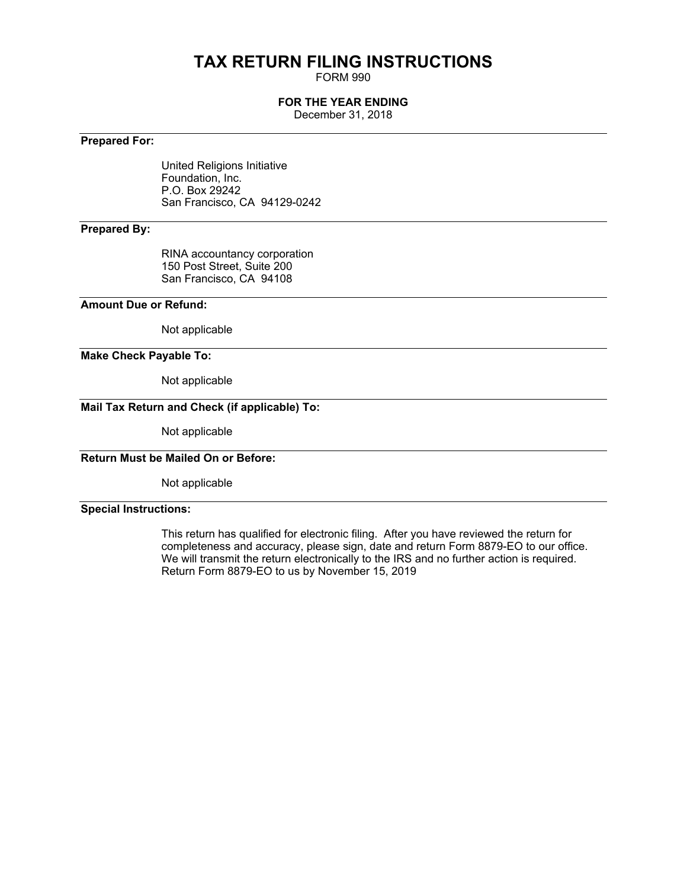## **TAX RETURN FILING INSTRUCTIONS**

FORM 990

#### **FOR THE YEAR ENDING**

December 31, 2018

#### **Prepared For:**

United Religions Initiative Foundation, Inc. P.O. Box 29242 San Francisco, CA 94129-0242

#### **Prepared By:**

RINA accountancy corporation 150 Post Street, Suite 200 San Francisco, CA 94108

#### **Amount Due or Refund:**

Not applicable

#### **Make Check Payable To:**

Not applicable

#### **Mail Tax Return and Check (if applicable) To:**

Not applicable

#### **Return Must be Mailed On or Before:**

Not applicable

#### **Special Instructions:**

This return has qualified for electronic filing. After you have reviewed the return for completeness and accuracy, please sign, date and return Form 8879-EO to our office. We will transmit the return electronically to the IRS and no further action is required. Return Form 8879-EO to us by November 15, 2019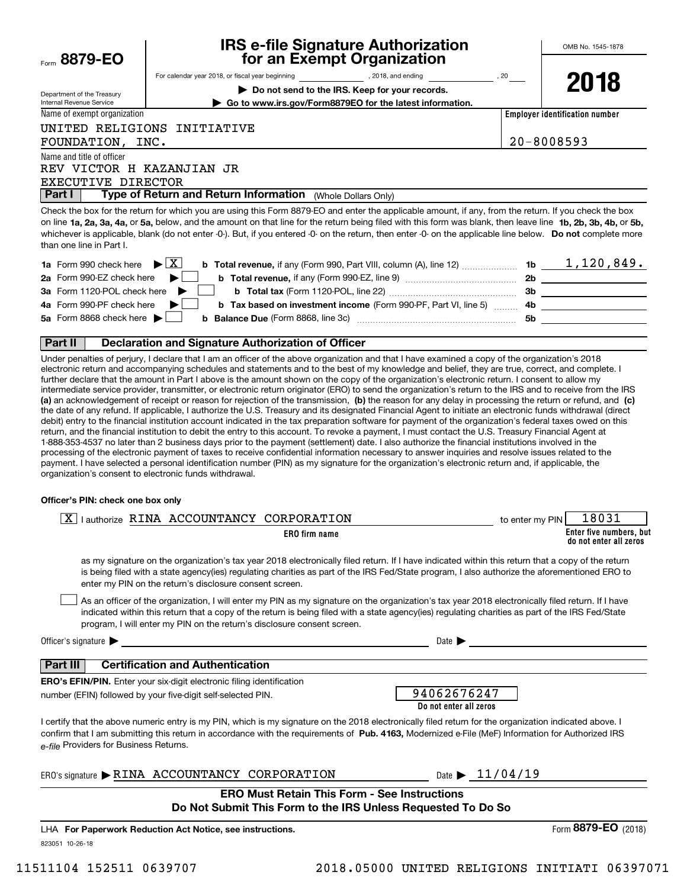Form**8879-EO**

## **IRS e-file Signature Authorization for an Exempt Organization**

OMB No. 1545-1878

| $_{\text{Form}}$ OO $\prime$ J-EV                     |                                                                                                                                                                                                                                                                                                                                                                                                                                                                                       | <u>iui ali Lieliipt Urgaliizatioli</u>                          |                                       |
|-------------------------------------------------------|---------------------------------------------------------------------------------------------------------------------------------------------------------------------------------------------------------------------------------------------------------------------------------------------------------------------------------------------------------------------------------------------------------------------------------------------------------------------------------------|-----------------------------------------------------------------|---------------------------------------|
|                                                       | For calendar year 2018, or fiscal year beginning Theory and Policy and Policy and ending For calendar year 2018, and ending                                                                                                                                                                                                                                                                                                                                                           |                                                                 |                                       |
| Department of the Treasury                            |                                                                                                                                                                                                                                                                                                                                                                                                                                                                                       | Do not send to the IRS. Keep for your records.                  | 2018                                  |
| Internal Revenue Service                              |                                                                                                                                                                                                                                                                                                                                                                                                                                                                                       | Go to www.irs.gov/Form8879EO for the latest information.        |                                       |
| Name of exempt organization                           |                                                                                                                                                                                                                                                                                                                                                                                                                                                                                       |                                                                 | <b>Employer identification number</b> |
|                                                       | UNITED RELIGIONS INITIATIVE                                                                                                                                                                                                                                                                                                                                                                                                                                                           |                                                                 |                                       |
| FOUNDATION, INC.                                      |                                                                                                                                                                                                                                                                                                                                                                                                                                                                                       |                                                                 | $20 - 8008593$                        |
| Name and title of officer                             |                                                                                                                                                                                                                                                                                                                                                                                                                                                                                       |                                                                 |                                       |
| REV VICTOR H KAZANJIAN JR                             |                                                                                                                                                                                                                                                                                                                                                                                                                                                                                       |                                                                 |                                       |
| EXECUTIVE DIRECTOR                                    |                                                                                                                                                                                                                                                                                                                                                                                                                                                                                       |                                                                 |                                       |
| Part I                                                | Type of Return and Return Information (Whole Dollars Only)                                                                                                                                                                                                                                                                                                                                                                                                                            |                                                                 |                                       |
| than one line in Part I.                              | Check the box for the return for which you are using this Form 8879-EO and enter the applicable amount, if any, from the return. If you check the box<br>on line 1a, 2a, 3a, 4a, or 5a, below, and the amount on that line for the return being filed with this form was blank, then leave line 1b, 2b, 3b, 4b, or 5b.<br>whichever is applicable, blank (do not enter -0-). But, if you entered -0- on the return, then enter -0- on the applicable line below. Do not complete more |                                                                 |                                       |
| 1a Form 990 check here $\blacktriangleright$ $\mid$ X |                                                                                                                                                                                                                                                                                                                                                                                                                                                                                       |                                                                 |                                       |
| 2a Form 990-EZ check here                             |                                                                                                                                                                                                                                                                                                                                                                                                                                                                                       |                                                                 | 2b                                    |
| 3a Form 1120-POL check here                           |                                                                                                                                                                                                                                                                                                                                                                                                                                                                                       |                                                                 |                                       |
| 4a Form 990-PF check here                             |                                                                                                                                                                                                                                                                                                                                                                                                                                                                                       | b Tax based on investment income (Form 990-PF, Part VI, line 5) | 4b                                    |
| 5a Form 8868 check here                               | b                                                                                                                                                                                                                                                                                                                                                                                                                                                                                     |                                                                 | 5b                                    |
|                                                       |                                                                                                                                                                                                                                                                                                                                                                                                                                                                                       |                                                                 |                                       |
| Part II                                               | <b>Declaration and Signature Authorization of Officer</b>                                                                                                                                                                                                                                                                                                                                                                                                                             |                                                                 |                                       |

**(a)** an acknowledgement of receipt or reason for rejection of the transmission, (b) the reason for any delay in processing the return or refund, and (c) Under penalties of perjury, I declare that I am an officer of the above organization and that I have examined a copy of the organization's 2018 electronic return and accompanying schedules and statements and to the best of my knowledge and belief, they are true, correct, and complete. I further declare that the amount in Part I above is the amount shown on the copy of the organization's electronic return. I consent to allow my intermediate service provider, transmitter, or electronic return originator (ERO) to send the organization's return to the IRS and to receive from the IRS the date of any refund. If applicable, I authorize the U.S. Treasury and its designated Financial Agent to initiate an electronic funds withdrawal (direct debit) entry to the financial institution account indicated in the tax preparation software for payment of the organization's federal taxes owed on this return, and the financial institution to debit the entry to this account. To revoke a payment, I must contact the U.S. Treasury Financial Agent at 1-888-353-4537 no later than 2 business days prior to the payment (settlement) date. I also authorize the financial institutions involved in the processing of the electronic payment of taxes to receive confidential information necessary to answer inquiries and resolve issues related to the payment. I have selected a personal identification number (PIN) as my signature for the organization's electronic return and, if applicable, the organization's consent to electronic funds withdrawal.

#### **Officer's PIN: check one box only**

| Lauthorize RINA ACCOUNTANCY CORPORATION                                                                                                                                                                                                                                                                                                                                          | to enter my PIN | 18031                                             |  |  |  |  |  |  |
|----------------------------------------------------------------------------------------------------------------------------------------------------------------------------------------------------------------------------------------------------------------------------------------------------------------------------------------------------------------------------------|-----------------|---------------------------------------------------|--|--|--|--|--|--|
| <b>ERO</b> firm name                                                                                                                                                                                                                                                                                                                                                             |                 | Enter five numbers, but<br>do not enter all zeros |  |  |  |  |  |  |
| as my signature on the organization's tax year 2018 electronically filed return. If I have indicated within this return that a copy of the return<br>is being filed with a state agency(ies) regulating charities as part of the IRS Fed/State program, I also authorize the aforementioned ERO to<br>enter my PIN on the return's disclosure consent screen.                    |                 |                                                   |  |  |  |  |  |  |
| As an officer of the organization, I will enter my PIN as my signature on the organization's tax year 2018 electronically filed return. If I have<br>indicated within this return that a copy of the return is being filed with a state agency(ies) regulating charities as part of the IRS Fed/State<br>program, I will enter my PIN on the return's disclosure consent screen. |                 |                                                   |  |  |  |  |  |  |
| Officer's signature $\blacktriangleright$<br>Date $\blacktriangleright$<br><u> 1980 - Jan Samuel Barbara, martin da shekara 1980 - An tsara 1980 - An tsara 1980 - An tsara 1980 - An tsara</u>                                                                                                                                                                                  |                 |                                                   |  |  |  |  |  |  |
| <b>Certification and Authentication</b><br>Part III                                                                                                                                                                                                                                                                                                                              |                 |                                                   |  |  |  |  |  |  |
| <b>ERO's EFIN/PIN.</b> Enter your six-digit electronic filing identification<br>94062676247<br>number (EFIN) followed by your five-digit self-selected PIN.<br>Do not enter all zeros                                                                                                                                                                                            |                 |                                                   |  |  |  |  |  |  |
| I certify that the above numeric entry is my PIN, which is my signature on the 2018 electronically filed return for the organization indicated above. I<br>confirm that I am submitting this return in accordance with the requirements of Pub. 4163, Modernized e-File (MeF) Information for Authorized IRS<br>e-file Providers for Business Returns.                           |                 |                                                   |  |  |  |  |  |  |
| Date $\triangleright$ 11/04/19<br>ERO's signature RINA ACCOUNTANCY CORPORATION                                                                                                                                                                                                                                                                                                   |                 |                                                   |  |  |  |  |  |  |
| <b>ERO Must Retain This Form - See Instructions</b>                                                                                                                                                                                                                                                                                                                              |                 |                                                   |  |  |  |  |  |  |
| Do Not Submit This Form to the IRS Unless Requested To Do So                                                                                                                                                                                                                                                                                                                     |                 |                                                   |  |  |  |  |  |  |

823051 10-26-18 LHA For Paperwork Reduction Act Notice, see instructions.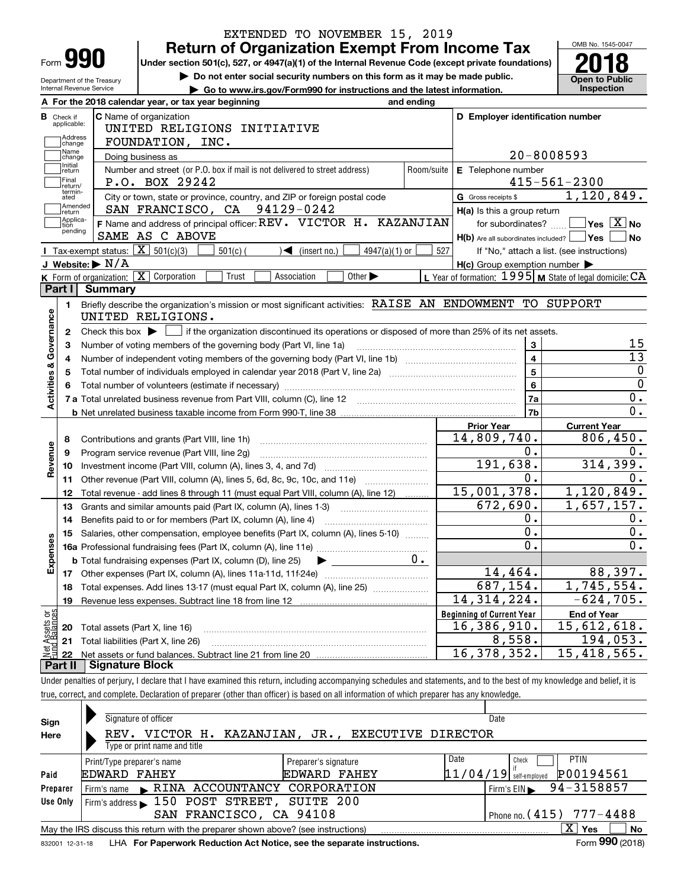| <b>Return of Organization Exempt From Income Tax</b><br>Form <b>990</b><br>Under section 501(c), 527, or 4947(a)(1) of the Internal Revenue Code (except private foundations)<br>Do not enter social security numbers on this form as it may be made public.<br>Department of the Treasury<br>A For the 2018 calendar year, or tax year beginning<br>and ending |                                                                                                                                                                                                                                                                                                                                                                                                                                                                                                                                                                                                                                                                                                                                                                                                                                                                                                                                                                                                                                                                                                                  |                                                                                                                                                                                                                                                                                                                                                                                                                                                                                     |                                          |                                                                                                                                                                                                                                                                                                                                                                                                                                                                                                                                                                                                                                                                                                                                                                                                                                                                                                                          |  |
|-----------------------------------------------------------------------------------------------------------------------------------------------------------------------------------------------------------------------------------------------------------------------------------------------------------------------------------------------------------------|------------------------------------------------------------------------------------------------------------------------------------------------------------------------------------------------------------------------------------------------------------------------------------------------------------------------------------------------------------------------------------------------------------------------------------------------------------------------------------------------------------------------------------------------------------------------------------------------------------------------------------------------------------------------------------------------------------------------------------------------------------------------------------------------------------------------------------------------------------------------------------------------------------------------------------------------------------------------------------------------------------------------------------------------------------------------------------------------------------------|-------------------------------------------------------------------------------------------------------------------------------------------------------------------------------------------------------------------------------------------------------------------------------------------------------------------------------------------------------------------------------------------------------------------------------------------------------------------------------------|------------------------------------------|--------------------------------------------------------------------------------------------------------------------------------------------------------------------------------------------------------------------------------------------------------------------------------------------------------------------------------------------------------------------------------------------------------------------------------------------------------------------------------------------------------------------------------------------------------------------------------------------------------------------------------------------------------------------------------------------------------------------------------------------------------------------------------------------------------------------------------------------------------------------------------------------------------------------------|--|
|                                                                                                                                                                                                                                                                                                                                                                 |                                                                                                                                                                                                                                                                                                                                                                                                                                                                                                                                                                                                                                                                                                                                                                                                                                                                                                                                                                                                                                                                                                                  |                                                                                                                                                                                                                                                                                                                                                                                                                                                                                     |                                          |                                                                                                                                                                                                                                                                                                                                                                                                                                                                                                                                                                                                                                                                                                                                                                                                                                                                                                                          |  |
|                                                                                                                                                                                                                                                                                                                                                                 |                                                                                                                                                                                                                                                                                                                                                                                                                                                                                                                                                                                                                                                                                                                                                                                                                                                                                                                                                                                                                                                                                                                  |                                                                                                                                                                                                                                                                                                                                                                                                                                                                                     |                                          | <b>Open to Public</b>                                                                                                                                                                                                                                                                                                                                                                                                                                                                                                                                                                                                                                                                                                                                                                                                                                                                                                    |  |
|                                                                                                                                                                                                                                                                                                                                                                 | Internal Revenue Service<br>Go to www.irs.gov/Form990 for instructions and the latest information.                                                                                                                                                                                                                                                                                                                                                                                                                                                                                                                                                                                                                                                                                                                                                                                                                                                                                                                                                                                                               |                                                                                                                                                                                                                                                                                                                                                                                                                                                                                     |                                          |                                                                                                                                                                                                                                                                                                                                                                                                                                                                                                                                                                                                                                                                                                                                                                                                                                                                                                                          |  |
|                                                                                                                                                                                                                                                                                                                                                                 |                                                                                                                                                                                                                                                                                                                                                                                                                                                                                                                                                                                                                                                                                                                                                                                                                                                                                                                                                                                                                                                                                                                  |                                                                                                                                                                                                                                                                                                                                                                                                                                                                                     |                                          |                                                                                                                                                                                                                                                                                                                                                                                                                                                                                                                                                                                                                                                                                                                                                                                                                                                                                                                          |  |
| C Name of organization                                                                                                                                                                                                                                                                                                                                          |                                                                                                                                                                                                                                                                                                                                                                                                                                                                                                                                                                                                                                                                                                                                                                                                                                                                                                                                                                                                                                                                                                                  | D Employer identification number                                                                                                                                                                                                                                                                                                                                                                                                                                                    |                                          |                                                                                                                                                                                                                                                                                                                                                                                                                                                                                                                                                                                                                                                                                                                                                                                                                                                                                                                          |  |
| applicable:<br>UNITED RELIGIONS INITIATIVE<br>Address                                                                                                                                                                                                                                                                                                           |                                                                                                                                                                                                                                                                                                                                                                                                                                                                                                                                                                                                                                                                                                                                                                                                                                                                                                                                                                                                                                                                                                                  |                                                                                                                                                                                                                                                                                                                                                                                                                                                                                     |                                          |                                                                                                                                                                                                                                                                                                                                                                                                                                                                                                                                                                                                                                                                                                                                                                                                                                                                                                                          |  |
| FOUNDATION, INC.                                                                                                                                                                                                                                                                                                                                                |                                                                                                                                                                                                                                                                                                                                                                                                                                                                                                                                                                                                                                                                                                                                                                                                                                                                                                                                                                                                                                                                                                                  |                                                                                                                                                                                                                                                                                                                                                                                                                                                                                     |                                          |                                                                                                                                                                                                                                                                                                                                                                                                                                                                                                                                                                                                                                                                                                                                                                                                                                                                                                                          |  |
| Doing business as                                                                                                                                                                                                                                                                                                                                               |                                                                                                                                                                                                                                                                                                                                                                                                                                                                                                                                                                                                                                                                                                                                                                                                                                                                                                                                                                                                                                                                                                                  |                                                                                                                                                                                                                                                                                                                                                                                                                                                                                     | 20-8008593                               |                                                                                                                                                                                                                                                                                                                                                                                                                                                                                                                                                                                                                                                                                                                                                                                                                                                                                                                          |  |
|                                                                                                                                                                                                                                                                                                                                                                 |                                                                                                                                                                                                                                                                                                                                                                                                                                                                                                                                                                                                                                                                                                                                                                                                                                                                                                                                                                                                                                                                                                                  |                                                                                                                                                                                                                                                                                                                                                                                                                                                                                     |                                          |                                                                                                                                                                                                                                                                                                                                                                                                                                                                                                                                                                                                                                                                                                                                                                                                                                                                                                                          |  |
|                                                                                                                                                                                                                                                                                                                                                                 |                                                                                                                                                                                                                                                                                                                                                                                                                                                                                                                                                                                                                                                                                                                                                                                                                                                                                                                                                                                                                                                                                                                  |                                                                                                                                                                                                                                                                                                                                                                                                                                                                                     |                                          |                                                                                                                                                                                                                                                                                                                                                                                                                                                                                                                                                                                                                                                                                                                                                                                                                                                                                                                          |  |
|                                                                                                                                                                                                                                                                                                                                                                 |                                                                                                                                                                                                                                                                                                                                                                                                                                                                                                                                                                                                                                                                                                                                                                                                                                                                                                                                                                                                                                                                                                                  |                                                                                                                                                                                                                                                                                                                                                                                                                                                                                     |                                          | 1,120,849.                                                                                                                                                                                                                                                                                                                                                                                                                                                                                                                                                                                                                                                                                                                                                                                                                                                                                                               |  |
|                                                                                                                                                                                                                                                                                                                                                                 |                                                                                                                                                                                                                                                                                                                                                                                                                                                                                                                                                                                                                                                                                                                                                                                                                                                                                                                                                                                                                                                                                                                  |                                                                                                                                                                                                                                                                                                                                                                                                                                                                                     |                                          |                                                                                                                                                                                                                                                                                                                                                                                                                                                                                                                                                                                                                                                                                                                                                                                                                                                                                                                          |  |
|                                                                                                                                                                                                                                                                                                                                                                 |                                                                                                                                                                                                                                                                                                                                                                                                                                                                                                                                                                                                                                                                                                                                                                                                                                                                                                                                                                                                                                                                                                                  |                                                                                                                                                                                                                                                                                                                                                                                                                                                                                     |                                          | $\boxed{\phantom{1}}$ Yes $\boxed{\text{X}}$ No                                                                                                                                                                                                                                                                                                                                                                                                                                                                                                                                                                                                                                                                                                                                                                                                                                                                          |  |
|                                                                                                                                                                                                                                                                                                                                                                 |                                                                                                                                                                                                                                                                                                                                                                                                                                                                                                                                                                                                                                                                                                                                                                                                                                                                                                                                                                                                                                                                                                                  |                                                                                                                                                                                                                                                                                                                                                                                                                                                                                     |                                          | ∣No                                                                                                                                                                                                                                                                                                                                                                                                                                                                                                                                                                                                                                                                                                                                                                                                                                                                                                                      |  |
|                                                                                                                                                                                                                                                                                                                                                                 |                                                                                                                                                                                                                                                                                                                                                                                                                                                                                                                                                                                                                                                                                                                                                                                                                                                                                                                                                                                                                                                                                                                  |                                                                                                                                                                                                                                                                                                                                                                                                                                                                                     |                                          |                                                                                                                                                                                                                                                                                                                                                                                                                                                                                                                                                                                                                                                                                                                                                                                                                                                                                                                          |  |
|                                                                                                                                                                                                                                                                                                                                                                 |                                                                                                                                                                                                                                                                                                                                                                                                                                                                                                                                                                                                                                                                                                                                                                                                                                                                                                                                                                                                                                                                                                                  |                                                                                                                                                                                                                                                                                                                                                                                                                                                                                     |                                          |                                                                                                                                                                                                                                                                                                                                                                                                                                                                                                                                                                                                                                                                                                                                                                                                                                                                                                                          |  |
|                                                                                                                                                                                                                                                                                                                                                                 |                                                                                                                                                                                                                                                                                                                                                                                                                                                                                                                                                                                                                                                                                                                                                                                                                                                                                                                                                                                                                                                                                                                  |                                                                                                                                                                                                                                                                                                                                                                                                                                                                                     |                                          |                                                                                                                                                                                                                                                                                                                                                                                                                                                                                                                                                                                                                                                                                                                                                                                                                                                                                                                          |  |
|                                                                                                                                                                                                                                                                                                                                                                 |                                                                                                                                                                                                                                                                                                                                                                                                                                                                                                                                                                                                                                                                                                                                                                                                                                                                                                                                                                                                                                                                                                                  |                                                                                                                                                                                                                                                                                                                                                                                                                                                                                     |                                          |                                                                                                                                                                                                                                                                                                                                                                                                                                                                                                                                                                                                                                                                                                                                                                                                                                                                                                                          |  |
|                                                                                                                                                                                                                                                                                                                                                                 |                                                                                                                                                                                                                                                                                                                                                                                                                                                                                                                                                                                                                                                                                                                                                                                                                                                                                                                                                                                                                                                                                                                  |                                                                                                                                                                                                                                                                                                                                                                                                                                                                                     |                                          |                                                                                                                                                                                                                                                                                                                                                                                                                                                                                                                                                                                                                                                                                                                                                                                                                                                                                                                          |  |
|                                                                                                                                                                                                                                                                                                                                                                 |                                                                                                                                                                                                                                                                                                                                                                                                                                                                                                                                                                                                                                                                                                                                                                                                                                                                                                                                                                                                                                                                                                                  |                                                                                                                                                                                                                                                                                                                                                                                                                                                                                     |                                          |                                                                                                                                                                                                                                                                                                                                                                                                                                                                                                                                                                                                                                                                                                                                                                                                                                                                                                                          |  |
|                                                                                                                                                                                                                                                                                                                                                                 |                                                                                                                                                                                                                                                                                                                                                                                                                                                                                                                                                                                                                                                                                                                                                                                                                                                                                                                                                                                                                                                                                                                  |                                                                                                                                                                                                                                                                                                                                                                                                                                                                                     |                                          |                                                                                                                                                                                                                                                                                                                                                                                                                                                                                                                                                                                                                                                                                                                                                                                                                                                                                                                          |  |
|                                                                                                                                                                                                                                                                                                                                                                 |                                                                                                                                                                                                                                                                                                                                                                                                                                                                                                                                                                                                                                                                                                                                                                                                                                                                                                                                                                                                                                                                                                                  |                                                                                                                                                                                                                                                                                                                                                                                                                                                                                     |                                          | 15<br>13                                                                                                                                                                                                                                                                                                                                                                                                                                                                                                                                                                                                                                                                                                                                                                                                                                                                                                                 |  |
|                                                                                                                                                                                                                                                                                                                                                                 |                                                                                                                                                                                                                                                                                                                                                                                                                                                                                                                                                                                                                                                                                                                                                                                                                                                                                                                                                                                                                                                                                                                  |                                                                                                                                                                                                                                                                                                                                                                                                                                                                                     |                                          |                                                                                                                                                                                                                                                                                                                                                                                                                                                                                                                                                                                                                                                                                                                                                                                                                                                                                                                          |  |
|                                                                                                                                                                                                                                                                                                                                                                 |                                                                                                                                                                                                                                                                                                                                                                                                                                                                                                                                                                                                                                                                                                                                                                                                                                                                                                                                                                                                                                                                                                                  |                                                                                                                                                                                                                                                                                                                                                                                                                                                                                     |                                          |                                                                                                                                                                                                                                                                                                                                                                                                                                                                                                                                                                                                                                                                                                                                                                                                                                                                                                                          |  |
|                                                                                                                                                                                                                                                                                                                                                                 |                                                                                                                                                                                                                                                                                                                                                                                                                                                                                                                                                                                                                                                                                                                                                                                                                                                                                                                                                                                                                                                                                                                  |                                                                                                                                                                                                                                                                                                                                                                                                                                                                                     |                                          | 0.                                                                                                                                                                                                                                                                                                                                                                                                                                                                                                                                                                                                                                                                                                                                                                                                                                                                                                                       |  |
|                                                                                                                                                                                                                                                                                                                                                                 |                                                                                                                                                                                                                                                                                                                                                                                                                                                                                                                                                                                                                                                                                                                                                                                                                                                                                                                                                                                                                                                                                                                  |                                                                                                                                                                                                                                                                                                                                                                                                                                                                                     |                                          | $\overline{0}$ .                                                                                                                                                                                                                                                                                                                                                                                                                                                                                                                                                                                                                                                                                                                                                                                                                                                                                                         |  |
|                                                                                                                                                                                                                                                                                                                                                                 |                                                                                                                                                                                                                                                                                                                                                                                                                                                                                                                                                                                                                                                                                                                                                                                                                                                                                                                                                                                                                                                                                                                  |                                                                                                                                                                                                                                                                                                                                                                                                                                                                                     |                                          |                                                                                                                                                                                                                                                                                                                                                                                                                                                                                                                                                                                                                                                                                                                                                                                                                                                                                                                          |  |
|                                                                                                                                                                                                                                                                                                                                                                 |                                                                                                                                                                                                                                                                                                                                                                                                                                                                                                                                                                                                                                                                                                                                                                                                                                                                                                                                                                                                                                                                                                                  |                                                                                                                                                                                                                                                                                                                                                                                                                                                                                     |                                          | <b>Current Year</b><br>806,450.                                                                                                                                                                                                                                                                                                                                                                                                                                                                                                                                                                                                                                                                                                                                                                                                                                                                                          |  |
|                                                                                                                                                                                                                                                                                                                                                                 |                                                                                                                                                                                                                                                                                                                                                                                                                                                                                                                                                                                                                                                                                                                                                                                                                                                                                                                                                                                                                                                                                                                  |                                                                                                                                                                                                                                                                                                                                                                                                                                                                                     |                                          | 0.                                                                                                                                                                                                                                                                                                                                                                                                                                                                                                                                                                                                                                                                                                                                                                                                                                                                                                                       |  |
|                                                                                                                                                                                                                                                                                                                                                                 |                                                                                                                                                                                                                                                                                                                                                                                                                                                                                                                                                                                                                                                                                                                                                                                                                                                                                                                                                                                                                                                                                                                  |                                                                                                                                                                                                                                                                                                                                                                                                                                                                                     |                                          | 314, 399.                                                                                                                                                                                                                                                                                                                                                                                                                                                                                                                                                                                                                                                                                                                                                                                                                                                                                                                |  |
|                                                                                                                                                                                                                                                                                                                                                                 |                                                                                                                                                                                                                                                                                                                                                                                                                                                                                                                                                                                                                                                                                                                                                                                                                                                                                                                                                                                                                                                                                                                  |                                                                                                                                                                                                                                                                                                                                                                                                                                                                                     |                                          | 0.                                                                                                                                                                                                                                                                                                                                                                                                                                                                                                                                                                                                                                                                                                                                                                                                                                                                                                                       |  |
|                                                                                                                                                                                                                                                                                                                                                                 |                                                                                                                                                                                                                                                                                                                                                                                                                                                                                                                                                                                                                                                                                                                                                                                                                                                                                                                                                                                                                                                                                                                  |                                                                                                                                                                                                                                                                                                                                                                                                                                                                                     |                                          | 1,120,849.                                                                                                                                                                                                                                                                                                                                                                                                                                                                                                                                                                                                                                                                                                                                                                                                                                                                                                               |  |
|                                                                                                                                                                                                                                                                                                                                                                 |                                                                                                                                                                                                                                                                                                                                                                                                                                                                                                                                                                                                                                                                                                                                                                                                                                                                                                                                                                                                                                                                                                                  |                                                                                                                                                                                                                                                                                                                                                                                                                                                                                     |                                          | 1,657,157.                                                                                                                                                                                                                                                                                                                                                                                                                                                                                                                                                                                                                                                                                                                                                                                                                                                                                                               |  |
|                                                                                                                                                                                                                                                                                                                                                                 |                                                                                                                                                                                                                                                                                                                                                                                                                                                                                                                                                                                                                                                                                                                                                                                                                                                                                                                                                                                                                                                                                                                  |                                                                                                                                                                                                                                                                                                                                                                                                                                                                                     |                                          | 0.                                                                                                                                                                                                                                                                                                                                                                                                                                                                                                                                                                                                                                                                                                                                                                                                                                                                                                                       |  |
|                                                                                                                                                                                                                                                                                                                                                                 |                                                                                                                                                                                                                                                                                                                                                                                                                                                                                                                                                                                                                                                                                                                                                                                                                                                                                                                                                                                                                                                                                                                  |                                                                                                                                                                                                                                                                                                                                                                                                                                                                                     |                                          | $\overline{\mathbf{0}}$ .                                                                                                                                                                                                                                                                                                                                                                                                                                                                                                                                                                                                                                                                                                                                                                                                                                                                                                |  |
|                                                                                                                                                                                                                                                                                                                                                                 |                                                                                                                                                                                                                                                                                                                                                                                                                                                                                                                                                                                                                                                                                                                                                                                                                                                                                                                                                                                                                                                                                                                  |                                                                                                                                                                                                                                                                                                                                                                                                                                                                                     |                                          | 0.                                                                                                                                                                                                                                                                                                                                                                                                                                                                                                                                                                                                                                                                                                                                                                                                                                                                                                                       |  |
|                                                                                                                                                                                                                                                                                                                                                                 |                                                                                                                                                                                                                                                                                                                                                                                                                                                                                                                                                                                                                                                                                                                                                                                                                                                                                                                                                                                                                                                                                                                  |                                                                                                                                                                                                                                                                                                                                                                                                                                                                                     |                                          |                                                                                                                                                                                                                                                                                                                                                                                                                                                                                                                                                                                                                                                                                                                                                                                                                                                                                                                          |  |
|                                                                                                                                                                                                                                                                                                                                                                 |                                                                                                                                                                                                                                                                                                                                                                                                                                                                                                                                                                                                                                                                                                                                                                                                                                                                                                                                                                                                                                                                                                                  |                                                                                                                                                                                                                                                                                                                                                                                                                                                                                     |                                          |                                                                                                                                                                                                                                                                                                                                                                                                                                                                                                                                                                                                                                                                                                                                                                                                                                                                                                                          |  |
|                                                                                                                                                                                                                                                                                                                                                                 |                                                                                                                                                                                                                                                                                                                                                                                                                                                                                                                                                                                                                                                                                                                                                                                                                                                                                                                                                                                                                                                                                                                  |                                                                                                                                                                                                                                                                                                                                                                                                                                                                                     |                                          | 88,397.                                                                                                                                                                                                                                                                                                                                                                                                                                                                                                                                                                                                                                                                                                                                                                                                                                                                                                                  |  |
|                                                                                                                                                                                                                                                                                                                                                                 |                                                                                                                                                                                                                                                                                                                                                                                                                                                                                                                                                                                                                                                                                                                                                                                                                                                                                                                                                                                                                                                                                                                  |                                                                                                                                                                                                                                                                                                                                                                                                                                                                                     |                                          | 1,745,554.<br>$-624, 705.$                                                                                                                                                                                                                                                                                                                                                                                                                                                                                                                                                                                                                                                                                                                                                                                                                                                                                               |  |
|                                                                                                                                                                                                                                                                                                                                                                 |                                                                                                                                                                                                                                                                                                                                                                                                                                                                                                                                                                                                                                                                                                                                                                                                                                                                                                                                                                                                                                                                                                                  |                                                                                                                                                                                                                                                                                                                                                                                                                                                                                     |                                          |                                                                                                                                                                                                                                                                                                                                                                                                                                                                                                                                                                                                                                                                                                                                                                                                                                                                                                                          |  |
|                                                                                                                                                                                                                                                                                                                                                                 |                                                                                                                                                                                                                                                                                                                                                                                                                                                                                                                                                                                                                                                                                                                                                                                                                                                                                                                                                                                                                                                                                                                  |                                                                                                                                                                                                                                                                                                                                                                                                                                                                                     |                                          | End of Year                                                                                                                                                                                                                                                                                                                                                                                                                                                                                                                                                                                                                                                                                                                                                                                                                                                                                                              |  |
|                                                                                                                                                                                                                                                                                                                                                                 |                                                                                                                                                                                                                                                                                                                                                                                                                                                                                                                                                                                                                                                                                                                                                                                                                                                                                                                                                                                                                                                                                                                  |                                                                                                                                                                                                                                                                                                                                                                                                                                                                                     |                                          | 15,612,618.                                                                                                                                                                                                                                                                                                                                                                                                                                                                                                                                                                                                                                                                                                                                                                                                                                                                                                              |  |
|                                                                                                                                                                                                                                                                                                                                                                 |                                                                                                                                                                                                                                                                                                                                                                                                                                                                                                                                                                                                                                                                                                                                                                                                                                                                                                                                                                                                                                                                                                                  |                                                                                                                                                                                                                                                                                                                                                                                                                                                                                     |                                          | 194,053.                                                                                                                                                                                                                                                                                                                                                                                                                                                                                                                                                                                                                                                                                                                                                                                                                                                                                                                 |  |
| <b>Signature Block</b>                                                                                                                                                                                                                                                                                                                                          |                                                                                                                                                                                                                                                                                                                                                                                                                                                                                                                                                                                                                                                                                                                                                                                                                                                                                                                                                                                                                                                                                                                  |                                                                                                                                                                                                                                                                                                                                                                                                                                                                                     |                                          | $\overline{15}$ , 418, 565.                                                                                                                                                                                                                                                                                                                                                                                                                                                                                                                                                                                                                                                                                                                                                                                                                                                                                              |  |
|                                                                                                                                                                                                                                                                                                                                                                 | Number and street (or P.O. box if mail is not delivered to street address)<br>P.O. BOX 29242<br>City or town, state or province, country, and ZIP or foreign postal code<br>SAN FRANCISCO, CA 94129-0242<br>SAME AS C ABOVE<br>Tax-exempt status: $\boxed{\mathbf{X}}$ 501(c)(3)<br>$501(c)$ (<br>$\blacktriangleleft$ (insert no.)<br>4947(a)(1) or<br>J Website: $\triangleright$ N/A<br>K Form of organization: X Corporation<br>Trust<br>Other $\blacktriangleright$<br>Association<br>Part I Summary<br>UNITED RELIGIONS.<br>Number of voting members of the governing body (Part VI, line 1a)<br>Contributions and grants (Part VIII, line 1h)<br>Program service revenue (Part VIII, line 2g)<br>Grants and similar amounts paid (Part IX, column (A), lines 1-3)<br>Benefits paid to or for members (Part IX, column (A), line 4)<br><b>b</b> Total fundraising expenses (Part IX, column (D), line 25)<br>Other expenses (Part IX, column (A), lines 11a-11d, 11f-24e)<br>Revenue less expenses. Subtract line 18 from line 12<br>Total assets (Part X, line 16)<br>Total liabilities (Part X, line 26) | Room/suite<br>F Name and address of principal officer: REV. VICTOR H. KAZANJIAN<br>527<br>Total revenue - add lines 8 through 11 (must equal Part VIII, column (A), line 12)<br><u> 1986 - Jan Stein Stein Stein Stein Stein Stein Stein Stein Stein Stein Stein Stein Stein Stein Stein Stein S</u><br>Salaries, other compensation, employee benefits (Part IX, column (A), lines 5-10)<br>$0 \cdot$<br>Total expenses. Add lines 13-17 (must equal Part IX, column (A), line 25) | G Gross receipts \$<br><b>Prior Year</b> | E Telephone number<br>$415 - 561 - 2300$<br>H(a) Is this a group return<br>for subordinates?<br>$H(b)$ Are all subordinates included? $\Box$ Yes $\Box$<br>If "No," attach a list. (see instructions)<br>$H(c)$ Group exemption number $\blacktriangleright$<br>L Year of formation: $1995$ M State of legal domicile: CA<br>Briefly describe the organization's mission or most significant activities: RAISE AN ENDOWMENT TO SUPPORT<br>Check this box $\blacktriangleright$ $\Box$ if the organization discontinued its operations or disposed of more than 25% of its net assets.<br>$\mathbf{3}$<br>$\overline{4}$<br>$\overline{5}$<br>$6\phantom{a}$<br>7a<br>7 <sub>b</sub><br>14,809,740.<br>0.<br>191,638.<br>0.<br>15,001,378.<br>672,690.<br>0.<br>$\overline{0}$ .<br>$\overline{0}$ .<br>14, 464.<br>687,154.<br>14,314,224.<br><b>Beginning of Current Year</b><br>16,386,910.<br>8,558.<br>16, 378, 352. |  |

| Sign     | Signature of officer                                                                                                                                                                                                              |                                    | Date                                  |  |  |  |  |  |  |
|----------|-----------------------------------------------------------------------------------------------------------------------------------------------------------------------------------------------------------------------------------|------------------------------------|---------------------------------------|--|--|--|--|--|--|
| Here     | REV. VICTOR H.<br>Type or print name and title                                                                                                                                                                                    | KAZANJIAN, JR., EXECUTIVE DIRECTOR |                                       |  |  |  |  |  |  |
|          | Print/Type preparer's name                                                                                                                                                                                                        | Preparer's signature               | Date<br><b>PTIN</b><br>Check          |  |  |  |  |  |  |
| Paid     | EDWARD FAHEY                                                                                                                                                                                                                      | <b>EDWARD FAHEY</b>                | P00194561<br>$11/04/19$ self-employed |  |  |  |  |  |  |
| Preparer | Firm's name RINA ACCOUNTANCY CORPORATION                                                                                                                                                                                          |                                    | 94-3158857<br>Firm's $EIN$            |  |  |  |  |  |  |
| Use Only | Firm's address 150 POST STREET, SUITE 200                                                                                                                                                                                         |                                    |                                       |  |  |  |  |  |  |
|          | SAN FRANCISCO, CA 94108                                                                                                                                                                                                           |                                    | Phone no. $(415)$ $777 - 4488$        |  |  |  |  |  |  |
|          | x<br>No<br>Yes<br>May the IRS discuss this return with the preparer shown above? (see instructions)                                                                                                                               |                                    |                                       |  |  |  |  |  |  |
|          | $\mathbf{r}$ . The contract of the contract of the contract of the contract of the contract of the contract of the contract of the contract of the contract of the contract of the contract of the contract of the contract of th |                                    | $\sim$ 000 $\sim$                     |  |  |  |  |  |  |

832001\_12-31-18 LHA **For Paperwork Reduction Act Notice, see the separate instructions.** Form 990 (2018)

**990**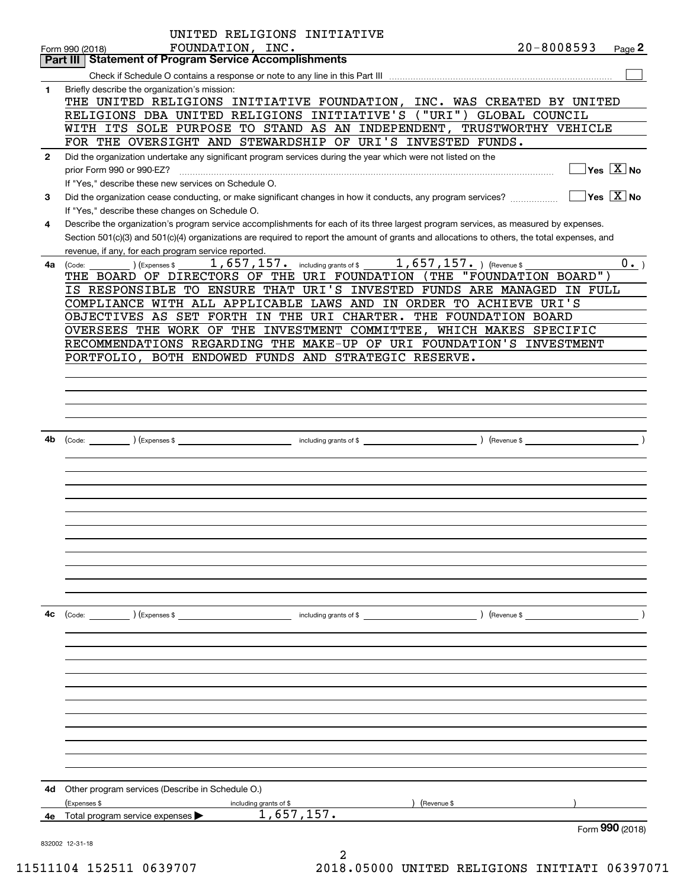|              | UNITED RELIGIONS INITIATIVE                                                                                                                  |                                                 |                 |
|--------------|----------------------------------------------------------------------------------------------------------------------------------------------|-------------------------------------------------|-----------------|
|              | $20 - 8008593$<br>FOUNDATION, INC.<br>Form 990 (2018)                                                                                        |                                                 | Page 2          |
|              | Part III Statement of Program Service Accomplishments                                                                                        |                                                 |                 |
|              |                                                                                                                                              |                                                 |                 |
| 1            | Briefly describe the organization's mission:                                                                                                 |                                                 |                 |
|              | THE UNITED RELIGIONS INITIATIVE FOUNDATION, INC. WAS CREATED BY UNITED                                                                       |                                                 |                 |
|              | RELIGIONS DBA UNITED RELIGIONS INITIATIVE'S ("URI") GLOBAL COUNCIL                                                                           |                                                 |                 |
|              | WITH ITS SOLE PURPOSE TO STAND AS AN INDEPENDENT, TRUSTWORTHY VEHICLE                                                                        |                                                 |                 |
|              | FOR THE OVERSIGHT AND STEWARDSHIP OF URI'S INVESTED FUNDS.                                                                                   |                                                 |                 |
| $\mathbf{2}$ | Did the organization undertake any significant program services during the year which were not listed on the                                 |                                                 |                 |
|              | prior Form 990 or 990-EZ?                                                                                                                    | $\boxed{\phantom{1}}$ Yes $\boxed{\text{X}}$ No |                 |
|              | If "Yes," describe these new services on Schedule O.                                                                                         |                                                 |                 |
| 3            | Did the organization cease conducting, or make significant changes in how it conducts, any program services?                                 | $\boxed{\phantom{1}}$ Yes $\boxed{\text{X}}$ No |                 |
|              | If "Yes," describe these changes on Schedule O.                                                                                              |                                                 |                 |
| 4            | Describe the organization's program service accomplishments for each of its three largest program services, as measured by expenses.         |                                                 |                 |
|              | Section 501(c)(3) and 501(c)(4) organizations are required to report the amount of grants and allocations to others, the total expenses, and |                                                 |                 |
|              | revenue, if any, for each program service reported.<br>$1,657,157$ . including grants of $$1,657,157$ . (Revenue \$                          |                                                 | $0 \cdot$ )     |
| 4a           | ) (Expenses \$<br>(Code:<br>THE BOARD OF DIRECTORS OF THE URI FOUNDATION (THE "FOUNDATION BOARD")                                            |                                                 |                 |
|              | IS RESPONSIBLE TO ENSURE THAT URI'S INVESTED FUNDS ARE MANAGED IN FULL                                                                       |                                                 |                 |
|              |                                                                                                                                              |                                                 |                 |
|              | COMPLIANCE WITH ALL APPLICABLE LAWS AND IN ORDER TO ACHIEVE URI'S<br>OBJECTIVES AS SET FORTH IN THE URI CHARTER. THE FOUNDATION BOARD        |                                                 |                 |
|              | OVERSEES THE WORK OF THE INVESTMENT COMMITTEE, WHICH MAKES SPECIFIC                                                                          |                                                 |                 |
|              | RECOMMENDATIONS REGARDING THE MAKE-UP OF URI FOUNDATION'S INVESTMENT                                                                         |                                                 |                 |
|              | PORTFOLIO, BOTH ENDOWED FUNDS AND STRATEGIC RESERVE.                                                                                         |                                                 |                 |
|              |                                                                                                                                              |                                                 |                 |
|              |                                                                                                                                              |                                                 |                 |
|              |                                                                                                                                              |                                                 |                 |
|              |                                                                                                                                              |                                                 |                 |
|              |                                                                                                                                              |                                                 |                 |
|              |                                                                                                                                              |                                                 |                 |
| 4b           |                                                                                                                                              |                                                 |                 |
|              |                                                                                                                                              |                                                 |                 |
|              |                                                                                                                                              |                                                 |                 |
|              |                                                                                                                                              |                                                 |                 |
|              |                                                                                                                                              |                                                 |                 |
|              |                                                                                                                                              |                                                 |                 |
|              |                                                                                                                                              |                                                 |                 |
|              |                                                                                                                                              |                                                 |                 |
|              |                                                                                                                                              |                                                 |                 |
|              |                                                                                                                                              |                                                 |                 |
|              |                                                                                                                                              |                                                 |                 |
|              |                                                                                                                                              |                                                 |                 |
|              |                                                                                                                                              |                                                 |                 |
| 4c           | ) (Revenue \$<br>(Code: ) (Expenses \$<br>including grants of \$                                                                             |                                                 |                 |
|              |                                                                                                                                              |                                                 |                 |
|              |                                                                                                                                              |                                                 |                 |
|              |                                                                                                                                              |                                                 |                 |
|              |                                                                                                                                              |                                                 |                 |
|              |                                                                                                                                              |                                                 |                 |
|              |                                                                                                                                              |                                                 |                 |
|              |                                                                                                                                              |                                                 |                 |
|              |                                                                                                                                              |                                                 |                 |
|              |                                                                                                                                              |                                                 |                 |
|              |                                                                                                                                              |                                                 |                 |
|              |                                                                                                                                              |                                                 |                 |
|              |                                                                                                                                              |                                                 |                 |
| 4d           | Other program services (Describe in Schedule O.)                                                                                             |                                                 |                 |
|              | (Revenue \$<br>(Expenses \$<br>including grants of \$<br>1,657,157.                                                                          |                                                 |                 |
| 4e -         | Total program service expenses                                                                                                               |                                                 |                 |
|              | 832002 12-31-18                                                                                                                              |                                                 | Form 990 (2018) |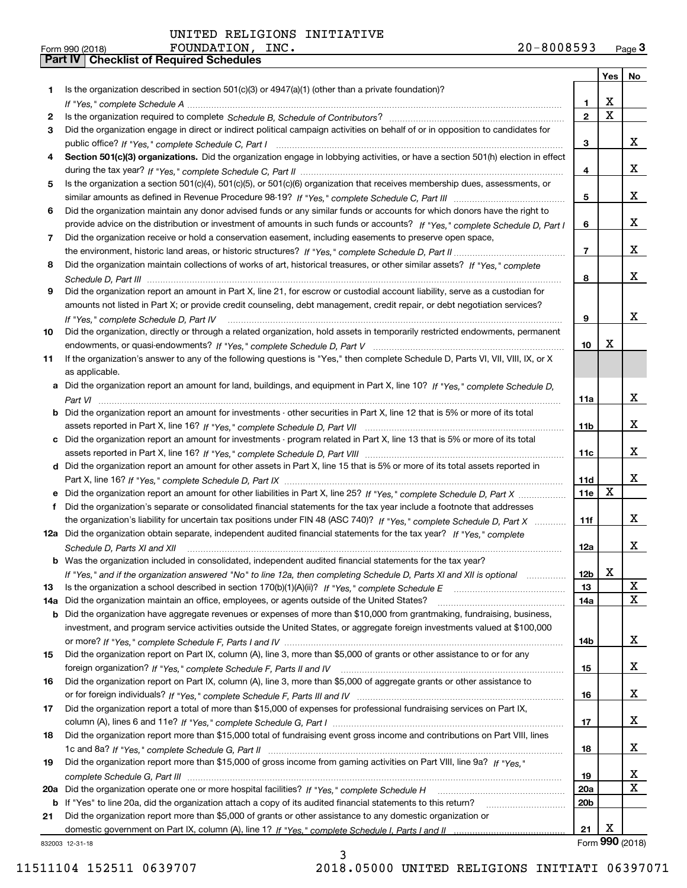| Is the organization described in section $501(c)(3)$ or $4947(a)(1)$ (other than a private foundation)?<br>1<br>Х<br>1.<br>$\overline{\mathbf{x}}$<br>$\overline{2}$<br>2<br>Did the organization engage in direct or indirect political campaign activities on behalf of or in opposition to candidates for<br>3<br>X<br>3<br>Section 501(c)(3) organizations. Did the organization engage in lobbying activities, or have a section 501(h) election in effect<br>4<br>x<br>4<br>Is the organization a section 501(c)(4), 501(c)(5), or 501(c)(6) organization that receives membership dues, assessments, or<br>5<br>X<br>5<br>Did the organization maintain any donor advised funds or any similar funds or accounts for which donors have the right to<br>6<br>x<br>provide advice on the distribution or investment of amounts in such funds or accounts? If "Yes," complete Schedule D, Part I<br>6<br>Did the organization receive or hold a conservation easement, including easements to preserve open space,<br>7<br>x<br>$\overline{7}$<br>Did the organization maintain collections of works of art, historical treasures, or other similar assets? If "Yes," complete<br>8<br>x<br>8<br>Did the organization report an amount in Part X, line 21, for escrow or custodial account liability, serve as a custodian for<br>9<br>amounts not listed in Part X; or provide credit counseling, debt management, credit repair, or debt negotiation services?<br>x<br>9<br>If "Yes." complete Schedule D, Part IV<br>Did the organization, directly or through a related organization, hold assets in temporarily restricted endowments, permanent<br>10<br>х<br>10<br>If the organization's answer to any of the following questions is "Yes," then complete Schedule D, Parts VI, VII, VIII, IX, or X<br>11<br>as applicable.<br>a Did the organization report an amount for land, buildings, and equipment in Part X, line 10? If "Yes," complete Schedule D.<br>x<br>11a<br>Did the organization report an amount for investments - other securities in Part X, line 12 that is 5% or more of its total<br>x<br>11 <sub>b</sub><br>c Did the organization report an amount for investments - program related in Part X, line 13 that is 5% or more of its total<br>x<br>11c<br>d Did the organization report an amount for other assets in Part X, line 15 that is 5% or more of its total assets reported in<br>X<br>11d<br>X<br>11e<br>Did the organization's separate or consolidated financial statements for the tax year include a footnote that addresses<br>f<br>X<br>the organization's liability for uncertain tax positions under FIN 48 (ASC 740)? If "Yes," complete Schedule D, Part X<br>11f<br>12a Did the organization obtain separate, independent audited financial statements for the tax year? If "Yes," complete<br>X<br>12a<br>Schedule D, Parts XI and XII<br><b>b</b> Was the organization included in consolidated, independent audited financial statements for the tax year?<br>X<br>12b<br>If "Yes," and if the organization answered "No" to line 12a, then completing Schedule D, Parts XI and XII is optional<br>X<br>Is the organization a school described in section 170(b)(1)(A)(ii)? If "Yes," complete Schedule E<br>13<br>$\mathbf{x}$<br>Did the organization maintain an office, employees, or agents outside of the United States?<br>14a<br>Did the organization have aggregate revenues or expenses of more than \$10,000 from grantmaking, fundraising, business,<br>b<br>investment, and program service activities outside the United States, or aggregate foreign investments valued at \$100,000<br>X<br>14b<br>Did the organization report on Part IX, column (A), line 3, more than \$5,000 of grants or other assistance to or for any<br>X<br>15<br>Did the organization report on Part IX, column (A), line 3, more than \$5,000 of aggregate grants or other assistance to<br>X<br>16<br>Did the organization report a total of more than \$15,000 of expenses for professional fundraising services on Part IX,<br>X<br>17<br>Did the organization report more than \$15,000 total of fundraising event gross income and contributions on Part VIII, lines<br>X<br>18<br>Did the organization report more than \$15,000 of gross income from gaming activities on Part VIII, line 9a? If "Yes."<br>X<br>19<br>$\overline{\mathbf{X}}$<br><b>20a</b><br><b>b</b> If "Yes" to line 20a, did the organization attach a copy of its audited financial statements to this return?<br>20 <sub>b</sub><br>Did the organization report more than \$5,000 of grants or other assistance to any domestic organization or<br>х<br>21<br>Form 990 (2018) |     |  | Yes $ $ | No |
|-----------------------------------------------------------------------------------------------------------------------------------------------------------------------------------------------------------------------------------------------------------------------------------------------------------------------------------------------------------------------------------------------------------------------------------------------------------------------------------------------------------------------------------------------------------------------------------------------------------------------------------------------------------------------------------------------------------------------------------------------------------------------------------------------------------------------------------------------------------------------------------------------------------------------------------------------------------------------------------------------------------------------------------------------------------------------------------------------------------------------------------------------------------------------------------------------------------------------------------------------------------------------------------------------------------------------------------------------------------------------------------------------------------------------------------------------------------------------------------------------------------------------------------------------------------------------------------------------------------------------------------------------------------------------------------------------------------------------------------------------------------------------------------------------------------------------------------------------------------------------------------------------------------------------------------------------------------------------------------------------------------------------------------------------------------------------------------------------------------------------------------------------------------------------------------------------------------------------------------------------------------------------------------------------------------------------------------------------------------------------------------------------------------------------------------------------------------------------------------------------------------------------------------------------------------------------------------------------------------------------------------------------------------------------------------------------------------------------------------------------------------------------------------------------------------------------------------------------------------------------------------------------------------------------------------------------------------------------------------------------------------------------------------------------------------------------------------------------------------------------------------------------------------------------------------------------------------------------------------------------------------------------------------------------------------------------------------------------------------------------------------------------------------------------------------------------------------------------------------------------------------------------------------------------------------------------------------------------------------------------------------------------------------------------------------------------------------------------------------------------------------------------------------------------------------------------------------------------------------------------------------------------------------------------------------------------------------------------------------------------------------------------------------------------------------------------------------------------------------------------------------------------------------------------------------------------------------------------------------------------------------------------------------------------------------------------------------------------------------------------------------------------------------------------------------------------------------------------------------------------------------------------------------------------------------------------------------------------------------------------------------------------------------------------------------------------------------------|-----|--|---------|----|
|                                                                                                                                                                                                                                                                                                                                                                                                                                                                                                                                                                                                                                                                                                                                                                                                                                                                                                                                                                                                                                                                                                                                                                                                                                                                                                                                                                                                                                                                                                                                                                                                                                                                                                                                                                                                                                                                                                                                                                                                                                                                                                                                                                                                                                                                                                                                                                                                                                                                                                                                                                                                                                                                                                                                                                                                                                                                                                                                                                                                                                                                                                                                                                                                                                                                                                                                                                                                                                                                                                                                                                                                                                                                                                                                                                                                                                                                                                                                                                                                                                                                                                                                                                                                                                                                                                                                                                                                                                                                                                                                                                                                                                                                                                                 |     |  |         |    |
|                                                                                                                                                                                                                                                                                                                                                                                                                                                                                                                                                                                                                                                                                                                                                                                                                                                                                                                                                                                                                                                                                                                                                                                                                                                                                                                                                                                                                                                                                                                                                                                                                                                                                                                                                                                                                                                                                                                                                                                                                                                                                                                                                                                                                                                                                                                                                                                                                                                                                                                                                                                                                                                                                                                                                                                                                                                                                                                                                                                                                                                                                                                                                                                                                                                                                                                                                                                                                                                                                                                                                                                                                                                                                                                                                                                                                                                                                                                                                                                                                                                                                                                                                                                                                                                                                                                                                                                                                                                                                                                                                                                                                                                                                                                 |     |  |         |    |
|                                                                                                                                                                                                                                                                                                                                                                                                                                                                                                                                                                                                                                                                                                                                                                                                                                                                                                                                                                                                                                                                                                                                                                                                                                                                                                                                                                                                                                                                                                                                                                                                                                                                                                                                                                                                                                                                                                                                                                                                                                                                                                                                                                                                                                                                                                                                                                                                                                                                                                                                                                                                                                                                                                                                                                                                                                                                                                                                                                                                                                                                                                                                                                                                                                                                                                                                                                                                                                                                                                                                                                                                                                                                                                                                                                                                                                                                                                                                                                                                                                                                                                                                                                                                                                                                                                                                                                                                                                                                                                                                                                                                                                                                                                                 |     |  |         |    |
|                                                                                                                                                                                                                                                                                                                                                                                                                                                                                                                                                                                                                                                                                                                                                                                                                                                                                                                                                                                                                                                                                                                                                                                                                                                                                                                                                                                                                                                                                                                                                                                                                                                                                                                                                                                                                                                                                                                                                                                                                                                                                                                                                                                                                                                                                                                                                                                                                                                                                                                                                                                                                                                                                                                                                                                                                                                                                                                                                                                                                                                                                                                                                                                                                                                                                                                                                                                                                                                                                                                                                                                                                                                                                                                                                                                                                                                                                                                                                                                                                                                                                                                                                                                                                                                                                                                                                                                                                                                                                                                                                                                                                                                                                                                 |     |  |         |    |
|                                                                                                                                                                                                                                                                                                                                                                                                                                                                                                                                                                                                                                                                                                                                                                                                                                                                                                                                                                                                                                                                                                                                                                                                                                                                                                                                                                                                                                                                                                                                                                                                                                                                                                                                                                                                                                                                                                                                                                                                                                                                                                                                                                                                                                                                                                                                                                                                                                                                                                                                                                                                                                                                                                                                                                                                                                                                                                                                                                                                                                                                                                                                                                                                                                                                                                                                                                                                                                                                                                                                                                                                                                                                                                                                                                                                                                                                                                                                                                                                                                                                                                                                                                                                                                                                                                                                                                                                                                                                                                                                                                                                                                                                                                                 |     |  |         |    |
|                                                                                                                                                                                                                                                                                                                                                                                                                                                                                                                                                                                                                                                                                                                                                                                                                                                                                                                                                                                                                                                                                                                                                                                                                                                                                                                                                                                                                                                                                                                                                                                                                                                                                                                                                                                                                                                                                                                                                                                                                                                                                                                                                                                                                                                                                                                                                                                                                                                                                                                                                                                                                                                                                                                                                                                                                                                                                                                                                                                                                                                                                                                                                                                                                                                                                                                                                                                                                                                                                                                                                                                                                                                                                                                                                                                                                                                                                                                                                                                                                                                                                                                                                                                                                                                                                                                                                                                                                                                                                                                                                                                                                                                                                                                 |     |  |         |    |
|                                                                                                                                                                                                                                                                                                                                                                                                                                                                                                                                                                                                                                                                                                                                                                                                                                                                                                                                                                                                                                                                                                                                                                                                                                                                                                                                                                                                                                                                                                                                                                                                                                                                                                                                                                                                                                                                                                                                                                                                                                                                                                                                                                                                                                                                                                                                                                                                                                                                                                                                                                                                                                                                                                                                                                                                                                                                                                                                                                                                                                                                                                                                                                                                                                                                                                                                                                                                                                                                                                                                                                                                                                                                                                                                                                                                                                                                                                                                                                                                                                                                                                                                                                                                                                                                                                                                                                                                                                                                                                                                                                                                                                                                                                                 |     |  |         |    |
|                                                                                                                                                                                                                                                                                                                                                                                                                                                                                                                                                                                                                                                                                                                                                                                                                                                                                                                                                                                                                                                                                                                                                                                                                                                                                                                                                                                                                                                                                                                                                                                                                                                                                                                                                                                                                                                                                                                                                                                                                                                                                                                                                                                                                                                                                                                                                                                                                                                                                                                                                                                                                                                                                                                                                                                                                                                                                                                                                                                                                                                                                                                                                                                                                                                                                                                                                                                                                                                                                                                                                                                                                                                                                                                                                                                                                                                                                                                                                                                                                                                                                                                                                                                                                                                                                                                                                                                                                                                                                                                                                                                                                                                                                                                 |     |  |         |    |
|                                                                                                                                                                                                                                                                                                                                                                                                                                                                                                                                                                                                                                                                                                                                                                                                                                                                                                                                                                                                                                                                                                                                                                                                                                                                                                                                                                                                                                                                                                                                                                                                                                                                                                                                                                                                                                                                                                                                                                                                                                                                                                                                                                                                                                                                                                                                                                                                                                                                                                                                                                                                                                                                                                                                                                                                                                                                                                                                                                                                                                                                                                                                                                                                                                                                                                                                                                                                                                                                                                                                                                                                                                                                                                                                                                                                                                                                                                                                                                                                                                                                                                                                                                                                                                                                                                                                                                                                                                                                                                                                                                                                                                                                                                                 |     |  |         |    |
|                                                                                                                                                                                                                                                                                                                                                                                                                                                                                                                                                                                                                                                                                                                                                                                                                                                                                                                                                                                                                                                                                                                                                                                                                                                                                                                                                                                                                                                                                                                                                                                                                                                                                                                                                                                                                                                                                                                                                                                                                                                                                                                                                                                                                                                                                                                                                                                                                                                                                                                                                                                                                                                                                                                                                                                                                                                                                                                                                                                                                                                                                                                                                                                                                                                                                                                                                                                                                                                                                                                                                                                                                                                                                                                                                                                                                                                                                                                                                                                                                                                                                                                                                                                                                                                                                                                                                                                                                                                                                                                                                                                                                                                                                                                 |     |  |         |    |
|                                                                                                                                                                                                                                                                                                                                                                                                                                                                                                                                                                                                                                                                                                                                                                                                                                                                                                                                                                                                                                                                                                                                                                                                                                                                                                                                                                                                                                                                                                                                                                                                                                                                                                                                                                                                                                                                                                                                                                                                                                                                                                                                                                                                                                                                                                                                                                                                                                                                                                                                                                                                                                                                                                                                                                                                                                                                                                                                                                                                                                                                                                                                                                                                                                                                                                                                                                                                                                                                                                                                                                                                                                                                                                                                                                                                                                                                                                                                                                                                                                                                                                                                                                                                                                                                                                                                                                                                                                                                                                                                                                                                                                                                                                                 |     |  |         |    |
|                                                                                                                                                                                                                                                                                                                                                                                                                                                                                                                                                                                                                                                                                                                                                                                                                                                                                                                                                                                                                                                                                                                                                                                                                                                                                                                                                                                                                                                                                                                                                                                                                                                                                                                                                                                                                                                                                                                                                                                                                                                                                                                                                                                                                                                                                                                                                                                                                                                                                                                                                                                                                                                                                                                                                                                                                                                                                                                                                                                                                                                                                                                                                                                                                                                                                                                                                                                                                                                                                                                                                                                                                                                                                                                                                                                                                                                                                                                                                                                                                                                                                                                                                                                                                                                                                                                                                                                                                                                                                                                                                                                                                                                                                                                 |     |  |         |    |
|                                                                                                                                                                                                                                                                                                                                                                                                                                                                                                                                                                                                                                                                                                                                                                                                                                                                                                                                                                                                                                                                                                                                                                                                                                                                                                                                                                                                                                                                                                                                                                                                                                                                                                                                                                                                                                                                                                                                                                                                                                                                                                                                                                                                                                                                                                                                                                                                                                                                                                                                                                                                                                                                                                                                                                                                                                                                                                                                                                                                                                                                                                                                                                                                                                                                                                                                                                                                                                                                                                                                                                                                                                                                                                                                                                                                                                                                                                                                                                                                                                                                                                                                                                                                                                                                                                                                                                                                                                                                                                                                                                                                                                                                                                                 |     |  |         |    |
|                                                                                                                                                                                                                                                                                                                                                                                                                                                                                                                                                                                                                                                                                                                                                                                                                                                                                                                                                                                                                                                                                                                                                                                                                                                                                                                                                                                                                                                                                                                                                                                                                                                                                                                                                                                                                                                                                                                                                                                                                                                                                                                                                                                                                                                                                                                                                                                                                                                                                                                                                                                                                                                                                                                                                                                                                                                                                                                                                                                                                                                                                                                                                                                                                                                                                                                                                                                                                                                                                                                                                                                                                                                                                                                                                                                                                                                                                                                                                                                                                                                                                                                                                                                                                                                                                                                                                                                                                                                                                                                                                                                                                                                                                                                 |     |  |         |    |
|                                                                                                                                                                                                                                                                                                                                                                                                                                                                                                                                                                                                                                                                                                                                                                                                                                                                                                                                                                                                                                                                                                                                                                                                                                                                                                                                                                                                                                                                                                                                                                                                                                                                                                                                                                                                                                                                                                                                                                                                                                                                                                                                                                                                                                                                                                                                                                                                                                                                                                                                                                                                                                                                                                                                                                                                                                                                                                                                                                                                                                                                                                                                                                                                                                                                                                                                                                                                                                                                                                                                                                                                                                                                                                                                                                                                                                                                                                                                                                                                                                                                                                                                                                                                                                                                                                                                                                                                                                                                                                                                                                                                                                                                                                                 |     |  |         |    |
|                                                                                                                                                                                                                                                                                                                                                                                                                                                                                                                                                                                                                                                                                                                                                                                                                                                                                                                                                                                                                                                                                                                                                                                                                                                                                                                                                                                                                                                                                                                                                                                                                                                                                                                                                                                                                                                                                                                                                                                                                                                                                                                                                                                                                                                                                                                                                                                                                                                                                                                                                                                                                                                                                                                                                                                                                                                                                                                                                                                                                                                                                                                                                                                                                                                                                                                                                                                                                                                                                                                                                                                                                                                                                                                                                                                                                                                                                                                                                                                                                                                                                                                                                                                                                                                                                                                                                                                                                                                                                                                                                                                                                                                                                                                 |     |  |         |    |
|                                                                                                                                                                                                                                                                                                                                                                                                                                                                                                                                                                                                                                                                                                                                                                                                                                                                                                                                                                                                                                                                                                                                                                                                                                                                                                                                                                                                                                                                                                                                                                                                                                                                                                                                                                                                                                                                                                                                                                                                                                                                                                                                                                                                                                                                                                                                                                                                                                                                                                                                                                                                                                                                                                                                                                                                                                                                                                                                                                                                                                                                                                                                                                                                                                                                                                                                                                                                                                                                                                                                                                                                                                                                                                                                                                                                                                                                                                                                                                                                                                                                                                                                                                                                                                                                                                                                                                                                                                                                                                                                                                                                                                                                                                                 |     |  |         |    |
|                                                                                                                                                                                                                                                                                                                                                                                                                                                                                                                                                                                                                                                                                                                                                                                                                                                                                                                                                                                                                                                                                                                                                                                                                                                                                                                                                                                                                                                                                                                                                                                                                                                                                                                                                                                                                                                                                                                                                                                                                                                                                                                                                                                                                                                                                                                                                                                                                                                                                                                                                                                                                                                                                                                                                                                                                                                                                                                                                                                                                                                                                                                                                                                                                                                                                                                                                                                                                                                                                                                                                                                                                                                                                                                                                                                                                                                                                                                                                                                                                                                                                                                                                                                                                                                                                                                                                                                                                                                                                                                                                                                                                                                                                                                 |     |  |         |    |
|                                                                                                                                                                                                                                                                                                                                                                                                                                                                                                                                                                                                                                                                                                                                                                                                                                                                                                                                                                                                                                                                                                                                                                                                                                                                                                                                                                                                                                                                                                                                                                                                                                                                                                                                                                                                                                                                                                                                                                                                                                                                                                                                                                                                                                                                                                                                                                                                                                                                                                                                                                                                                                                                                                                                                                                                                                                                                                                                                                                                                                                                                                                                                                                                                                                                                                                                                                                                                                                                                                                                                                                                                                                                                                                                                                                                                                                                                                                                                                                                                                                                                                                                                                                                                                                                                                                                                                                                                                                                                                                                                                                                                                                                                                                 |     |  |         |    |
|                                                                                                                                                                                                                                                                                                                                                                                                                                                                                                                                                                                                                                                                                                                                                                                                                                                                                                                                                                                                                                                                                                                                                                                                                                                                                                                                                                                                                                                                                                                                                                                                                                                                                                                                                                                                                                                                                                                                                                                                                                                                                                                                                                                                                                                                                                                                                                                                                                                                                                                                                                                                                                                                                                                                                                                                                                                                                                                                                                                                                                                                                                                                                                                                                                                                                                                                                                                                                                                                                                                                                                                                                                                                                                                                                                                                                                                                                                                                                                                                                                                                                                                                                                                                                                                                                                                                                                                                                                                                                                                                                                                                                                                                                                                 |     |  |         |    |
|                                                                                                                                                                                                                                                                                                                                                                                                                                                                                                                                                                                                                                                                                                                                                                                                                                                                                                                                                                                                                                                                                                                                                                                                                                                                                                                                                                                                                                                                                                                                                                                                                                                                                                                                                                                                                                                                                                                                                                                                                                                                                                                                                                                                                                                                                                                                                                                                                                                                                                                                                                                                                                                                                                                                                                                                                                                                                                                                                                                                                                                                                                                                                                                                                                                                                                                                                                                                                                                                                                                                                                                                                                                                                                                                                                                                                                                                                                                                                                                                                                                                                                                                                                                                                                                                                                                                                                                                                                                                                                                                                                                                                                                                                                                 |     |  |         |    |
|                                                                                                                                                                                                                                                                                                                                                                                                                                                                                                                                                                                                                                                                                                                                                                                                                                                                                                                                                                                                                                                                                                                                                                                                                                                                                                                                                                                                                                                                                                                                                                                                                                                                                                                                                                                                                                                                                                                                                                                                                                                                                                                                                                                                                                                                                                                                                                                                                                                                                                                                                                                                                                                                                                                                                                                                                                                                                                                                                                                                                                                                                                                                                                                                                                                                                                                                                                                                                                                                                                                                                                                                                                                                                                                                                                                                                                                                                                                                                                                                                                                                                                                                                                                                                                                                                                                                                                                                                                                                                                                                                                                                                                                                                                                 |     |  |         |    |
|                                                                                                                                                                                                                                                                                                                                                                                                                                                                                                                                                                                                                                                                                                                                                                                                                                                                                                                                                                                                                                                                                                                                                                                                                                                                                                                                                                                                                                                                                                                                                                                                                                                                                                                                                                                                                                                                                                                                                                                                                                                                                                                                                                                                                                                                                                                                                                                                                                                                                                                                                                                                                                                                                                                                                                                                                                                                                                                                                                                                                                                                                                                                                                                                                                                                                                                                                                                                                                                                                                                                                                                                                                                                                                                                                                                                                                                                                                                                                                                                                                                                                                                                                                                                                                                                                                                                                                                                                                                                                                                                                                                                                                                                                                                 |     |  |         |    |
|                                                                                                                                                                                                                                                                                                                                                                                                                                                                                                                                                                                                                                                                                                                                                                                                                                                                                                                                                                                                                                                                                                                                                                                                                                                                                                                                                                                                                                                                                                                                                                                                                                                                                                                                                                                                                                                                                                                                                                                                                                                                                                                                                                                                                                                                                                                                                                                                                                                                                                                                                                                                                                                                                                                                                                                                                                                                                                                                                                                                                                                                                                                                                                                                                                                                                                                                                                                                                                                                                                                                                                                                                                                                                                                                                                                                                                                                                                                                                                                                                                                                                                                                                                                                                                                                                                                                                                                                                                                                                                                                                                                                                                                                                                                 |     |  |         |    |
|                                                                                                                                                                                                                                                                                                                                                                                                                                                                                                                                                                                                                                                                                                                                                                                                                                                                                                                                                                                                                                                                                                                                                                                                                                                                                                                                                                                                                                                                                                                                                                                                                                                                                                                                                                                                                                                                                                                                                                                                                                                                                                                                                                                                                                                                                                                                                                                                                                                                                                                                                                                                                                                                                                                                                                                                                                                                                                                                                                                                                                                                                                                                                                                                                                                                                                                                                                                                                                                                                                                                                                                                                                                                                                                                                                                                                                                                                                                                                                                                                                                                                                                                                                                                                                                                                                                                                                                                                                                                                                                                                                                                                                                                                                                 |     |  |         |    |
|                                                                                                                                                                                                                                                                                                                                                                                                                                                                                                                                                                                                                                                                                                                                                                                                                                                                                                                                                                                                                                                                                                                                                                                                                                                                                                                                                                                                                                                                                                                                                                                                                                                                                                                                                                                                                                                                                                                                                                                                                                                                                                                                                                                                                                                                                                                                                                                                                                                                                                                                                                                                                                                                                                                                                                                                                                                                                                                                                                                                                                                                                                                                                                                                                                                                                                                                                                                                                                                                                                                                                                                                                                                                                                                                                                                                                                                                                                                                                                                                                                                                                                                                                                                                                                                                                                                                                                                                                                                                                                                                                                                                                                                                                                                 |     |  |         |    |
|                                                                                                                                                                                                                                                                                                                                                                                                                                                                                                                                                                                                                                                                                                                                                                                                                                                                                                                                                                                                                                                                                                                                                                                                                                                                                                                                                                                                                                                                                                                                                                                                                                                                                                                                                                                                                                                                                                                                                                                                                                                                                                                                                                                                                                                                                                                                                                                                                                                                                                                                                                                                                                                                                                                                                                                                                                                                                                                                                                                                                                                                                                                                                                                                                                                                                                                                                                                                                                                                                                                                                                                                                                                                                                                                                                                                                                                                                                                                                                                                                                                                                                                                                                                                                                                                                                                                                                                                                                                                                                                                                                                                                                                                                                                 |     |  |         |    |
|                                                                                                                                                                                                                                                                                                                                                                                                                                                                                                                                                                                                                                                                                                                                                                                                                                                                                                                                                                                                                                                                                                                                                                                                                                                                                                                                                                                                                                                                                                                                                                                                                                                                                                                                                                                                                                                                                                                                                                                                                                                                                                                                                                                                                                                                                                                                                                                                                                                                                                                                                                                                                                                                                                                                                                                                                                                                                                                                                                                                                                                                                                                                                                                                                                                                                                                                                                                                                                                                                                                                                                                                                                                                                                                                                                                                                                                                                                                                                                                                                                                                                                                                                                                                                                                                                                                                                                                                                                                                                                                                                                                                                                                                                                                 |     |  |         |    |
|                                                                                                                                                                                                                                                                                                                                                                                                                                                                                                                                                                                                                                                                                                                                                                                                                                                                                                                                                                                                                                                                                                                                                                                                                                                                                                                                                                                                                                                                                                                                                                                                                                                                                                                                                                                                                                                                                                                                                                                                                                                                                                                                                                                                                                                                                                                                                                                                                                                                                                                                                                                                                                                                                                                                                                                                                                                                                                                                                                                                                                                                                                                                                                                                                                                                                                                                                                                                                                                                                                                                                                                                                                                                                                                                                                                                                                                                                                                                                                                                                                                                                                                                                                                                                                                                                                                                                                                                                                                                                                                                                                                                                                                                                                                 |     |  |         |    |
|                                                                                                                                                                                                                                                                                                                                                                                                                                                                                                                                                                                                                                                                                                                                                                                                                                                                                                                                                                                                                                                                                                                                                                                                                                                                                                                                                                                                                                                                                                                                                                                                                                                                                                                                                                                                                                                                                                                                                                                                                                                                                                                                                                                                                                                                                                                                                                                                                                                                                                                                                                                                                                                                                                                                                                                                                                                                                                                                                                                                                                                                                                                                                                                                                                                                                                                                                                                                                                                                                                                                                                                                                                                                                                                                                                                                                                                                                                                                                                                                                                                                                                                                                                                                                                                                                                                                                                                                                                                                                                                                                                                                                                                                                                                 |     |  |         |    |
|                                                                                                                                                                                                                                                                                                                                                                                                                                                                                                                                                                                                                                                                                                                                                                                                                                                                                                                                                                                                                                                                                                                                                                                                                                                                                                                                                                                                                                                                                                                                                                                                                                                                                                                                                                                                                                                                                                                                                                                                                                                                                                                                                                                                                                                                                                                                                                                                                                                                                                                                                                                                                                                                                                                                                                                                                                                                                                                                                                                                                                                                                                                                                                                                                                                                                                                                                                                                                                                                                                                                                                                                                                                                                                                                                                                                                                                                                                                                                                                                                                                                                                                                                                                                                                                                                                                                                                                                                                                                                                                                                                                                                                                                                                                 |     |  |         |    |
|                                                                                                                                                                                                                                                                                                                                                                                                                                                                                                                                                                                                                                                                                                                                                                                                                                                                                                                                                                                                                                                                                                                                                                                                                                                                                                                                                                                                                                                                                                                                                                                                                                                                                                                                                                                                                                                                                                                                                                                                                                                                                                                                                                                                                                                                                                                                                                                                                                                                                                                                                                                                                                                                                                                                                                                                                                                                                                                                                                                                                                                                                                                                                                                                                                                                                                                                                                                                                                                                                                                                                                                                                                                                                                                                                                                                                                                                                                                                                                                                                                                                                                                                                                                                                                                                                                                                                                                                                                                                                                                                                                                                                                                                                                                 |     |  |         |    |
|                                                                                                                                                                                                                                                                                                                                                                                                                                                                                                                                                                                                                                                                                                                                                                                                                                                                                                                                                                                                                                                                                                                                                                                                                                                                                                                                                                                                                                                                                                                                                                                                                                                                                                                                                                                                                                                                                                                                                                                                                                                                                                                                                                                                                                                                                                                                                                                                                                                                                                                                                                                                                                                                                                                                                                                                                                                                                                                                                                                                                                                                                                                                                                                                                                                                                                                                                                                                                                                                                                                                                                                                                                                                                                                                                                                                                                                                                                                                                                                                                                                                                                                                                                                                                                                                                                                                                                                                                                                                                                                                                                                                                                                                                                                 |     |  |         |    |
|                                                                                                                                                                                                                                                                                                                                                                                                                                                                                                                                                                                                                                                                                                                                                                                                                                                                                                                                                                                                                                                                                                                                                                                                                                                                                                                                                                                                                                                                                                                                                                                                                                                                                                                                                                                                                                                                                                                                                                                                                                                                                                                                                                                                                                                                                                                                                                                                                                                                                                                                                                                                                                                                                                                                                                                                                                                                                                                                                                                                                                                                                                                                                                                                                                                                                                                                                                                                                                                                                                                                                                                                                                                                                                                                                                                                                                                                                                                                                                                                                                                                                                                                                                                                                                                                                                                                                                                                                                                                                                                                                                                                                                                                                                                 |     |  |         |    |
|                                                                                                                                                                                                                                                                                                                                                                                                                                                                                                                                                                                                                                                                                                                                                                                                                                                                                                                                                                                                                                                                                                                                                                                                                                                                                                                                                                                                                                                                                                                                                                                                                                                                                                                                                                                                                                                                                                                                                                                                                                                                                                                                                                                                                                                                                                                                                                                                                                                                                                                                                                                                                                                                                                                                                                                                                                                                                                                                                                                                                                                                                                                                                                                                                                                                                                                                                                                                                                                                                                                                                                                                                                                                                                                                                                                                                                                                                                                                                                                                                                                                                                                                                                                                                                                                                                                                                                                                                                                                                                                                                                                                                                                                                                                 |     |  |         |    |
|                                                                                                                                                                                                                                                                                                                                                                                                                                                                                                                                                                                                                                                                                                                                                                                                                                                                                                                                                                                                                                                                                                                                                                                                                                                                                                                                                                                                                                                                                                                                                                                                                                                                                                                                                                                                                                                                                                                                                                                                                                                                                                                                                                                                                                                                                                                                                                                                                                                                                                                                                                                                                                                                                                                                                                                                                                                                                                                                                                                                                                                                                                                                                                                                                                                                                                                                                                                                                                                                                                                                                                                                                                                                                                                                                                                                                                                                                                                                                                                                                                                                                                                                                                                                                                                                                                                                                                                                                                                                                                                                                                                                                                                                                                                 |     |  |         |    |
|                                                                                                                                                                                                                                                                                                                                                                                                                                                                                                                                                                                                                                                                                                                                                                                                                                                                                                                                                                                                                                                                                                                                                                                                                                                                                                                                                                                                                                                                                                                                                                                                                                                                                                                                                                                                                                                                                                                                                                                                                                                                                                                                                                                                                                                                                                                                                                                                                                                                                                                                                                                                                                                                                                                                                                                                                                                                                                                                                                                                                                                                                                                                                                                                                                                                                                                                                                                                                                                                                                                                                                                                                                                                                                                                                                                                                                                                                                                                                                                                                                                                                                                                                                                                                                                                                                                                                                                                                                                                                                                                                                                                                                                                                                                 | 13  |  |         |    |
|                                                                                                                                                                                                                                                                                                                                                                                                                                                                                                                                                                                                                                                                                                                                                                                                                                                                                                                                                                                                                                                                                                                                                                                                                                                                                                                                                                                                                                                                                                                                                                                                                                                                                                                                                                                                                                                                                                                                                                                                                                                                                                                                                                                                                                                                                                                                                                                                                                                                                                                                                                                                                                                                                                                                                                                                                                                                                                                                                                                                                                                                                                                                                                                                                                                                                                                                                                                                                                                                                                                                                                                                                                                                                                                                                                                                                                                                                                                                                                                                                                                                                                                                                                                                                                                                                                                                                                                                                                                                                                                                                                                                                                                                                                                 | 14a |  |         |    |
|                                                                                                                                                                                                                                                                                                                                                                                                                                                                                                                                                                                                                                                                                                                                                                                                                                                                                                                                                                                                                                                                                                                                                                                                                                                                                                                                                                                                                                                                                                                                                                                                                                                                                                                                                                                                                                                                                                                                                                                                                                                                                                                                                                                                                                                                                                                                                                                                                                                                                                                                                                                                                                                                                                                                                                                                                                                                                                                                                                                                                                                                                                                                                                                                                                                                                                                                                                                                                                                                                                                                                                                                                                                                                                                                                                                                                                                                                                                                                                                                                                                                                                                                                                                                                                                                                                                                                                                                                                                                                                                                                                                                                                                                                                                 |     |  |         |    |
|                                                                                                                                                                                                                                                                                                                                                                                                                                                                                                                                                                                                                                                                                                                                                                                                                                                                                                                                                                                                                                                                                                                                                                                                                                                                                                                                                                                                                                                                                                                                                                                                                                                                                                                                                                                                                                                                                                                                                                                                                                                                                                                                                                                                                                                                                                                                                                                                                                                                                                                                                                                                                                                                                                                                                                                                                                                                                                                                                                                                                                                                                                                                                                                                                                                                                                                                                                                                                                                                                                                                                                                                                                                                                                                                                                                                                                                                                                                                                                                                                                                                                                                                                                                                                                                                                                                                                                                                                                                                                                                                                                                                                                                                                                                 |     |  |         |    |
|                                                                                                                                                                                                                                                                                                                                                                                                                                                                                                                                                                                                                                                                                                                                                                                                                                                                                                                                                                                                                                                                                                                                                                                                                                                                                                                                                                                                                                                                                                                                                                                                                                                                                                                                                                                                                                                                                                                                                                                                                                                                                                                                                                                                                                                                                                                                                                                                                                                                                                                                                                                                                                                                                                                                                                                                                                                                                                                                                                                                                                                                                                                                                                                                                                                                                                                                                                                                                                                                                                                                                                                                                                                                                                                                                                                                                                                                                                                                                                                                                                                                                                                                                                                                                                                                                                                                                                                                                                                                                                                                                                                                                                                                                                                 |     |  |         |    |
|                                                                                                                                                                                                                                                                                                                                                                                                                                                                                                                                                                                                                                                                                                                                                                                                                                                                                                                                                                                                                                                                                                                                                                                                                                                                                                                                                                                                                                                                                                                                                                                                                                                                                                                                                                                                                                                                                                                                                                                                                                                                                                                                                                                                                                                                                                                                                                                                                                                                                                                                                                                                                                                                                                                                                                                                                                                                                                                                                                                                                                                                                                                                                                                                                                                                                                                                                                                                                                                                                                                                                                                                                                                                                                                                                                                                                                                                                                                                                                                                                                                                                                                                                                                                                                                                                                                                                                                                                                                                                                                                                                                                                                                                                                                 | 15  |  |         |    |
|                                                                                                                                                                                                                                                                                                                                                                                                                                                                                                                                                                                                                                                                                                                                                                                                                                                                                                                                                                                                                                                                                                                                                                                                                                                                                                                                                                                                                                                                                                                                                                                                                                                                                                                                                                                                                                                                                                                                                                                                                                                                                                                                                                                                                                                                                                                                                                                                                                                                                                                                                                                                                                                                                                                                                                                                                                                                                                                                                                                                                                                                                                                                                                                                                                                                                                                                                                                                                                                                                                                                                                                                                                                                                                                                                                                                                                                                                                                                                                                                                                                                                                                                                                                                                                                                                                                                                                                                                                                                                                                                                                                                                                                                                                                 |     |  |         |    |
|                                                                                                                                                                                                                                                                                                                                                                                                                                                                                                                                                                                                                                                                                                                                                                                                                                                                                                                                                                                                                                                                                                                                                                                                                                                                                                                                                                                                                                                                                                                                                                                                                                                                                                                                                                                                                                                                                                                                                                                                                                                                                                                                                                                                                                                                                                                                                                                                                                                                                                                                                                                                                                                                                                                                                                                                                                                                                                                                                                                                                                                                                                                                                                                                                                                                                                                                                                                                                                                                                                                                                                                                                                                                                                                                                                                                                                                                                                                                                                                                                                                                                                                                                                                                                                                                                                                                                                                                                                                                                                                                                                                                                                                                                                                 | 16  |  |         |    |
|                                                                                                                                                                                                                                                                                                                                                                                                                                                                                                                                                                                                                                                                                                                                                                                                                                                                                                                                                                                                                                                                                                                                                                                                                                                                                                                                                                                                                                                                                                                                                                                                                                                                                                                                                                                                                                                                                                                                                                                                                                                                                                                                                                                                                                                                                                                                                                                                                                                                                                                                                                                                                                                                                                                                                                                                                                                                                                                                                                                                                                                                                                                                                                                                                                                                                                                                                                                                                                                                                                                                                                                                                                                                                                                                                                                                                                                                                                                                                                                                                                                                                                                                                                                                                                                                                                                                                                                                                                                                                                                                                                                                                                                                                                                 |     |  |         |    |
|                                                                                                                                                                                                                                                                                                                                                                                                                                                                                                                                                                                                                                                                                                                                                                                                                                                                                                                                                                                                                                                                                                                                                                                                                                                                                                                                                                                                                                                                                                                                                                                                                                                                                                                                                                                                                                                                                                                                                                                                                                                                                                                                                                                                                                                                                                                                                                                                                                                                                                                                                                                                                                                                                                                                                                                                                                                                                                                                                                                                                                                                                                                                                                                                                                                                                                                                                                                                                                                                                                                                                                                                                                                                                                                                                                                                                                                                                                                                                                                                                                                                                                                                                                                                                                                                                                                                                                                                                                                                                                                                                                                                                                                                                                                 | 17  |  |         |    |
|                                                                                                                                                                                                                                                                                                                                                                                                                                                                                                                                                                                                                                                                                                                                                                                                                                                                                                                                                                                                                                                                                                                                                                                                                                                                                                                                                                                                                                                                                                                                                                                                                                                                                                                                                                                                                                                                                                                                                                                                                                                                                                                                                                                                                                                                                                                                                                                                                                                                                                                                                                                                                                                                                                                                                                                                                                                                                                                                                                                                                                                                                                                                                                                                                                                                                                                                                                                                                                                                                                                                                                                                                                                                                                                                                                                                                                                                                                                                                                                                                                                                                                                                                                                                                                                                                                                                                                                                                                                                                                                                                                                                                                                                                                                 |     |  |         |    |
|                                                                                                                                                                                                                                                                                                                                                                                                                                                                                                                                                                                                                                                                                                                                                                                                                                                                                                                                                                                                                                                                                                                                                                                                                                                                                                                                                                                                                                                                                                                                                                                                                                                                                                                                                                                                                                                                                                                                                                                                                                                                                                                                                                                                                                                                                                                                                                                                                                                                                                                                                                                                                                                                                                                                                                                                                                                                                                                                                                                                                                                                                                                                                                                                                                                                                                                                                                                                                                                                                                                                                                                                                                                                                                                                                                                                                                                                                                                                                                                                                                                                                                                                                                                                                                                                                                                                                                                                                                                                                                                                                                                                                                                                                                                 | 18  |  |         |    |
|                                                                                                                                                                                                                                                                                                                                                                                                                                                                                                                                                                                                                                                                                                                                                                                                                                                                                                                                                                                                                                                                                                                                                                                                                                                                                                                                                                                                                                                                                                                                                                                                                                                                                                                                                                                                                                                                                                                                                                                                                                                                                                                                                                                                                                                                                                                                                                                                                                                                                                                                                                                                                                                                                                                                                                                                                                                                                                                                                                                                                                                                                                                                                                                                                                                                                                                                                                                                                                                                                                                                                                                                                                                                                                                                                                                                                                                                                                                                                                                                                                                                                                                                                                                                                                                                                                                                                                                                                                                                                                                                                                                                                                                                                                                 |     |  |         |    |
|                                                                                                                                                                                                                                                                                                                                                                                                                                                                                                                                                                                                                                                                                                                                                                                                                                                                                                                                                                                                                                                                                                                                                                                                                                                                                                                                                                                                                                                                                                                                                                                                                                                                                                                                                                                                                                                                                                                                                                                                                                                                                                                                                                                                                                                                                                                                                                                                                                                                                                                                                                                                                                                                                                                                                                                                                                                                                                                                                                                                                                                                                                                                                                                                                                                                                                                                                                                                                                                                                                                                                                                                                                                                                                                                                                                                                                                                                                                                                                                                                                                                                                                                                                                                                                                                                                                                                                                                                                                                                                                                                                                                                                                                                                                 | 19  |  |         |    |
|                                                                                                                                                                                                                                                                                                                                                                                                                                                                                                                                                                                                                                                                                                                                                                                                                                                                                                                                                                                                                                                                                                                                                                                                                                                                                                                                                                                                                                                                                                                                                                                                                                                                                                                                                                                                                                                                                                                                                                                                                                                                                                                                                                                                                                                                                                                                                                                                                                                                                                                                                                                                                                                                                                                                                                                                                                                                                                                                                                                                                                                                                                                                                                                                                                                                                                                                                                                                                                                                                                                                                                                                                                                                                                                                                                                                                                                                                                                                                                                                                                                                                                                                                                                                                                                                                                                                                                                                                                                                                                                                                                                                                                                                                                                 |     |  |         |    |
|                                                                                                                                                                                                                                                                                                                                                                                                                                                                                                                                                                                                                                                                                                                                                                                                                                                                                                                                                                                                                                                                                                                                                                                                                                                                                                                                                                                                                                                                                                                                                                                                                                                                                                                                                                                                                                                                                                                                                                                                                                                                                                                                                                                                                                                                                                                                                                                                                                                                                                                                                                                                                                                                                                                                                                                                                                                                                                                                                                                                                                                                                                                                                                                                                                                                                                                                                                                                                                                                                                                                                                                                                                                                                                                                                                                                                                                                                                                                                                                                                                                                                                                                                                                                                                                                                                                                                                                                                                                                                                                                                                                                                                                                                                                 | 20a |  |         |    |
|                                                                                                                                                                                                                                                                                                                                                                                                                                                                                                                                                                                                                                                                                                                                                                                                                                                                                                                                                                                                                                                                                                                                                                                                                                                                                                                                                                                                                                                                                                                                                                                                                                                                                                                                                                                                                                                                                                                                                                                                                                                                                                                                                                                                                                                                                                                                                                                                                                                                                                                                                                                                                                                                                                                                                                                                                                                                                                                                                                                                                                                                                                                                                                                                                                                                                                                                                                                                                                                                                                                                                                                                                                                                                                                                                                                                                                                                                                                                                                                                                                                                                                                                                                                                                                                                                                                                                                                                                                                                                                                                                                                                                                                                                                                 |     |  |         |    |
|                                                                                                                                                                                                                                                                                                                                                                                                                                                                                                                                                                                                                                                                                                                                                                                                                                                                                                                                                                                                                                                                                                                                                                                                                                                                                                                                                                                                                                                                                                                                                                                                                                                                                                                                                                                                                                                                                                                                                                                                                                                                                                                                                                                                                                                                                                                                                                                                                                                                                                                                                                                                                                                                                                                                                                                                                                                                                                                                                                                                                                                                                                                                                                                                                                                                                                                                                                                                                                                                                                                                                                                                                                                                                                                                                                                                                                                                                                                                                                                                                                                                                                                                                                                                                                                                                                                                                                                                                                                                                                                                                                                                                                                                                                                 | 21  |  |         |    |
|                                                                                                                                                                                                                                                                                                                                                                                                                                                                                                                                                                                                                                                                                                                                                                                                                                                                                                                                                                                                                                                                                                                                                                                                                                                                                                                                                                                                                                                                                                                                                                                                                                                                                                                                                                                                                                                                                                                                                                                                                                                                                                                                                                                                                                                                                                                                                                                                                                                                                                                                                                                                                                                                                                                                                                                                                                                                                                                                                                                                                                                                                                                                                                                                                                                                                                                                                                                                                                                                                                                                                                                                                                                                                                                                                                                                                                                                                                                                                                                                                                                                                                                                                                                                                                                                                                                                                                                                                                                                                                                                                                                                                                                                                                                 |     |  |         |    |

832003 12-31-18

3 11511104 152511 0639707 2018.05000 UNITED RELIGIONS INITIATI 06397071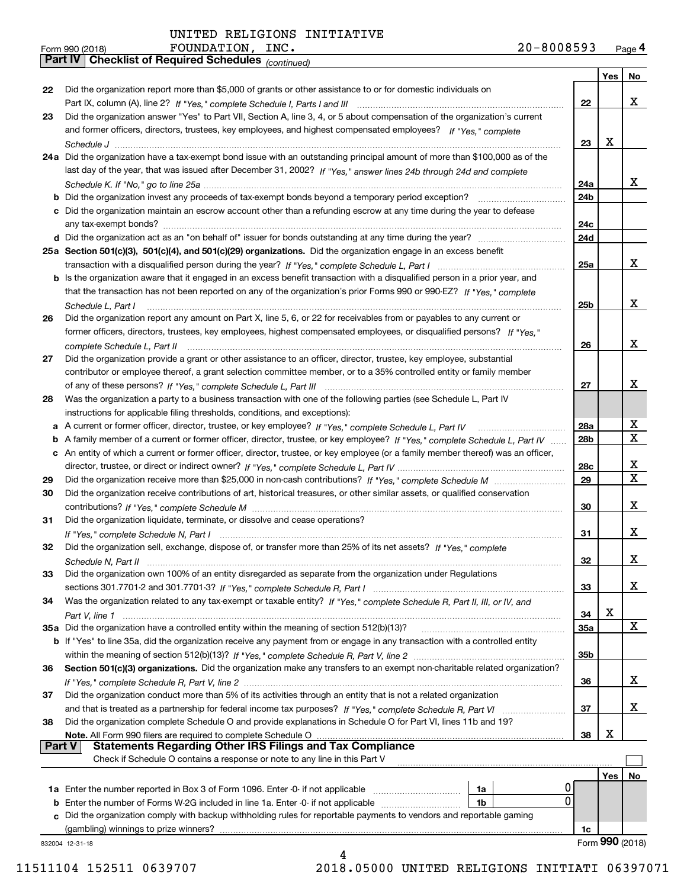|               | $20 - 8008593$<br>FOUNDATION, INC.<br>Form 990 (2018)                                                                             |                 |                 | Page 4      |
|---------------|-----------------------------------------------------------------------------------------------------------------------------------|-----------------|-----------------|-------------|
|               | Part IV Checklist of Required Schedules (continued)                                                                               |                 |                 |             |
|               |                                                                                                                                   |                 | Yes             | No          |
| 22            | Did the organization report more than \$5,000 of grants or other assistance to or for domestic individuals on                     |                 |                 |             |
|               |                                                                                                                                   | 22              |                 | x           |
| 23            | Did the organization answer "Yes" to Part VII, Section A, line 3, 4, or 5 about compensation of the organization's current        |                 |                 |             |
|               | and former officers, directors, trustees, key employees, and highest compensated employees? If "Yes," complete                    |                 |                 |             |
|               |                                                                                                                                   | 23              | х               |             |
|               | 24a Did the organization have a tax-exempt bond issue with an outstanding principal amount of more than \$100,000 as of the       |                 |                 |             |
|               | last day of the year, that was issued after December 31, 2002? If "Yes," answer lines 24b through 24d and complete                |                 |                 |             |
|               |                                                                                                                                   | 24a             |                 | x           |
|               |                                                                                                                                   | 24b             |                 |             |
|               | c Did the organization maintain an escrow account other than a refunding escrow at any time during the year to defease            | 24c             |                 |             |
|               |                                                                                                                                   | 24d             |                 |             |
|               | 25a Section 501(c)(3), 501(c)(4), and 501(c)(29) organizations. Did the organization engage in an excess benefit                  |                 |                 |             |
|               |                                                                                                                                   | 25a             |                 | x           |
|               | b Is the organization aware that it engaged in an excess benefit transaction with a disqualified person in a prior year, and      |                 |                 |             |
|               | that the transaction has not been reported on any of the organization's prior Forms 990 or 990-EZ? If "Yes," complete             |                 |                 |             |
|               | Schedule L, Part I                                                                                                                | 25b             |                 | x           |
| 26            | Did the organization report any amount on Part X, line 5, 6, or 22 for receivables from or payables to any current or             |                 |                 |             |
|               | former officers, directors, trustees, key employees, highest compensated employees, or disqualified persons? If "Yes."            |                 |                 |             |
|               | complete Schedule L, Part II                                                                                                      | 26              |                 | x           |
| 27            | Did the organization provide a grant or other assistance to an officer, director, trustee, key employee, substantial              |                 |                 |             |
|               | contributor or employee thereof, a grant selection committee member, or to a 35% controlled entity or family member               |                 |                 |             |
|               |                                                                                                                                   | 27              |                 | x           |
| 28            | Was the organization a party to a business transaction with one of the following parties (see Schedule L, Part IV                 |                 |                 |             |
|               | instructions for applicable filing thresholds, conditions, and exceptions):                                                       |                 |                 |             |
|               | a A current or former officer, director, trustee, or key employee? If "Yes," complete Schedule L, Part IV                         | 28a             |                 | х           |
|               | b A family member of a current or former officer, director, trustee, or key employee? If "Yes," complete Schedule L, Part IV      | 28 <sub>b</sub> |                 | $\mathbf X$ |
|               | c An entity of which a current or former officer, director, trustee, or key employee (or a family member thereof) was an officer, |                 |                 |             |
|               |                                                                                                                                   | 28c             |                 | х           |
| 29            |                                                                                                                                   | 29              |                 | $\mathbf X$ |
| 30            | Did the organization receive contributions of art, historical treasures, or other similar assets, or qualified conservation       |                 |                 |             |
|               |                                                                                                                                   | 30              |                 | x           |
| 31            | Did the organization liquidate, terminate, or dissolve and cease operations?                                                      |                 |                 |             |
|               |                                                                                                                                   | 31              |                 | x           |
| 32            | Did the organization sell, exchange, dispose of, or transfer more than 25% of its net assets? If "Yes," complete                  |                 |                 |             |
|               |                                                                                                                                   | 32              |                 | x           |
| 33            | Did the organization own 100% of an entity disregarded as separate from the organization under Regulations                        |                 |                 |             |
|               |                                                                                                                                   | 33              |                 | x           |
| 34            | Was the organization related to any tax-exempt or taxable entity? If "Yes," complete Schedule R, Part II, III, or IV, and         |                 |                 |             |
|               |                                                                                                                                   | 34              | х               | X           |
|               | 35a Did the organization have a controlled entity within the meaning of section 512(b)(13)?                                       | <b>35a</b>      |                 |             |
|               | b If "Yes" to line 35a, did the organization receive any payment from or engage in any transaction with a controlled entity       | 35b             |                 |             |
| 36            | Section 501(c)(3) organizations. Did the organization make any transfers to an exempt non-charitable related organization?        |                 |                 |             |
|               |                                                                                                                                   | 36              |                 | х           |
| 37            | Did the organization conduct more than 5% of its activities through an entity that is not a related organization                  |                 |                 |             |
|               |                                                                                                                                   | 37              |                 | х           |
| 38            | Did the organization complete Schedule O and provide explanations in Schedule O for Part VI, lines 11b and 19?                    |                 |                 |             |
|               | Note. All Form 990 filers are required to complete Schedule O                                                                     | 38              | х               |             |
| <b>Part V</b> | <b>Statements Regarding Other IRS Filings and Tax Compliance</b>                                                                  |                 |                 |             |
|               | Check if Schedule O contains a response or note to any line in this Part V                                                        |                 |                 |             |
|               |                                                                                                                                   |                 | Yes             | No          |
|               | 1a                                                                                                                                | U               |                 |             |
|               | <b>b</b> Enter the number of Forms W-2G included in line 1a. Enter -0- if not applicable <i>manumumumum</i><br>1b                 | 0               |                 |             |
|               | c Did the organization comply with backup withholding rules for reportable payments to vendors and reportable gaming              |                 |                 |             |
|               |                                                                                                                                   | 1c              |                 |             |
|               | 832004 12-31-18                                                                                                                   |                 | Form 990 (2018) |             |
|               | 4                                                                                                                                 |                 |                 |             |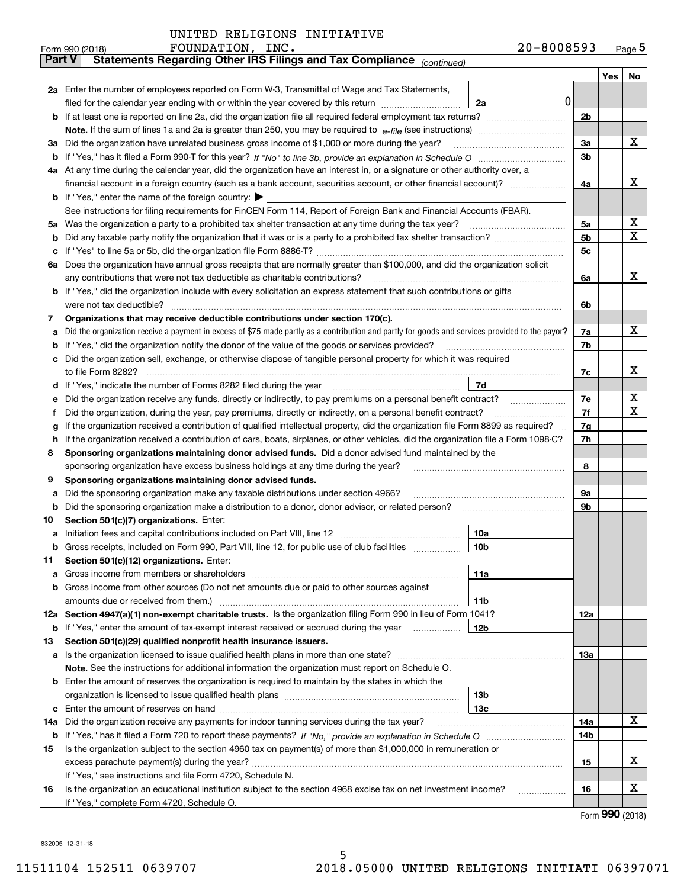| UNITED RELIGIONS INITIATIVE |  |
|-----------------------------|--|
|-----------------------------|--|

|               | $20 - 8008593$<br>FOUNDATION, INC.<br>Form 990 (2018)                                                                                                                         |     |     | $Page$ <sup>5</sup> |
|---------------|-------------------------------------------------------------------------------------------------------------------------------------------------------------------------------|-----|-----|---------------------|
| <b>Part V</b> | Statements Regarding Other IRS Filings and Tax Compliance (continued)                                                                                                         |     |     |                     |
|               |                                                                                                                                                                               |     | Yes | No                  |
|               | 2a Enter the number of employees reported on Form W-3, Transmittal of Wage and Tax Statements,                                                                                |     |     |                     |
|               | 0<br>filed for the calendar year ending with or within the year covered by this return <i>manumumumum</i><br>2a                                                               |     |     |                     |
|               |                                                                                                                                                                               | 2b  |     |                     |
|               |                                                                                                                                                                               |     |     |                     |
| За            | Did the organization have unrelated business gross income of \$1,000 or more during the year?                                                                                 | 3a  |     | х                   |
|               |                                                                                                                                                                               | 3b  |     |                     |
|               | 4a At any time during the calendar year, did the organization have an interest in, or a signature or other authority over, a                                                  |     |     |                     |
|               | financial account in a foreign country (such as a bank account, securities account, or other financial account)?                                                              | 4a  |     | x                   |
|               | <b>b</b> If "Yes," enter the name of the foreign country: $\blacktriangleright$                                                                                               |     |     |                     |
|               | See instructions for filing requirements for FinCEN Form 114, Report of Foreign Bank and Financial Accounts (FBAR).                                                           |     |     |                     |
|               |                                                                                                                                                                               | 5a  |     | х                   |
|               |                                                                                                                                                                               | 5b  |     | х                   |
|               |                                                                                                                                                                               | 5c  |     |                     |
|               | 6a Does the organization have annual gross receipts that are normally greater than \$100,000, and did the organization solicit                                                |     |     |                     |
|               |                                                                                                                                                                               | 6a  |     | х                   |
|               | <b>b</b> If "Yes," did the organization include with every solicitation an express statement that such contributions or gifts                                                 |     |     |                     |
|               |                                                                                                                                                                               | 6b  |     |                     |
| 7             | Organizations that may receive deductible contributions under section 170(c).                                                                                                 |     |     |                     |
| а             | Did the organization receive a payment in excess of \$75 made partly as a contribution and partly for goods and services provided to the payor?                               | 7a  |     | х                   |
|               | <b>b</b> If "Yes," did the organization notify the donor of the value of the goods or services provided?                                                                      | 7b  |     |                     |
|               | c Did the organization sell, exchange, or otherwise dispose of tangible personal property for which it was required                                                           |     |     |                     |
|               |                                                                                                                                                                               | 7c  |     | x                   |
|               | 7d                                                                                                                                                                            |     |     |                     |
| е             | Did the organization receive any funds, directly or indirectly, to pay premiums on a personal benefit contract?                                                               | 7e  |     | X                   |
| f             | Did the organization, during the year, pay premiums, directly or indirectly, on a personal benefit contract?                                                                  | 7f  |     | X                   |
| g             | If the organization received a contribution of qualified intellectual property, did the organization file Form 8899 as required?                                              | 7g  |     |                     |
| h.            | If the organization received a contribution of cars, boats, airplanes, or other vehicles, did the organization file a Form 1098-C?                                            | 7h  |     |                     |
| 8             | Sponsoring organizations maintaining donor advised funds. Did a donor advised fund maintained by the                                                                          |     |     |                     |
|               | sponsoring organization have excess business holdings at any time during the year?                                                                                            | 8   |     |                     |
| 9             | Sponsoring organizations maintaining donor advised funds.                                                                                                                     |     |     |                     |
| а             | Did the sponsoring organization make any taxable distributions under section 4966?                                                                                            | 9а  |     |                     |
|               | <b>b</b> Did the sponsoring organization make a distribution to a donor, donor advisor, or related person?                                                                    | 9b  |     |                     |
| 10            | Section 501(c)(7) organizations. Enter:                                                                                                                                       |     |     |                     |
|               | 10a                                                                                                                                                                           |     |     |                     |
|               | 10 <sub>b</sub><br>Gross receipts, included on Form 990, Part VIII, line 12, for public use of club facilities                                                                |     |     |                     |
| 11            | Section 501(c)(12) organizations. Enter:                                                                                                                                      |     |     |                     |
|               | 11a                                                                                                                                                                           |     |     |                     |
|               | b Gross income from other sources (Do not net amounts due or paid to other sources against                                                                                    |     |     |                     |
|               | 11b                                                                                                                                                                           |     |     |                     |
|               | 12a Section 4947(a)(1) non-exempt charitable trusts. Is the organization filing Form 990 in lieu of Form 1041?                                                                | 12a |     |                     |
|               | 12b<br><b>b</b> If "Yes," enter the amount of tax-exempt interest received or accrued during the year <i>manument</i>                                                         |     |     |                     |
| 13            | Section 501(c)(29) qualified nonprofit health insurance issuers.                                                                                                              |     |     |                     |
|               | <b>a</b> Is the organization licensed to issue qualified health plans in more than one state?                                                                                 | 13а |     |                     |
|               | Note. See the instructions for additional information the organization must report on Schedule O.                                                                             |     |     |                     |
|               | <b>b</b> Enter the amount of reserves the organization is required to maintain by the states in which the                                                                     |     |     |                     |
|               | 13b                                                                                                                                                                           |     |     |                     |
|               | 13с<br>Did the organization receive any payments for indoor tanning services during the tax year?                                                                             |     |     | х                   |
| 14a           |                                                                                                                                                                               | 14a |     |                     |
|               |                                                                                                                                                                               | 14b |     |                     |
| 15            | Is the organization subject to the section 4960 tax on payment(s) of more than \$1,000,000 in remuneration or                                                                 |     |     | X                   |
|               |                                                                                                                                                                               | 15  |     |                     |
|               | If "Yes," see instructions and file Form 4720, Schedule N.<br>Is the organization an educational institution subject to the section 4968 excise tax on net investment income? | 16  |     | X                   |
| 16            | If "Yes," complete Form 4720, Schedule O.                                                                                                                                     |     |     |                     |
|               |                                                                                                                                                                               |     |     |                     |

Form (2018) **990**

832005 12-31-18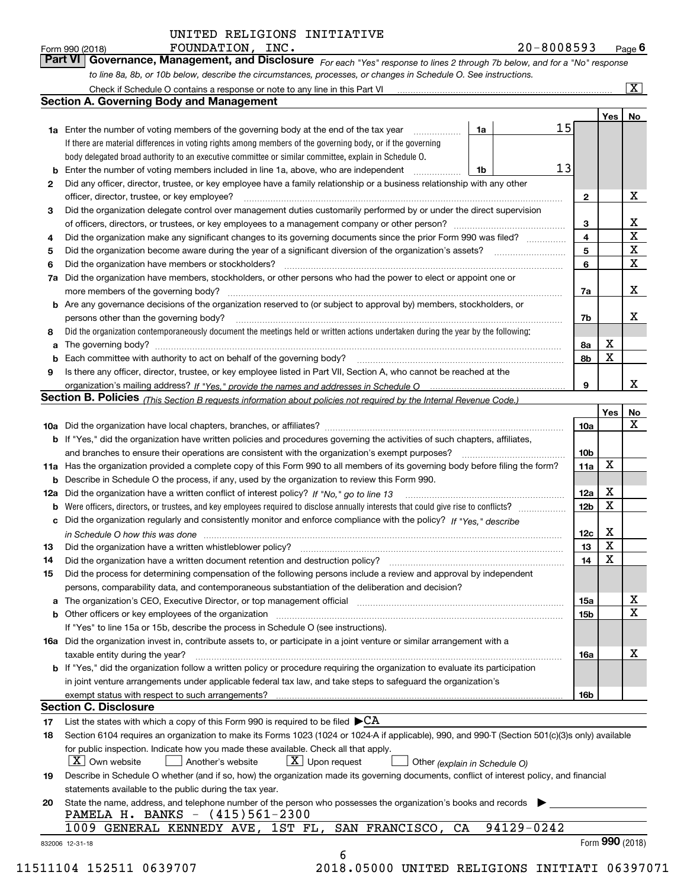| Form 990 (2018)                                                             | FOUNDATION,<br>INC.                                                                                                 |    |  | $20 - 8008593$ |     | Page $6$ |
|-----------------------------------------------------------------------------|---------------------------------------------------------------------------------------------------------------------|----|--|----------------|-----|----------|
| <b>Part VI</b>                                                              | Governance, Management, and Disclosure For each "Yes" response to lines 2 through 7b below, and for a "No" response |    |  |                |     |          |
|                                                                             | to line 8a, 8b, or 10b below, describe the circumstances, processes, or changes in Schedule O. See instructions.    |    |  |                |     |          |
| Check if Schedule O contains a response or note to any line in this Part VI |                                                                                                                     |    |  |                |     |          |
|                                                                             | Section A. Governing Body and Management                                                                            |    |  |                |     |          |
|                                                                             |                                                                                                                     |    |  |                | Yes | No       |
| 1a                                                                          | Enter the number of voting members of the governing body at the end of the tax year                                 | 1a |  |                |     |          |
|                                                                             | If there are material differences in voting rights among members of the governing body, or if the governing         |    |  |                |     |          |
|                                                                             | hody delegated broad authority to an executive committee or cimilar committee, explain in Schodule 0                |    |  |                |     |          |

|              | body delegated broad authority to an executive committee or similar committee, explain in Schedule O.                             |    |   |   |  |
|--------------|-----------------------------------------------------------------------------------------------------------------------------------|----|---|---|--|
|              | 13<br><b>b</b> Enter the number of voting members included in line 1a, above, who are independent<br>1b                           |    |   |   |  |
| $\mathbf{2}$ | Did any officer, director, trustee, or key employee have a family relationship or a business relationship with any other          |    |   |   |  |
|              | officer, director, trustee, or key employee?                                                                                      | 2  |   | х |  |
| 3            | Did the organization delegate control over management duties customarily performed by or under the direct supervision             |    |   |   |  |
|              | of officers, directors, or trustees, or key employees to a management company or other person?                                    | 3  |   | х |  |
| 4            | Did the organization make any significant changes to its governing documents since the prior Form 990 was filed?                  |    |   |   |  |
| 5            | Did the organization become aware during the year of a significant diversion of the organization's assets?                        |    |   |   |  |
| 6            | Did the organization have members or stockholders?                                                                                |    |   |   |  |
|              | 7a Did the organization have members, stockholders, or other persons who had the power to elect or appoint one or                 |    |   |   |  |
|              | more members of the governing body?                                                                                               |    |   |   |  |
|              | <b>b</b> Are any governance decisions of the organization reserved to (or subject to approval by) members, stockholders, or       |    |   |   |  |
|              | persons other than the governing body?                                                                                            |    |   |   |  |
| 8            | Did the organization contemporaneously document the meetings held or written actions undertaken during the year by the following: |    |   |   |  |
|              | <b>a</b> The governing body?                                                                                                      | 8а | x |   |  |
|              | <b>b</b> Each committee with authority to act on behalf of the governing body?                                                    | 8b | х |   |  |
| 9            | Is there any officer, director, trustee, or key employee listed in Part VII, Section A, who cannot be reached at the              |    |   |   |  |
|              |                                                                                                                                   | 9  |   | х |  |

|  |  | <b>Section B. Policies</b> (This Section B requests information about policies not required by the Internal Revenue Code.) |  |
|--|--|----------------------------------------------------------------------------------------------------------------------------|--|
|  |  |                                                                                                                            |  |

|     |                                                                                                                                                 |                 | Yes | No           |
|-----|-------------------------------------------------------------------------------------------------------------------------------------------------|-----------------|-----|--------------|
|     |                                                                                                                                                 | 10a             |     | X            |
|     | b If "Yes," did the organization have written policies and procedures governing the activities of such chapters, affiliates,                    |                 |     |              |
|     | and branches to ensure their operations are consistent with the organization's exempt purposes?                                                 | 10 <sub>b</sub> |     |              |
|     | 11a Has the organization provided a complete copy of this Form 990 to all members of its governing body before filing the form?                 | 11a             | X   |              |
| b   | Describe in Schedule O the process, if any, used by the organization to review this Form 990.                                                   |                 |     |              |
| 12a | Did the organization have a written conflict of interest policy? If "No," go to line 13                                                         | 12a             | X   |              |
| b   |                                                                                                                                                 | 12 <sub>b</sub> | X   |              |
| с   | Did the organization regularly and consistently monitor and enforce compliance with the policy? If "Yes." describe                              |                 |     |              |
|     | in Schedule O how this was done manufactured and continuum control of the state of the state of the state of t                                  | 12c             | X   |              |
| 13  |                                                                                                                                                 | 13              | X   |              |
| 14  | Did the organization have a written document retention and destruction policy?                                                                  | 14              | x   |              |
| 15  | Did the process for determining compensation of the following persons include a review and approval by independent                              |                 |     |              |
|     | persons, comparability data, and contemporaneous substantiation of the deliberation and decision?                                               |                 |     |              |
| a   | The organization's CEO, Executive Director, or top management official                                                                          | 15a             |     | x            |
|     | <b>b</b> Other officers or key employees of the organization                                                                                    | 15 <sub>b</sub> |     | $\mathbf{x}$ |
|     | If "Yes" to line 15a or 15b, describe the process in Schedule O (see instructions).                                                             |                 |     |              |
|     | 16a Did the organization invest in, contribute assets to, or participate in a joint venture or similar arrangement with a                       |                 |     |              |
|     | taxable entity during the year?                                                                                                                 | <b>16a</b>      |     | x            |
| b   | If "Yes," did the organization follow a written policy or procedure requiring the organization to evaluate its participation                    |                 |     |              |
|     | in joint venture arrangements under applicable federal tax law, and take steps to safeguard the organization's                                  |                 |     |              |
|     |                                                                                                                                                 | 16 <sub>b</sub> |     |              |
|     | <b>Section C. Disclosure</b>                                                                                                                    |                 |     |              |
| 17  | List the states with which a copy of this Form 990 is required to be filed $\blacktriangleright$ CA                                             |                 |     |              |
| 18  | Section 6104 requires an organization to make its Forms 1023 (1024 or 1024 A if applicable), 990, and 990-T (Section 501(c)(3)s only) available |                 |     |              |
|     | for public inspection. Indicate how you made these available. Check all that apply.                                                             |                 |     |              |
|     | $X$ Upon request<br>$X \mid$ Own website<br>Another's website<br>Other (explain in Schedule O)                                                  |                 |     |              |
| 19  | Describe in Schedule O whether (and if so, how) the organization made its governing documents, conflict of interest policy, and financial       |                 |     |              |
|     | statements available to the public during the tax year.                                                                                         |                 |     |              |

| 20 State the name, address, and telephone number of the person who possesses the organization's books and records $\blacktriangleright$ |  |
|-----------------------------------------------------------------------------------------------------------------------------------------|--|
| PAMELA H. BANKS $ (415)561-2300$                                                                                                        |  |

| 1009            | GENERAL | KENNEDY | AVE, | 1ST | $FL$ , | SAN | FRANCISCO, | CA | 94129-0242 |                 |
|-----------------|---------|---------|------|-----|--------|-----|------------|----|------------|-----------------|
| 832006 12-31-18 |         |         |      |     |        |     |            |    |            | Form 990 (2018) |
|                 |         |         |      |     |        |     |            |    |            |                 |

11511104 152511 0639707 2018.05000 UNITED RELIGIONS INITIATI 06397071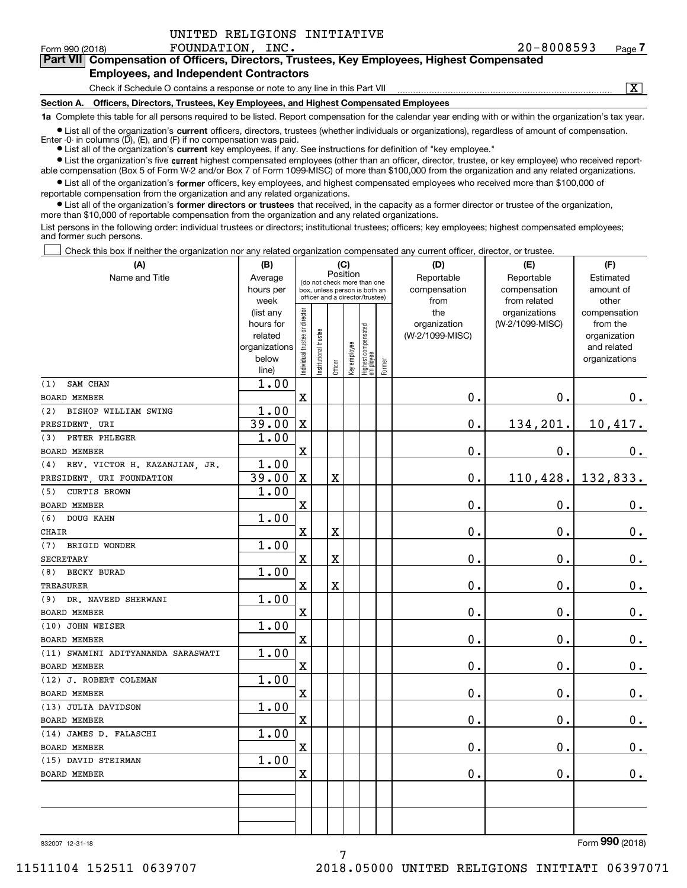#### Form 990 (2018) **FOUNDATION, INC.** 2 0-8 0 0 8 5 9 3 <sub>Page</sub> **7Part VII Compensation of Officers, Directors, Trustees, Key Employees, Highest Compensated Employees, and Independent Contractors**

Check if Schedule O contains a response or note to any line in this Part VII

 $\boxed{\text{X}}$ 

**Section A. Officers, Directors, Trustees, Key Employees, and Highest Compensated Employees**

**1a**  Complete this table for all persons required to be listed. Report compensation for the calendar year ending with or within the organization's tax year.

**•** List all of the organization's current officers, directors, trustees (whether individuals or organizations), regardless of amount of compensation. Enter -0- in columns  $(D)$ ,  $(E)$ , and  $(F)$  if no compensation was paid.

● List all of the organization's **current** key employees, if any. See instructions for definition of "key employee."

**•** List the organization's five current highest compensated employees (other than an officer, director, trustee, or key employee) who received reportable compensation (Box 5 of Form W-2 and/or Box 7 of Form 1099-MISC) of more than \$100,000 from the organization and any related organizations.

 $\bullet$  List all of the organization's **former** officers, key employees, and highest compensated employees who received more than \$100,000 of reportable compensation from the organization and any related organizations.

**•** List all of the organization's former directors or trustees that received, in the capacity as a former director or trustee of the organization, more than \$10,000 of reportable compensation from the organization and any related organizations.

List persons in the following order: individual trustees or directors; institutional trustees; officers; key employees; highest compensated employees; and former such persons.

Check this box if neither the organization nor any related organization compensated any current officer, director, or trustee.  $\mathcal{L}^{\text{max}}$ 

| (A)                                  | (B)                    |                               |                                         |                       | (C)          |                                  |           | (D)             | (E)             | (F)                          |
|--------------------------------------|------------------------|-------------------------------|-----------------------------------------|-----------------------|--------------|----------------------------------|-----------|-----------------|-----------------|------------------------------|
| Name and Title                       | Average                |                               | Position<br>(do not check more than one |                       | Reportable   | Reportable                       | Estimated |                 |                 |                              |
|                                      | hours per              |                               |                                         |                       |              | box, unless person is both an    |           | compensation    | compensation    | amount of                    |
|                                      | week                   |                               |                                         |                       |              | officer and a director/trustee)  |           | from            | from related    | other                        |
|                                      | (list any              |                               |                                         |                       |              |                                  |           | the             | organizations   | compensation                 |
|                                      | hours for              |                               |                                         |                       |              |                                  |           | organization    | (W-2/1099-MISC) | from the                     |
|                                      | related                |                               |                                         |                       |              |                                  |           | (W-2/1099-MISC) |                 | organization                 |
|                                      | organizations<br>below |                               |                                         |                       |              |                                  |           |                 |                 | and related<br>organizations |
|                                      | line)                  | ndividual trustee or director | Institutional trustee                   | Officer               | Key employee | Highest compensated<br> employee | Former    |                 |                 |                              |
| (1)<br>SAM CHAN                      | 1.00                   |                               |                                         |                       |              |                                  |           |                 |                 |                              |
| BOARD MEMBER                         |                        | $\mathbf x$                   |                                         |                       |              |                                  |           | 0.              | 0.              | 0.                           |
| BISHOP WILLIAM SWING<br>(2)          | 1.00                   |                               |                                         |                       |              |                                  |           |                 |                 |                              |
| PRESIDENT, URI                       | 39.00                  | $\mathbf X$                   |                                         |                       |              |                                  |           | 0.              | 134,201.        | 10,417.                      |
| (3)<br>PETER PHLEGER                 | 1.00                   |                               |                                         |                       |              |                                  |           |                 |                 |                              |
| <b>BOARD MEMBER</b>                  |                        | $\mathbf x$                   |                                         |                       |              |                                  |           | 0.              | 0.              | 0.                           |
| REV. VICTOR H. KAZANJIAN, JR.<br>(4) | 1.00                   |                               |                                         |                       |              |                                  |           |                 |                 |                              |
| PRESIDENT, URI FOUNDATION            | 39.00                  | $\mathbf X$                   |                                         | $\overline{\text{X}}$ |              |                                  |           | 0.              | 110,428.        | 132,833.                     |
| CURTIS BROWN<br>(5)                  | 1.00                   |                               |                                         |                       |              |                                  |           |                 |                 |                              |
| <b>BOARD MEMBER</b>                  |                        | $\mathbf x$                   |                                         |                       |              |                                  |           | 0.              | 0.              | $\mathbf 0$ .                |
| (6)<br>DOUG KAHN                     | 1.00                   |                               |                                         |                       |              |                                  |           |                 |                 |                              |
| <b>CHAIR</b>                         |                        | $\mathbf x$                   |                                         | $\overline{\text{X}}$ |              |                                  |           | 0.              | 0.              | $\mathbf 0$ .                |
| (7) BRIGID WONDER                    | 1.00                   |                               |                                         |                       |              |                                  |           |                 |                 |                              |
| <b>SECRETARY</b>                     |                        | $\mathbf X$                   |                                         | X                     |              |                                  |           | 0.              | $\mathbf 0$ .   | 0.                           |
| <b>BECKY BURAD</b><br>(8)            | 1.00                   |                               |                                         |                       |              |                                  |           |                 |                 |                              |
| <b>TREASURER</b>                     |                        | $\mathbf X$                   |                                         | X                     |              |                                  |           | 0.              | 0.              | $\mathbf 0$ .                |
| DR. NAVEED SHERWANI<br>(9)           | 1.00                   |                               |                                         |                       |              |                                  |           |                 |                 |                              |
| <b>BOARD MEMBER</b>                  |                        | $\mathbf X$                   |                                         |                       |              |                                  |           | 0.              | 0.              | $\mathbf 0$ .                |
| (10) JOHN WEISER                     | 1.00                   |                               |                                         |                       |              |                                  |           |                 |                 |                              |
| BOARD MEMBER                         |                        | $\mathbf X$                   |                                         |                       |              |                                  |           | 0.              | 0.              | $0_{.}$                      |
| (11) SWAMINI ADITYANANDA SARASWATI   | 1.00                   |                               |                                         |                       |              |                                  |           |                 |                 |                              |
| <b>BOARD MEMBER</b>                  |                        | $\mathbf X$                   |                                         |                       |              |                                  |           | $\mathbf 0$ .   | 0.              | 0.                           |
| (12) J. ROBERT COLEMAN               | 1.00                   |                               |                                         |                       |              |                                  |           |                 |                 |                              |
| <b>BOARD MEMBER</b>                  |                        | $\mathbf X$                   |                                         |                       |              |                                  |           | 0.              | 0.              | $\mathbf 0$ .                |
| (13) JULIA DAVIDSON                  | 1.00                   |                               |                                         |                       |              |                                  |           |                 |                 |                              |
| <b>BOARD MEMBER</b>                  |                        | $\mathbf X$                   |                                         |                       |              |                                  |           | 0.              | 0.              | $0_{.}$                      |
| (14) JAMES D. FALASCHI               | 1.00                   |                               |                                         |                       |              |                                  |           |                 |                 |                              |
| <b>BOARD MEMBER</b>                  |                        | $\mathbf X$                   |                                         |                       |              |                                  |           | $\mathbf 0$ .   | 0.              | 0.                           |
| (15) DAVID STEIRMAN                  | 1.00                   |                               |                                         |                       |              |                                  |           |                 |                 |                              |
| <b>BOARD MEMBER</b>                  |                        | $\mathbf X$                   |                                         |                       |              |                                  |           | 0.              | 0.              | $\mathbf 0$ .                |
|                                      |                        |                               |                                         |                       |              |                                  |           |                 |                 |                              |
|                                      |                        |                               |                                         |                       |              |                                  |           |                 |                 |                              |
|                                      |                        |                               |                                         |                       |              |                                  |           |                 |                 |                              |
|                                      |                        |                               |                                         |                       |              |                                  |           |                 |                 |                              |

832007 12-31-18

Form (2018) **990**

7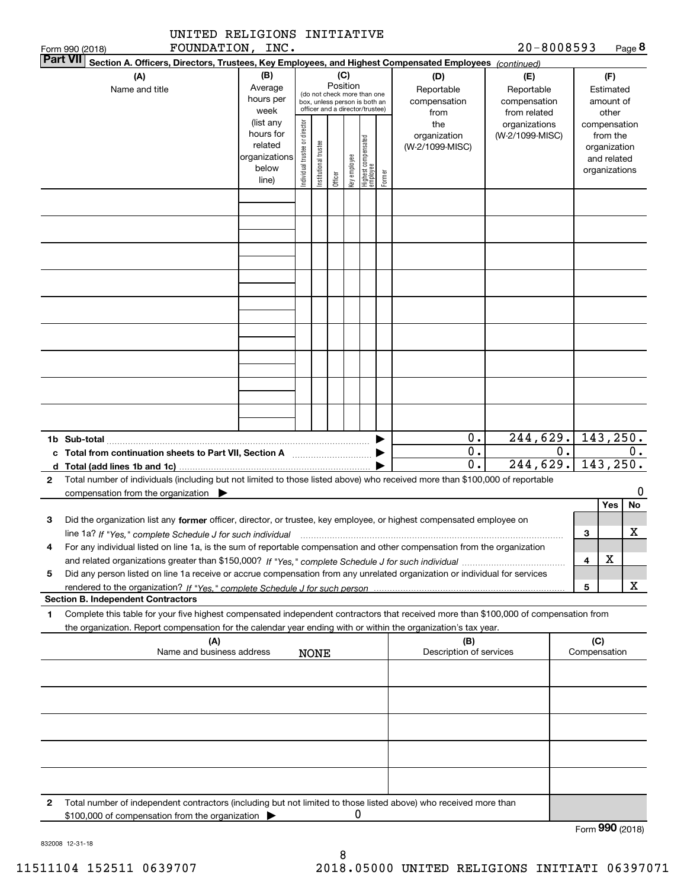| UNITED RELIGIONS INITIATIVE                                                                                                                                                                                                                                                      |                                                                      |                                |                                                                                                                    |         |              |                                 |                                           |                                                   |                                  |                                        |                     |        |                               |                                         |  |
|----------------------------------------------------------------------------------------------------------------------------------------------------------------------------------------------------------------------------------------------------------------------------------|----------------------------------------------------------------------|--------------------------------|--------------------------------------------------------------------------------------------------------------------|---------|--------------|---------------------------------|-------------------------------------------|---------------------------------------------------|----------------------------------|----------------------------------------|---------------------|--------|-------------------------------|-----------------------------------------|--|
| FOUNDATION, INC.<br>Form 990 (2018)                                                                                                                                                                                                                                              |                                                                      |                                |                                                                                                                    |         |              |                                 |                                           |                                                   | 20-8008593                       |                                        |                     | Page 8 |                               |                                         |  |
| <b>Part VII</b><br>Section A. Officers, Directors, Trustees, Key Employees, and Highest Compensated Employees (continued)                                                                                                                                                        |                                                                      |                                |                                                                                                                    |         |              |                                 |                                           |                                                   |                                  |                                        |                     |        |                               |                                         |  |
| (A)<br>Name and title                                                                                                                                                                                                                                                            | (B)<br>Average<br>hours per<br>week                                  |                                | (C)<br>Position<br>(do not check more than one<br>box, unless person is both an<br>officer and a director/trustee) |         |              |                                 | (D)<br>Reportable<br>compensation<br>from | (E)<br>Reportable<br>compensation<br>from related |                                  | (F)<br>Estimated<br>amount of<br>other |                     |        |                               |                                         |  |
|                                                                                                                                                                                                                                                                                  | (list any<br>hours for<br>related<br>organizations<br>below<br>line) | Individual trustee or director | Institutional trustee                                                                                              | Officer | Key employee | Highest compensated<br>employee | Former                                    | the<br>organization<br>(W-2/1099-MISC)            | organizations<br>(W-2/1099-MISC) |                                        |                     |        | compensation<br>organizations | from the<br>organization<br>and related |  |
|                                                                                                                                                                                                                                                                                  |                                                                      |                                |                                                                                                                    |         |              |                                 |                                           |                                                   |                                  |                                        |                     |        |                               |                                         |  |
|                                                                                                                                                                                                                                                                                  |                                                                      |                                |                                                                                                                    |         |              |                                 |                                           |                                                   |                                  |                                        |                     |        |                               |                                         |  |
|                                                                                                                                                                                                                                                                                  |                                                                      |                                |                                                                                                                    |         |              |                                 |                                           |                                                   |                                  |                                        |                     |        |                               |                                         |  |
|                                                                                                                                                                                                                                                                                  |                                                                      |                                |                                                                                                                    |         |              |                                 |                                           |                                                   |                                  |                                        |                     |        |                               |                                         |  |
|                                                                                                                                                                                                                                                                                  |                                                                      |                                |                                                                                                                    |         |              |                                 |                                           |                                                   |                                  |                                        |                     |        |                               |                                         |  |
|                                                                                                                                                                                                                                                                                  |                                                                      |                                |                                                                                                                    |         |              |                                 |                                           |                                                   |                                  |                                        |                     |        |                               |                                         |  |
|                                                                                                                                                                                                                                                                                  |                                                                      |                                |                                                                                                                    |         |              |                                 |                                           | 0.                                                | $244, 629.$ 143, 250.            |                                        |                     |        |                               |                                         |  |
|                                                                                                                                                                                                                                                                                  |                                                                      |                                |                                                                                                                    |         |              |                                 |                                           | $\overline{0}$ .<br>$\overline{0}$ .              | $\overline{244,629.}$            | 0.                                     | 0.<br>143, 250.     |        |                               |                                         |  |
| Total number of individuals (including but not limited to those listed above) who received more than \$100,000 of reportable<br>$\mathbf{2}$                                                                                                                                     |                                                                      |                                |                                                                                                                    |         |              |                                 |                                           |                                                   |                                  |                                        |                     |        |                               |                                         |  |
| compensation from the organization                                                                                                                                                                                                                                               |                                                                      |                                |                                                                                                                    |         |              |                                 |                                           |                                                   |                                  |                                        |                     |        | 0                             |                                         |  |
|                                                                                                                                                                                                                                                                                  |                                                                      |                                |                                                                                                                    |         |              |                                 |                                           |                                                   |                                  |                                        |                     | Yes    | No                            |                                         |  |
| Did the organization list any former officer, director, or trustee, key employee, or highest compensated employee on<br>з                                                                                                                                                        |                                                                      |                                |                                                                                                                    |         |              |                                 |                                           |                                                   |                                  |                                        |                     |        | $\mathbf X$                   |                                         |  |
| line 1a? If "Yes," complete Schedule J for such individual manufactured contained and the 1a? If "Yes," complete Schedule J for such individual<br>For any individual listed on line 1a, is the sum of reportable compensation and other compensation from the organization<br>4 |                                                                      |                                |                                                                                                                    |         |              |                                 |                                           |                                                   |                                  |                                        | з                   |        |                               |                                         |  |
|                                                                                                                                                                                                                                                                                  |                                                                      |                                |                                                                                                                    |         |              |                                 |                                           |                                                   |                                  |                                        | 4                   | х      |                               |                                         |  |
| Did any person listed on line 1a receive or accrue compensation from any unrelated organization or individual for services<br>5                                                                                                                                                  |                                                                      |                                |                                                                                                                    |         |              |                                 |                                           |                                                   |                                  |                                        |                     |        |                               |                                         |  |
| <b>Section B. Independent Contractors</b>                                                                                                                                                                                                                                        |                                                                      |                                |                                                                                                                    |         |              |                                 |                                           |                                                   |                                  |                                        | 5                   |        | x                             |                                         |  |
| Complete this table for your five highest compensated independent contractors that received more than \$100,000 of compensation from<br>1                                                                                                                                        |                                                                      |                                |                                                                                                                    |         |              |                                 |                                           |                                                   |                                  |                                        |                     |        |                               |                                         |  |
| the organization. Report compensation for the calendar year ending with or within the organization's tax year.                                                                                                                                                                   |                                                                      |                                |                                                                                                                    |         |              |                                 |                                           |                                                   |                                  |                                        |                     |        |                               |                                         |  |
| (A)<br>Name and business address                                                                                                                                                                                                                                                 |                                                                      |                                | <b>NONE</b>                                                                                                        |         |              |                                 |                                           | (B)<br>Description of services                    |                                  |                                        | (C)<br>Compensation |        |                               |                                         |  |
|                                                                                                                                                                                                                                                                                  |                                                                      |                                |                                                                                                                    |         |              |                                 |                                           |                                                   |                                  |                                        |                     |        |                               |                                         |  |
|                                                                                                                                                                                                                                                                                  |                                                                      |                                |                                                                                                                    |         |              |                                 |                                           |                                                   |                                  |                                        |                     |        |                               |                                         |  |
|                                                                                                                                                                                                                                                                                  |                                                                      |                                |                                                                                                                    |         |              |                                 |                                           |                                                   |                                  |                                        |                     |        |                               |                                         |  |
|                                                                                                                                                                                                                                                                                  |                                                                      |                                |                                                                                                                    |         |              |                                 |                                           |                                                   |                                  |                                        |                     |        |                               |                                         |  |
| Total number of independent contractors (including but not limited to those listed above) who received more than<br>$\mathbf{2}$<br>\$100,000 of compensation from the organization                                                                                              |                                                                      |                                |                                                                                                                    |         | 0            |                                 |                                           |                                                   |                                  |                                        |                     |        |                               |                                         |  |
|                                                                                                                                                                                                                                                                                  |                                                                      |                                |                                                                                                                    |         |              |                                 |                                           |                                                   |                                  |                                        | Form 990 (2018)     |        |                               |                                         |  |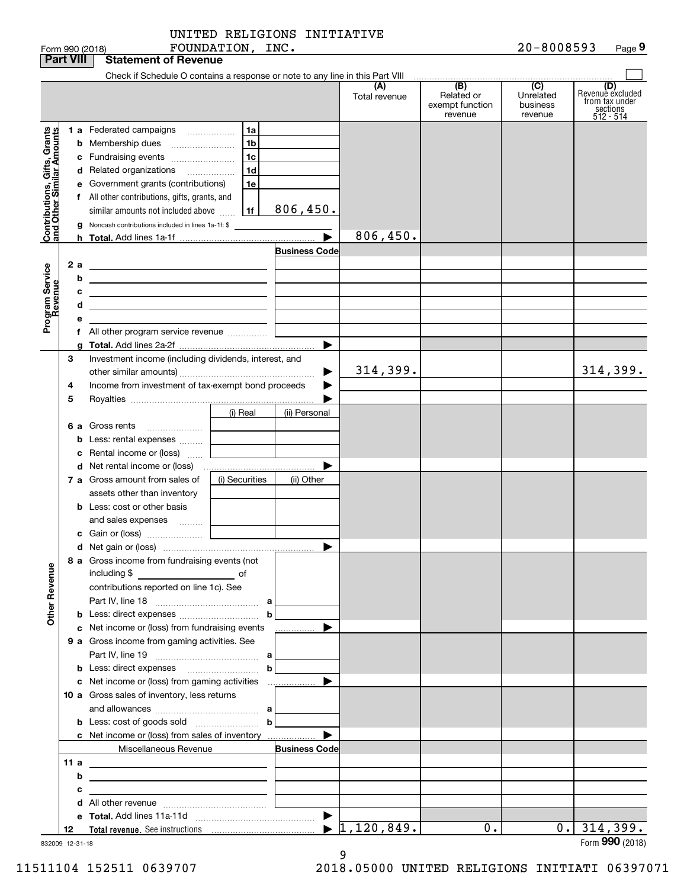|                                                           |    |          | Form 990 (2018)                                                                                                       | FOUNDATION, INC. |                      |                                  |                                                 | $20 - 8008593$                                     | Page 9                                                             |
|-----------------------------------------------------------|----|----------|-----------------------------------------------------------------------------------------------------------------------|------------------|----------------------|----------------------------------|-------------------------------------------------|----------------------------------------------------|--------------------------------------------------------------------|
| <b>Part VIII</b>                                          |    |          | <b>Statement of Revenue</b>                                                                                           |                  |                      |                                  |                                                 |                                                    |                                                                    |
|                                                           |    |          | Check if Schedule O contains a response or note to any line in this Part VIII                                         |                  |                      |                                  |                                                 |                                                    |                                                                    |
|                                                           |    |          |                                                                                                                       |                  |                      | (A)<br>Total revenue             | (B)<br>Related or<br>exempt function<br>revenue | $\overline{C}$<br>Unrelated<br>business<br>revenue | (D)<br>Revenuè excluded<br>from tax under<br>sections<br>512 - 514 |
|                                                           |    |          | 1 a Federated campaigns                                                                                               | 1a               |                      |                                  |                                                 |                                                    |                                                                    |
| Contributions, Gifts, Grants<br>and Other Similar Amounts |    |          | <b>b</b> Membership dues                                                                                              | 1 <sub>b</sub>   |                      |                                  |                                                 |                                                    |                                                                    |
|                                                           |    |          | c Fundraising events                                                                                                  | 1 <sub>c</sub>   |                      |                                  |                                                 |                                                    |                                                                    |
|                                                           |    |          | d Related organizations                                                                                               | 1 <sub>d</sub>   |                      |                                  |                                                 |                                                    |                                                                    |
|                                                           |    |          | e Government grants (contributions)                                                                                   | 1e               |                      |                                  |                                                 |                                                    |                                                                    |
|                                                           |    |          | f All other contributions, gifts, grants, and                                                                         |                  |                      |                                  |                                                 |                                                    |                                                                    |
|                                                           |    |          | similar amounts not included above                                                                                    | 1f               | 806,450.             |                                  |                                                 |                                                    |                                                                    |
|                                                           |    |          | <b>g</b> Noncash contributions included in lines 1a-1f: \$                                                            |                  |                      |                                  |                                                 |                                                    |                                                                    |
|                                                           |    |          |                                                                                                                       |                  |                      | 806,450.                         |                                                 |                                                    |                                                                    |
|                                                           |    |          |                                                                                                                       |                  | <b>Business Code</b> |                                  |                                                 |                                                    |                                                                    |
|                                                           |    | 2 a<br>b | the control of the control of the control of the control of the control of                                            |                  |                      |                                  |                                                 |                                                    |                                                                    |
| Program Service<br>Revenue                                |    | c        |                                                                                                                       |                  |                      |                                  |                                                 |                                                    |                                                                    |
|                                                           |    | d        | <u> 1990 - Johann Barbara, martin amerikan basal dan berasal dalam basal dalam basal dalam basal dalam basal dala</u> |                  |                      |                                  |                                                 |                                                    |                                                                    |
|                                                           |    | е        |                                                                                                                       |                  |                      |                                  |                                                 |                                                    |                                                                    |
|                                                           |    |          |                                                                                                                       |                  |                      |                                  |                                                 |                                                    |                                                                    |
|                                                           |    |          |                                                                                                                       |                  |                      |                                  |                                                 |                                                    |                                                                    |
|                                                           | 3  |          | Investment income (including dividends, interest, and                                                                 |                  |                      |                                  |                                                 |                                                    |                                                                    |
|                                                           |    |          |                                                                                                                       |                  | ▶                    | 314,399.                         |                                                 |                                                    | 314,399.                                                           |
|                                                           | 4  |          | Income from investment of tax-exempt bond proceeds                                                                    |                  |                      |                                  |                                                 |                                                    |                                                                    |
|                                                           | 5  |          |                                                                                                                       |                  |                      |                                  |                                                 |                                                    |                                                                    |
|                                                           |    |          | 6 a Gross rents                                                                                                       | (i) Real         | (ii) Personal        |                                  |                                                 |                                                    |                                                                    |
|                                                           |    |          | <b>b</b> Less: rental expenses                                                                                        |                  |                      |                                  |                                                 |                                                    |                                                                    |
|                                                           |    |          | Rental income or (loss)                                                                                               |                  |                      |                                  |                                                 |                                                    |                                                                    |
|                                                           |    |          |                                                                                                                       |                  |                      |                                  |                                                 |                                                    |                                                                    |
|                                                           |    |          | 7 a Gross amount from sales of                                                                                        | (i) Securities   | (ii) Other           |                                  |                                                 |                                                    |                                                                    |
|                                                           |    |          | assets other than inventory                                                                                           |                  |                      |                                  |                                                 |                                                    |                                                                    |
|                                                           |    |          | <b>b</b> Less: cost or other basis                                                                                    |                  |                      |                                  |                                                 |                                                    |                                                                    |
|                                                           |    |          | and sales expenses                                                                                                    |                  |                      |                                  |                                                 |                                                    |                                                                    |
|                                                           |    |          |                                                                                                                       |                  |                      |                                  |                                                 |                                                    |                                                                    |
|                                                           |    |          | 8 a Gross income from fundraising events (not                                                                         |                  |                      |                                  |                                                 |                                                    |                                                                    |
| <b>Other Revenue</b>                                      |    |          | including \$<br>$\overline{\phantom{a}}$ of                                                                           |                  |                      |                                  |                                                 |                                                    |                                                                    |
|                                                           |    |          | contributions reported on line 1c). See                                                                               |                  |                      |                                  |                                                 |                                                    |                                                                    |
|                                                           |    |          |                                                                                                                       |                  |                      |                                  |                                                 |                                                    |                                                                    |
|                                                           |    |          |                                                                                                                       |                  |                      |                                  |                                                 |                                                    |                                                                    |
|                                                           |    |          | c Net income or (loss) from fundraising events<br>9 a Gross income from gaming activities. See                        |                  |                      |                                  |                                                 |                                                    |                                                                    |
|                                                           |    |          |                                                                                                                       |                  |                      |                                  |                                                 |                                                    |                                                                    |
|                                                           |    |          |                                                                                                                       |                  |                      |                                  |                                                 |                                                    |                                                                    |
|                                                           |    |          |                                                                                                                       |                  |                      |                                  |                                                 |                                                    |                                                                    |
|                                                           |    |          | 10 a Gross sales of inventory, less returns                                                                           |                  |                      |                                  |                                                 |                                                    |                                                                    |
|                                                           |    |          |                                                                                                                       |                  |                      |                                  |                                                 |                                                    |                                                                    |
|                                                           |    |          | <b>b</b> Less: cost of goods sold $\begin{bmatrix} b & b \end{bmatrix}$                                               |                  |                      |                                  |                                                 |                                                    |                                                                    |
|                                                           |    |          |                                                                                                                       |                  |                      |                                  |                                                 |                                                    |                                                                    |
|                                                           |    |          | Miscellaneous Revenue                                                                                                 |                  | <b>Business Code</b> |                                  |                                                 |                                                    |                                                                    |
|                                                           |    |          |                                                                                                                       |                  |                      |                                  |                                                 |                                                    |                                                                    |
|                                                           |    | b<br>с   |                                                                                                                       |                  |                      |                                  |                                                 |                                                    |                                                                    |
|                                                           |    |          |                                                                                                                       |                  |                      |                                  |                                                 |                                                    |                                                                    |
|                                                           |    |          |                                                                                                                       |                  |                      |                                  |                                                 |                                                    |                                                                    |
|                                                           | 12 |          |                                                                                                                       |                  |                      | $\blacktriangleright$ 1,120,849. | 0.                                              |                                                    | $0.$   314,399.                                                    |
| 832009 12-31-18                                           |    |          |                                                                                                                       |                  |                      |                                  |                                                 |                                                    | Form 990 (2018)                                                    |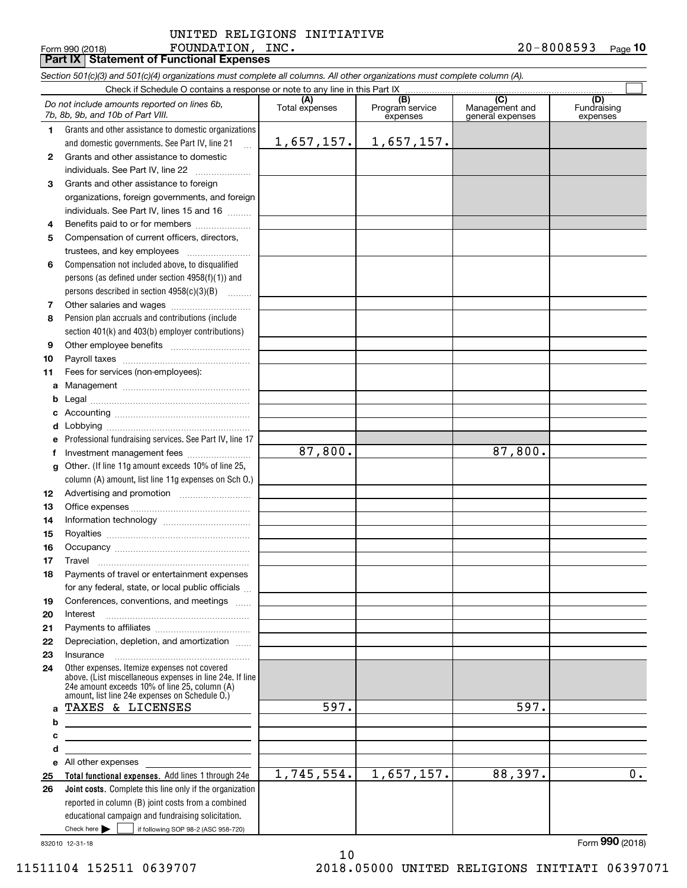#### Form 990 (2018) Page **Part IX Statement of Functional Expenses**  ${\tt FOUNDATION}$ ,  ${\tt INC.}$  20–8008593 UNITED RELIGIONS INITIATIVE

|    | Section 501(c)(3) and 501(c)(4) organizations must complete all columns. All other organizations must complete column (A).                                                                                  |                       |                                    |                                           |                                |
|----|-------------------------------------------------------------------------------------------------------------------------------------------------------------------------------------------------------------|-----------------------|------------------------------------|-------------------------------------------|--------------------------------|
|    | Check if Schedule O contains a response or note to any line in this Part IX                                                                                                                                 |                       |                                    |                                           |                                |
|    | Do not include amounts reported on lines 6b,<br>7b, 8b, 9b, and 10b of Part VIII.                                                                                                                           | (A)<br>Total expenses | (B)<br>Program service<br>expenses | (C)<br>Management and<br>general expenses | (D)<br>Fundraising<br>expenses |
| 1. | Grants and other assistance to domestic organizations                                                                                                                                                       |                       |                                    |                                           |                                |
|    | and domestic governments. See Part IV, line 21<br>$\ddotsc$                                                                                                                                                 | 1,657,157.            | 1,657,157.                         |                                           |                                |
| 2  | Grants and other assistance to domestic                                                                                                                                                                     |                       |                                    |                                           |                                |
|    | individuals. See Part IV, line 22                                                                                                                                                                           |                       |                                    |                                           |                                |
| 3  | Grants and other assistance to foreign                                                                                                                                                                      |                       |                                    |                                           |                                |
|    | organizations, foreign governments, and foreign                                                                                                                                                             |                       |                                    |                                           |                                |
|    | individuals. See Part IV, lines 15 and 16                                                                                                                                                                   |                       |                                    |                                           |                                |
| 4  | Benefits paid to or for members                                                                                                                                                                             |                       |                                    |                                           |                                |
| 5  | Compensation of current officers, directors,                                                                                                                                                                |                       |                                    |                                           |                                |
|    | trustees, and key employees                                                                                                                                                                                 |                       |                                    |                                           |                                |
| 6  | Compensation not included above, to disqualified                                                                                                                                                            |                       |                                    |                                           |                                |
|    | persons (as defined under section $4958(f)(1)$ ) and                                                                                                                                                        |                       |                                    |                                           |                                |
|    | persons described in section 4958(c)(3)(B)                                                                                                                                                                  |                       |                                    |                                           |                                |
| 7  |                                                                                                                                                                                                             |                       |                                    |                                           |                                |
| 8  | Pension plan accruals and contributions (include                                                                                                                                                            |                       |                                    |                                           |                                |
|    | section 401(k) and 403(b) employer contributions)                                                                                                                                                           |                       |                                    |                                           |                                |
| 9  |                                                                                                                                                                                                             |                       |                                    |                                           |                                |
| 10 |                                                                                                                                                                                                             |                       |                                    |                                           |                                |
| 11 | Fees for services (non-employees):                                                                                                                                                                          |                       |                                    |                                           |                                |
| а  |                                                                                                                                                                                                             |                       |                                    |                                           |                                |
| b  |                                                                                                                                                                                                             |                       |                                    |                                           |                                |
| c  |                                                                                                                                                                                                             |                       |                                    |                                           |                                |
| d  |                                                                                                                                                                                                             |                       |                                    |                                           |                                |
| е  | Professional fundraising services. See Part IV, line 17                                                                                                                                                     |                       |                                    |                                           |                                |
| f  | Investment management fees                                                                                                                                                                                  | 87,800.               |                                    | 87,800.                                   |                                |
| g  | Other. (If line 11g amount exceeds 10% of line 25,                                                                                                                                                          |                       |                                    |                                           |                                |
|    | column (A) amount, list line 11g expenses on Sch O.)                                                                                                                                                        |                       |                                    |                                           |                                |
| 12 |                                                                                                                                                                                                             |                       |                                    |                                           |                                |
| 13 |                                                                                                                                                                                                             |                       |                                    |                                           |                                |
| 14 |                                                                                                                                                                                                             |                       |                                    |                                           |                                |
| 15 |                                                                                                                                                                                                             |                       |                                    |                                           |                                |
| 16 |                                                                                                                                                                                                             |                       |                                    |                                           |                                |
| 17 |                                                                                                                                                                                                             |                       |                                    |                                           |                                |
| 18 | Payments of travel or entertainment expenses                                                                                                                                                                |                       |                                    |                                           |                                |
|    | for any federal, state, or local public officials                                                                                                                                                           |                       |                                    |                                           |                                |
| 19 | Conferences, conventions, and meetings                                                                                                                                                                      |                       |                                    |                                           |                                |
| 20 | Interest                                                                                                                                                                                                    |                       |                                    |                                           |                                |
| 21 |                                                                                                                                                                                                             |                       |                                    |                                           |                                |
| 22 | Depreciation, depletion, and amortization                                                                                                                                                                   |                       |                                    |                                           |                                |
| 23 | Insurance                                                                                                                                                                                                   |                       |                                    |                                           |                                |
| 24 | Other expenses. Itemize expenses not covered<br>above. (List miscellaneous expenses in line 24e. If line<br>24e amount exceeds 10% of line 25, column (A)<br>amount, list line 24e expenses on Schedule O.) |                       |                                    |                                           |                                |
| a  | TAXES & LICENSES                                                                                                                                                                                            | $\overline{597}$ .    |                                    | 597.                                      |                                |
| b  |                                                                                                                                                                                                             |                       |                                    |                                           |                                |
| с  | <u> 1989 - Johann Barn, mars ann an t-Amhain an t-Amhain an t-Amhain an t-Amhain an t-Amhain an t-Amhain an t-A</u>                                                                                         |                       |                                    |                                           |                                |
| d  | <u> 1989 - Johann Stein, mars an t-Amerikaansk kommunister (</u>                                                                                                                                            |                       |                                    |                                           |                                |
| е  |                                                                                                                                                                                                             |                       |                                    |                                           |                                |
| 25 | Total functional expenses. Add lines 1 through 24e                                                                                                                                                          | 1,745,554.            | 1,657,157.                         | 88,397.                                   | 0.                             |
| 26 | Joint costs. Complete this line only if the organization                                                                                                                                                    |                       |                                    |                                           |                                |
|    | reported in column (B) joint costs from a combined                                                                                                                                                          |                       |                                    |                                           |                                |
|    | educational campaign and fundraising solicitation.                                                                                                                                                          |                       |                                    |                                           |                                |
|    | Check here $\blacktriangleright$<br>if following SOP 98-2 (ASC 958-720)                                                                                                                                     |                       |                                    |                                           |                                |

10

832010 12-31-18

Form (2018) **990**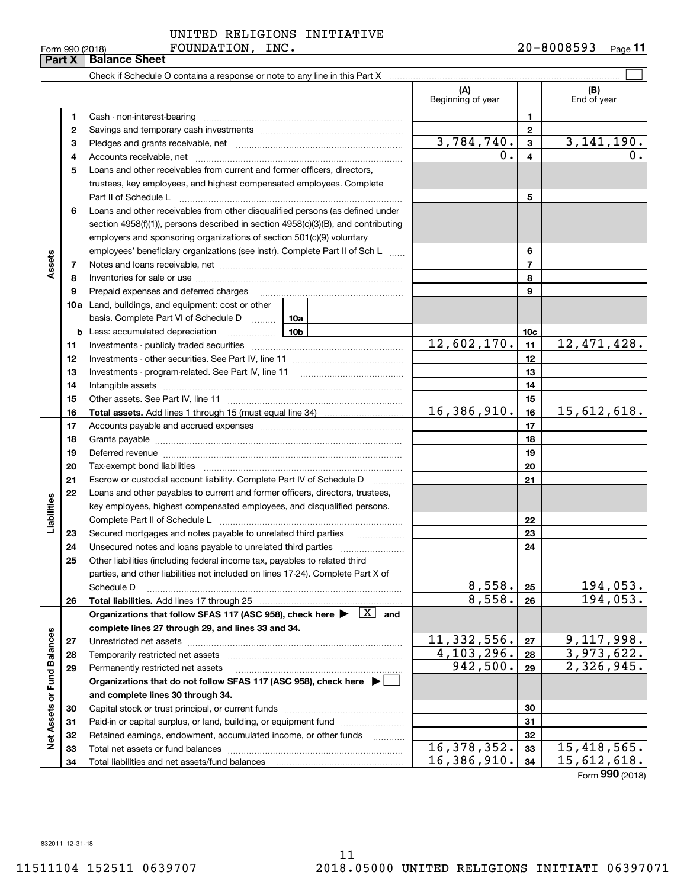$\mathcal{L}^{\text{max}}$ Check if Schedule O contains a response or note to any line in this Part X **(A) (B)** Beginning of year | | End of year **11**Cash - non-interest-bearing ~~~~~~~~~~~~~~~~~~~~~~~~~ **22**Savings and temporary cash investments ~~~~~~~~~~~~~~~~~~ $3,784,740. | 3 | 3,141,190.$ **33** Pledges and grants receivable, net  $\ldots$  **multimes contained and grants receivable**, net **multimes contained and grants receivable**, net **multimes contained and grants receivable** Accounts receivable, net ~~~~~~~~~~~~~~~~~~~~~~~~~~ 0. 0. **445**Loans and other receivables from current and former officers, directors, trustees, key employees, and highest compensated employees. Complete Part II of Schedule L ~~~~~~~~~~~~~~~~~~~~~~~~~~~~ **5**Loans and other receivables from other disqualified persons (as defined under **6**section 4958(f)(1)), persons described in section 4958(c)(3)(B), and contributing employers and sponsoring organizations of section 501(c)(9) voluntary employees' beneficiary organizations (see instr). Complete Part II of Sch L ...... **6Assets 77**Notes and loans receivable, net ~~~~~~~~~~~~~~~~~~~~~~~ **88**Inventories for sale or use ~~~~~~~~~~~~~~~~~~~~~~~~~~ Prepaid expenses and deferred charges **9910a**Land, buildings, and equipment: cost or other basis. Complete Part VI of Schedule D will aller **10cb** Less: accumulated depreciation \_\_\_\_\_\_\_\_\_\_\_\_\_\_\_ Lub 12,602,170. 11 12,471,428. **1111**Investments - publicly traded securities ~~~~~~~~~~~~~~~~~~~ **1212**Investments - other securities. See Part IV, line 11 ~~~~~~~~~~~~~~**13**Investments - program-related. See Part IV, line 11 **131414**Intangible assets …………………………………………………………………………………… Other assets. See Part IV, line 11 ~~~~~~~~~~~~~~~~~~~~~~ **1515**16,386,910. 16 15,612,618. **1616Total assets.**  Add lines 1 through 15 (must equal line 34) **1717**Accounts payable and accrued expenses ~~~~~~~~~~~~~~~~~~**1818**Grants payable ~~~~~~~~~~~~~~~~~~~~~~~~~~~~~~~ **19**Deferred revenue et al. and the state of the state of the state of the state of the state of the state of the state of the state of the state of the state of the state of the state of the state of the state of the state of **192020**Tax-exempt bond liabilities …………………………………………………………… **21**Escrow or custodial account liability. Complete Part IV of Schedule D **21**Loans and other payables to current and former officers, directors, trustees, **22**Liabilities **Liabilities** key employees, highest compensated employees, and disqualified persons. Complete Part II of Schedule L <sub>…………………………………………………………</sub> **2223**Secured mortgages and notes payable to unrelated third parties **23**Unsecured notes and loans payable to unrelated third parties ~~~~~~~~~~~~~~~~~~~~ **2424**Other liabilities (including federal income tax, payables to related third **25**parties, and other liabilities not included on lines 17-24). Complete Part X of  $8,558. |25|$  194,053. Schedule D ~~~~~~~~~~~~~~~~~~~~~~~~~~~~~~~~ **25** $8,558.$  26 194,053. **2626Total liabilities.**  Add lines 17 through 25 Organizations that follow SFAS 117 (ASC 958), check here  $\blacktriangleright$   $\boxed{\text{X}}$  and **complete lines 27 through 29, and lines 33 and 34. Net Assets or Fund Balances Net Assets or Fund Balances**  $11,332,556.$   $27$  9, 117, 998. **2727**Unrestricted net assets ~~~~~~~~~~~~~~~~~~~~~~~~~~~  $4,103,296. |28| 3,973,622.$ **2828**Temporarily restricted net assets ~~~~~~~~~~~~~~~~~~~~~~  $942,500.$   $29$   $2,326,945.$ **2929**Permanently restricted net assets …………………………………………………… **Organizations that do not follow SFAS 117 (ASC 958), check here** | **and complete lines 30 through 34. 3030**Capital stock or trust principal, or current funds ~~~~~~~~~~~~~~~ **3131**Paid-in or capital surplus, or land, building, or equipment fund will concurred. **3232**Retained earnings, endowment, accumulated income, or other funds www.com  $16,378,352.$  33 15,418,565. Total net assets or fund balances ~~~~~~~~~~~~~~~~~~~~~~ **3333** $16,386,910.$   $34$  | 15,612,618. **34**Total liabilities and net assets/fund balances **34**

Form (2018) **990**

832011 12-31-18

**Part X** Balance Sheet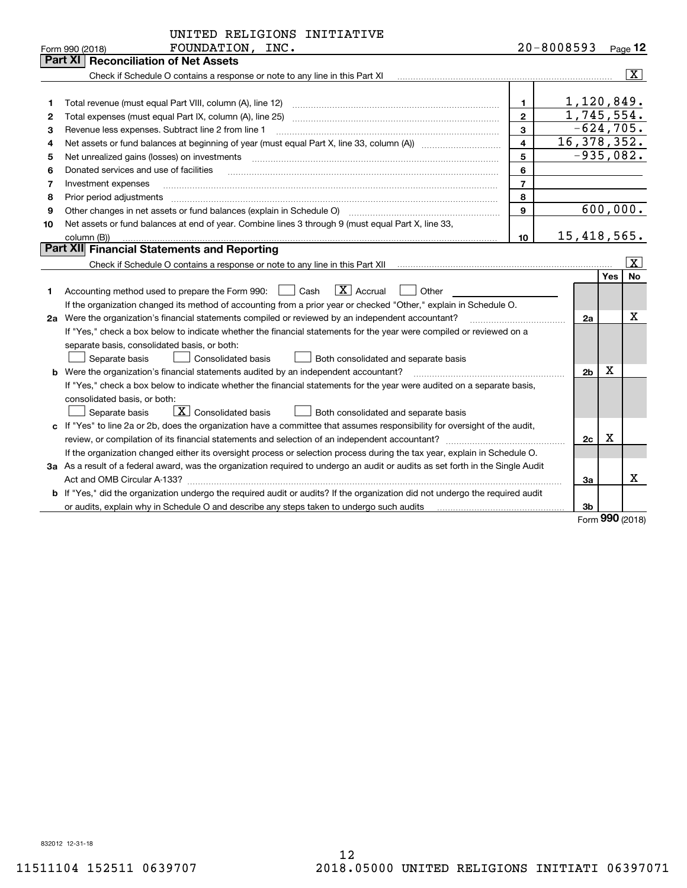|    | UNITED RELIGIONS INITIATIVE                                                                                                          |                         |                |     |                         |  |  |
|----|--------------------------------------------------------------------------------------------------------------------------------------|-------------------------|----------------|-----|-------------------------|--|--|
|    | FOUNDATION, INC.<br>Form 990 (2018)                                                                                                  |                         | $20 - 8008593$ |     | Page $12$               |  |  |
|    | <b>Part XI   Reconciliation of Net Assets</b>                                                                                        |                         |                |     |                         |  |  |
|    | Check if Schedule O contains a response or note to any line in this Part XI                                                          |                         |                |     | $\overline{\mathbf{X}}$ |  |  |
|    |                                                                                                                                      |                         |                |     |                         |  |  |
| 1  |                                                                                                                                      | 1                       | 1, 120, 849.   |     |                         |  |  |
| 2  |                                                                                                                                      | $\overline{2}$          | 1,745,554.     |     |                         |  |  |
| З  | Revenue less expenses. Subtract line 2 from line 1                                                                                   | $\overline{3}$          | $-624,705.$    |     |                         |  |  |
| 4  |                                                                                                                                      | $\overline{\mathbf{4}}$ | 16,378,352.    |     |                         |  |  |
| 5  | Net unrealized gains (losses) on investments                                                                                         | 5                       | $-935,082.$    |     |                         |  |  |
| 6  | Donated services and use of facilities                                                                                               | 6                       |                |     |                         |  |  |
| 7  | Investment expenses                                                                                                                  | $\overline{7}$          |                |     |                         |  |  |
| 8  | Prior period adjustments                                                                                                             | 8                       |                |     |                         |  |  |
| 9  | Other changes in net assets or fund balances (explain in Schedule O)                                                                 | 9                       |                |     | 600,000.                |  |  |
| 10 | Net assets or fund balances at end of year. Combine lines 3 through 9 (must equal Part X, line 33,                                   |                         |                |     |                         |  |  |
|    | column (B))                                                                                                                          | 10                      | 15,418,565.    |     |                         |  |  |
|    | Part XII Financial Statements and Reporting                                                                                          |                         |                |     |                         |  |  |
|    |                                                                                                                                      |                         |                |     | $\vert$ X $\vert$       |  |  |
|    |                                                                                                                                      |                         |                | Yes | No                      |  |  |
| 1  | $ X $ Accrual<br>Accounting method used to prepare the Form 990: <u>II</u> Cash<br>Other                                             |                         |                |     |                         |  |  |
|    | If the organization changed its method of accounting from a prior year or checked "Other," explain in Schedule O.                    |                         |                |     |                         |  |  |
|    | 2a Were the organization's financial statements compiled or reviewed by an independent accountant?                                   |                         | 2a             |     | х                       |  |  |
|    | If "Yes," check a box below to indicate whether the financial statements for the year were compiled or reviewed on a                 |                         |                |     |                         |  |  |
|    | separate basis, consolidated basis, or both:                                                                                         |                         |                |     |                         |  |  |
|    | Consolidated basis<br>Separate basis<br>Both consolidated and separate basis                                                         |                         |                |     |                         |  |  |
|    | <b>b</b> Were the organization's financial statements audited by an independent accountant?                                          |                         | 2 <sub>b</sub> | x   |                         |  |  |
|    | If "Yes," check a box below to indicate whether the financial statements for the year were audited on a separate basis,              |                         |                |     |                         |  |  |
|    | consolidated basis, or both:                                                                                                         |                         |                |     |                         |  |  |
|    | $\vert$ X $\vert$ Consolidated basis<br>Both consolidated and separate basis<br>Separate basis                                       |                         |                |     |                         |  |  |
|    | c If "Yes" to line 2a or 2b, does the organization have a committee that assumes responsibility for oversight of the audit,          |                         |                |     |                         |  |  |
|    |                                                                                                                                      |                         |                |     |                         |  |  |
|    | If the organization changed either its oversight process or selection process during the tax year, explain in Schedule O.            |                         |                |     |                         |  |  |
|    | 3a As a result of a federal award, was the organization required to undergo an audit or audits as set forth in the Single Audit      |                         |                |     |                         |  |  |
|    | Act and OMB Circular A-133?                                                                                                          |                         | 3a             |     | х                       |  |  |
|    | <b>b</b> If "Yes," did the organization undergo the required audit or audits? If the organization did not undergo the required audit |                         |                |     |                         |  |  |
|    | or audits, explain why in Schedule O and describe any steps taken to undergo such audits                                             |                         | 3b             |     |                         |  |  |

Form (2018) **990**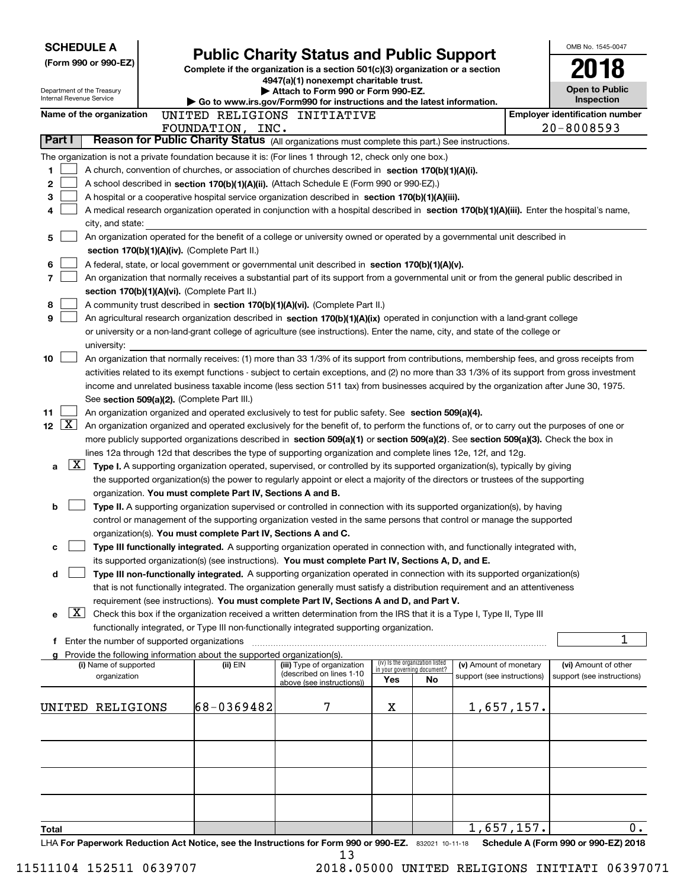| <b>SCHEDULE A</b><br><b>Public Charity Status and Public Support</b> |                                                                                                                                                                                                                                                 |                                                                               |     |                                 |                                                     | OMB No. 1545-0047 |                                      |  |  |  |
|----------------------------------------------------------------------|-------------------------------------------------------------------------------------------------------------------------------------------------------------------------------------------------------------------------------------------------|-------------------------------------------------------------------------------|-----|---------------------------------|-----------------------------------------------------|-------------------|--------------------------------------|--|--|--|
| (Form 990 or 990-EZ)                                                 |                                                                                                                                                                                                                                                 | Complete if the organization is a section 501(c)(3) organization or a section |     |                                 |                                                     |                   |                                      |  |  |  |
|                                                                      |                                                                                                                                                                                                                                                 | 4947(a)(1) nonexempt charitable trust.                                        |     |                                 |                                                     |                   |                                      |  |  |  |
| Department of the Treasury<br>Internal Revenue Service               |                                                                                                                                                                                                                                                 | Attach to Form 990 or Form 990-EZ.                                            |     |                                 |                                                     |                   | Open to Public                       |  |  |  |
|                                                                      |                                                                                                                                                                                                                                                 | Go to www.irs.gov/Form990 for instructions and the latest information.        |     |                                 | Inspection<br><b>Employer identification number</b> |                   |                                      |  |  |  |
| Name of the organization                                             | UNITED RELIGIONS INITIATIVE                                                                                                                                                                                                                     |                                                                               |     |                                 |                                                     |                   |                                      |  |  |  |
| Part I                                                               | FOUNDATION, INC.<br>Reason for Public Charity Status (All organizations must complete this part.) See instructions.                                                                                                                             |                                                                               |     |                                 |                                                     |                   | $20 - 8008593$                       |  |  |  |
|                                                                      |                                                                                                                                                                                                                                                 |                                                                               |     |                                 |                                                     |                   |                                      |  |  |  |
| 1                                                                    | The organization is not a private foundation because it is: (For lines 1 through 12, check only one box.)<br>A church, convention of churches, or association of churches described in section 170(b)(1)(A)(i).                                 |                                                                               |     |                                 |                                                     |                   |                                      |  |  |  |
| 2                                                                    | A school described in section 170(b)(1)(A)(ii). (Attach Schedule E (Form 990 or 990-EZ).)                                                                                                                                                       |                                                                               |     |                                 |                                                     |                   |                                      |  |  |  |
| 3                                                                    | A hospital or a cooperative hospital service organization described in section 170(b)(1)(A)(iii).                                                                                                                                               |                                                                               |     |                                 |                                                     |                   |                                      |  |  |  |
| 4                                                                    | A medical research organization operated in conjunction with a hospital described in section 170(b)(1)(A)(iii). Enter the hospital's name,                                                                                                      |                                                                               |     |                                 |                                                     |                   |                                      |  |  |  |
| city, and state:                                                     |                                                                                                                                                                                                                                                 |                                                                               |     |                                 |                                                     |                   |                                      |  |  |  |
| 5                                                                    | An organization operated for the benefit of a college or university owned or operated by a governmental unit described in                                                                                                                       |                                                                               |     |                                 |                                                     |                   |                                      |  |  |  |
|                                                                      | section 170(b)(1)(A)(iv). (Complete Part II.)                                                                                                                                                                                                   |                                                                               |     |                                 |                                                     |                   |                                      |  |  |  |
| 6                                                                    | A federal, state, or local government or governmental unit described in section 170(b)(1)(A)(v).                                                                                                                                                |                                                                               |     |                                 |                                                     |                   |                                      |  |  |  |
| 7                                                                    | An organization that normally receives a substantial part of its support from a governmental unit or from the general public described in                                                                                                       |                                                                               |     |                                 |                                                     |                   |                                      |  |  |  |
| 8                                                                    | section 170(b)(1)(A)(vi). (Complete Part II.)<br>A community trust described in section 170(b)(1)(A)(vi). (Complete Part II.)                                                                                                                   |                                                                               |     |                                 |                                                     |                   |                                      |  |  |  |
| 9                                                                    | An agricultural research organization described in section 170(b)(1)(A)(ix) operated in conjunction with a land-grant college                                                                                                                   |                                                                               |     |                                 |                                                     |                   |                                      |  |  |  |
|                                                                      | or university or a non-land-grant college of agriculture (see instructions). Enter the name, city, and state of the college or                                                                                                                  |                                                                               |     |                                 |                                                     |                   |                                      |  |  |  |
| university:                                                          |                                                                                                                                                                                                                                                 |                                                                               |     |                                 |                                                     |                   |                                      |  |  |  |
| 10                                                                   | An organization that normally receives: (1) more than 33 1/3% of its support from contributions, membership fees, and gross receipts from                                                                                                       |                                                                               |     |                                 |                                                     |                   |                                      |  |  |  |
|                                                                      | activities related to its exempt functions - subject to certain exceptions, and (2) no more than 33 1/3% of its support from gross investment                                                                                                   |                                                                               |     |                                 |                                                     |                   |                                      |  |  |  |
|                                                                      | income and unrelated business taxable income (less section 511 tax) from businesses acquired by the organization after June 30, 1975.                                                                                                           |                                                                               |     |                                 |                                                     |                   |                                      |  |  |  |
|                                                                      | See section 509(a)(2). (Complete Part III.)                                                                                                                                                                                                     |                                                                               |     |                                 |                                                     |                   |                                      |  |  |  |
| 11                                                                   | An organization organized and operated exclusively to test for public safety. See section 509(a)(4).                                                                                                                                            |                                                                               |     |                                 |                                                     |                   |                                      |  |  |  |
| $\boxed{\text{X}}$<br>12 <sub>2</sub>                                | An organization organized and operated exclusively for the benefit of, to perform the functions of, or to carry out the purposes of one or                                                                                                      |                                                                               |     |                                 |                                                     |                   |                                      |  |  |  |
|                                                                      | more publicly supported organizations described in section 509(a)(1) or section 509(a)(2). See section 509(a)(3). Check the box in                                                                                                              |                                                                               |     |                                 |                                                     |                   |                                      |  |  |  |
|                                                                      | lines 12a through 12d that describes the type of supporting organization and complete lines 12e, 12f, and 12g.                                                                                                                                  |                                                                               |     |                                 |                                                     |                   |                                      |  |  |  |
| $\lfloor x \rfloor$<br>a                                             | Type I. A supporting organization operated, supervised, or controlled by its supported organization(s), typically by giving                                                                                                                     |                                                                               |     |                                 |                                                     |                   |                                      |  |  |  |
|                                                                      | the supported organization(s) the power to regularly appoint or elect a majority of the directors or trustees of the supporting                                                                                                                 |                                                                               |     |                                 |                                                     |                   |                                      |  |  |  |
|                                                                      | organization. You must complete Part IV, Sections A and B.                                                                                                                                                                                      |                                                                               |     |                                 |                                                     |                   |                                      |  |  |  |
| b                                                                    | Type II. A supporting organization supervised or controlled in connection with its supported organization(s), by having<br>control or management of the supporting organization vested in the same persons that control or manage the supported |                                                                               |     |                                 |                                                     |                   |                                      |  |  |  |
|                                                                      | organization(s). You must complete Part IV, Sections A and C.                                                                                                                                                                                   |                                                                               |     |                                 |                                                     |                   |                                      |  |  |  |
| с                                                                    | Type III functionally integrated. A supporting organization operated in connection with, and functionally integrated with,                                                                                                                      |                                                                               |     |                                 |                                                     |                   |                                      |  |  |  |
|                                                                      | its supported organization(s) (see instructions). You must complete Part IV, Sections A, D, and E.                                                                                                                                              |                                                                               |     |                                 |                                                     |                   |                                      |  |  |  |
| d                                                                    | Type III non-functionally integrated. A supporting organization operated in connection with its supported organization(s)                                                                                                                       |                                                                               |     |                                 |                                                     |                   |                                      |  |  |  |
|                                                                      | that is not functionally integrated. The organization generally must satisfy a distribution requirement and an attentiveness                                                                                                                    |                                                                               |     |                                 |                                                     |                   |                                      |  |  |  |
|                                                                      | requirement (see instructions). You must complete Part IV, Sections A and D, and Part V.                                                                                                                                                        |                                                                               |     |                                 |                                                     |                   |                                      |  |  |  |
| X <br>e                                                              | Check this box if the organization received a written determination from the IRS that it is a Type I, Type II, Type III                                                                                                                         |                                                                               |     |                                 |                                                     |                   |                                      |  |  |  |
|                                                                      | functionally integrated, or Type III non-functionally integrated supporting organization.                                                                                                                                                       |                                                                               |     |                                 |                                                     |                   |                                      |  |  |  |
|                                                                      | f Enter the number of supported organizations                                                                                                                                                                                                   |                                                                               |     |                                 |                                                     |                   | 1                                    |  |  |  |
| (i) Name of supported                                                | g Provide the following information about the supported organization(s).<br>(ii) EIN                                                                                                                                                            | (iii) Type of organization                                                    |     | (iv) Is the organization listed | (v) Amount of monetary                              |                   | (vi) Amount of other                 |  |  |  |
| organization                                                         |                                                                                                                                                                                                                                                 | (described on lines 1-10)                                                     |     | in your governing document?     | support (see instructions)                          |                   | support (see instructions)           |  |  |  |
|                                                                      |                                                                                                                                                                                                                                                 | above (see instructions))                                                     | Yes | No                              |                                                     |                   |                                      |  |  |  |
| UNITED RELIGIONS                                                     | 68-0369482                                                                                                                                                                                                                                      | 7                                                                             | х   |                                 |                                                     | 1,657,157.        |                                      |  |  |  |
|                                                                      |                                                                                                                                                                                                                                                 |                                                                               |     |                                 |                                                     |                   |                                      |  |  |  |
|                                                                      |                                                                                                                                                                                                                                                 |                                                                               |     |                                 |                                                     |                   |                                      |  |  |  |
|                                                                      |                                                                                                                                                                                                                                                 |                                                                               |     |                                 |                                                     |                   |                                      |  |  |  |
|                                                                      |                                                                                                                                                                                                                                                 |                                                                               |     |                                 |                                                     |                   |                                      |  |  |  |
|                                                                      |                                                                                                                                                                                                                                                 |                                                                               |     |                                 |                                                     |                   |                                      |  |  |  |
|                                                                      |                                                                                                                                                                                                                                                 |                                                                               |     |                                 |                                                     |                   |                                      |  |  |  |
|                                                                      |                                                                                                                                                                                                                                                 |                                                                               |     |                                 |                                                     |                   |                                      |  |  |  |
|                                                                      |                                                                                                                                                                                                                                                 |                                                                               |     |                                 |                                                     |                   |                                      |  |  |  |
| Total                                                                |                                                                                                                                                                                                                                                 |                                                                               |     |                                 |                                                     | 1,657,157.        | $0$ .                                |  |  |  |
|                                                                      | LHA For Paperwork Reduction Act Notice, see the Instructions for Form 990 or 990-EZ. 832021 10-11-18                                                                                                                                            | 13                                                                            |     |                                 |                                                     |                   | Schedule A (Form 990 or 990-EZ) 2018 |  |  |  |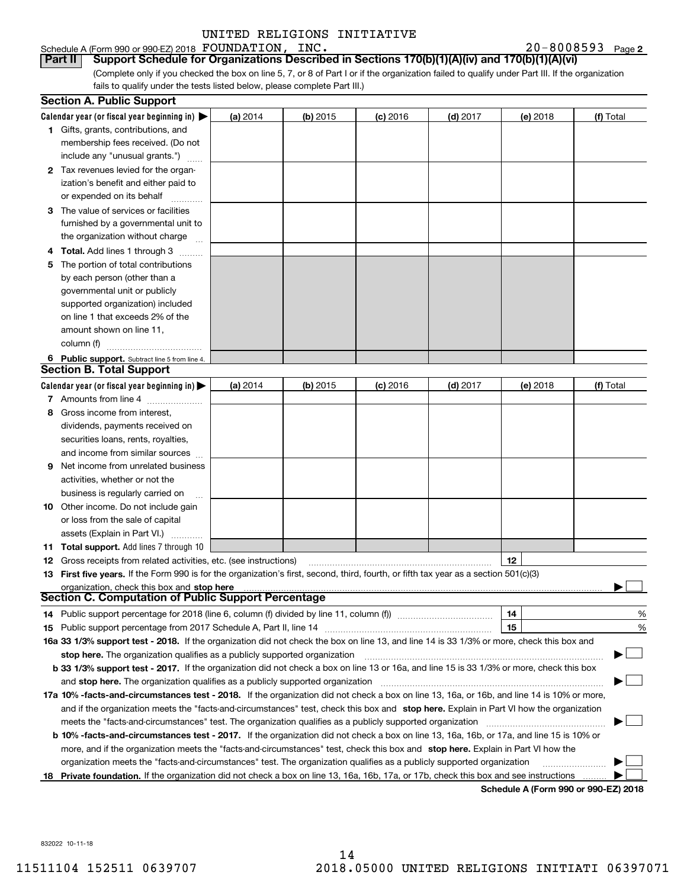#### Schedule A (Form 990 or 990-EZ) 2018 Page FOUNDATION, INC. 20-8008593

20-8008593 Page 2

(Complete only if you checked the box on line 5, 7, or 8 of Part I or if the organization failed to qualify under Part III. If the organization fails to qualify under the tests listed below, please complete Part III.) **Part II Support Schedule for Organizations Described in Sections 170(b)(1)(A)(iv) and 170(b)(1)(A)(vi)**

|    | <b>Section A. Public Support</b>                                                                                                           |          |            |            |            |                                       |           |
|----|--------------------------------------------------------------------------------------------------------------------------------------------|----------|------------|------------|------------|---------------------------------------|-----------|
|    | Calendar year (or fiscal year beginning in) $\blacktriangleright$                                                                          | (a) 2014 | $(b)$ 2015 | $(c)$ 2016 | $(d)$ 2017 | (e) 2018                              | (f) Total |
|    | <b>1</b> Gifts, grants, contributions, and                                                                                                 |          |            |            |            |                                       |           |
|    | membership fees received. (Do not                                                                                                          |          |            |            |            |                                       |           |
|    | include any "unusual grants.")                                                                                                             |          |            |            |            |                                       |           |
|    | 2 Tax revenues levied for the organ-                                                                                                       |          |            |            |            |                                       |           |
|    | ization's benefit and either paid to                                                                                                       |          |            |            |            |                                       |           |
|    | or expended on its behalf                                                                                                                  |          |            |            |            |                                       |           |
|    | 3 The value of services or facilities                                                                                                      |          |            |            |            |                                       |           |
|    | furnished by a governmental unit to                                                                                                        |          |            |            |            |                                       |           |
|    | the organization without charge                                                                                                            |          |            |            |            |                                       |           |
|    | 4 Total. Add lines 1 through 3                                                                                                             |          |            |            |            |                                       |           |
| 5  | The portion of total contributions                                                                                                         |          |            |            |            |                                       |           |
|    | by each person (other than a                                                                                                               |          |            |            |            |                                       |           |
|    | governmental unit or publicly                                                                                                              |          |            |            |            |                                       |           |
|    | supported organization) included                                                                                                           |          |            |            |            |                                       |           |
|    | on line 1 that exceeds 2% of the                                                                                                           |          |            |            |            |                                       |           |
|    | amount shown on line 11,                                                                                                                   |          |            |            |            |                                       |           |
|    | column (f)                                                                                                                                 |          |            |            |            |                                       |           |
|    | 6 Public support. Subtract line 5 from line 4.                                                                                             |          |            |            |            |                                       |           |
|    | Section B. Total Support                                                                                                                   |          |            |            |            |                                       |           |
|    | Calendar year (or fiscal year beginning in) $\blacktriangleright$                                                                          | (a) 2014 | $(b)$ 2015 | $(c)$ 2016 | $(d)$ 2017 | (e) 2018                              | (f) Total |
|    | 7 Amounts from line 4                                                                                                                      |          |            |            |            |                                       |           |
|    | 8 Gross income from interest,                                                                                                              |          |            |            |            |                                       |           |
|    | dividends, payments received on                                                                                                            |          |            |            |            |                                       |           |
|    | securities loans, rents, royalties,                                                                                                        |          |            |            |            |                                       |           |
|    | and income from similar sources                                                                                                            |          |            |            |            |                                       |           |
| 9. | Net income from unrelated business                                                                                                         |          |            |            |            |                                       |           |
|    | activities, whether or not the                                                                                                             |          |            |            |            |                                       |           |
|    | business is regularly carried on                                                                                                           |          |            |            |            |                                       |           |
|    | <b>10</b> Other income. Do not include gain                                                                                                |          |            |            |            |                                       |           |
|    | or loss from the sale of capital                                                                                                           |          |            |            |            |                                       |           |
|    | assets (Explain in Part VI.)                                                                                                               |          |            |            |            |                                       |           |
|    | 11 Total support. Add lines 7 through 10                                                                                                   |          |            |            |            |                                       |           |
|    | <b>12</b> Gross receipts from related activities, etc. (see instructions)                                                                  |          |            |            |            | 12                                    |           |
|    | 13 First five years. If the Form 990 is for the organization's first, second, third, fourth, or fifth tax year as a section 501(c)(3)      |          |            |            |            |                                       |           |
|    | organization, check this box and stop here                                                                                                 |          |            |            |            |                                       |           |
|    | Section C. Computation of Public Support Percentage                                                                                        |          |            |            |            |                                       |           |
|    | 14 Public support percentage for 2018 (line 6, column (f) divided by line 11, column (f) <i>manumumumumum</i>                              |          |            |            |            | 14                                    | %         |
|    |                                                                                                                                            |          |            |            |            | 15                                    | %         |
|    | 16a 33 1/3% support test - 2018. If the organization did not check the box on line 13, and line 14 is 33 1/3% or more, check this box and  |          |            |            |            |                                       |           |
|    | stop here. The organization qualifies as a publicly supported organization                                                                 |          |            |            |            |                                       |           |
|    | b 33 1/3% support test - 2017. If the organization did not check a box on line 13 or 16a, and line 15 is 33 1/3% or more, check this box   |          |            |            |            |                                       |           |
|    | and stop here. The organization qualifies as a publicly supported organization                                                             |          |            |            |            |                                       |           |
|    | 17a 10% -facts-and-circumstances test - 2018. If the organization did not check a box on line 13, 16a, or 16b, and line 14 is 10% or more, |          |            |            |            |                                       |           |
|    | and if the organization meets the "facts-and-circumstances" test, check this box and stop here. Explain in Part VI how the organization    |          |            |            |            |                                       |           |
|    | meets the "facts-and-circumstances" test. The organization qualifies as a publicly supported organization                                  |          |            |            |            |                                       |           |
|    | b 10% -facts-and-circumstances test - 2017. If the organization did not check a box on line 13, 16a, 16b, or 17a, and line 15 is 10% or    |          |            |            |            |                                       |           |
|    | more, and if the organization meets the "facts-and-circumstances" test, check this box and stop here. Explain in Part VI how the           |          |            |            |            |                                       |           |
|    | organization meets the "facts-and-circumstances" test. The organization qualifies as a publicly supported organization                     |          |            |            |            |                                       |           |
|    | 18 Private foundation. If the organization did not check a box on line 13, 16a, 16b, 17a, or 17b, check this box and see instructions      |          |            |            |            | Cabadula A (Fauna 000 au 000 EZ) 0040 |           |

**Schedule A (Form 990 or 990-EZ) 2018**

832022 10-11-18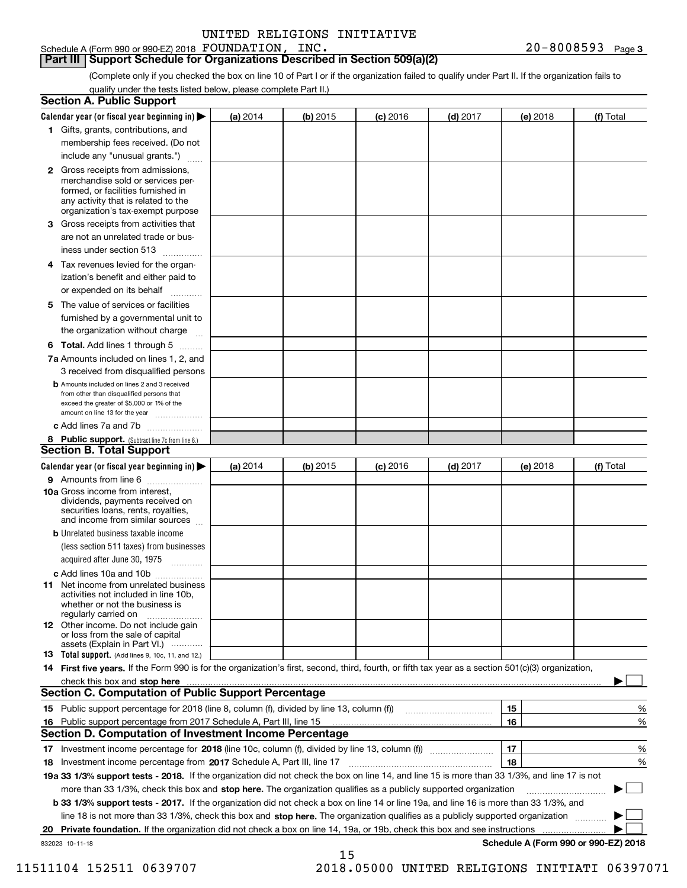Schedule A (Form 990 or 990-EZ) 2018 Page FOUNDATION, INC. 20-8008593

**Part III Support Schedule for Organizations Described in Section 509(a)(2)** 

(Complete only if you checked the box on line 10 of Part I or if the organization failed to qualify under Part II. If the organization fails to qualify under the tests listed below, please complete Part II.)

|    | <b>Section A. Public Support</b>                                                                                                                                                                                                                                                             |          |          |            |            |          |                                      |
|----|----------------------------------------------------------------------------------------------------------------------------------------------------------------------------------------------------------------------------------------------------------------------------------------------|----------|----------|------------|------------|----------|--------------------------------------|
|    | Calendar year (or fiscal year beginning in) $\blacktriangleright$                                                                                                                                                                                                                            | (a) 2014 | (b) 2015 | $(c)$ 2016 | $(d)$ 2017 | (e) 2018 | (f) Total                            |
|    | 1 Gifts, grants, contributions, and                                                                                                                                                                                                                                                          |          |          |            |            |          |                                      |
|    | membership fees received. (Do not                                                                                                                                                                                                                                                            |          |          |            |            |          |                                      |
|    | include any "unusual grants.")                                                                                                                                                                                                                                                               |          |          |            |            |          |                                      |
|    | 2 Gross receipts from admissions,<br>merchandise sold or services per-<br>formed, or facilities furnished in<br>any activity that is related to the<br>organization's tax-exempt purpose                                                                                                     |          |          |            |            |          |                                      |
|    | 3 Gross receipts from activities that<br>are not an unrelated trade or bus-                                                                                                                                                                                                                  |          |          |            |            |          |                                      |
|    | iness under section 513                                                                                                                                                                                                                                                                      |          |          |            |            |          |                                      |
|    | 4 Tax revenues levied for the organ-<br>ization's benefit and either paid to<br>or expended on its behalf                                                                                                                                                                                    |          |          |            |            |          |                                      |
|    | 5 The value of services or facilities<br>furnished by a governmental unit to                                                                                                                                                                                                                 |          |          |            |            |          |                                      |
|    | the organization without charge                                                                                                                                                                                                                                                              |          |          |            |            |          |                                      |
|    | <b>6 Total.</b> Add lines 1 through 5                                                                                                                                                                                                                                                        |          |          |            |            |          |                                      |
|    | 7a Amounts included on lines 1, 2, and<br>3 received from disqualified persons                                                                                                                                                                                                               |          |          |            |            |          |                                      |
|    | <b>b</b> Amounts included on lines 2 and 3 received<br>from other than disqualified persons that<br>exceed the greater of \$5,000 or 1% of the<br>amount on line 13 for the year                                                                                                             |          |          |            |            |          |                                      |
|    | c Add lines 7a and 7b                                                                                                                                                                                                                                                                        |          |          |            |            |          |                                      |
|    | 8 Public support. (Subtract line 7c from line 6.)<br><b>Section B. Total Support</b>                                                                                                                                                                                                         |          |          |            |            |          |                                      |
|    | Calendar year (or fiscal year beginning in)                                                                                                                                                                                                                                                  | (a) 2014 | (b) 2015 | $(c)$ 2016 | $(d)$ 2017 | (e) 2018 | (f) Total                            |
|    | 9 Amounts from line 6                                                                                                                                                                                                                                                                        |          |          |            |            |          |                                      |
|    | 10a Gross income from interest,<br>dividends, payments received on<br>securities loans, rents, royalties,<br>and income from similar sources                                                                                                                                                 |          |          |            |            |          |                                      |
|    | <b>b</b> Unrelated business taxable income<br>(less section 511 taxes) from businesses<br>acquired after June 30, 1975                                                                                                                                                                       |          |          |            |            |          |                                      |
|    | c Add lines 10a and 10b                                                                                                                                                                                                                                                                      |          |          |            |            |          |                                      |
|    | <b>11</b> Net income from unrelated business<br>activities not included in line 10b,<br>whether or not the business is<br>regularly carried on                                                                                                                                               |          |          |            |            |          |                                      |
|    | <b>12</b> Other income. Do not include gain<br>or loss from the sale of capital<br>assets (Explain in Part VI.)                                                                                                                                                                              |          |          |            |            |          |                                      |
|    | <b>13</b> Total support. (Add lines 9, 10c, 11, and 12.)                                                                                                                                                                                                                                     |          |          |            |            |          |                                      |
|    | 14 First five years. If the Form 990 is for the organization's first, second, third, fourth, or fifth tax year as a section 501(c)(3) organization,                                                                                                                                          |          |          |            |            |          |                                      |
|    | check this box and stop here manufactured and content to the state of the state of the state of the state of the state of the state of the state of the state of the state of the state of the state of the state of the state<br><b>Section C. Computation of Public Support Percentage</b> |          |          |            |            |          |                                      |
|    |                                                                                                                                                                                                                                                                                              |          |          |            |            | 15       | %                                    |
|    | 16 Public support percentage from 2017 Schedule A, Part III, line 15                                                                                                                                                                                                                         |          |          |            |            | 16       | %                                    |
|    | <b>Section D. Computation of Investment Income Percentage</b>                                                                                                                                                                                                                                |          |          |            |            |          |                                      |
|    | 17 Investment income percentage for 2018 (line 10c, column (f), divided by line 13, column (f))                                                                                                                                                                                              |          |          |            |            | 17       | %                                    |
|    | 18 Investment income percentage from 2017 Schedule A, Part III, line 17                                                                                                                                                                                                                      |          |          |            |            | 18       | %                                    |
|    | 19a 33 1/3% support tests - 2018. If the organization did not check the box on line 14, and line 15 is more than 33 1/3%, and line 17 is not                                                                                                                                                 |          |          |            |            |          |                                      |
|    | more than 33 1/3%, check this box and stop here. The organization qualifies as a publicly supported organization                                                                                                                                                                             |          |          |            |            |          |                                      |
|    | <b>b 33 1/3% support tests - 2017.</b> If the organization did not check a box on line 14 or line 19a, and line 16 is more than 33 1/3%, and                                                                                                                                                 |          |          |            |            |          |                                      |
|    | line 18 is not more than 33 1/3%, check this box and stop here. The organization qualifies as a publicly supported organization                                                                                                                                                              |          |          |            |            |          |                                      |
| 20 | Private foundation. If the organization did not check a box on line 14, 19a, or 19b, check this box and see instructions                                                                                                                                                                     |          |          |            |            |          |                                      |
|    | 832023 10-11-18                                                                                                                                                                                                                                                                              |          |          |            |            |          | Schedule A (Form 990 or 990-EZ) 2018 |
|    |                                                                                                                                                                                                                                                                                              |          | 15       |            |            |          |                                      |

11511104 152511 0639707 2018.05000 UNITED RELIGIONS INITIATI 06397071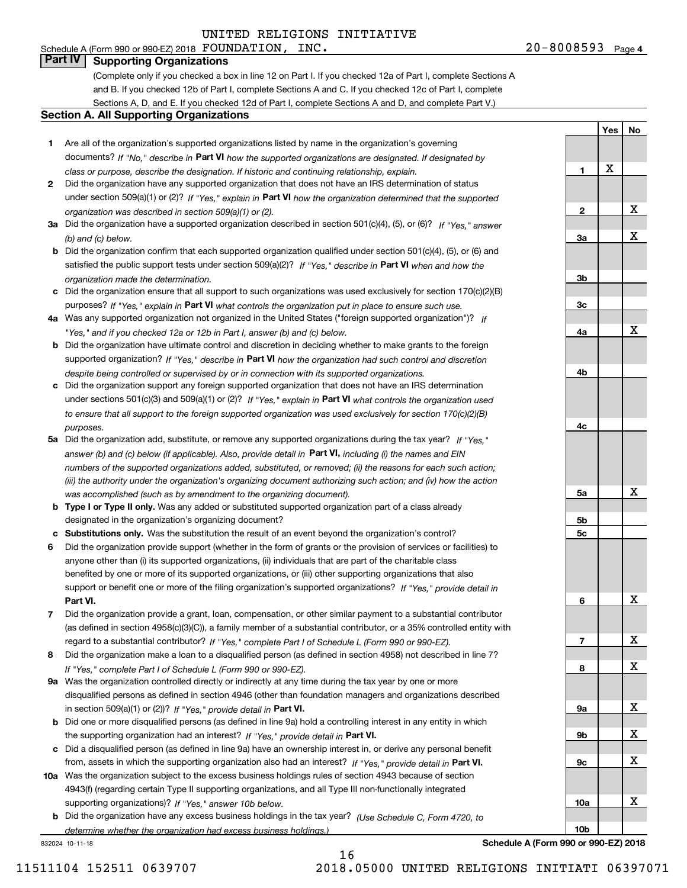#### Schedule A (Form 990 or 990-EZ) 2018 Page FOUNDATION, INC. 20-8008593 **Part IV Supporting Organizations**

(Complete only if you checked a box in line 12 on Part I. If you checked 12a of Part I, complete Sections A and B. If you checked 12b of Part I, complete Sections A and C. If you checked 12c of Part I, complete

Sections A, D, and E. If you checked 12d of Part I, complete Sections A and D, and complete Part V.)

#### **Section A. All Supporting Organizations**

- **1** Are all of the organization's supported organizations listed by name in the organization's governing documents? If "No," describe in **Part VI** how the supported organizations are designated. If designated by *class or purpose, describe the designation. If historic and continuing relationship, explain.*
- **2** Did the organization have any supported organization that does not have an IRS determination of status under section 509(a)(1) or (2)? If "Yes," explain in Part VI how the organization determined that the supported *organization was described in section 509(a)(1) or (2).*
- **3a** Did the organization have a supported organization described in section 501(c)(4), (5), or (6)? If "Yes," answer *(b) and (c) below.*
- **b** Did the organization confirm that each supported organization qualified under section 501(c)(4), (5), or (6) and satisfied the public support tests under section 509(a)(2)? If "Yes," describe in **Part VI** when and how the *organization made the determination.*
- **c**Did the organization ensure that all support to such organizations was used exclusively for section 170(c)(2)(B) purposes? If "Yes," explain in **Part VI** what controls the organization put in place to ensure such use.
- **4a***If* Was any supported organization not organized in the United States ("foreign supported organization")? *"Yes," and if you checked 12a or 12b in Part I, answer (b) and (c) below.*
- **b** Did the organization have ultimate control and discretion in deciding whether to make grants to the foreign supported organization? If "Yes," describe in **Part VI** how the organization had such control and discretion *despite being controlled or supervised by or in connection with its supported organizations.*
- **c** Did the organization support any foreign supported organization that does not have an IRS determination under sections 501(c)(3) and 509(a)(1) or (2)? If "Yes," explain in **Part VI** what controls the organization used *to ensure that all support to the foreign supported organization was used exclusively for section 170(c)(2)(B) purposes.*
- **5a** Did the organization add, substitute, or remove any supported organizations during the tax year? If "Yes," answer (b) and (c) below (if applicable). Also, provide detail in **Part VI,** including (i) the names and EIN *numbers of the supported organizations added, substituted, or removed; (ii) the reasons for each such action; (iii) the authority under the organization's organizing document authorizing such action; and (iv) how the action was accomplished (such as by amendment to the organizing document).*
- **b** Type I or Type II only. Was any added or substituted supported organization part of a class already designated in the organization's organizing document?
- **cSubstitutions only.**  Was the substitution the result of an event beyond the organization's control?
- **6** Did the organization provide support (whether in the form of grants or the provision of services or facilities) to **Part VI.** *If "Yes," provide detail in* support or benefit one or more of the filing organization's supported organizations? anyone other than (i) its supported organizations, (ii) individuals that are part of the charitable class benefited by one or more of its supported organizations, or (iii) other supporting organizations that also
- **7**Did the organization provide a grant, loan, compensation, or other similar payment to a substantial contributor *If "Yes," complete Part I of Schedule L (Form 990 or 990-EZ).* regard to a substantial contributor? (as defined in section 4958(c)(3)(C)), a family member of a substantial contributor, or a 35% controlled entity with
- **8** Did the organization make a loan to a disqualified person (as defined in section 4958) not described in line 7? *If "Yes," complete Part I of Schedule L (Form 990 or 990-EZ).*
- **9a** Was the organization controlled directly or indirectly at any time during the tax year by one or more in section 509(a)(1) or (2))? If "Yes," *provide detail in* <code>Part VI.</code> disqualified persons as defined in section 4946 (other than foundation managers and organizations described
- **b**the supporting organization had an interest? If "Yes," provide detail in P**art VI**. Did one or more disqualified persons (as defined in line 9a) hold a controlling interest in any entity in which
- **c**Did a disqualified person (as defined in line 9a) have an ownership interest in, or derive any personal benefit from, assets in which the supporting organization also had an interest? If "Yes," provide detail in P**art VI.**
- **10a** Was the organization subject to the excess business holdings rules of section 4943 because of section supporting organizations)? If "Yes," answer 10b below. 4943(f) (regarding certain Type II supporting organizations, and all Type III non-functionally integrated
- **b** Did the organization have any excess business holdings in the tax year? (Use Schedule C, Form 4720, to *determine whether the organization had excess business holdings.)*

832024 10-11-18

**9b9c10a10bSchedule A (Form 990 or 990-EZ) 2018** X X X

**1**

**2**

**3a**

**3b**

**3c**

**4a**

**4b**

**4c**

**5a**

**5b5c**

**6**

**7**

**8**

**9a**

**Yes**

X

**No**

X

X

X

X

X

X

X

X

16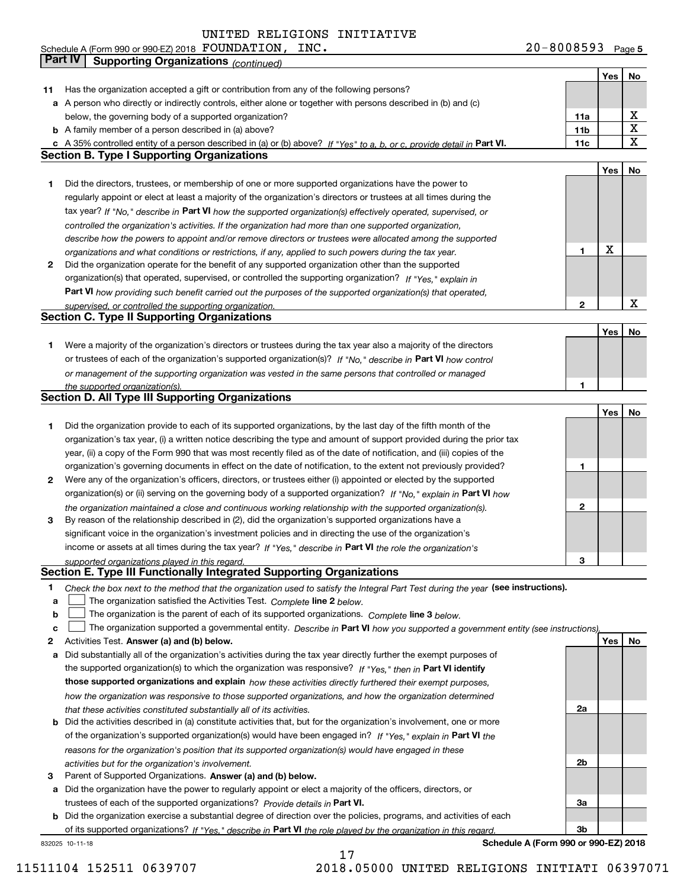**5** Schedule A (Form 990 or 990-EZ) 2018 POUNDATILON,INC。 2 U-8 U U 8 D 9 3 Page FOUNDATION, INC. 20-8008593

| Yes<br>No<br>Has the organization accepted a gift or contribution from any of the following persons?<br>11<br>a A person who directly or indirectly controls, either alone or together with persons described in (b) and (c)<br>х<br>below, the governing body of a supported organization?<br>11a<br>$\mathbf X$<br><b>b</b> A family member of a person described in (a) above?<br>11b<br>X<br>11c<br>c A 35% controlled entity of a person described in (a) or (b) above? If "Yes" to a, b, or c, provide detail in Part VI.<br><b>Section B. Type I Supporting Organizations</b><br>Yes<br>No<br>Did the directors, trustees, or membership of one or more supported organizations have the power to<br>1<br>regularly appoint or elect at least a majority of the organization's directors or trustees at all times during the<br>tax year? If "No," describe in Part VI how the supported organization(s) effectively operated, supervised, or<br>controlled the organization's activities. If the organization had more than one supported organization,<br>describe how the powers to appoint and/or remove directors or trustees were allocated among the supported<br>X<br>1<br>organizations and what conditions or restrictions, if any, applied to such powers during the tax year.<br>2<br>Did the organization operate for the benefit of any supported organization other than the supported<br>organization(s) that operated, supervised, or controlled the supporting organization? If "Yes," explain in<br>Part VI how providing such benefit carried out the purposes of the supported organization(s) that operated,<br>X<br>2<br>supervised, or controlled the supporting organization.<br><b>Section C. Type II Supporting Organizations</b><br>Yes<br>No<br>Were a majority of the organization's directors or trustees during the tax year also a majority of the directors<br>1<br>or trustees of each of the organization's supported organization(s)? If "No," describe in Part VI how control<br>or management of the supporting organization was vested in the same persons that controlled or managed<br>the supported organization(s).<br><b>Section D. All Type III Supporting Organizations</b><br>Yes<br>No<br>Did the organization provide to each of its supported organizations, by the last day of the fifth month of the<br>1<br>organization's tax year, (i) a written notice describing the type and amount of support provided during the prior tax<br>year, (ii) a copy of the Form 990 that was most recently filed as of the date of notification, and (iii) copies of the<br>organization's governing documents in effect on the date of notification, to the extent not previously provided?<br>1<br>Were any of the organization's officers, directors, or trustees either (i) appointed or elected by the supported<br>2<br>organization(s) or (ii) serving on the governing body of a supported organization? If "No," explain in Part VI how<br>2<br>the organization maintained a close and continuous working relationship with the supported organization(s).<br>By reason of the relationship described in (2), did the organization's supported organizations have a<br>з<br>significant voice in the organization's investment policies and in directing the use of the organization's<br>income or assets at all times during the tax year? If "Yes," describe in Part VI the role the organization's<br>supported organizations played in this regard.<br>3<br>Section E. Type III Functionally Integrated Supporting Organizations<br>1<br>Check the box next to the method that the organization used to satisfy the Integral Part Test during the year (see instructions).<br>The organization satisfied the Activities Test. Complete line 2 below.<br>a<br>The organization is the parent of each of its supported organizations. Complete line 3 below.<br>b<br>The organization supported a governmental entity. Describe in Part VI how you supported a government entity (see instructions).<br>C<br>Activities Test. Answer (a) and (b) below.<br>Yes<br>2<br>No<br>Did substantially all of the organization's activities during the tax year directly further the exempt purposes of<br>a<br>the supported organization(s) to which the organization was responsive? If "Yes," then in Part VI identify<br>those supported organizations and explain how these activities directly furthered their exempt purposes,<br>how the organization was responsive to those supported organizations, and how the organization determined<br>2a<br>that these activities constituted substantially all of its activities.<br><b>b</b> Did the activities described in (a) constitute activities that, but for the organization's involvement, one or more<br>of the organization's supported organization(s) would have been engaged in? If "Yes," explain in Part VI the<br>reasons for the organization's position that its supported organization(s) would have engaged in these<br>2b<br>activities but for the organization's involvement.<br>Parent of Supported Organizations. Answer (a) and (b) below.<br>з<br>Did the organization have the power to regularly appoint or elect a majority of the officers, directors, or<br>а<br>trustees of each of the supported organizations? Provide details in Part VI.<br>3a<br><b>b</b> Did the organization exercise a substantial degree of direction over the policies, programs, and activities of each<br>of its supported organizations? If "Yes," describe in Part VI the role played by the organization in this regard<br>Зb<br>Schedule A (Form 990 or 990-EZ) 2018<br>832025 10-11-18 | Part IV<br><b>Supporting Organizations (continued)</b> |  |  |
|--------------------------------------------------------------------------------------------------------------------------------------------------------------------------------------------------------------------------------------------------------------------------------------------------------------------------------------------------------------------------------------------------------------------------------------------------------------------------------------------------------------------------------------------------------------------------------------------------------------------------------------------------------------------------------------------------------------------------------------------------------------------------------------------------------------------------------------------------------------------------------------------------------------------------------------------------------------------------------------------------------------------------------------------------------------------------------------------------------------------------------------------------------------------------------------------------------------------------------------------------------------------------------------------------------------------------------------------------------------------------------------------------------------------------------------------------------------------------------------------------------------------------------------------------------------------------------------------------------------------------------------------------------------------------------------------------------------------------------------------------------------------------------------------------------------------------------------------------------------------------------------------------------------------------------------------------------------------------------------------------------------------------------------------------------------------------------------------------------------------------------------------------------------------------------------------------------------------------------------------------------------------------------------------------------------------------------------------------------------------------------------------------------------------------------------------------------------------------------------------------------------------------------------------------------------------------------------------------------------------------------------------------------------------------------------------------------------------------------------------------------------------------------------------------------------------------------------------------------------------------------------------------------------------------------------------------------------------------------------------------------------------------------------------------------------------------------------------------------------------------------------------------------------------------------------------------------------------------------------------------------------------------------------------------------------------------------------------------------------------------------------------------------------------------------------------------------------------------------------------------------------------------------------------------------------------------------------------------------------------------------------------------------------------------------------------------------------------------------------------------------------------------------------------------------------------------------------------------------------------------------------------------------------------------------------------------------------------------------------------------------------------------------------------------------------------------------------------------------------------------------------------------------------------------------------------------------------------------------------------------------------------------------------------------------------------------------------------------------------------------------------------------------------------------------------------------------------------------------------------------------------------------------------------------------------------------------------------------------------------------------------------------------------------------------------------------------------------------------------------------------------------------------------------------------------------------------------------------------------------------------------------------------------------------------------------------------------------------------------------------------------------------------------------------------------------------------------------------------------------------------------------------------------------------------------------------------------------------------------------------------------------------------------------------------------------------------------------------------------------------------------------------------------------------------------------------------------------------------------------------------------------------------------------------------------------------------------------------------------------------------------------------------------------------------------------------------------------|--------------------------------------------------------|--|--|
|                                                                                                                                                                                                                                                                                                                                                                                                                                                                                                                                                                                                                                                                                                                                                                                                                                                                                                                                                                                                                                                                                                                                                                                                                                                                                                                                                                                                                                                                                                                                                                                                                                                                                                                                                                                                                                                                                                                                                                                                                                                                                                                                                                                                                                                                                                                                                                                                                                                                                                                                                                                                                                                                                                                                                                                                                                                                                                                                                                                                                                                                                                                                                                                                                                                                                                                                                                                                                                                                                                                                                                                                                                                                                                                                                                                                                                                                                                                                                                                                                                                                                                                                                                                                                                                                                                                                                                                                                                                                                                                                                                                                                                                                                                                                                                                                                                                                                                                                                                                                                                                                                                                                                                                                                                                                                                                                                                                                                                                                                                                                                                                                                                                                                                                    |                                                        |  |  |
|                                                                                                                                                                                                                                                                                                                                                                                                                                                                                                                                                                                                                                                                                                                                                                                                                                                                                                                                                                                                                                                                                                                                                                                                                                                                                                                                                                                                                                                                                                                                                                                                                                                                                                                                                                                                                                                                                                                                                                                                                                                                                                                                                                                                                                                                                                                                                                                                                                                                                                                                                                                                                                                                                                                                                                                                                                                                                                                                                                                                                                                                                                                                                                                                                                                                                                                                                                                                                                                                                                                                                                                                                                                                                                                                                                                                                                                                                                                                                                                                                                                                                                                                                                                                                                                                                                                                                                                                                                                                                                                                                                                                                                                                                                                                                                                                                                                                                                                                                                                                                                                                                                                                                                                                                                                                                                                                                                                                                                                                                                                                                                                                                                                                                                                    |                                                        |  |  |
|                                                                                                                                                                                                                                                                                                                                                                                                                                                                                                                                                                                                                                                                                                                                                                                                                                                                                                                                                                                                                                                                                                                                                                                                                                                                                                                                                                                                                                                                                                                                                                                                                                                                                                                                                                                                                                                                                                                                                                                                                                                                                                                                                                                                                                                                                                                                                                                                                                                                                                                                                                                                                                                                                                                                                                                                                                                                                                                                                                                                                                                                                                                                                                                                                                                                                                                                                                                                                                                                                                                                                                                                                                                                                                                                                                                                                                                                                                                                                                                                                                                                                                                                                                                                                                                                                                                                                                                                                                                                                                                                                                                                                                                                                                                                                                                                                                                                                                                                                                                                                                                                                                                                                                                                                                                                                                                                                                                                                                                                                                                                                                                                                                                                                                                    |                                                        |  |  |
|                                                                                                                                                                                                                                                                                                                                                                                                                                                                                                                                                                                                                                                                                                                                                                                                                                                                                                                                                                                                                                                                                                                                                                                                                                                                                                                                                                                                                                                                                                                                                                                                                                                                                                                                                                                                                                                                                                                                                                                                                                                                                                                                                                                                                                                                                                                                                                                                                                                                                                                                                                                                                                                                                                                                                                                                                                                                                                                                                                                                                                                                                                                                                                                                                                                                                                                                                                                                                                                                                                                                                                                                                                                                                                                                                                                                                                                                                                                                                                                                                                                                                                                                                                                                                                                                                                                                                                                                                                                                                                                                                                                                                                                                                                                                                                                                                                                                                                                                                                                                                                                                                                                                                                                                                                                                                                                                                                                                                                                                                                                                                                                                                                                                                                                    |                                                        |  |  |
|                                                                                                                                                                                                                                                                                                                                                                                                                                                                                                                                                                                                                                                                                                                                                                                                                                                                                                                                                                                                                                                                                                                                                                                                                                                                                                                                                                                                                                                                                                                                                                                                                                                                                                                                                                                                                                                                                                                                                                                                                                                                                                                                                                                                                                                                                                                                                                                                                                                                                                                                                                                                                                                                                                                                                                                                                                                                                                                                                                                                                                                                                                                                                                                                                                                                                                                                                                                                                                                                                                                                                                                                                                                                                                                                                                                                                                                                                                                                                                                                                                                                                                                                                                                                                                                                                                                                                                                                                                                                                                                                                                                                                                                                                                                                                                                                                                                                                                                                                                                                                                                                                                                                                                                                                                                                                                                                                                                                                                                                                                                                                                                                                                                                                                                    |                                                        |  |  |
|                                                                                                                                                                                                                                                                                                                                                                                                                                                                                                                                                                                                                                                                                                                                                                                                                                                                                                                                                                                                                                                                                                                                                                                                                                                                                                                                                                                                                                                                                                                                                                                                                                                                                                                                                                                                                                                                                                                                                                                                                                                                                                                                                                                                                                                                                                                                                                                                                                                                                                                                                                                                                                                                                                                                                                                                                                                                                                                                                                                                                                                                                                                                                                                                                                                                                                                                                                                                                                                                                                                                                                                                                                                                                                                                                                                                                                                                                                                                                                                                                                                                                                                                                                                                                                                                                                                                                                                                                                                                                                                                                                                                                                                                                                                                                                                                                                                                                                                                                                                                                                                                                                                                                                                                                                                                                                                                                                                                                                                                                                                                                                                                                                                                                                                    |                                                        |  |  |
|                                                                                                                                                                                                                                                                                                                                                                                                                                                                                                                                                                                                                                                                                                                                                                                                                                                                                                                                                                                                                                                                                                                                                                                                                                                                                                                                                                                                                                                                                                                                                                                                                                                                                                                                                                                                                                                                                                                                                                                                                                                                                                                                                                                                                                                                                                                                                                                                                                                                                                                                                                                                                                                                                                                                                                                                                                                                                                                                                                                                                                                                                                                                                                                                                                                                                                                                                                                                                                                                                                                                                                                                                                                                                                                                                                                                                                                                                                                                                                                                                                                                                                                                                                                                                                                                                                                                                                                                                                                                                                                                                                                                                                                                                                                                                                                                                                                                                                                                                                                                                                                                                                                                                                                                                                                                                                                                                                                                                                                                                                                                                                                                                                                                                                                    |                                                        |  |  |
|                                                                                                                                                                                                                                                                                                                                                                                                                                                                                                                                                                                                                                                                                                                                                                                                                                                                                                                                                                                                                                                                                                                                                                                                                                                                                                                                                                                                                                                                                                                                                                                                                                                                                                                                                                                                                                                                                                                                                                                                                                                                                                                                                                                                                                                                                                                                                                                                                                                                                                                                                                                                                                                                                                                                                                                                                                                                                                                                                                                                                                                                                                                                                                                                                                                                                                                                                                                                                                                                                                                                                                                                                                                                                                                                                                                                                                                                                                                                                                                                                                                                                                                                                                                                                                                                                                                                                                                                                                                                                                                                                                                                                                                                                                                                                                                                                                                                                                                                                                                                                                                                                                                                                                                                                                                                                                                                                                                                                                                                                                                                                                                                                                                                                                                    |                                                        |  |  |
|                                                                                                                                                                                                                                                                                                                                                                                                                                                                                                                                                                                                                                                                                                                                                                                                                                                                                                                                                                                                                                                                                                                                                                                                                                                                                                                                                                                                                                                                                                                                                                                                                                                                                                                                                                                                                                                                                                                                                                                                                                                                                                                                                                                                                                                                                                                                                                                                                                                                                                                                                                                                                                                                                                                                                                                                                                                                                                                                                                                                                                                                                                                                                                                                                                                                                                                                                                                                                                                                                                                                                                                                                                                                                                                                                                                                                                                                                                                                                                                                                                                                                                                                                                                                                                                                                                                                                                                                                                                                                                                                                                                                                                                                                                                                                                                                                                                                                                                                                                                                                                                                                                                                                                                                                                                                                                                                                                                                                                                                                                                                                                                                                                                                                                                    |                                                        |  |  |
|                                                                                                                                                                                                                                                                                                                                                                                                                                                                                                                                                                                                                                                                                                                                                                                                                                                                                                                                                                                                                                                                                                                                                                                                                                                                                                                                                                                                                                                                                                                                                                                                                                                                                                                                                                                                                                                                                                                                                                                                                                                                                                                                                                                                                                                                                                                                                                                                                                                                                                                                                                                                                                                                                                                                                                                                                                                                                                                                                                                                                                                                                                                                                                                                                                                                                                                                                                                                                                                                                                                                                                                                                                                                                                                                                                                                                                                                                                                                                                                                                                                                                                                                                                                                                                                                                                                                                                                                                                                                                                                                                                                                                                                                                                                                                                                                                                                                                                                                                                                                                                                                                                                                                                                                                                                                                                                                                                                                                                                                                                                                                                                                                                                                                                                    |                                                        |  |  |
|                                                                                                                                                                                                                                                                                                                                                                                                                                                                                                                                                                                                                                                                                                                                                                                                                                                                                                                                                                                                                                                                                                                                                                                                                                                                                                                                                                                                                                                                                                                                                                                                                                                                                                                                                                                                                                                                                                                                                                                                                                                                                                                                                                                                                                                                                                                                                                                                                                                                                                                                                                                                                                                                                                                                                                                                                                                                                                                                                                                                                                                                                                                                                                                                                                                                                                                                                                                                                                                                                                                                                                                                                                                                                                                                                                                                                                                                                                                                                                                                                                                                                                                                                                                                                                                                                                                                                                                                                                                                                                                                                                                                                                                                                                                                                                                                                                                                                                                                                                                                                                                                                                                                                                                                                                                                                                                                                                                                                                                                                                                                                                                                                                                                                                                    |                                                        |  |  |
|                                                                                                                                                                                                                                                                                                                                                                                                                                                                                                                                                                                                                                                                                                                                                                                                                                                                                                                                                                                                                                                                                                                                                                                                                                                                                                                                                                                                                                                                                                                                                                                                                                                                                                                                                                                                                                                                                                                                                                                                                                                                                                                                                                                                                                                                                                                                                                                                                                                                                                                                                                                                                                                                                                                                                                                                                                                                                                                                                                                                                                                                                                                                                                                                                                                                                                                                                                                                                                                                                                                                                                                                                                                                                                                                                                                                                                                                                                                                                                                                                                                                                                                                                                                                                                                                                                                                                                                                                                                                                                                                                                                                                                                                                                                                                                                                                                                                                                                                                                                                                                                                                                                                                                                                                                                                                                                                                                                                                                                                                                                                                                                                                                                                                                                    |                                                        |  |  |
|                                                                                                                                                                                                                                                                                                                                                                                                                                                                                                                                                                                                                                                                                                                                                                                                                                                                                                                                                                                                                                                                                                                                                                                                                                                                                                                                                                                                                                                                                                                                                                                                                                                                                                                                                                                                                                                                                                                                                                                                                                                                                                                                                                                                                                                                                                                                                                                                                                                                                                                                                                                                                                                                                                                                                                                                                                                                                                                                                                                                                                                                                                                                                                                                                                                                                                                                                                                                                                                                                                                                                                                                                                                                                                                                                                                                                                                                                                                                                                                                                                                                                                                                                                                                                                                                                                                                                                                                                                                                                                                                                                                                                                                                                                                                                                                                                                                                                                                                                                                                                                                                                                                                                                                                                                                                                                                                                                                                                                                                                                                                                                                                                                                                                                                    |                                                        |  |  |
|                                                                                                                                                                                                                                                                                                                                                                                                                                                                                                                                                                                                                                                                                                                                                                                                                                                                                                                                                                                                                                                                                                                                                                                                                                                                                                                                                                                                                                                                                                                                                                                                                                                                                                                                                                                                                                                                                                                                                                                                                                                                                                                                                                                                                                                                                                                                                                                                                                                                                                                                                                                                                                                                                                                                                                                                                                                                                                                                                                                                                                                                                                                                                                                                                                                                                                                                                                                                                                                                                                                                                                                                                                                                                                                                                                                                                                                                                                                                                                                                                                                                                                                                                                                                                                                                                                                                                                                                                                                                                                                                                                                                                                                                                                                                                                                                                                                                                                                                                                                                                                                                                                                                                                                                                                                                                                                                                                                                                                                                                                                                                                                                                                                                                                                    |                                                        |  |  |
|                                                                                                                                                                                                                                                                                                                                                                                                                                                                                                                                                                                                                                                                                                                                                                                                                                                                                                                                                                                                                                                                                                                                                                                                                                                                                                                                                                                                                                                                                                                                                                                                                                                                                                                                                                                                                                                                                                                                                                                                                                                                                                                                                                                                                                                                                                                                                                                                                                                                                                                                                                                                                                                                                                                                                                                                                                                                                                                                                                                                                                                                                                                                                                                                                                                                                                                                                                                                                                                                                                                                                                                                                                                                                                                                                                                                                                                                                                                                                                                                                                                                                                                                                                                                                                                                                                                                                                                                                                                                                                                                                                                                                                                                                                                                                                                                                                                                                                                                                                                                                                                                                                                                                                                                                                                                                                                                                                                                                                                                                                                                                                                                                                                                                                                    |                                                        |  |  |
|                                                                                                                                                                                                                                                                                                                                                                                                                                                                                                                                                                                                                                                                                                                                                                                                                                                                                                                                                                                                                                                                                                                                                                                                                                                                                                                                                                                                                                                                                                                                                                                                                                                                                                                                                                                                                                                                                                                                                                                                                                                                                                                                                                                                                                                                                                                                                                                                                                                                                                                                                                                                                                                                                                                                                                                                                                                                                                                                                                                                                                                                                                                                                                                                                                                                                                                                                                                                                                                                                                                                                                                                                                                                                                                                                                                                                                                                                                                                                                                                                                                                                                                                                                                                                                                                                                                                                                                                                                                                                                                                                                                                                                                                                                                                                                                                                                                                                                                                                                                                                                                                                                                                                                                                                                                                                                                                                                                                                                                                                                                                                                                                                                                                                                                    |                                                        |  |  |
|                                                                                                                                                                                                                                                                                                                                                                                                                                                                                                                                                                                                                                                                                                                                                                                                                                                                                                                                                                                                                                                                                                                                                                                                                                                                                                                                                                                                                                                                                                                                                                                                                                                                                                                                                                                                                                                                                                                                                                                                                                                                                                                                                                                                                                                                                                                                                                                                                                                                                                                                                                                                                                                                                                                                                                                                                                                                                                                                                                                                                                                                                                                                                                                                                                                                                                                                                                                                                                                                                                                                                                                                                                                                                                                                                                                                                                                                                                                                                                                                                                                                                                                                                                                                                                                                                                                                                                                                                                                                                                                                                                                                                                                                                                                                                                                                                                                                                                                                                                                                                                                                                                                                                                                                                                                                                                                                                                                                                                                                                                                                                                                                                                                                                                                    |                                                        |  |  |
|                                                                                                                                                                                                                                                                                                                                                                                                                                                                                                                                                                                                                                                                                                                                                                                                                                                                                                                                                                                                                                                                                                                                                                                                                                                                                                                                                                                                                                                                                                                                                                                                                                                                                                                                                                                                                                                                                                                                                                                                                                                                                                                                                                                                                                                                                                                                                                                                                                                                                                                                                                                                                                                                                                                                                                                                                                                                                                                                                                                                                                                                                                                                                                                                                                                                                                                                                                                                                                                                                                                                                                                                                                                                                                                                                                                                                                                                                                                                                                                                                                                                                                                                                                                                                                                                                                                                                                                                                                                                                                                                                                                                                                                                                                                                                                                                                                                                                                                                                                                                                                                                                                                                                                                                                                                                                                                                                                                                                                                                                                                                                                                                                                                                                                                    |                                                        |  |  |
|                                                                                                                                                                                                                                                                                                                                                                                                                                                                                                                                                                                                                                                                                                                                                                                                                                                                                                                                                                                                                                                                                                                                                                                                                                                                                                                                                                                                                                                                                                                                                                                                                                                                                                                                                                                                                                                                                                                                                                                                                                                                                                                                                                                                                                                                                                                                                                                                                                                                                                                                                                                                                                                                                                                                                                                                                                                                                                                                                                                                                                                                                                                                                                                                                                                                                                                                                                                                                                                                                                                                                                                                                                                                                                                                                                                                                                                                                                                                                                                                                                                                                                                                                                                                                                                                                                                                                                                                                                                                                                                                                                                                                                                                                                                                                                                                                                                                                                                                                                                                                                                                                                                                                                                                                                                                                                                                                                                                                                                                                                                                                                                                                                                                                                                    |                                                        |  |  |
|                                                                                                                                                                                                                                                                                                                                                                                                                                                                                                                                                                                                                                                                                                                                                                                                                                                                                                                                                                                                                                                                                                                                                                                                                                                                                                                                                                                                                                                                                                                                                                                                                                                                                                                                                                                                                                                                                                                                                                                                                                                                                                                                                                                                                                                                                                                                                                                                                                                                                                                                                                                                                                                                                                                                                                                                                                                                                                                                                                                                                                                                                                                                                                                                                                                                                                                                                                                                                                                                                                                                                                                                                                                                                                                                                                                                                                                                                                                                                                                                                                                                                                                                                                                                                                                                                                                                                                                                                                                                                                                                                                                                                                                                                                                                                                                                                                                                                                                                                                                                                                                                                                                                                                                                                                                                                                                                                                                                                                                                                                                                                                                                                                                                                                                    |                                                        |  |  |
|                                                                                                                                                                                                                                                                                                                                                                                                                                                                                                                                                                                                                                                                                                                                                                                                                                                                                                                                                                                                                                                                                                                                                                                                                                                                                                                                                                                                                                                                                                                                                                                                                                                                                                                                                                                                                                                                                                                                                                                                                                                                                                                                                                                                                                                                                                                                                                                                                                                                                                                                                                                                                                                                                                                                                                                                                                                                                                                                                                                                                                                                                                                                                                                                                                                                                                                                                                                                                                                                                                                                                                                                                                                                                                                                                                                                                                                                                                                                                                                                                                                                                                                                                                                                                                                                                                                                                                                                                                                                                                                                                                                                                                                                                                                                                                                                                                                                                                                                                                                                                                                                                                                                                                                                                                                                                                                                                                                                                                                                                                                                                                                                                                                                                                                    |                                                        |  |  |
|                                                                                                                                                                                                                                                                                                                                                                                                                                                                                                                                                                                                                                                                                                                                                                                                                                                                                                                                                                                                                                                                                                                                                                                                                                                                                                                                                                                                                                                                                                                                                                                                                                                                                                                                                                                                                                                                                                                                                                                                                                                                                                                                                                                                                                                                                                                                                                                                                                                                                                                                                                                                                                                                                                                                                                                                                                                                                                                                                                                                                                                                                                                                                                                                                                                                                                                                                                                                                                                                                                                                                                                                                                                                                                                                                                                                                                                                                                                                                                                                                                                                                                                                                                                                                                                                                                                                                                                                                                                                                                                                                                                                                                                                                                                                                                                                                                                                                                                                                                                                                                                                                                                                                                                                                                                                                                                                                                                                                                                                                                                                                                                                                                                                                                                    |                                                        |  |  |
|                                                                                                                                                                                                                                                                                                                                                                                                                                                                                                                                                                                                                                                                                                                                                                                                                                                                                                                                                                                                                                                                                                                                                                                                                                                                                                                                                                                                                                                                                                                                                                                                                                                                                                                                                                                                                                                                                                                                                                                                                                                                                                                                                                                                                                                                                                                                                                                                                                                                                                                                                                                                                                                                                                                                                                                                                                                                                                                                                                                                                                                                                                                                                                                                                                                                                                                                                                                                                                                                                                                                                                                                                                                                                                                                                                                                                                                                                                                                                                                                                                                                                                                                                                                                                                                                                                                                                                                                                                                                                                                                                                                                                                                                                                                                                                                                                                                                                                                                                                                                                                                                                                                                                                                                                                                                                                                                                                                                                                                                                                                                                                                                                                                                                                                    |                                                        |  |  |
|                                                                                                                                                                                                                                                                                                                                                                                                                                                                                                                                                                                                                                                                                                                                                                                                                                                                                                                                                                                                                                                                                                                                                                                                                                                                                                                                                                                                                                                                                                                                                                                                                                                                                                                                                                                                                                                                                                                                                                                                                                                                                                                                                                                                                                                                                                                                                                                                                                                                                                                                                                                                                                                                                                                                                                                                                                                                                                                                                                                                                                                                                                                                                                                                                                                                                                                                                                                                                                                                                                                                                                                                                                                                                                                                                                                                                                                                                                                                                                                                                                                                                                                                                                                                                                                                                                                                                                                                                                                                                                                                                                                                                                                                                                                                                                                                                                                                                                                                                                                                                                                                                                                                                                                                                                                                                                                                                                                                                                                                                                                                                                                                                                                                                                                    |                                                        |  |  |
|                                                                                                                                                                                                                                                                                                                                                                                                                                                                                                                                                                                                                                                                                                                                                                                                                                                                                                                                                                                                                                                                                                                                                                                                                                                                                                                                                                                                                                                                                                                                                                                                                                                                                                                                                                                                                                                                                                                                                                                                                                                                                                                                                                                                                                                                                                                                                                                                                                                                                                                                                                                                                                                                                                                                                                                                                                                                                                                                                                                                                                                                                                                                                                                                                                                                                                                                                                                                                                                                                                                                                                                                                                                                                                                                                                                                                                                                                                                                                                                                                                                                                                                                                                                                                                                                                                                                                                                                                                                                                                                                                                                                                                                                                                                                                                                                                                                                                                                                                                                                                                                                                                                                                                                                                                                                                                                                                                                                                                                                                                                                                                                                                                                                                                                    |                                                        |  |  |
|                                                                                                                                                                                                                                                                                                                                                                                                                                                                                                                                                                                                                                                                                                                                                                                                                                                                                                                                                                                                                                                                                                                                                                                                                                                                                                                                                                                                                                                                                                                                                                                                                                                                                                                                                                                                                                                                                                                                                                                                                                                                                                                                                                                                                                                                                                                                                                                                                                                                                                                                                                                                                                                                                                                                                                                                                                                                                                                                                                                                                                                                                                                                                                                                                                                                                                                                                                                                                                                                                                                                                                                                                                                                                                                                                                                                                                                                                                                                                                                                                                                                                                                                                                                                                                                                                                                                                                                                                                                                                                                                                                                                                                                                                                                                                                                                                                                                                                                                                                                                                                                                                                                                                                                                                                                                                                                                                                                                                                                                                                                                                                                                                                                                                                                    |                                                        |  |  |
|                                                                                                                                                                                                                                                                                                                                                                                                                                                                                                                                                                                                                                                                                                                                                                                                                                                                                                                                                                                                                                                                                                                                                                                                                                                                                                                                                                                                                                                                                                                                                                                                                                                                                                                                                                                                                                                                                                                                                                                                                                                                                                                                                                                                                                                                                                                                                                                                                                                                                                                                                                                                                                                                                                                                                                                                                                                                                                                                                                                                                                                                                                                                                                                                                                                                                                                                                                                                                                                                                                                                                                                                                                                                                                                                                                                                                                                                                                                                                                                                                                                                                                                                                                                                                                                                                                                                                                                                                                                                                                                                                                                                                                                                                                                                                                                                                                                                                                                                                                                                                                                                                                                                                                                                                                                                                                                                                                                                                                                                                                                                                                                                                                                                                                                    |                                                        |  |  |
|                                                                                                                                                                                                                                                                                                                                                                                                                                                                                                                                                                                                                                                                                                                                                                                                                                                                                                                                                                                                                                                                                                                                                                                                                                                                                                                                                                                                                                                                                                                                                                                                                                                                                                                                                                                                                                                                                                                                                                                                                                                                                                                                                                                                                                                                                                                                                                                                                                                                                                                                                                                                                                                                                                                                                                                                                                                                                                                                                                                                                                                                                                                                                                                                                                                                                                                                                                                                                                                                                                                                                                                                                                                                                                                                                                                                                                                                                                                                                                                                                                                                                                                                                                                                                                                                                                                                                                                                                                                                                                                                                                                                                                                                                                                                                                                                                                                                                                                                                                                                                                                                                                                                                                                                                                                                                                                                                                                                                                                                                                                                                                                                                                                                                                                    |                                                        |  |  |
|                                                                                                                                                                                                                                                                                                                                                                                                                                                                                                                                                                                                                                                                                                                                                                                                                                                                                                                                                                                                                                                                                                                                                                                                                                                                                                                                                                                                                                                                                                                                                                                                                                                                                                                                                                                                                                                                                                                                                                                                                                                                                                                                                                                                                                                                                                                                                                                                                                                                                                                                                                                                                                                                                                                                                                                                                                                                                                                                                                                                                                                                                                                                                                                                                                                                                                                                                                                                                                                                                                                                                                                                                                                                                                                                                                                                                                                                                                                                                                                                                                                                                                                                                                                                                                                                                                                                                                                                                                                                                                                                                                                                                                                                                                                                                                                                                                                                                                                                                                                                                                                                                                                                                                                                                                                                                                                                                                                                                                                                                                                                                                                                                                                                                                                    |                                                        |  |  |
|                                                                                                                                                                                                                                                                                                                                                                                                                                                                                                                                                                                                                                                                                                                                                                                                                                                                                                                                                                                                                                                                                                                                                                                                                                                                                                                                                                                                                                                                                                                                                                                                                                                                                                                                                                                                                                                                                                                                                                                                                                                                                                                                                                                                                                                                                                                                                                                                                                                                                                                                                                                                                                                                                                                                                                                                                                                                                                                                                                                                                                                                                                                                                                                                                                                                                                                                                                                                                                                                                                                                                                                                                                                                                                                                                                                                                                                                                                                                                                                                                                                                                                                                                                                                                                                                                                                                                                                                                                                                                                                                                                                                                                                                                                                                                                                                                                                                                                                                                                                                                                                                                                                                                                                                                                                                                                                                                                                                                                                                                                                                                                                                                                                                                                                    |                                                        |  |  |
|                                                                                                                                                                                                                                                                                                                                                                                                                                                                                                                                                                                                                                                                                                                                                                                                                                                                                                                                                                                                                                                                                                                                                                                                                                                                                                                                                                                                                                                                                                                                                                                                                                                                                                                                                                                                                                                                                                                                                                                                                                                                                                                                                                                                                                                                                                                                                                                                                                                                                                                                                                                                                                                                                                                                                                                                                                                                                                                                                                                                                                                                                                                                                                                                                                                                                                                                                                                                                                                                                                                                                                                                                                                                                                                                                                                                                                                                                                                                                                                                                                                                                                                                                                                                                                                                                                                                                                                                                                                                                                                                                                                                                                                                                                                                                                                                                                                                                                                                                                                                                                                                                                                                                                                                                                                                                                                                                                                                                                                                                                                                                                                                                                                                                                                    |                                                        |  |  |
|                                                                                                                                                                                                                                                                                                                                                                                                                                                                                                                                                                                                                                                                                                                                                                                                                                                                                                                                                                                                                                                                                                                                                                                                                                                                                                                                                                                                                                                                                                                                                                                                                                                                                                                                                                                                                                                                                                                                                                                                                                                                                                                                                                                                                                                                                                                                                                                                                                                                                                                                                                                                                                                                                                                                                                                                                                                                                                                                                                                                                                                                                                                                                                                                                                                                                                                                                                                                                                                                                                                                                                                                                                                                                                                                                                                                                                                                                                                                                                                                                                                                                                                                                                                                                                                                                                                                                                                                                                                                                                                                                                                                                                                                                                                                                                                                                                                                                                                                                                                                                                                                                                                                                                                                                                                                                                                                                                                                                                                                                                                                                                                                                                                                                                                    |                                                        |  |  |
|                                                                                                                                                                                                                                                                                                                                                                                                                                                                                                                                                                                                                                                                                                                                                                                                                                                                                                                                                                                                                                                                                                                                                                                                                                                                                                                                                                                                                                                                                                                                                                                                                                                                                                                                                                                                                                                                                                                                                                                                                                                                                                                                                                                                                                                                                                                                                                                                                                                                                                                                                                                                                                                                                                                                                                                                                                                                                                                                                                                                                                                                                                                                                                                                                                                                                                                                                                                                                                                                                                                                                                                                                                                                                                                                                                                                                                                                                                                                                                                                                                                                                                                                                                                                                                                                                                                                                                                                                                                                                                                                                                                                                                                                                                                                                                                                                                                                                                                                                                                                                                                                                                                                                                                                                                                                                                                                                                                                                                                                                                                                                                                                                                                                                                                    |                                                        |  |  |
|                                                                                                                                                                                                                                                                                                                                                                                                                                                                                                                                                                                                                                                                                                                                                                                                                                                                                                                                                                                                                                                                                                                                                                                                                                                                                                                                                                                                                                                                                                                                                                                                                                                                                                                                                                                                                                                                                                                                                                                                                                                                                                                                                                                                                                                                                                                                                                                                                                                                                                                                                                                                                                                                                                                                                                                                                                                                                                                                                                                                                                                                                                                                                                                                                                                                                                                                                                                                                                                                                                                                                                                                                                                                                                                                                                                                                                                                                                                                                                                                                                                                                                                                                                                                                                                                                                                                                                                                                                                                                                                                                                                                                                                                                                                                                                                                                                                                                                                                                                                                                                                                                                                                                                                                                                                                                                                                                                                                                                                                                                                                                                                                                                                                                                                    |                                                        |  |  |
|                                                                                                                                                                                                                                                                                                                                                                                                                                                                                                                                                                                                                                                                                                                                                                                                                                                                                                                                                                                                                                                                                                                                                                                                                                                                                                                                                                                                                                                                                                                                                                                                                                                                                                                                                                                                                                                                                                                                                                                                                                                                                                                                                                                                                                                                                                                                                                                                                                                                                                                                                                                                                                                                                                                                                                                                                                                                                                                                                                                                                                                                                                                                                                                                                                                                                                                                                                                                                                                                                                                                                                                                                                                                                                                                                                                                                                                                                                                                                                                                                                                                                                                                                                                                                                                                                                                                                                                                                                                                                                                                                                                                                                                                                                                                                                                                                                                                                                                                                                                                                                                                                                                                                                                                                                                                                                                                                                                                                                                                                                                                                                                                                                                                                                                    |                                                        |  |  |
|                                                                                                                                                                                                                                                                                                                                                                                                                                                                                                                                                                                                                                                                                                                                                                                                                                                                                                                                                                                                                                                                                                                                                                                                                                                                                                                                                                                                                                                                                                                                                                                                                                                                                                                                                                                                                                                                                                                                                                                                                                                                                                                                                                                                                                                                                                                                                                                                                                                                                                                                                                                                                                                                                                                                                                                                                                                                                                                                                                                                                                                                                                                                                                                                                                                                                                                                                                                                                                                                                                                                                                                                                                                                                                                                                                                                                                                                                                                                                                                                                                                                                                                                                                                                                                                                                                                                                                                                                                                                                                                                                                                                                                                                                                                                                                                                                                                                                                                                                                                                                                                                                                                                                                                                                                                                                                                                                                                                                                                                                                                                                                                                                                                                                                                    |                                                        |  |  |
|                                                                                                                                                                                                                                                                                                                                                                                                                                                                                                                                                                                                                                                                                                                                                                                                                                                                                                                                                                                                                                                                                                                                                                                                                                                                                                                                                                                                                                                                                                                                                                                                                                                                                                                                                                                                                                                                                                                                                                                                                                                                                                                                                                                                                                                                                                                                                                                                                                                                                                                                                                                                                                                                                                                                                                                                                                                                                                                                                                                                                                                                                                                                                                                                                                                                                                                                                                                                                                                                                                                                                                                                                                                                                                                                                                                                                                                                                                                                                                                                                                                                                                                                                                                                                                                                                                                                                                                                                                                                                                                                                                                                                                                                                                                                                                                                                                                                                                                                                                                                                                                                                                                                                                                                                                                                                                                                                                                                                                                                                                                                                                                                                                                                                                                    |                                                        |  |  |
|                                                                                                                                                                                                                                                                                                                                                                                                                                                                                                                                                                                                                                                                                                                                                                                                                                                                                                                                                                                                                                                                                                                                                                                                                                                                                                                                                                                                                                                                                                                                                                                                                                                                                                                                                                                                                                                                                                                                                                                                                                                                                                                                                                                                                                                                                                                                                                                                                                                                                                                                                                                                                                                                                                                                                                                                                                                                                                                                                                                                                                                                                                                                                                                                                                                                                                                                                                                                                                                                                                                                                                                                                                                                                                                                                                                                                                                                                                                                                                                                                                                                                                                                                                                                                                                                                                                                                                                                                                                                                                                                                                                                                                                                                                                                                                                                                                                                                                                                                                                                                                                                                                                                                                                                                                                                                                                                                                                                                                                                                                                                                                                                                                                                                                                    |                                                        |  |  |
|                                                                                                                                                                                                                                                                                                                                                                                                                                                                                                                                                                                                                                                                                                                                                                                                                                                                                                                                                                                                                                                                                                                                                                                                                                                                                                                                                                                                                                                                                                                                                                                                                                                                                                                                                                                                                                                                                                                                                                                                                                                                                                                                                                                                                                                                                                                                                                                                                                                                                                                                                                                                                                                                                                                                                                                                                                                                                                                                                                                                                                                                                                                                                                                                                                                                                                                                                                                                                                                                                                                                                                                                                                                                                                                                                                                                                                                                                                                                                                                                                                                                                                                                                                                                                                                                                                                                                                                                                                                                                                                                                                                                                                                                                                                                                                                                                                                                                                                                                                                                                                                                                                                                                                                                                                                                                                                                                                                                                                                                                                                                                                                                                                                                                                                    |                                                        |  |  |
|                                                                                                                                                                                                                                                                                                                                                                                                                                                                                                                                                                                                                                                                                                                                                                                                                                                                                                                                                                                                                                                                                                                                                                                                                                                                                                                                                                                                                                                                                                                                                                                                                                                                                                                                                                                                                                                                                                                                                                                                                                                                                                                                                                                                                                                                                                                                                                                                                                                                                                                                                                                                                                                                                                                                                                                                                                                                                                                                                                                                                                                                                                                                                                                                                                                                                                                                                                                                                                                                                                                                                                                                                                                                                                                                                                                                                                                                                                                                                                                                                                                                                                                                                                                                                                                                                                                                                                                                                                                                                                                                                                                                                                                                                                                                                                                                                                                                                                                                                                                                                                                                                                                                                                                                                                                                                                                                                                                                                                                                                                                                                                                                                                                                                                                    |                                                        |  |  |
|                                                                                                                                                                                                                                                                                                                                                                                                                                                                                                                                                                                                                                                                                                                                                                                                                                                                                                                                                                                                                                                                                                                                                                                                                                                                                                                                                                                                                                                                                                                                                                                                                                                                                                                                                                                                                                                                                                                                                                                                                                                                                                                                                                                                                                                                                                                                                                                                                                                                                                                                                                                                                                                                                                                                                                                                                                                                                                                                                                                                                                                                                                                                                                                                                                                                                                                                                                                                                                                                                                                                                                                                                                                                                                                                                                                                                                                                                                                                                                                                                                                                                                                                                                                                                                                                                                                                                                                                                                                                                                                                                                                                                                                                                                                                                                                                                                                                                                                                                                                                                                                                                                                                                                                                                                                                                                                                                                                                                                                                                                                                                                                                                                                                                                                    |                                                        |  |  |
|                                                                                                                                                                                                                                                                                                                                                                                                                                                                                                                                                                                                                                                                                                                                                                                                                                                                                                                                                                                                                                                                                                                                                                                                                                                                                                                                                                                                                                                                                                                                                                                                                                                                                                                                                                                                                                                                                                                                                                                                                                                                                                                                                                                                                                                                                                                                                                                                                                                                                                                                                                                                                                                                                                                                                                                                                                                                                                                                                                                                                                                                                                                                                                                                                                                                                                                                                                                                                                                                                                                                                                                                                                                                                                                                                                                                                                                                                                                                                                                                                                                                                                                                                                                                                                                                                                                                                                                                                                                                                                                                                                                                                                                                                                                                                                                                                                                                                                                                                                                                                                                                                                                                                                                                                                                                                                                                                                                                                                                                                                                                                                                                                                                                                                                    |                                                        |  |  |
|                                                                                                                                                                                                                                                                                                                                                                                                                                                                                                                                                                                                                                                                                                                                                                                                                                                                                                                                                                                                                                                                                                                                                                                                                                                                                                                                                                                                                                                                                                                                                                                                                                                                                                                                                                                                                                                                                                                                                                                                                                                                                                                                                                                                                                                                                                                                                                                                                                                                                                                                                                                                                                                                                                                                                                                                                                                                                                                                                                                                                                                                                                                                                                                                                                                                                                                                                                                                                                                                                                                                                                                                                                                                                                                                                                                                                                                                                                                                                                                                                                                                                                                                                                                                                                                                                                                                                                                                                                                                                                                                                                                                                                                                                                                                                                                                                                                                                                                                                                                                                                                                                                                                                                                                                                                                                                                                                                                                                                                                                                                                                                                                                                                                                                                    |                                                        |  |  |
|                                                                                                                                                                                                                                                                                                                                                                                                                                                                                                                                                                                                                                                                                                                                                                                                                                                                                                                                                                                                                                                                                                                                                                                                                                                                                                                                                                                                                                                                                                                                                                                                                                                                                                                                                                                                                                                                                                                                                                                                                                                                                                                                                                                                                                                                                                                                                                                                                                                                                                                                                                                                                                                                                                                                                                                                                                                                                                                                                                                                                                                                                                                                                                                                                                                                                                                                                                                                                                                                                                                                                                                                                                                                                                                                                                                                                                                                                                                                                                                                                                                                                                                                                                                                                                                                                                                                                                                                                                                                                                                                                                                                                                                                                                                                                                                                                                                                                                                                                                                                                                                                                                                                                                                                                                                                                                                                                                                                                                                                                                                                                                                                                                                                                                                    |                                                        |  |  |
|                                                                                                                                                                                                                                                                                                                                                                                                                                                                                                                                                                                                                                                                                                                                                                                                                                                                                                                                                                                                                                                                                                                                                                                                                                                                                                                                                                                                                                                                                                                                                                                                                                                                                                                                                                                                                                                                                                                                                                                                                                                                                                                                                                                                                                                                                                                                                                                                                                                                                                                                                                                                                                                                                                                                                                                                                                                                                                                                                                                                                                                                                                                                                                                                                                                                                                                                                                                                                                                                                                                                                                                                                                                                                                                                                                                                                                                                                                                                                                                                                                                                                                                                                                                                                                                                                                                                                                                                                                                                                                                                                                                                                                                                                                                                                                                                                                                                                                                                                                                                                                                                                                                                                                                                                                                                                                                                                                                                                                                                                                                                                                                                                                                                                                                    |                                                        |  |  |
|                                                                                                                                                                                                                                                                                                                                                                                                                                                                                                                                                                                                                                                                                                                                                                                                                                                                                                                                                                                                                                                                                                                                                                                                                                                                                                                                                                                                                                                                                                                                                                                                                                                                                                                                                                                                                                                                                                                                                                                                                                                                                                                                                                                                                                                                                                                                                                                                                                                                                                                                                                                                                                                                                                                                                                                                                                                                                                                                                                                                                                                                                                                                                                                                                                                                                                                                                                                                                                                                                                                                                                                                                                                                                                                                                                                                                                                                                                                                                                                                                                                                                                                                                                                                                                                                                                                                                                                                                                                                                                                                                                                                                                                                                                                                                                                                                                                                                                                                                                                                                                                                                                                                                                                                                                                                                                                                                                                                                                                                                                                                                                                                                                                                                                                    |                                                        |  |  |
|                                                                                                                                                                                                                                                                                                                                                                                                                                                                                                                                                                                                                                                                                                                                                                                                                                                                                                                                                                                                                                                                                                                                                                                                                                                                                                                                                                                                                                                                                                                                                                                                                                                                                                                                                                                                                                                                                                                                                                                                                                                                                                                                                                                                                                                                                                                                                                                                                                                                                                                                                                                                                                                                                                                                                                                                                                                                                                                                                                                                                                                                                                                                                                                                                                                                                                                                                                                                                                                                                                                                                                                                                                                                                                                                                                                                                                                                                                                                                                                                                                                                                                                                                                                                                                                                                                                                                                                                                                                                                                                                                                                                                                                                                                                                                                                                                                                                                                                                                                                                                                                                                                                                                                                                                                                                                                                                                                                                                                                                                                                                                                                                                                                                                                                    |                                                        |  |  |
|                                                                                                                                                                                                                                                                                                                                                                                                                                                                                                                                                                                                                                                                                                                                                                                                                                                                                                                                                                                                                                                                                                                                                                                                                                                                                                                                                                                                                                                                                                                                                                                                                                                                                                                                                                                                                                                                                                                                                                                                                                                                                                                                                                                                                                                                                                                                                                                                                                                                                                                                                                                                                                                                                                                                                                                                                                                                                                                                                                                                                                                                                                                                                                                                                                                                                                                                                                                                                                                                                                                                                                                                                                                                                                                                                                                                                                                                                                                                                                                                                                                                                                                                                                                                                                                                                                                                                                                                                                                                                                                                                                                                                                                                                                                                                                                                                                                                                                                                                                                                                                                                                                                                                                                                                                                                                                                                                                                                                                                                                                                                                                                                                                                                                                                    |                                                        |  |  |
|                                                                                                                                                                                                                                                                                                                                                                                                                                                                                                                                                                                                                                                                                                                                                                                                                                                                                                                                                                                                                                                                                                                                                                                                                                                                                                                                                                                                                                                                                                                                                                                                                                                                                                                                                                                                                                                                                                                                                                                                                                                                                                                                                                                                                                                                                                                                                                                                                                                                                                                                                                                                                                                                                                                                                                                                                                                                                                                                                                                                                                                                                                                                                                                                                                                                                                                                                                                                                                                                                                                                                                                                                                                                                                                                                                                                                                                                                                                                                                                                                                                                                                                                                                                                                                                                                                                                                                                                                                                                                                                                                                                                                                                                                                                                                                                                                                                                                                                                                                                                                                                                                                                                                                                                                                                                                                                                                                                                                                                                                                                                                                                                                                                                                                                    |                                                        |  |  |
|                                                                                                                                                                                                                                                                                                                                                                                                                                                                                                                                                                                                                                                                                                                                                                                                                                                                                                                                                                                                                                                                                                                                                                                                                                                                                                                                                                                                                                                                                                                                                                                                                                                                                                                                                                                                                                                                                                                                                                                                                                                                                                                                                                                                                                                                                                                                                                                                                                                                                                                                                                                                                                                                                                                                                                                                                                                                                                                                                                                                                                                                                                                                                                                                                                                                                                                                                                                                                                                                                                                                                                                                                                                                                                                                                                                                                                                                                                                                                                                                                                                                                                                                                                                                                                                                                                                                                                                                                                                                                                                                                                                                                                                                                                                                                                                                                                                                                                                                                                                                                                                                                                                                                                                                                                                                                                                                                                                                                                                                                                                                                                                                                                                                                                                    |                                                        |  |  |
|                                                                                                                                                                                                                                                                                                                                                                                                                                                                                                                                                                                                                                                                                                                                                                                                                                                                                                                                                                                                                                                                                                                                                                                                                                                                                                                                                                                                                                                                                                                                                                                                                                                                                                                                                                                                                                                                                                                                                                                                                                                                                                                                                                                                                                                                                                                                                                                                                                                                                                                                                                                                                                                                                                                                                                                                                                                                                                                                                                                                                                                                                                                                                                                                                                                                                                                                                                                                                                                                                                                                                                                                                                                                                                                                                                                                                                                                                                                                                                                                                                                                                                                                                                                                                                                                                                                                                                                                                                                                                                                                                                                                                                                                                                                                                                                                                                                                                                                                                                                                                                                                                                                                                                                                                                                                                                                                                                                                                                                                                                                                                                                                                                                                                                                    |                                                        |  |  |
|                                                                                                                                                                                                                                                                                                                                                                                                                                                                                                                                                                                                                                                                                                                                                                                                                                                                                                                                                                                                                                                                                                                                                                                                                                                                                                                                                                                                                                                                                                                                                                                                                                                                                                                                                                                                                                                                                                                                                                                                                                                                                                                                                                                                                                                                                                                                                                                                                                                                                                                                                                                                                                                                                                                                                                                                                                                                                                                                                                                                                                                                                                                                                                                                                                                                                                                                                                                                                                                                                                                                                                                                                                                                                                                                                                                                                                                                                                                                                                                                                                                                                                                                                                                                                                                                                                                                                                                                                                                                                                                                                                                                                                                                                                                                                                                                                                                                                                                                                                                                                                                                                                                                                                                                                                                                                                                                                                                                                                                                                                                                                                                                                                                                                                                    |                                                        |  |  |
|                                                                                                                                                                                                                                                                                                                                                                                                                                                                                                                                                                                                                                                                                                                                                                                                                                                                                                                                                                                                                                                                                                                                                                                                                                                                                                                                                                                                                                                                                                                                                                                                                                                                                                                                                                                                                                                                                                                                                                                                                                                                                                                                                                                                                                                                                                                                                                                                                                                                                                                                                                                                                                                                                                                                                                                                                                                                                                                                                                                                                                                                                                                                                                                                                                                                                                                                                                                                                                                                                                                                                                                                                                                                                                                                                                                                                                                                                                                                                                                                                                                                                                                                                                                                                                                                                                                                                                                                                                                                                                                                                                                                                                                                                                                                                                                                                                                                                                                                                                                                                                                                                                                                                                                                                                                                                                                                                                                                                                                                                                                                                                                                                                                                                                                    |                                                        |  |  |
|                                                                                                                                                                                                                                                                                                                                                                                                                                                                                                                                                                                                                                                                                                                                                                                                                                                                                                                                                                                                                                                                                                                                                                                                                                                                                                                                                                                                                                                                                                                                                                                                                                                                                                                                                                                                                                                                                                                                                                                                                                                                                                                                                                                                                                                                                                                                                                                                                                                                                                                                                                                                                                                                                                                                                                                                                                                                                                                                                                                                                                                                                                                                                                                                                                                                                                                                                                                                                                                                                                                                                                                                                                                                                                                                                                                                                                                                                                                                                                                                                                                                                                                                                                                                                                                                                                                                                                                                                                                                                                                                                                                                                                                                                                                                                                                                                                                                                                                                                                                                                                                                                                                                                                                                                                                                                                                                                                                                                                                                                                                                                                                                                                                                                                                    |                                                        |  |  |
|                                                                                                                                                                                                                                                                                                                                                                                                                                                                                                                                                                                                                                                                                                                                                                                                                                                                                                                                                                                                                                                                                                                                                                                                                                                                                                                                                                                                                                                                                                                                                                                                                                                                                                                                                                                                                                                                                                                                                                                                                                                                                                                                                                                                                                                                                                                                                                                                                                                                                                                                                                                                                                                                                                                                                                                                                                                                                                                                                                                                                                                                                                                                                                                                                                                                                                                                                                                                                                                                                                                                                                                                                                                                                                                                                                                                                                                                                                                                                                                                                                                                                                                                                                                                                                                                                                                                                                                                                                                                                                                                                                                                                                                                                                                                                                                                                                                                                                                                                                                                                                                                                                                                                                                                                                                                                                                                                                                                                                                                                                                                                                                                                                                                                                                    |                                                        |  |  |
|                                                                                                                                                                                                                                                                                                                                                                                                                                                                                                                                                                                                                                                                                                                                                                                                                                                                                                                                                                                                                                                                                                                                                                                                                                                                                                                                                                                                                                                                                                                                                                                                                                                                                                                                                                                                                                                                                                                                                                                                                                                                                                                                                                                                                                                                                                                                                                                                                                                                                                                                                                                                                                                                                                                                                                                                                                                                                                                                                                                                                                                                                                                                                                                                                                                                                                                                                                                                                                                                                                                                                                                                                                                                                                                                                                                                                                                                                                                                                                                                                                                                                                                                                                                                                                                                                                                                                                                                                                                                                                                                                                                                                                                                                                                                                                                                                                                                                                                                                                                                                                                                                                                                                                                                                                                                                                                                                                                                                                                                                                                                                                                                                                                                                                                    |                                                        |  |  |
|                                                                                                                                                                                                                                                                                                                                                                                                                                                                                                                                                                                                                                                                                                                                                                                                                                                                                                                                                                                                                                                                                                                                                                                                                                                                                                                                                                                                                                                                                                                                                                                                                                                                                                                                                                                                                                                                                                                                                                                                                                                                                                                                                                                                                                                                                                                                                                                                                                                                                                                                                                                                                                                                                                                                                                                                                                                                                                                                                                                                                                                                                                                                                                                                                                                                                                                                                                                                                                                                                                                                                                                                                                                                                                                                                                                                                                                                                                                                                                                                                                                                                                                                                                                                                                                                                                                                                                                                                                                                                                                                                                                                                                                                                                                                                                                                                                                                                                                                                                                                                                                                                                                                                                                                                                                                                                                                                                                                                                                                                                                                                                                                                                                                                                                    |                                                        |  |  |
|                                                                                                                                                                                                                                                                                                                                                                                                                                                                                                                                                                                                                                                                                                                                                                                                                                                                                                                                                                                                                                                                                                                                                                                                                                                                                                                                                                                                                                                                                                                                                                                                                                                                                                                                                                                                                                                                                                                                                                                                                                                                                                                                                                                                                                                                                                                                                                                                                                                                                                                                                                                                                                                                                                                                                                                                                                                                                                                                                                                                                                                                                                                                                                                                                                                                                                                                                                                                                                                                                                                                                                                                                                                                                                                                                                                                                                                                                                                                                                                                                                                                                                                                                                                                                                                                                                                                                                                                                                                                                                                                                                                                                                                                                                                                                                                                                                                                                                                                                                                                                                                                                                                                                                                                                                                                                                                                                                                                                                                                                                                                                                                                                                                                                                                    |                                                        |  |  |
|                                                                                                                                                                                                                                                                                                                                                                                                                                                                                                                                                                                                                                                                                                                                                                                                                                                                                                                                                                                                                                                                                                                                                                                                                                                                                                                                                                                                                                                                                                                                                                                                                                                                                                                                                                                                                                                                                                                                                                                                                                                                                                                                                                                                                                                                                                                                                                                                                                                                                                                                                                                                                                                                                                                                                                                                                                                                                                                                                                                                                                                                                                                                                                                                                                                                                                                                                                                                                                                                                                                                                                                                                                                                                                                                                                                                                                                                                                                                                                                                                                                                                                                                                                                                                                                                                                                                                                                                                                                                                                                                                                                                                                                                                                                                                                                                                                                                                                                                                                                                                                                                                                                                                                                                                                                                                                                                                                                                                                                                                                                                                                                                                                                                                                                    |                                                        |  |  |
|                                                                                                                                                                                                                                                                                                                                                                                                                                                                                                                                                                                                                                                                                                                                                                                                                                                                                                                                                                                                                                                                                                                                                                                                                                                                                                                                                                                                                                                                                                                                                                                                                                                                                                                                                                                                                                                                                                                                                                                                                                                                                                                                                                                                                                                                                                                                                                                                                                                                                                                                                                                                                                                                                                                                                                                                                                                                                                                                                                                                                                                                                                                                                                                                                                                                                                                                                                                                                                                                                                                                                                                                                                                                                                                                                                                                                                                                                                                                                                                                                                                                                                                                                                                                                                                                                                                                                                                                                                                                                                                                                                                                                                                                                                                                                                                                                                                                                                                                                                                                                                                                                                                                                                                                                                                                                                                                                                                                                                                                                                                                                                                                                                                                                                                    |                                                        |  |  |

17 11511104 152511 0639707 2018.05000 UNITED RELIGIONS INITIATI 06397071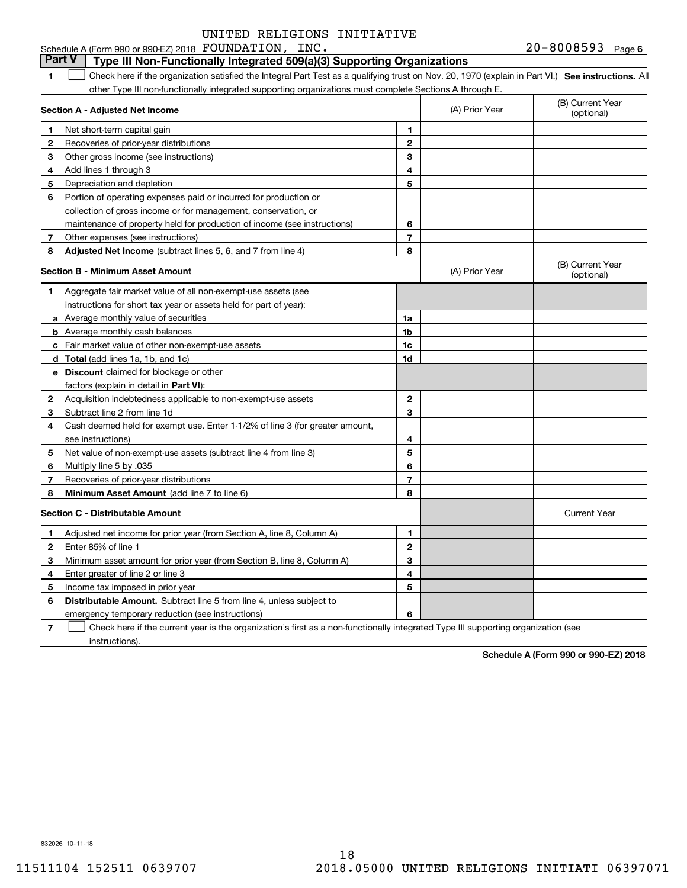#### 20-8008593 Page 6 **1SEP 10. See instructions.** All antegral Part Test as a qualifying trust on Nov. 20, 1970 (explain in Part VI.) See instructions. All **Section A - Adjusted Net Income 123** Other gross income (see instructions) **4**Add lines 1 through 3 **56** Portion of operating expenses paid or incurred for production or **7**Other expenses (see instructions) **8** Adjusted Net Income (subtract lines 5, 6, and 7 from line 4) **8 8 1234567Section B - Minimum Asset Amount 1**Aggregate fair market value of all non-exempt-use assets (see **2**Acquisition indebtedness applicable to non-exempt-use assets **3** Subtract line 2 from line 1d **4**Cash deemed held for exempt use. Enter 1-1/2% of line 3 (for greater amount, **5** Net value of non-exempt-use assets (subtract line 4 from line 3) **678a** Average monthly value of securities **b** Average monthly cash balances **c**Fair market value of other non-exempt-use assets **dTotal**  (add lines 1a, 1b, and 1c) **eDiscount** claimed for blockage or other **1a1b1c1d2345678**factors (explain in detail in **Part VI**): **Minimum Asset Amount**  (add line 7 to line 6) **Section C - Distributable Amount 1234512345**Schedule A (Form 990 or 990-EZ) 2018 Page FOUNDATION, INC. 20-8008593 other Type III non-functionally integrated supporting organizations must complete Sections A through E. (B) Current Year (optional)(A) Prior Year Net short-term capital gain Recoveries of prior-year distributions Depreciation and depletion collection of gross income or for management, conservation, or maintenance of property held for production of income (see instructions) (B) Current Year (optional)(A) Prior Year instructions for short tax year or assets held for part of year): see instructions) Multiply line 5 by .035 Recoveries of prior-year distributions Current Year Adjusted net income for prior year (from Section A, line 8, Column A) Enter 85% of line 1 Minimum asset amount for prior year (from Section B, line 8, Column A) Enter greater of line 2 or line 3 Income tax imposed in prior year **Part V** Type III Non-Functionally Integrated 509(a)(3) Supporting Organizations  $\mathcal{L}^{\text{max}}$

**6Distributable Amount.** Subtract line 5 from line 4, unless subject to emergency temporary reduction (see instructions)

**7**Check here if the current year is the organization's first as a non-functionally integrated Type III supporting organization (see instructions). $\mathcal{L}^{\text{max}}$ 

**6**

**Schedule A (Form 990 or 990-EZ) 2018**

832026 10-11-18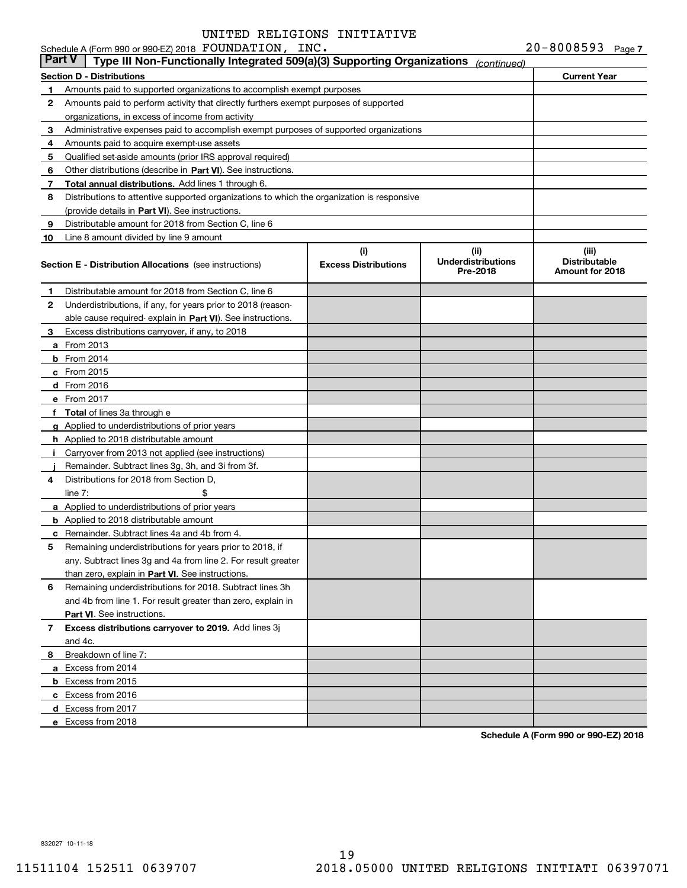|               | Schedule A (Form 990 or 990-EZ) 2018 FOUNDATION, INC.                                      |                                    |                                               | 20-8008593 Page 7                                |
|---------------|--------------------------------------------------------------------------------------------|------------------------------------|-----------------------------------------------|--------------------------------------------------|
| <b>Part V</b> | Type III Non-Functionally Integrated 509(a)(3) Supporting Organizations                    |                                    | (continued)                                   |                                                  |
|               | <b>Section D - Distributions</b>                                                           |                                    |                                               | <b>Current Year</b>                              |
| 1             | Amounts paid to supported organizations to accomplish exempt purposes                      |                                    |                                               |                                                  |
| $\mathbf{2}$  | Amounts paid to perform activity that directly furthers exempt purposes of supported       |                                    |                                               |                                                  |
|               | organizations, in excess of income from activity                                           |                                    |                                               |                                                  |
| 3             | Administrative expenses paid to accomplish exempt purposes of supported organizations      |                                    |                                               |                                                  |
| 4             | Amounts paid to acquire exempt-use assets                                                  |                                    |                                               |                                                  |
| 5             | Qualified set-aside amounts (prior IRS approval required)                                  |                                    |                                               |                                                  |
| 6             | Other distributions (describe in Part VI). See instructions.                               |                                    |                                               |                                                  |
| 7             | <b>Total annual distributions.</b> Add lines 1 through 6.                                  |                                    |                                               |                                                  |
| 8             | Distributions to attentive supported organizations to which the organization is responsive |                                    |                                               |                                                  |
|               | (provide details in Part VI). See instructions.                                            |                                    |                                               |                                                  |
| 9             | Distributable amount for 2018 from Section C, line 6                                       |                                    |                                               |                                                  |
| 10            | Line 8 amount divided by line 9 amount                                                     |                                    |                                               |                                                  |
|               | <b>Section E - Distribution Allocations</b> (see instructions)                             | (i)<br><b>Excess Distributions</b> | (ii)<br><b>Underdistributions</b><br>Pre-2018 | (iii)<br><b>Distributable</b><br>Amount for 2018 |
| 1             | Distributable amount for 2018 from Section C, line 6                                       |                                    |                                               |                                                  |
| $\mathbf{2}$  | Underdistributions, if any, for years prior to 2018 (reason-                               |                                    |                                               |                                                  |
|               | able cause required- explain in Part VI). See instructions.                                |                                    |                                               |                                                  |
| 3             | Excess distributions carryover, if any, to 2018                                            |                                    |                                               |                                                  |
|               | <b>a</b> From 2013                                                                         |                                    |                                               |                                                  |
|               | $b$ From 2014                                                                              |                                    |                                               |                                                  |
|               | c From 2015                                                                                |                                    |                                               |                                                  |
|               | d From 2016                                                                                |                                    |                                               |                                                  |
|               | e From 2017                                                                                |                                    |                                               |                                                  |
|               | f Total of lines 3a through e                                                              |                                    |                                               |                                                  |
|               | <b>g</b> Applied to underdistributions of prior years                                      |                                    |                                               |                                                  |
|               | <b>h</b> Applied to 2018 distributable amount                                              |                                    |                                               |                                                  |
|               | Carryover from 2013 not applied (see instructions)                                         |                                    |                                               |                                                  |
|               | Remainder. Subtract lines 3g, 3h, and 3i from 3f.                                          |                                    |                                               |                                                  |
| 4             | Distributions for 2018 from Section D,                                                     |                                    |                                               |                                                  |
|               | line $7:$                                                                                  |                                    |                                               |                                                  |
|               | a Applied to underdistributions of prior years                                             |                                    |                                               |                                                  |
|               | <b>b</b> Applied to 2018 distributable amount                                              |                                    |                                               |                                                  |
|               | <b>c</b> Remainder. Subtract lines 4a and 4b from 4.                                       |                                    |                                               |                                                  |
| 5             | Remaining underdistributions for years prior to 2018, if                                   |                                    |                                               |                                                  |
|               | any. Subtract lines 3g and 4a from line 2. For result greater                              |                                    |                                               |                                                  |
|               | than zero, explain in Part VI. See instructions.                                           |                                    |                                               |                                                  |
| 6             | Remaining underdistributions for 2018. Subtract lines 3h                                   |                                    |                                               |                                                  |
|               | and 4b from line 1. For result greater than zero, explain in                               |                                    |                                               |                                                  |
|               | Part VI. See instructions.                                                                 |                                    |                                               |                                                  |
| 7             | Excess distributions carryover to 2019. Add lines 3j<br>and 4c.                            |                                    |                                               |                                                  |
| 8             | Breakdown of line 7:                                                                       |                                    |                                               |                                                  |
|               | a Excess from 2014                                                                         |                                    |                                               |                                                  |
|               | <b>b</b> Excess from 2015                                                                  |                                    |                                               |                                                  |
|               | c Excess from 2016                                                                         |                                    |                                               |                                                  |
|               | d Excess from 2017                                                                         |                                    |                                               |                                                  |
|               | e Excess from 2018                                                                         |                                    |                                               |                                                  |
|               |                                                                                            |                                    |                                               |                                                  |

**Schedule A (Form 990 or 990-EZ) 2018**

832027 10-11-18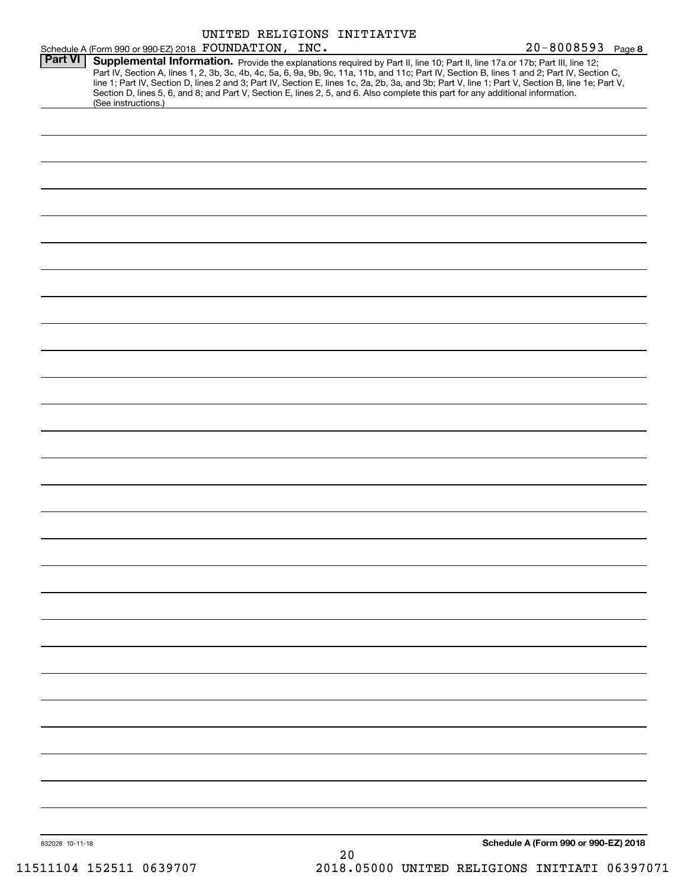|                 |                                                       |  | UNITED RELIGIONS INITIATIVE |                                                                                                                                                                                                                                                                                                                                                                                                                                                                                                                                                                      |  |
|-----------------|-------------------------------------------------------|--|-----------------------------|----------------------------------------------------------------------------------------------------------------------------------------------------------------------------------------------------------------------------------------------------------------------------------------------------------------------------------------------------------------------------------------------------------------------------------------------------------------------------------------------------------------------------------------------------------------------|--|
|                 | Schedule A (Form 990 or 990-EZ) 2018 FOUNDATION, INC. |  |                             | $20 - 8008593$ Page 8                                                                                                                                                                                                                                                                                                                                                                                                                                                                                                                                                |  |
| <b>Part VI</b>  | (See instructions.)                                   |  |                             | Supplemental Information. Provide the explanations required by Part II, line 10; Part II, line 17a or 17b; Part III, line 12;<br>Part IV, Section A, lines 1, 2, 3b, 3c, 4b, 4c, 5a, 6, 9a, 9b, 9c, 11a, 11b, and 11c; Part IV, Section B, lines 1 and 2; Part IV, Section C,<br>line 1; Part IV, Section D, lines 2 and 3; Part IV, Section E, lines 1c, 2a, 2b, 3a, and 3b; Part V, line 1; Part V, Section B, line 1e; Part V,<br>Section D, lines 5, 6, and 8; and Part V, Section E, lines 2, 5, and 6. Also complete this part for any additional information. |  |
|                 |                                                       |  |                             |                                                                                                                                                                                                                                                                                                                                                                                                                                                                                                                                                                      |  |
|                 |                                                       |  |                             |                                                                                                                                                                                                                                                                                                                                                                                                                                                                                                                                                                      |  |
|                 |                                                       |  |                             |                                                                                                                                                                                                                                                                                                                                                                                                                                                                                                                                                                      |  |
|                 |                                                       |  |                             |                                                                                                                                                                                                                                                                                                                                                                                                                                                                                                                                                                      |  |
|                 |                                                       |  |                             |                                                                                                                                                                                                                                                                                                                                                                                                                                                                                                                                                                      |  |
|                 |                                                       |  |                             |                                                                                                                                                                                                                                                                                                                                                                                                                                                                                                                                                                      |  |
|                 |                                                       |  |                             |                                                                                                                                                                                                                                                                                                                                                                                                                                                                                                                                                                      |  |
|                 |                                                       |  |                             |                                                                                                                                                                                                                                                                                                                                                                                                                                                                                                                                                                      |  |
|                 |                                                       |  |                             |                                                                                                                                                                                                                                                                                                                                                                                                                                                                                                                                                                      |  |
|                 |                                                       |  |                             |                                                                                                                                                                                                                                                                                                                                                                                                                                                                                                                                                                      |  |
|                 |                                                       |  |                             |                                                                                                                                                                                                                                                                                                                                                                                                                                                                                                                                                                      |  |
|                 |                                                       |  |                             |                                                                                                                                                                                                                                                                                                                                                                                                                                                                                                                                                                      |  |
|                 |                                                       |  |                             |                                                                                                                                                                                                                                                                                                                                                                                                                                                                                                                                                                      |  |
|                 |                                                       |  |                             |                                                                                                                                                                                                                                                                                                                                                                                                                                                                                                                                                                      |  |
|                 |                                                       |  |                             |                                                                                                                                                                                                                                                                                                                                                                                                                                                                                                                                                                      |  |
|                 |                                                       |  |                             |                                                                                                                                                                                                                                                                                                                                                                                                                                                                                                                                                                      |  |
|                 |                                                       |  |                             |                                                                                                                                                                                                                                                                                                                                                                                                                                                                                                                                                                      |  |
|                 |                                                       |  |                             |                                                                                                                                                                                                                                                                                                                                                                                                                                                                                                                                                                      |  |
|                 |                                                       |  |                             |                                                                                                                                                                                                                                                                                                                                                                                                                                                                                                                                                                      |  |
|                 |                                                       |  |                             |                                                                                                                                                                                                                                                                                                                                                                                                                                                                                                                                                                      |  |
|                 |                                                       |  |                             |                                                                                                                                                                                                                                                                                                                                                                                                                                                                                                                                                                      |  |
|                 |                                                       |  |                             |                                                                                                                                                                                                                                                                                                                                                                                                                                                                                                                                                                      |  |
|                 |                                                       |  |                             |                                                                                                                                                                                                                                                                                                                                                                                                                                                                                                                                                                      |  |
|                 |                                                       |  |                             |                                                                                                                                                                                                                                                                                                                                                                                                                                                                                                                                                                      |  |
|                 |                                                       |  |                             |                                                                                                                                                                                                                                                                                                                                                                                                                                                                                                                                                                      |  |
|                 |                                                       |  |                             |                                                                                                                                                                                                                                                                                                                                                                                                                                                                                                                                                                      |  |
|                 |                                                       |  |                             |                                                                                                                                                                                                                                                                                                                                                                                                                                                                                                                                                                      |  |
|                 |                                                       |  |                             |                                                                                                                                                                                                                                                                                                                                                                                                                                                                                                                                                                      |  |
|                 |                                                       |  |                             |                                                                                                                                                                                                                                                                                                                                                                                                                                                                                                                                                                      |  |
| 832028 10-11-18 |                                                       |  | $\bigcap$                   | Schedule A (Form 990 or 990-EZ) 2018                                                                                                                                                                                                                                                                                                                                                                                                                                                                                                                                 |  |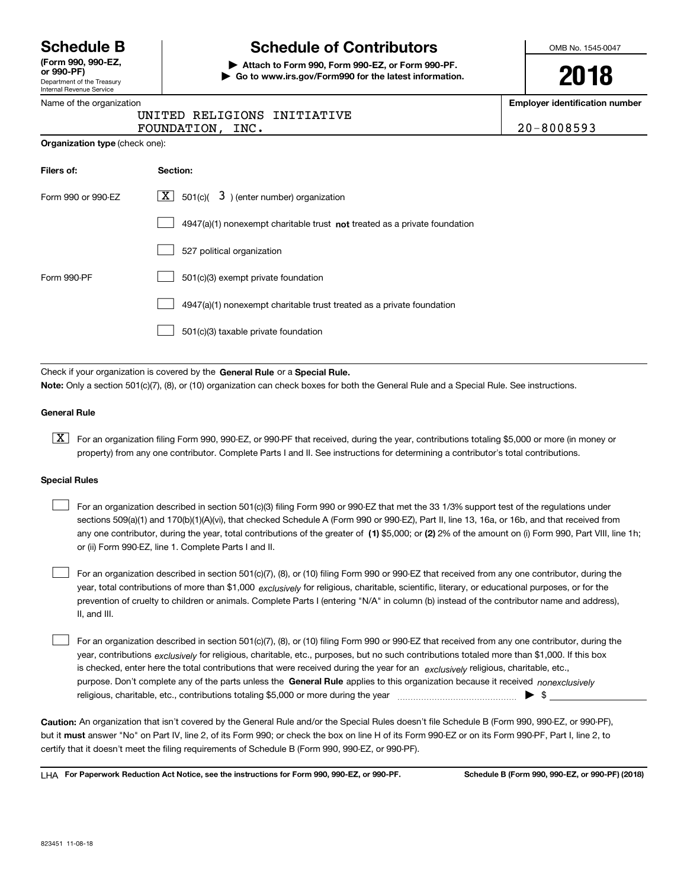Department of the Treasury Internal Revenue Service **(Form 990, 990-EZ, or 990-PF)**

## **Schedule B Schedule of Contributors**

**| Attach to Form 990, Form 990-EZ, or Form 990-PF. | Go to www.irs.gov/Form990 for the latest information.** OMB No. 1545-0047

**2018**

**Employer identification number**

|  | Name of the organization |  |
|--|--------------------------|--|
|  |                          |  |

|                                       | UNITED RELIGIONS<br>INITIATIVE<br>FOUNDATION, INC.                                 | 20-8008593 |
|---------------------------------------|------------------------------------------------------------------------------------|------------|
| <b>Organization type (check one):</b> |                                                                                    |            |
| Filers of:                            | Section:                                                                           |            |
| Form 990 or 990-EZ                    | $\mathbf{X}$<br>$501(c)$ $3$ ) (enter number) organization                         |            |
|                                       | $4947(a)(1)$ nonexempt charitable trust <b>not</b> treated as a private foundation |            |
|                                       | 527 political organization                                                         |            |
| Form 990-PF                           | 501(c)(3) exempt private foundation                                                |            |
|                                       | 4947(a)(1) nonexempt charitable trust treated as a private foundation              |            |
|                                       | 501(c)(3) taxable private foundation                                               |            |

Check if your organization is covered by the **General Rule** or a **Special Rule. Note:**  Only a section 501(c)(7), (8), or (10) organization can check boxes for both the General Rule and a Special Rule. See instructions.

#### **General Rule**

 $\boxed{\textbf{X}}$  For an organization filing Form 990, 990-EZ, or 990-PF that received, during the year, contributions totaling \$5,000 or more (in money or property) from any one contributor. Complete Parts I and II. See instructions for determining a contributor's total contributions.

#### **Special Rules**

| For an organization described in section 501(c)(3) filing Form 990 or 990-EZ that met the 33 1/3% support test of the regulations under               |
|-------------------------------------------------------------------------------------------------------------------------------------------------------|
| sections 509(a)(1) and 170(b)(1)(A)(vi), that checked Schedule A (Form 990 or 990-EZ), Part II, line 13, 16a, or 16b, and that received from          |
| any one contributor, during the year, total contributions of the greater of (1) \$5,000; or (2) 2% of the amount on (i) Form 990, Part VIII, line 1h; |
| or (ii) Form 990-EZ, line 1. Complete Parts I and II.                                                                                                 |

year, total contributions of more than \$1,000 *exclusively* for religious, charitable, scientific, literary, or educational purposes, or for the For an organization described in section 501(c)(7), (8), or (10) filing Form 990 or 990-EZ that received from any one contributor, during the prevention of cruelty to children or animals. Complete Parts I (entering "N/A" in column (b) instead of the contributor name and address), II, and III.  $\mathcal{L}^{\text{max}}$ 

purpose. Don't complete any of the parts unless the **General Rule** applies to this organization because it received *nonexclusively* year, contributions <sub>exclusively</sub> for religious, charitable, etc., purposes, but no such contributions totaled more than \$1,000. If this box is checked, enter here the total contributions that were received during the year for an  $\;$ exclusively religious, charitable, etc., For an organization described in section 501(c)(7), (8), or (10) filing Form 990 or 990-EZ that received from any one contributor, during the religious, charitable, etc., contributions totaling \$5,000 or more during the year  $\Box$ — $\Box$   $\Box$  $\mathcal{L}^{\text{max}}$ 

**Caution:**  An organization that isn't covered by the General Rule and/or the Special Rules doesn't file Schedule B (Form 990, 990-EZ, or 990-PF),  **must** but it answer "No" on Part IV, line 2, of its Form 990; or check the box on line H of its Form 990-EZ or on its Form 990-PF, Part I, line 2, to certify that it doesn't meet the filing requirements of Schedule B (Form 990, 990-EZ, or 990-PF).

**For Paperwork Reduction Act Notice, see the instructions for Form 990, 990-EZ, or 990-PF. Schedule B (Form 990, 990-EZ, or 990-PF) (2018)** LHA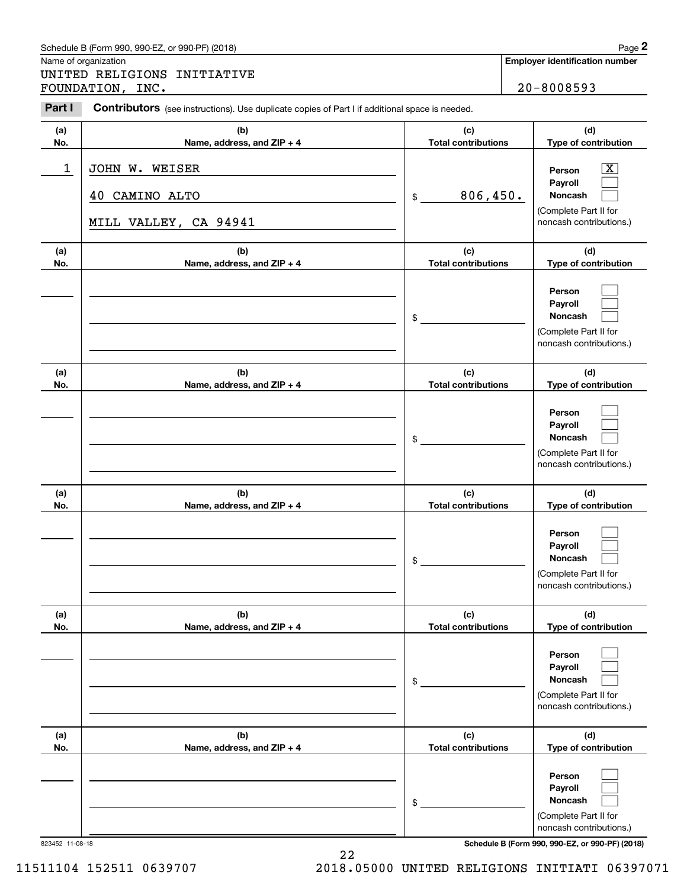|                 | Schedule B (Form 990, 990-EZ, or 990-PF) (2018)                                                |                                   | Page 2                                                                                                             |
|-----------------|------------------------------------------------------------------------------------------------|-----------------------------------|--------------------------------------------------------------------------------------------------------------------|
|                 | Name of organization<br>UNITED RELIGIONS INITIATIVE                                            |                                   | Employer identification number                                                                                     |
|                 | FOUNDATION, INC.                                                                               |                                   | $20 - 8008593$                                                                                                     |
| Part I          | Contributors (see instructions). Use duplicate copies of Part I if additional space is needed. |                                   |                                                                                                                    |
| (a)<br>No.      | (b)<br>Name, address, and ZIP + 4                                                              | (c)<br><b>Total contributions</b> | (d)<br>Type of contribution                                                                                        |
| 1               | JOHN W. WEISER<br>CAMINO ALTO<br>40<br>MILL VALLEY, CA 94941                                   | 806,450.<br>\$                    | $\overline{\mathbf{X}}$<br>Person<br>Payroll<br><b>Noncash</b><br>(Complete Part II for<br>noncash contributions.) |
| (a)<br>No.      | (b)<br>Name, address, and ZIP + 4                                                              | (c)<br><b>Total contributions</b> | (d)<br>Type of contribution                                                                                        |
|                 |                                                                                                | \$                                | Person<br>Payroll<br>Noncash<br>(Complete Part II for<br>noncash contributions.)                                   |
| (a)<br>No.      | (b)<br>Name, address, and ZIP + 4                                                              | (c)<br><b>Total contributions</b> | (d)<br>Type of contribution                                                                                        |
|                 |                                                                                                | \$                                | Person<br>Payroll<br>Noncash<br>(Complete Part II for<br>noncash contributions.)                                   |
| (a)<br>No.      | (b)<br>Name, address, and ZIP + 4                                                              | (c)<br><b>Total contributions</b> | (d)<br>Type of contribution                                                                                        |
|                 |                                                                                                | \$                                | Person<br>Payroll<br><b>Noncash</b><br>(Complete Part II for<br>noncash contributions.)                            |
| (a)<br>No.      | (b)<br>Name, address, and ZIP + 4                                                              | (c)<br><b>Total contributions</b> | (d)<br>Type of contribution                                                                                        |
|                 |                                                                                                | \$                                | Person<br>Payroll<br><b>Noncash</b><br>(Complete Part II for<br>noncash contributions.)                            |
| (a)<br>No.      | (b)<br>Name, address, and ZIP + 4                                                              | (c)<br><b>Total contributions</b> | (d)<br>Type of contribution                                                                                        |
|                 |                                                                                                | \$                                | Person<br>Payroll<br>Noncash<br>(Complete Part II for<br>noncash contributions.)                                   |
| 823452 11-08-18 |                                                                                                |                                   | Schedule B (Form 990, 990-EZ, or 990-PF) (2018)                                                                    |

22 11511104 152511 0639707 2018.05000 UNITED RELIGIONS INITIATI 06397071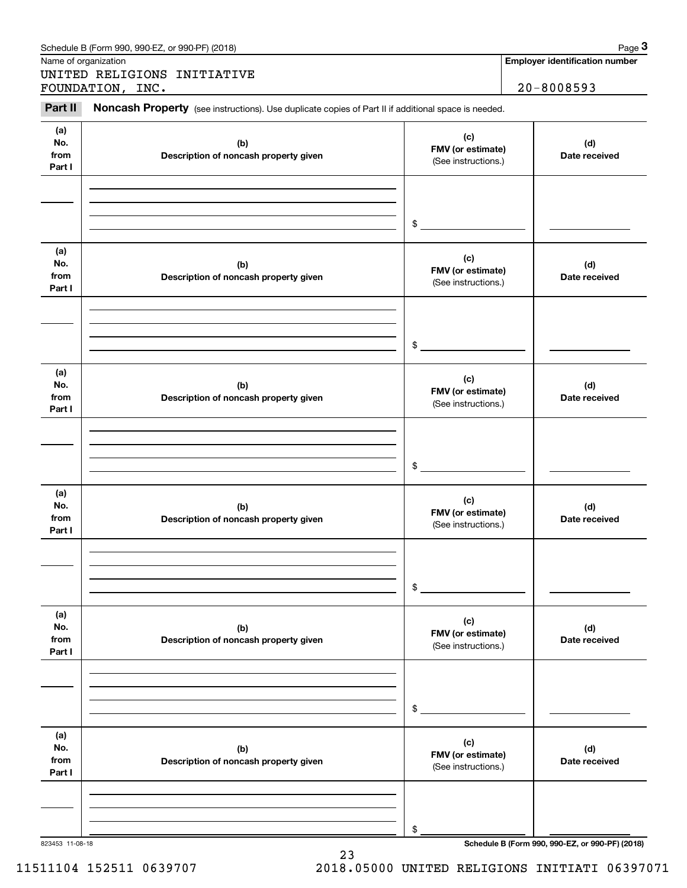| Name of organization         | Schedule B (Form 990, 990-EZ, or 990-PF) (2018)                                                     |                                                 | Page 3<br><b>Employer identification number</b> |
|------------------------------|-----------------------------------------------------------------------------------------------------|-------------------------------------------------|-------------------------------------------------|
|                              | UNITED RELIGIONS INITIATIVE<br>FOUNDATION, INC.                                                     |                                                 | $20 - 8008593$                                  |
| Part II                      | Noncash Property (see instructions). Use duplicate copies of Part II if additional space is needed. |                                                 |                                                 |
| (a)<br>No.<br>from<br>Part I | (b)<br>Description of noncash property given                                                        | (c)<br>FMV (or estimate)<br>(See instructions.) | (d)<br>Date received                            |
|                              |                                                                                                     | $\frac{1}{2}$                                   |                                                 |
| (a)<br>No.<br>from<br>Part I | (b)<br>Description of noncash property given                                                        | (c)<br>FMV (or estimate)<br>(See instructions.) | (d)<br>Date received                            |
|                              |                                                                                                     | \$                                              |                                                 |
| (a)<br>No.<br>from<br>Part I | (b)<br>Description of noncash property given                                                        | (c)<br>FMV (or estimate)<br>(See instructions.) | (d)<br>Date received                            |
|                              |                                                                                                     | $\frac{1}{2}$                                   |                                                 |
| (a)<br>No.<br>from<br>Part I | (b)<br>Description of noncash property given                                                        | (c)<br>FMV (or estimate)<br>(See instructions.) | (d)<br>Date received                            |
|                              |                                                                                                     | \$                                              |                                                 |
| (a)<br>No.<br>from<br>Part I | (b)<br>Description of noncash property given                                                        | (c)<br>FMV (or estimate)<br>(See instructions.) | (d)<br>Date received                            |
|                              |                                                                                                     | \$                                              |                                                 |
| (a)<br>No.<br>from<br>Part I | (b)<br>Description of noncash property given                                                        | (c)<br>FMV (or estimate)<br>(See instructions.) | (d)<br>Date received                            |
|                              |                                                                                                     | \$                                              |                                                 |
| 823453 11-08-18              |                                                                                                     |                                                 | Schedule B (Form 990, 990-EZ, or 990-PF) (2018) |

23

#### 11511104 152511 0639707 2018.05000 UNITED RELIGIONS INITIATI 06397071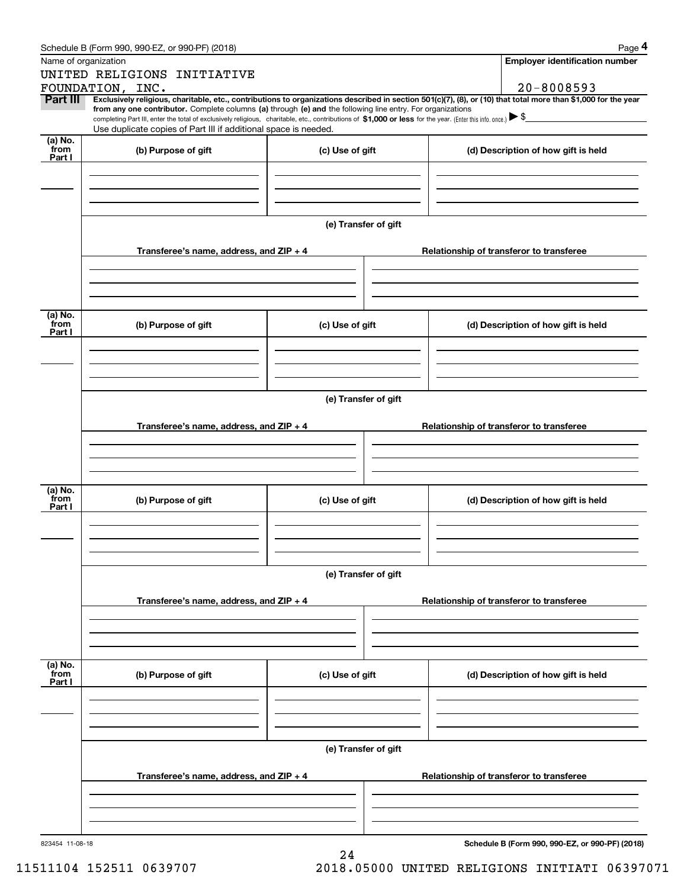|                      | Schedule B (Form 990, 990-EZ, or 990-PF) (2018)                                                                                                                                                                                                      |                      |                                          | Page 4                                          |  |  |  |
|----------------------|------------------------------------------------------------------------------------------------------------------------------------------------------------------------------------------------------------------------------------------------------|----------------------|------------------------------------------|-------------------------------------------------|--|--|--|
| Name of organization |                                                                                                                                                                                                                                                      |                      |                                          | <b>Employer identification number</b>           |  |  |  |
|                      | UNITED RELIGIONS INITIATIVE                                                                                                                                                                                                                          |                      |                                          |                                                 |  |  |  |
| Part III             | FOUNDATION, INC.<br>Exclusively religious, charitable, etc., contributions to organizations described in section 501(c)(7), (8), or (10) that total more than \$1,000 for the year                                                                   |                      |                                          | 20-8008593                                      |  |  |  |
|                      | from any one contributor. Complete columns (a) through (e) and the following line entry. For organizations                                                                                                                                           |                      |                                          |                                                 |  |  |  |
|                      | completing Part III, enter the total of exclusively religious, charitable, etc., contributions of \$1,000 or less for the year. (Enter this info. once.) $\blacktriangleright$ \$<br>Use duplicate copies of Part III if additional space is needed. |                      |                                          |                                                 |  |  |  |
| (a) No.<br>from      |                                                                                                                                                                                                                                                      |                      |                                          |                                                 |  |  |  |
| Part I               | (b) Purpose of gift                                                                                                                                                                                                                                  | (c) Use of gift      |                                          | (d) Description of how gift is held             |  |  |  |
|                      |                                                                                                                                                                                                                                                      |                      |                                          |                                                 |  |  |  |
|                      |                                                                                                                                                                                                                                                      |                      |                                          |                                                 |  |  |  |
|                      |                                                                                                                                                                                                                                                      |                      |                                          |                                                 |  |  |  |
|                      |                                                                                                                                                                                                                                                      | (e) Transfer of gift |                                          |                                                 |  |  |  |
|                      |                                                                                                                                                                                                                                                      |                      |                                          |                                                 |  |  |  |
|                      | Transferee's name, address, and $ZIP + 4$                                                                                                                                                                                                            |                      |                                          | Relationship of transferor to transferee        |  |  |  |
|                      |                                                                                                                                                                                                                                                      |                      |                                          |                                                 |  |  |  |
|                      |                                                                                                                                                                                                                                                      |                      |                                          |                                                 |  |  |  |
|                      |                                                                                                                                                                                                                                                      |                      |                                          |                                                 |  |  |  |
| (a) No.<br>from      | (b) Purpose of gift                                                                                                                                                                                                                                  | (c) Use of gift      |                                          | (d) Description of how gift is held             |  |  |  |
| Part I               |                                                                                                                                                                                                                                                      |                      |                                          |                                                 |  |  |  |
|                      |                                                                                                                                                                                                                                                      |                      |                                          |                                                 |  |  |  |
|                      |                                                                                                                                                                                                                                                      |                      |                                          |                                                 |  |  |  |
|                      |                                                                                                                                                                                                                                                      |                      |                                          |                                                 |  |  |  |
|                      |                                                                                                                                                                                                                                                      | (e) Transfer of gift |                                          |                                                 |  |  |  |
|                      |                                                                                                                                                                                                                                                      |                      |                                          |                                                 |  |  |  |
|                      | Transferee's name, address, and $ZIP + 4$                                                                                                                                                                                                            |                      |                                          | Relationship of transferor to transferee        |  |  |  |
|                      |                                                                                                                                                                                                                                                      |                      |                                          |                                                 |  |  |  |
|                      |                                                                                                                                                                                                                                                      |                      |                                          |                                                 |  |  |  |
|                      |                                                                                                                                                                                                                                                      |                      |                                          |                                                 |  |  |  |
| (a) No.<br>from      | (b) Purpose of gift                                                                                                                                                                                                                                  | (c) Use of gift      |                                          | (d) Description of how gift is held             |  |  |  |
| Part I               |                                                                                                                                                                                                                                                      |                      |                                          |                                                 |  |  |  |
|                      |                                                                                                                                                                                                                                                      |                      |                                          |                                                 |  |  |  |
|                      |                                                                                                                                                                                                                                                      |                      |                                          |                                                 |  |  |  |
|                      |                                                                                                                                                                                                                                                      |                      |                                          |                                                 |  |  |  |
|                      | (e) Transfer of gift                                                                                                                                                                                                                                 |                      |                                          |                                                 |  |  |  |
|                      | Transferee's name, address, and ZIP + 4                                                                                                                                                                                                              |                      | Relationship of transferor to transferee |                                                 |  |  |  |
|                      |                                                                                                                                                                                                                                                      |                      |                                          |                                                 |  |  |  |
|                      |                                                                                                                                                                                                                                                      |                      |                                          |                                                 |  |  |  |
|                      |                                                                                                                                                                                                                                                      |                      |                                          |                                                 |  |  |  |
| (a) No.              |                                                                                                                                                                                                                                                      |                      |                                          |                                                 |  |  |  |
| `from<br>Part I      | (b) Purpose of gift                                                                                                                                                                                                                                  | (c) Use of gift      |                                          | (d) Description of how gift is held             |  |  |  |
|                      |                                                                                                                                                                                                                                                      |                      |                                          |                                                 |  |  |  |
|                      |                                                                                                                                                                                                                                                      |                      |                                          |                                                 |  |  |  |
|                      |                                                                                                                                                                                                                                                      |                      |                                          |                                                 |  |  |  |
|                      |                                                                                                                                                                                                                                                      | (e) Transfer of gift |                                          |                                                 |  |  |  |
|                      |                                                                                                                                                                                                                                                      |                      |                                          |                                                 |  |  |  |
|                      | Transferee's name, address, and ZIP + 4                                                                                                                                                                                                              |                      | Relationship of transferor to transferee |                                                 |  |  |  |
|                      |                                                                                                                                                                                                                                                      |                      |                                          |                                                 |  |  |  |
|                      |                                                                                                                                                                                                                                                      |                      |                                          |                                                 |  |  |  |
|                      |                                                                                                                                                                                                                                                      |                      |                                          |                                                 |  |  |  |
| 823454 11-08-18      |                                                                                                                                                                                                                                                      |                      |                                          | Schedule B (Form 990, 990-EZ, or 990-PF) (2018) |  |  |  |
|                      |                                                                                                                                                                                                                                                      | 24                   |                                          |                                                 |  |  |  |

11511104 152511 0639707 2018.05000 UNITED RELIGIONS INITIATI 06397071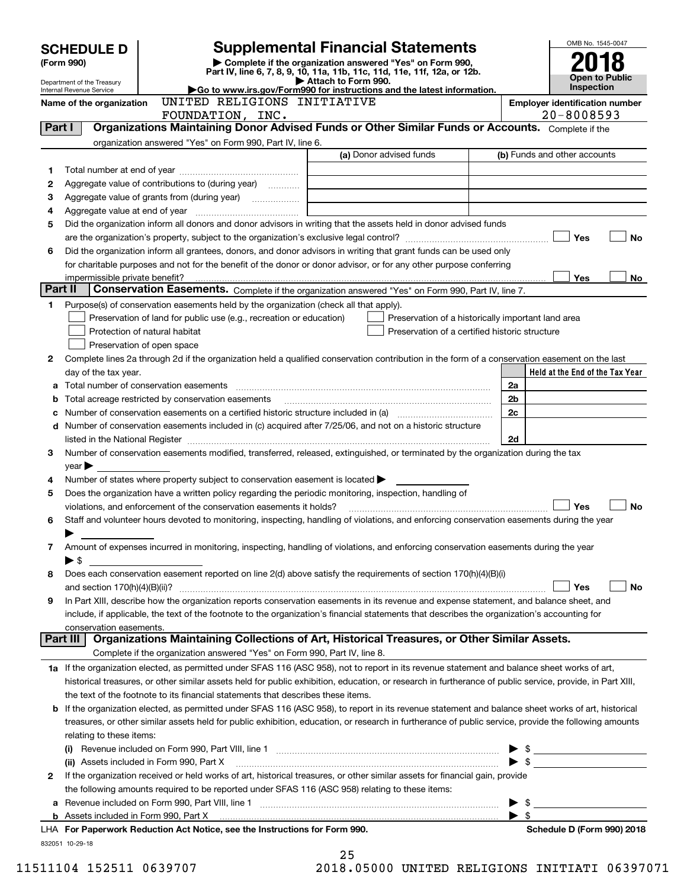|         | <b>SCHEDULE D</b><br>(Form 990)<br>Department of the Treasury |                                                                                                        | <b>Supplemental Financial Statements</b><br>Complete if the organization answered "Yes" on Form 990,<br>Part IV, line 6, 7, 8, 9, 10, 11a, 11b, 11c, 11d, 11e, 11f, 12a, or 12b.<br>Attach to Form 990. |                          | OMB No. 1545-0047<br><b>Open to Public</b>              |
|---------|---------------------------------------------------------------|--------------------------------------------------------------------------------------------------------|---------------------------------------------------------------------------------------------------------------------------------------------------------------------------------------------------------|--------------------------|---------------------------------------------------------|
|         | Internal Revenue Service                                      |                                                                                                        | Go to www.irs.gov/Form990 for instructions and the latest information.                                                                                                                                  |                          | <b>Inspection</b>                                       |
|         | Name of the organization                                      | UNITED RELIGIONS INITIATIVE                                                                            |                                                                                                                                                                                                         |                          | <b>Employer identification number</b><br>$20 - 8008593$ |
| Part I  |                                                               | FOUNDATION, INC.                                                                                       | Organizations Maintaining Donor Advised Funds or Other Similar Funds or Accounts. Complete if the                                                                                                       |                          |                                                         |
|         |                                                               | organization answered "Yes" on Form 990, Part IV, line 6.                                              |                                                                                                                                                                                                         |                          |                                                         |
|         |                                                               |                                                                                                        | (a) Donor advised funds                                                                                                                                                                                 |                          | (b) Funds and other accounts                            |
| 1       |                                                               |                                                                                                        |                                                                                                                                                                                                         |                          |                                                         |
| 2       |                                                               | Aggregate value of contributions to (during year)                                                      |                                                                                                                                                                                                         |                          |                                                         |
| з       |                                                               |                                                                                                        |                                                                                                                                                                                                         |                          |                                                         |
| 4       |                                                               |                                                                                                        |                                                                                                                                                                                                         |                          |                                                         |
| 5       |                                                               |                                                                                                        | Did the organization inform all donors and donor advisors in writing that the assets held in donor advised funds                                                                                        |                          |                                                         |
|         |                                                               |                                                                                                        |                                                                                                                                                                                                         |                          | Yes<br>No                                               |
| 6       |                                                               |                                                                                                        | Did the organization inform all grantees, donors, and donor advisors in writing that grant funds can be used only                                                                                       |                          |                                                         |
|         |                                                               |                                                                                                        | for charitable purposes and not for the benefit of the donor or donor advisor, or for any other purpose conferring                                                                                      |                          |                                                         |
|         |                                                               |                                                                                                        |                                                                                                                                                                                                         |                          | Yes<br>No.                                              |
| Part II |                                                               |                                                                                                        | Conservation Easements. Complete if the organization answered "Yes" on Form 990, Part IV, line 7.                                                                                                       |                          |                                                         |
| 1       |                                                               | Purpose(s) of conservation easements held by the organization (check all that apply).                  |                                                                                                                                                                                                         |                          |                                                         |
|         |                                                               | Preservation of land for public use (e.g., recreation or education)                                    | Preservation of a historically important land area                                                                                                                                                      |                          |                                                         |
|         |                                                               | Protection of natural habitat                                                                          | Preservation of a certified historic structure                                                                                                                                                          |                          |                                                         |
|         |                                                               | Preservation of open space                                                                             |                                                                                                                                                                                                         |                          |                                                         |
| 2       |                                                               |                                                                                                        | Complete lines 2a through 2d if the organization held a qualified conservation contribution in the form of a conservation easement on the last                                                          |                          |                                                         |
|         | day of the tax year.                                          |                                                                                                        |                                                                                                                                                                                                         | 2a                       | Held at the End of the Tax Year                         |
| а       |                                                               | Total acreage restricted by conservation easements                                                     |                                                                                                                                                                                                         | 2 <sub>b</sub>           |                                                         |
| b<br>с  |                                                               |                                                                                                        |                                                                                                                                                                                                         | 2c                       |                                                         |
| d       |                                                               |                                                                                                        | Number of conservation easements included in (c) acquired after 7/25/06, and not on a historic structure                                                                                                |                          |                                                         |
|         |                                                               |                                                                                                        |                                                                                                                                                                                                         | 2d                       |                                                         |
| з       |                                                               |                                                                                                        | Number of conservation easements modified, transferred, released, extinguished, or terminated by the organization during the tax                                                                        |                          |                                                         |
|         | $year \blacktriangleright$                                    |                                                                                                        |                                                                                                                                                                                                         |                          |                                                         |
| 4       |                                                               | Number of states where property subject to conservation easement is located $\blacktriangleright$      |                                                                                                                                                                                                         |                          |                                                         |
| 5       |                                                               | Does the organization have a written policy regarding the periodic monitoring, inspection, handling of |                                                                                                                                                                                                         |                          |                                                         |
|         |                                                               | violations, and enforcement of the conservation easements it holds?                                    |                                                                                                                                                                                                         |                          | Yes<br>No                                               |
| 6       |                                                               |                                                                                                        | Staff and volunteer hours devoted to monitoring, inspecting, handling of violations, and enforcing conservation easements during the year                                                               |                          |                                                         |
|         |                                                               |                                                                                                        |                                                                                                                                                                                                         |                          |                                                         |
| 7       |                                                               |                                                                                                        | Amount of expenses incurred in monitoring, inspecting, handling of violations, and enforcing conservation easements during the year                                                                     |                          |                                                         |
|         | $\blacktriangleright$ \$                                      |                                                                                                        |                                                                                                                                                                                                         |                          |                                                         |
| 8       |                                                               |                                                                                                        | Does each conservation easement reported on line 2(d) above satisfy the requirements of section 170(h)(4)(B)(i)                                                                                         |                          |                                                         |
| 9       |                                                               |                                                                                                        | In Part XIII, describe how the organization reports conservation easements in its revenue and expense statement, and balance sheet, and                                                                 |                          | Yes<br>No                                               |
|         |                                                               |                                                                                                        | include, if applicable, the text of the footnote to the organization's financial statements that describes the organization's accounting for                                                            |                          |                                                         |
|         | conservation easements.                                       |                                                                                                        |                                                                                                                                                                                                         |                          |                                                         |
|         | Part III                                                      |                                                                                                        | Organizations Maintaining Collections of Art, Historical Treasures, or Other Similar Assets.                                                                                                            |                          |                                                         |
|         |                                                               | Complete if the organization answered "Yes" on Form 990, Part IV, line 8.                              |                                                                                                                                                                                                         |                          |                                                         |
|         |                                                               |                                                                                                        | 1a If the organization elected, as permitted under SFAS 116 (ASC 958), not to report in its revenue statement and balance sheet works of art,                                                           |                          |                                                         |
|         |                                                               |                                                                                                        | historical treasures, or other similar assets held for public exhibition, education, or research in furtherance of public service, provide, in Part XIII,                                               |                          |                                                         |
|         |                                                               | the text of the footnote to its financial statements that describes these items.                       |                                                                                                                                                                                                         |                          |                                                         |
| b       |                                                               |                                                                                                        | If the organization elected, as permitted under SFAS 116 (ASC 958), to report in its revenue statement and balance sheet works of art, historical                                                       |                          |                                                         |
|         |                                                               |                                                                                                        | treasures, or other similar assets held for public exhibition, education, or research in furtherance of public service, provide the following amounts                                                   |                          |                                                         |
|         | relating to these items:                                      |                                                                                                        |                                                                                                                                                                                                         |                          |                                                         |
|         |                                                               |                                                                                                        |                                                                                                                                                                                                         |                          |                                                         |
|         |                                                               | (ii) Assets included in Form 990, Part X                                                               |                                                                                                                                                                                                         | $\blacktriangleright$ \$ |                                                         |
| 2       |                                                               |                                                                                                        | If the organization received or held works of art, historical treasures, or other similar assets for financial gain, provide                                                                            |                          |                                                         |
|         |                                                               | the following amounts required to be reported under SFAS 116 (ASC 958) relating to these items:        |                                                                                                                                                                                                         |                          |                                                         |
| а       |                                                               |                                                                                                        |                                                                                                                                                                                                         | \$<br>-\$                |                                                         |
|         |                                                               | LHA For Paperwork Reduction Act Notice, see the Instructions for Form 990.                             |                                                                                                                                                                                                         |                          | Schedule D (Form 990) 2018                              |
|         | 832051 10-29-18                                               |                                                                                                        |                                                                                                                                                                                                         |                          |                                                         |
|         |                                                               |                                                                                                        | っこ                                                                                                                                                                                                      |                          |                                                         |

25 11511104 152511 0639707 2018.05000 UNITED RELIGIONS INITIATI 06397071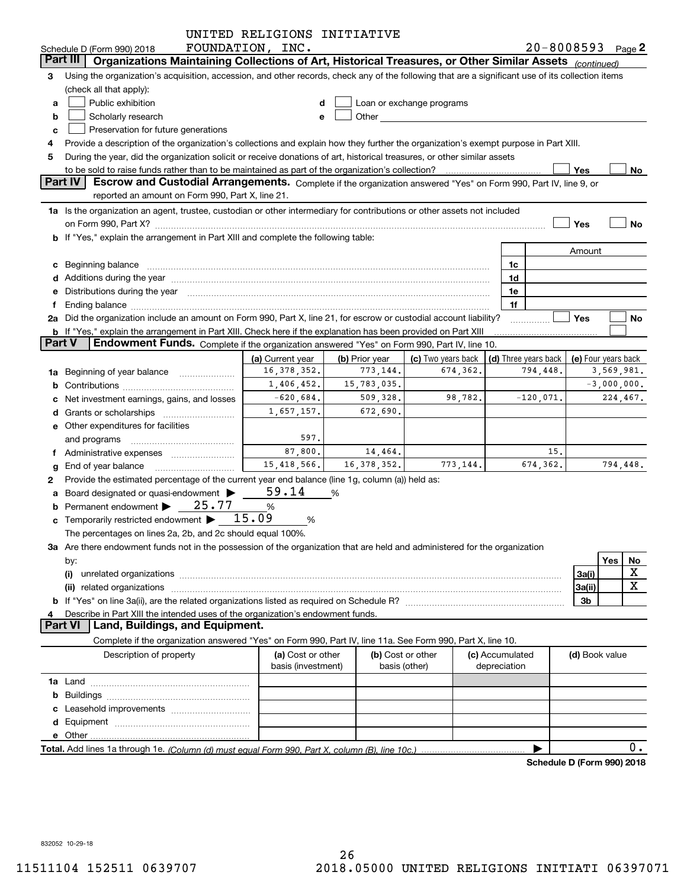|               |                                                                                                                                                                                                                                | UNITED RELIGIONS INITIATIVE                     |                |                                                                                                                                                                                                                                |                                 |             |                            |               |       |
|---------------|--------------------------------------------------------------------------------------------------------------------------------------------------------------------------------------------------------------------------------|-------------------------------------------------|----------------|--------------------------------------------------------------------------------------------------------------------------------------------------------------------------------------------------------------------------------|---------------------------------|-------------|----------------------------|---------------|-------|
|               | Schedule D (Form 990) 2018                                                                                                                                                                                                     | FOUNDATION, INC.                                |                |                                                                                                                                                                                                                                |                                 |             | $20 - 8008593$ Page 2      |               |       |
|               | Part III<br>Organizations Maintaining Collections of Art, Historical Treasures, or Other Similar Assets (continued)                                                                                                            |                                                 |                |                                                                                                                                                                                                                                |                                 |             |                            |               |       |
| з             | Using the organization's acquisition, accession, and other records, check any of the following that are a significant use of its collection items<br>(check all that apply):                                                   |                                                 |                |                                                                                                                                                                                                                                |                                 |             |                            |               |       |
|               | Public exhibition                                                                                                                                                                                                              |                                                 |                |                                                                                                                                                                                                                                |                                 |             |                            |               |       |
| a             |                                                                                                                                                                                                                                |                                                 |                | Loan or exchange programs                                                                                                                                                                                                      |                                 |             |                            |               |       |
| b             | Scholarly research                                                                                                                                                                                                             |                                                 |                | Other the contract of the contract of the contract of the contract of the contract of the contract of the contract of the contract of the contract of the contract of the contract of the contract of the contract of the cont |                                 |             |                            |               |       |
| c             | Preservation for future generations                                                                                                                                                                                            |                                                 |                |                                                                                                                                                                                                                                |                                 |             |                            |               |       |
|               | Provide a description of the organization's collections and explain how they further the organization's exempt purpose in Part XIII.                                                                                           |                                                 |                |                                                                                                                                                                                                                                |                                 |             |                            |               |       |
| 5             | During the year, did the organization solicit or receive donations of art, historical treasures, or other similar assets                                                                                                       |                                                 |                |                                                                                                                                                                                                                                |                                 |             |                            |               |       |
|               | to be sold to raise funds rather than to be maintained as part of the organization's collection?<br><b>Part IV</b>                                                                                                             |                                                 |                |                                                                                                                                                                                                                                |                                 |             | Yes                        |               | No    |
|               | Escrow and Custodial Arrangements. Complete if the organization answered "Yes" on Form 990, Part IV, line 9, or<br>reported an amount on Form 990, Part X, line 21.                                                            |                                                 |                |                                                                                                                                                                                                                                |                                 |             |                            |               |       |
|               |                                                                                                                                                                                                                                |                                                 |                |                                                                                                                                                                                                                                |                                 |             |                            |               |       |
|               | 1a Is the organization an agent, trustee, custodian or other intermediary for contributions or other assets not included                                                                                                       |                                                 |                |                                                                                                                                                                                                                                |                                 |             |                            |               |       |
|               |                                                                                                                                                                                                                                |                                                 |                |                                                                                                                                                                                                                                |                                 |             | Yes                        |               | No    |
|               | b If "Yes," explain the arrangement in Part XIII and complete the following table:                                                                                                                                             |                                                 |                |                                                                                                                                                                                                                                |                                 |             |                            |               |       |
|               |                                                                                                                                                                                                                                |                                                 |                |                                                                                                                                                                                                                                |                                 |             | Amount                     |               |       |
|               | c Beginning balance entrance and the contract of the balance of the contract of the contract of the contract of the contract of the contract of the contract of the contract of the contract of the contract of the contract o |                                                 |                |                                                                                                                                                                                                                                | 1c                              |             |                            |               |       |
|               |                                                                                                                                                                                                                                |                                                 |                |                                                                                                                                                                                                                                | 1d                              |             |                            |               |       |
|               | e Distributions during the year manufactured and contained and contained and contained and contained and contained and contained and contained and contained and contained and contained and contained and contained and conta |                                                 |                |                                                                                                                                                                                                                                | 1e                              |             |                            |               |       |
|               | Ending balance manufactured and contract and contract and contract and contract and contract and contract and contract and contract and contract and contract and contract and contract and contract and contract and contract |                                                 |                |                                                                                                                                                                                                                                | 1f                              |             |                            |               |       |
|               | 2a Did the organization include an amount on Form 990, Part X, line 21, for escrow or custodial account liability?                                                                                                             |                                                 |                |                                                                                                                                                                                                                                |                                 |             | Yes                        |               | No    |
|               | <b>b</b> If "Yes," explain the arrangement in Part XIII. Check here if the explanation has been provided on Part XIII                                                                                                          |                                                 |                |                                                                                                                                                                                                                                |                                 |             |                            |               |       |
| <b>Part V</b> | Endowment Funds. Complete if the organization answered "Yes" on Form 990, Part IV, line 10.                                                                                                                                    |                                                 |                |                                                                                                                                                                                                                                |                                 |             |                            |               |       |
|               |                                                                                                                                                                                                                                | (a) Current year                                | (b) Prior year | (c) Two years back                                                                                                                                                                                                             | (d) Three years back            |             | (e) Four years back        |               |       |
|               | 1a Beginning of year balance                                                                                                                                                                                                   | 16,378,352.<br>773,144.<br>674,362.<br>794,448. |                |                                                                                                                                                                                                                                |                                 |             | 3,569,981.                 |               |       |
|               |                                                                                                                                                                                                                                | 1,406,452.                                      | 15,783,035.    |                                                                                                                                                                                                                                |                                 |             |                            | $-3,000,000.$ |       |
|               | c Net investment earnings, gains, and losses                                                                                                                                                                                   | $-620,684.$                                     | 509,328.       | 98,782.                                                                                                                                                                                                                        |                                 | $-120,071.$ |                            | 224,467.      |       |
|               |                                                                                                                                                                                                                                | 1,657,157.                                      | 672,690.       |                                                                                                                                                                                                                                |                                 |             |                            |               |       |
|               | e Other expenditures for facilities                                                                                                                                                                                            |                                                 |                |                                                                                                                                                                                                                                |                                 |             |                            |               |       |
|               | and programs                                                                                                                                                                                                                   | 597.                                            |                |                                                                                                                                                                                                                                |                                 |             |                            |               |       |
|               | f Administrative expenses <i></i>                                                                                                                                                                                              | 87,800.                                         | 14,464.        |                                                                                                                                                                                                                                |                                 | 15.         |                            |               |       |
|               | g End of year balance                                                                                                                                                                                                          | 15,418,566.                                     | 16, 378, 352.  | 773,144.                                                                                                                                                                                                                       |                                 | 674,362.    |                            | 794,448.      |       |
| 2             | Provide the estimated percentage of the current year end balance (line 1g, column (a)) held as:                                                                                                                                |                                                 |                |                                                                                                                                                                                                                                |                                 |             |                            |               |       |
|               | a Board designated or quasi-endowment >                                                                                                                                                                                        | 59.14                                           | %              |                                                                                                                                                                                                                                |                                 |             |                            |               |       |
|               | Permanent endowment > 25.77                                                                                                                                                                                                    | %                                               |                |                                                                                                                                                                                                                                |                                 |             |                            |               |       |
|               | c Temporarily restricted endowment $\blacktriangleright$ 15.09                                                                                                                                                                 | %                                               |                |                                                                                                                                                                                                                                |                                 |             |                            |               |       |
|               | The percentages on lines 2a, 2b, and 2c should equal 100%.                                                                                                                                                                     |                                                 |                |                                                                                                                                                                                                                                |                                 |             |                            |               |       |
|               | 3a Are there endowment funds not in the possession of the organization that are held and administered for the organization                                                                                                     |                                                 |                |                                                                                                                                                                                                                                |                                 |             |                            |               |       |
|               | by:                                                                                                                                                                                                                            |                                                 |                |                                                                                                                                                                                                                                |                                 |             |                            | Yes           | No.   |
|               | (i)                                                                                                                                                                                                                            |                                                 |                |                                                                                                                                                                                                                                |                                 |             | 3a(i)                      |               | X     |
|               |                                                                                                                                                                                                                                |                                                 |                |                                                                                                                                                                                                                                |                                 |             | 3a(ii)                     |               | X     |
|               |                                                                                                                                                                                                                                |                                                 |                |                                                                                                                                                                                                                                |                                 |             | 3b                         |               |       |
|               | Describe in Part XIII the intended uses of the organization's endowment funds.                                                                                                                                                 |                                                 |                |                                                                                                                                                                                                                                |                                 |             |                            |               |       |
|               | <b>Part VI</b><br>Land, Buildings, and Equipment.                                                                                                                                                                              |                                                 |                |                                                                                                                                                                                                                                |                                 |             |                            |               |       |
|               | Complete if the organization answered "Yes" on Form 990, Part IV, line 11a. See Form 990, Part X, line 10.                                                                                                                     |                                                 |                |                                                                                                                                                                                                                                |                                 |             |                            |               |       |
|               | Description of property                                                                                                                                                                                                        | (a) Cost or other<br>basis (investment)         |                | (b) Cost or other<br>basis (other)                                                                                                                                                                                             | (c) Accumulated<br>depreciation |             | (d) Book value             |               |       |
|               |                                                                                                                                                                                                                                |                                                 |                |                                                                                                                                                                                                                                |                                 |             |                            |               |       |
|               |                                                                                                                                                                                                                                |                                                 |                |                                                                                                                                                                                                                                |                                 |             |                            |               |       |
|               |                                                                                                                                                                                                                                |                                                 |                |                                                                                                                                                                                                                                |                                 |             |                            |               |       |
|               |                                                                                                                                                                                                                                |                                                 |                |                                                                                                                                                                                                                                |                                 |             |                            |               |       |
|               |                                                                                                                                                                                                                                |                                                 |                |                                                                                                                                                                                                                                |                                 |             |                            |               |       |
|               |                                                                                                                                                                                                                                |                                                 |                |                                                                                                                                                                                                                                |                                 |             |                            |               | $0$ . |
|               |                                                                                                                                                                                                                                |                                                 |                |                                                                                                                                                                                                                                |                                 |             | Schedule D (Form 990) 2018 |               |       |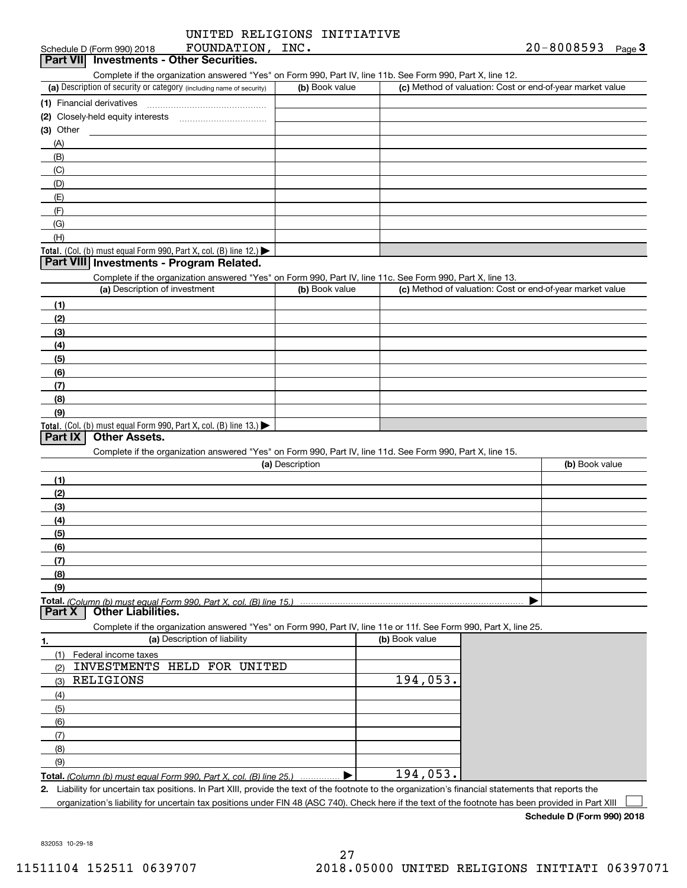|                                                                                                                                             |                 |                | $20 - 8008593$<br>Page $3$                                |
|---------------------------------------------------------------------------------------------------------------------------------------------|-----------------|----------------|-----------------------------------------------------------|
| Part VII Investments - Other Securities.                                                                                                    |                 |                |                                                           |
| Complete if the organization answered "Yes" on Form 990, Part IV, line 11b. See Form 990, Part X, line 12.                                  |                 |                |                                                           |
| (a) Description of security or category (including name of security)                                                                        | (b) Book value  |                | (c) Method of valuation: Cost or end-of-year market value |
|                                                                                                                                             |                 |                |                                                           |
| (2)                                                                                                                                         |                 |                |                                                           |
| $(3)$ Other                                                                                                                                 |                 |                |                                                           |
| (A)                                                                                                                                         |                 |                |                                                           |
| (B)                                                                                                                                         |                 |                |                                                           |
| (C)                                                                                                                                         |                 |                |                                                           |
| (D)                                                                                                                                         |                 |                |                                                           |
| (E)                                                                                                                                         |                 |                |                                                           |
| (F)                                                                                                                                         |                 |                |                                                           |
| (G)                                                                                                                                         |                 |                |                                                           |
| (H)                                                                                                                                         |                 |                |                                                           |
| Total. (Col. (b) must equal Form 990, Part X, col. (B) line 12.)                                                                            |                 |                |                                                           |
| Part VIII Investments - Program Related.                                                                                                    |                 |                |                                                           |
|                                                                                                                                             |                 |                |                                                           |
| Complete if the organization answered "Yes" on Form 990, Part IV, line 11c. See Form 990, Part X, line 13.<br>(a) Description of investment | (b) Book value  |                | (c) Method of valuation: Cost or end-of-year market value |
|                                                                                                                                             |                 |                |                                                           |
| (1)                                                                                                                                         |                 |                |                                                           |
| (2)                                                                                                                                         |                 |                |                                                           |
| (3)                                                                                                                                         |                 |                |                                                           |
| (4)                                                                                                                                         |                 |                |                                                           |
| (5)                                                                                                                                         |                 |                |                                                           |
| (6)                                                                                                                                         |                 |                |                                                           |
| (7)                                                                                                                                         |                 |                |                                                           |
| (8)                                                                                                                                         |                 |                |                                                           |
| (9)                                                                                                                                         |                 |                |                                                           |
|                                                                                                                                             |                 |                |                                                           |
|                                                                                                                                             |                 |                |                                                           |
| Total. (Col. (b) must equal Form 990, Part X, col. (B) line 13.)<br><b>Other Assets.</b><br>Part IX                                         |                 |                |                                                           |
| Complete if the organization answered "Yes" on Form 990, Part IV, line 11d. See Form 990, Part X, line 15.                                  |                 |                |                                                           |
|                                                                                                                                             | (a) Description |                | (b) Book value                                            |
| (1)                                                                                                                                         |                 |                |                                                           |
|                                                                                                                                             |                 |                |                                                           |
| (2)                                                                                                                                         |                 |                |                                                           |
| (3)                                                                                                                                         |                 |                |                                                           |
| (4)                                                                                                                                         |                 |                |                                                           |
| (5)                                                                                                                                         |                 |                |                                                           |
| (6)                                                                                                                                         |                 |                |                                                           |
| (7)                                                                                                                                         |                 |                |                                                           |
| (8)                                                                                                                                         |                 |                |                                                           |
| (9)                                                                                                                                         |                 |                |                                                           |
|                                                                                                                                             |                 |                |                                                           |
| <b>Other Liabilities.</b><br>Part X                                                                                                         |                 |                |                                                           |
| Complete if the organization answered "Yes" on Form 990, Part IV, line 11e or 11f. See Form 990, Part X, line 25.                           |                 |                |                                                           |
| (a) Description of liability<br>1.                                                                                                          |                 | (b) Book value |                                                           |
| (1)<br>Federal income taxes                                                                                                                 |                 |                |                                                           |
| INVESTMENTS HELD FOR UNITED<br>(2)                                                                                                          |                 |                |                                                           |
| RELIGIONS<br>(3)                                                                                                                            |                 | 194,053.       |                                                           |
| (4)                                                                                                                                         |                 |                |                                                           |
|                                                                                                                                             |                 |                |                                                           |
| (5)                                                                                                                                         |                 |                |                                                           |
| (6)                                                                                                                                         |                 |                |                                                           |
| (7)                                                                                                                                         |                 |                |                                                           |
| (8)                                                                                                                                         |                 |                |                                                           |
| (9)                                                                                                                                         |                 | 194,053.       |                                                           |

**Schedule D (Form 990) 2018**

832053 10-29-18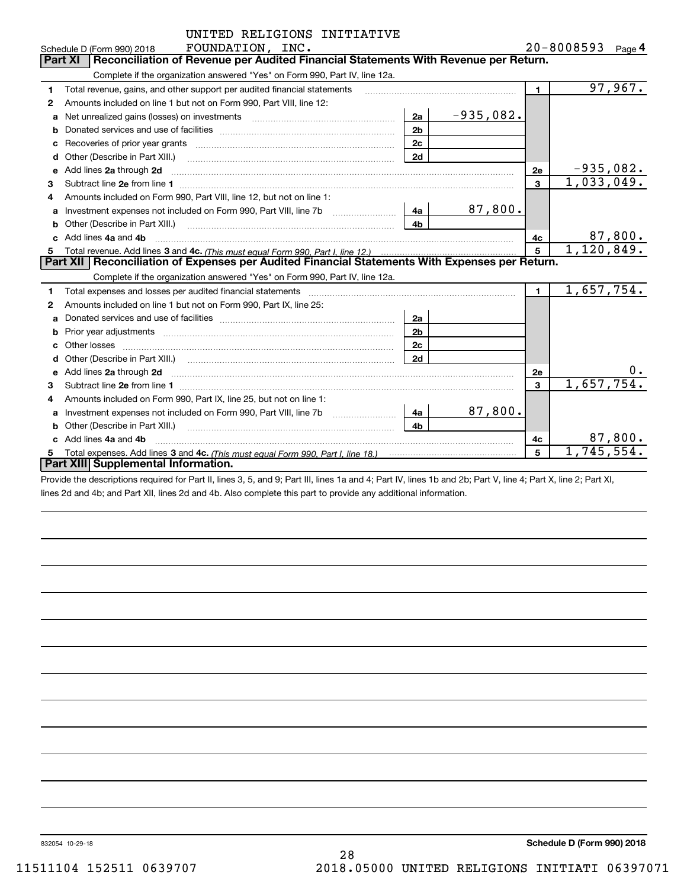| UNITED RELIGIONS INITIATIVE                                                                                                                                                                                                                                                                                                                                                                |                         |                   |
|--------------------------------------------------------------------------------------------------------------------------------------------------------------------------------------------------------------------------------------------------------------------------------------------------------------------------------------------------------------------------------------------|-------------------------|-------------------|
| FOUNDATION, INC.<br>Schedule D (Form 990) 2018                                                                                                                                                                                                                                                                                                                                             |                         | 20-8008593 Page 4 |
| Reconciliation of Revenue per Audited Financial Statements With Revenue per Return.<br>Part XI                                                                                                                                                                                                                                                                                             |                         |                   |
| Complete if the organization answered "Yes" on Form 990, Part IV, line 12a.                                                                                                                                                                                                                                                                                                                |                         |                   |
| Total revenue, gains, and other support per audited financial statements<br>1                                                                                                                                                                                                                                                                                                              | $\blacksquare$          | 97,967.           |
| Amounts included on line 1 but not on Form 990, Part VIII, line 12:<br>2                                                                                                                                                                                                                                                                                                                   |                         |                   |
| $-935,082.$<br>2a<br>a                                                                                                                                                                                                                                                                                                                                                                     |                         |                   |
| 2 <sub>b</sub><br>b                                                                                                                                                                                                                                                                                                                                                                        |                         |                   |
| 2c                                                                                                                                                                                                                                                                                                                                                                                         |                         |                   |
| 2d<br>d                                                                                                                                                                                                                                                                                                                                                                                    |                         |                   |
| Add lines 2a through 2d<br>e                                                                                                                                                                                                                                                                                                                                                               | 2e                      | $-935,082.$       |
| 3                                                                                                                                                                                                                                                                                                                                                                                          | $\overline{\mathbf{3}}$ | 1,033,049.        |
| Amounts included on Form 990, Part VIII, line 12, but not on line 1:<br>4                                                                                                                                                                                                                                                                                                                  |                         |                   |
| 87,800.<br>Investment expenses not included on Form 990, Part VIII, line 7b [1000000000000000000000000000000000<br>4a<br>a                                                                                                                                                                                                                                                                 |                         |                   |
| Other (Describe in Part XIII.) <b>Construction Contract Construction</b> Chemistry Chemistry Chemistry Chemistry Chemistry<br>4 <sub>h</sub><br>b                                                                                                                                                                                                                                          |                         |                   |
| Add lines 4a and 4b                                                                                                                                                                                                                                                                                                                                                                        | 4c                      | 87,800.           |
|                                                                                                                                                                                                                                                                                                                                                                                            | 5                       | 1,120,849.        |
| Part XII   Reconciliation of Expenses per Audited Financial Statements With Expenses per Return.                                                                                                                                                                                                                                                                                           |                         |                   |
| Complete if the organization answered "Yes" on Form 990, Part IV, line 12a.                                                                                                                                                                                                                                                                                                                |                         |                   |
| Total expenses and losses per audited financial statements<br>1                                                                                                                                                                                                                                                                                                                            | $\blacksquare$          | 1,657,754.        |
| Amounts included on line 1 but not on Form 990, Part IX, line 25:<br>2                                                                                                                                                                                                                                                                                                                     |                         |                   |
| 2a<br>a                                                                                                                                                                                                                                                                                                                                                                                    |                         |                   |
| 2 <sub>b</sub><br>b                                                                                                                                                                                                                                                                                                                                                                        |                         |                   |
| 2c<br>c                                                                                                                                                                                                                                                                                                                                                                                    |                         |                   |
| 2d                                                                                                                                                                                                                                                                                                                                                                                         |                         |                   |
| Add lines 2a through 2d <b>contained a contained a contained a contained a</b> contained a contained a contact the set<br>е                                                                                                                                                                                                                                                                | 2e                      |                   |
| 3                                                                                                                                                                                                                                                                                                                                                                                          | 3                       | 1,657,754.        |
| Amounts included on Form 990, Part IX, line 25, but not on line 1:<br>4                                                                                                                                                                                                                                                                                                                    |                         |                   |
| 87,800.<br>4a<br>a                                                                                                                                                                                                                                                                                                                                                                         |                         |                   |
| 4 <sub>h</sub><br>Other (Describe in Part XIII.)<br>b                                                                                                                                                                                                                                                                                                                                      |                         |                   |
| Add lines 4a and 4b<br>C.                                                                                                                                                                                                                                                                                                                                                                  | 4c                      | 87,800.           |
| 5                                                                                                                                                                                                                                                                                                                                                                                          | 5                       | 1,745,554.        |
| Part XIII Supplemental Information.<br>$\mathbf{r}$ , and $\mathbf{r}$ , and $\mathbf{r}$ , and $\mathbf{r}$ , and $\mathbf{r}$ , and $\mathbf{r}$ , and $\mathbf{r}$ , and $\mathbf{r}$ , and $\mathbf{r}$ , and $\mathbf{r}$ , and $\mathbf{r}$ , and $\mathbf{r}$ , and $\mathbf{r}$ , and $\mathbf{r}$ , and $\mathbf{r}$ ,<br>$\sim$ $\sim$ $\sim$ $\sim$ $\sim$ $\sim$ $\sim$ $\sim$ |                         |                   |

Provide the descriptions required for Part II, lines 3, 5, and 9; Part III, lines 1a and 4; Part IV, lines 1b and 2b; Part V, line 4; Part X, line 2; Part XI, lines 2d and 4b; and Part XII, lines 2d and 4b. Also complete this part to provide any additional information.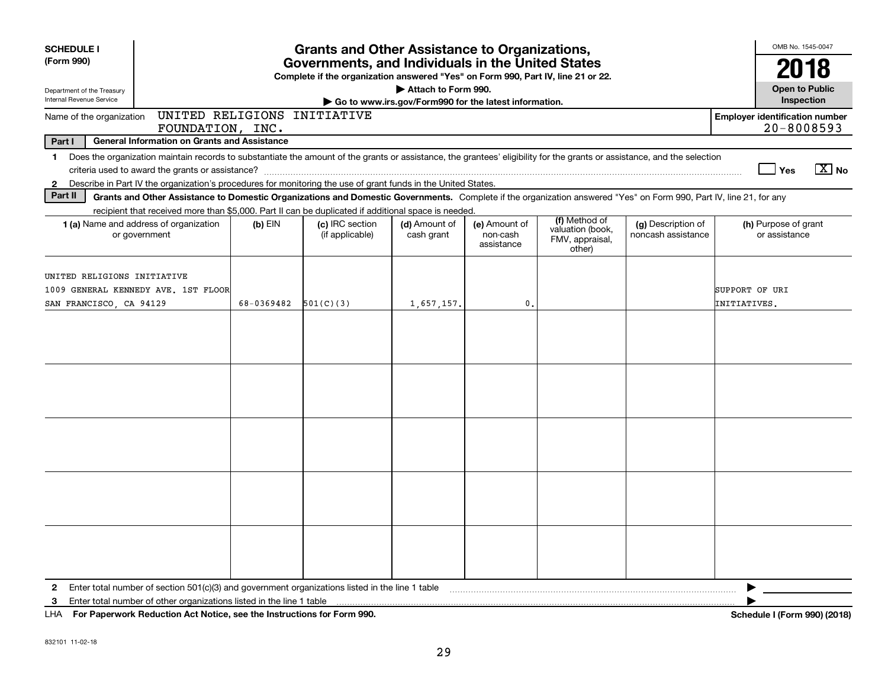| <b>SCHEDULE I</b>                                                                                                                                                                                                                                                                                               |                                                                                                                                                                                                                                                                                                                                                | <b>Grants and Other Assistance to Organizations,</b>                                                                                  |                                                                              |              |  | OMB No. 1545-0047                                             |
|-----------------------------------------------------------------------------------------------------------------------------------------------------------------------------------------------------------------------------------------------------------------------------------------------------------------|------------------------------------------------------------------------------------------------------------------------------------------------------------------------------------------------------------------------------------------------------------------------------------------------------------------------------------------------|---------------------------------------------------------------------------------------------------------------------------------------|------------------------------------------------------------------------------|--------------|--|---------------------------------------------------------------|
| (Form 990)                                                                                                                                                                                                                                                                                                      |                                                                                                                                                                                                                                                                                                                                                | Governments, and Individuals in the United States<br>Complete if the organization answered "Yes" on Form 990, Part IV, line 21 or 22. |                                                                              |              |  | 2018                                                          |
| Department of the Treasury<br>Internal Revenue Service                                                                                                                                                                                                                                                          |                                                                                                                                                                                                                                                                                                                                                |                                                                                                                                       | Attach to Form 990.<br>Go to www.irs.gov/Form990 for the latest information. |              |  | <b>Open to Public</b><br>Inspection                           |
| UNITED RELIGIONS INITIATIVE<br>Name of the organization<br>FOUNDATION, INC.                                                                                                                                                                                                                                     |                                                                                                                                                                                                                                                                                                                                                |                                                                                                                                       |                                                                              |              |  | <b>Employer identification number</b><br>$20 - 8008593$       |
| Part I<br><b>General Information on Grants and Assistance</b>                                                                                                                                                                                                                                                   |                                                                                                                                                                                                                                                                                                                                                |                                                                                                                                       |                                                                              |              |  |                                                               |
| Does the organization maintain records to substantiate the amount of the grants or assistance, the grantees' eligibility for the grants or assistance, and the selection<br>1.<br>Describe in Part IV the organization's procedures for monitoring the use of grant funds in the United States.<br>$\mathbf{2}$ |                                                                                                                                                                                                                                                                                                                                                |                                                                                                                                       |                                                                              |              |  | $\boxed{\text{X}}$ No<br>l Yes                                |
| Part II<br>Grants and Other Assistance to Domestic Organizations and Domestic Governments. Complete if the organization answered "Yes" on Form 990, Part IV, line 21, for any                                                                                                                                   |                                                                                                                                                                                                                                                                                                                                                |                                                                                                                                       |                                                                              |              |  |                                                               |
|                                                                                                                                                                                                                                                                                                                 |                                                                                                                                                                                                                                                                                                                                                |                                                                                                                                       |                                                                              |              |  |                                                               |
| <b>1 (a)</b> Name and address of organization<br>or government                                                                                                                                                                                                                                                  | recipient that received more than \$5,000. Part II can be duplicated if additional space is needed.<br>(f) Method of<br>(c) IRC section<br>(d) Amount of<br>$(b)$ EIN<br>(e) Amount of<br>(g) Description of<br>valuation (book,<br>(if applicable)<br>cash grant<br>noncash assistance<br>non-cash<br>FMV, appraisal,<br>assistance<br>other) |                                                                                                                                       | (h) Purpose of grant<br>or assistance                                        |              |  |                                                               |
| UNITED RELIGIONS INITIATIVE<br>1009 GENERAL KENNEDY AVE. 1ST FLOOR<br>SAN FRANCISCO, CA 94129                                                                                                                                                                                                                   | 68-0369482                                                                                                                                                                                                                                                                                                                                     | 501(C)(3)                                                                                                                             | 1,657,157.                                                                   | $\mathbf{0}$ |  | SUPPORT OF URI<br>INITIATIVES.                                |
|                                                                                                                                                                                                                                                                                                                 |                                                                                                                                                                                                                                                                                                                                                |                                                                                                                                       |                                                                              |              |  |                                                               |
|                                                                                                                                                                                                                                                                                                                 |                                                                                                                                                                                                                                                                                                                                                |                                                                                                                                       |                                                                              |              |  |                                                               |
|                                                                                                                                                                                                                                                                                                                 |                                                                                                                                                                                                                                                                                                                                                |                                                                                                                                       |                                                                              |              |  |                                                               |
|                                                                                                                                                                                                                                                                                                                 |                                                                                                                                                                                                                                                                                                                                                |                                                                                                                                       |                                                                              |              |  |                                                               |
|                                                                                                                                                                                                                                                                                                                 |                                                                                                                                                                                                                                                                                                                                                |                                                                                                                                       |                                                                              |              |  |                                                               |
| 3<br>LUA Des Des concerts Declination Act Nation and the Inchreations for Form 000                                                                                                                                                                                                                              |                                                                                                                                                                                                                                                                                                                                                |                                                                                                                                       |                                                                              |              |  | ▶<br>$d_{\text{min}} + f = \text{max}$ 000) (0040)<br>$0 - 1$ |

**For Paperwork Reduction Act Notice, see the Instructions for Form 990. Schedule I (Form 990) (2018)** LHA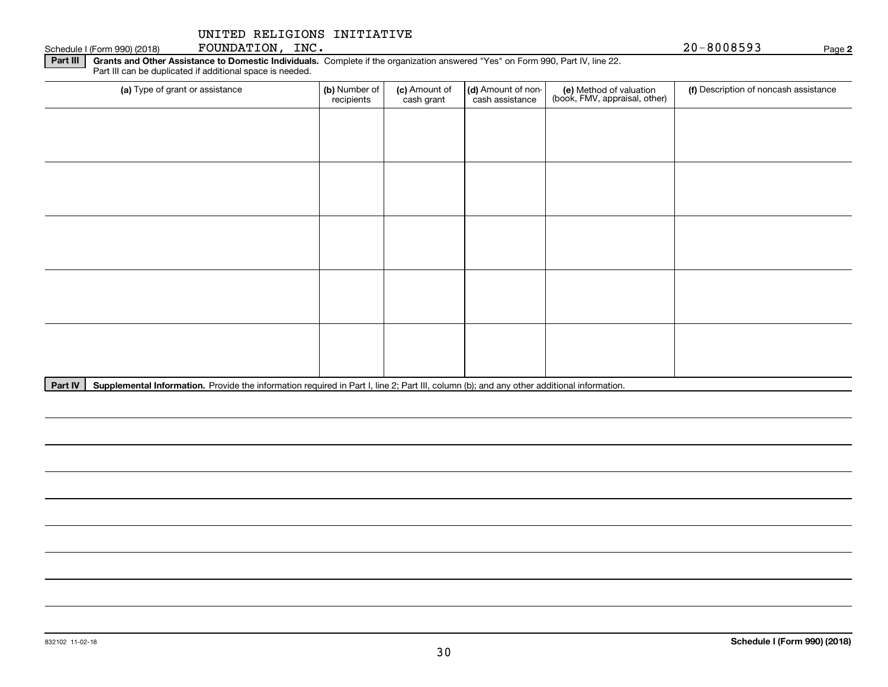Schedule I (Form 990) (2018)  ${\bf F}$ OUNDATION, $\,$  INC  $\,$   $\,$ 

**2**

**Part III** | Grants and Other Assistance to Domestic Individuals. Complete if the organization answered "Yes" on Form 990, Part IV, line 22. Part III can be duplicated if additional space is needed.

| (a) Type of grant or assistance | (b) Number of<br>recipients | (c) Amount of<br>cash grant | (d) Amount of non-<br>cash assistance | (e) Method of valuation<br>(book, FMV, appraisal, other) | (f) Description of noncash assistance |
|---------------------------------|-----------------------------|-----------------------------|---------------------------------------|----------------------------------------------------------|---------------------------------------|
|                                 |                             |                             |                                       |                                                          |                                       |
|                                 |                             |                             |                                       |                                                          |                                       |
|                                 |                             |                             |                                       |                                                          |                                       |
|                                 |                             |                             |                                       |                                                          |                                       |
|                                 |                             |                             |                                       |                                                          |                                       |
|                                 |                             |                             |                                       |                                                          |                                       |
|                                 |                             |                             |                                       |                                                          |                                       |
|                                 |                             |                             |                                       |                                                          |                                       |
|                                 |                             |                             |                                       |                                                          |                                       |
|                                 |                             |                             |                                       |                                                          |                                       |

Part IV | Supplemental Information. Provide the information required in Part I, line 2; Part III, column (b); and any other additional information.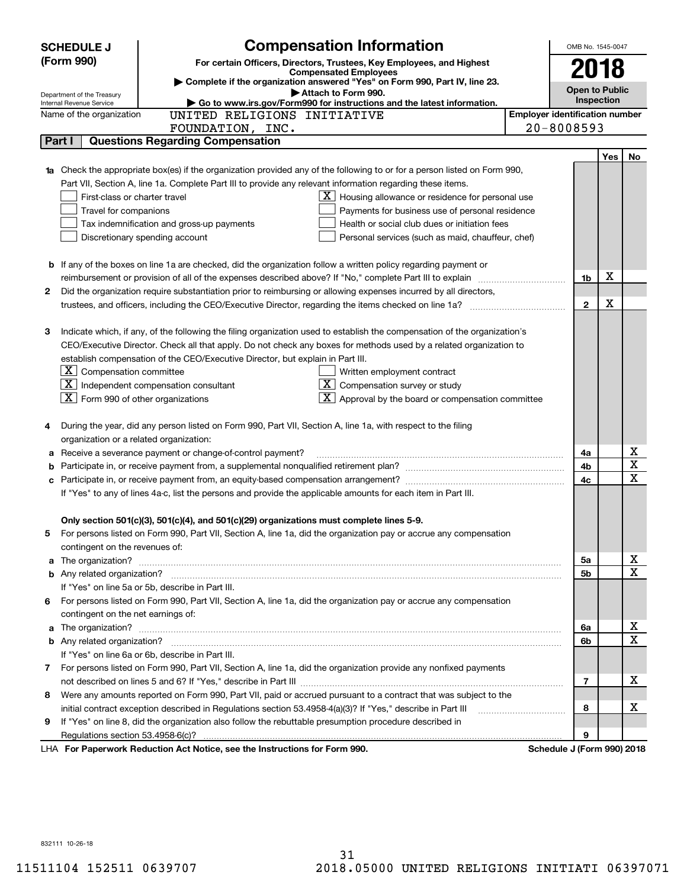|        | <b>SCHEDULE J</b>                                      |                                                                                                                                                                                                                                     | OMB No. 1545-0047 |                                       |     |             |
|--------|--------------------------------------------------------|-------------------------------------------------------------------------------------------------------------------------------------------------------------------------------------------------------------------------------------|-------------------|---------------------------------------|-----|-------------|
|        | (Form 990)                                             | <b>Compensation Information</b><br>For certain Officers, Directors, Trustees, Key Employees, and Highest                                                                                                                            |                   |                                       |     |             |
|        |                                                        | <b>Compensated Employees</b>                                                                                                                                                                                                        |                   | 2018                                  |     |             |
|        |                                                        | Complete if the organization answered "Yes" on Form 990, Part IV, line 23.<br>Attach to Form 990.                                                                                                                                   |                   | <b>Open to Public</b>                 |     |             |
|        | Department of the Treasury<br>Internal Revenue Service | Go to www.irs.gov/Form990 for instructions and the latest information.                                                                                                                                                              |                   | Inspection                            |     |             |
|        | Name of the organization                               | UNITED RELIGIONS INITIATIVE                                                                                                                                                                                                         |                   | <b>Employer identification number</b> |     |             |
|        |                                                        | FOUNDATION, INC.                                                                                                                                                                                                                    |                   | $20 - 8008593$                        |     |             |
|        | Part I                                                 | <b>Questions Regarding Compensation</b>                                                                                                                                                                                             |                   |                                       |     |             |
|        |                                                        |                                                                                                                                                                                                                                     |                   |                                       | Yes | No          |
|        |                                                        | Check the appropriate box(es) if the organization provided any of the following to or for a person listed on Form 990,                                                                                                              |                   |                                       |     |             |
|        |                                                        | Part VII, Section A, line 1a. Complete Part III to provide any relevant information regarding these items.                                                                                                                          |                   |                                       |     |             |
|        | First-class or charter travel                          | $\underline{\mathbf{X}}$ Housing allowance or residence for personal use                                                                                                                                                            |                   |                                       |     |             |
|        | Travel for companions                                  | Payments for business use of personal residence                                                                                                                                                                                     |                   |                                       |     |             |
|        | Tax indemnification and gross-up payments              | Health or social club dues or initiation fees                                                                                                                                                                                       |                   |                                       |     |             |
|        |                                                        | Discretionary spending account<br>Personal services (such as maid, chauffeur, chef)                                                                                                                                                 |                   |                                       |     |             |
|        |                                                        |                                                                                                                                                                                                                                     |                   |                                       |     |             |
|        |                                                        | <b>b</b> If any of the boxes on line 1a are checked, did the organization follow a written policy regarding payment or                                                                                                              |                   |                                       |     |             |
|        |                                                        |                                                                                                                                                                                                                                     |                   | 1b                                    | х   |             |
| 2      |                                                        | Did the organization require substantiation prior to reimbursing or allowing expenses incurred by all directors,                                                                                                                    |                   |                                       |     |             |
|        |                                                        |                                                                                                                                                                                                                                     |                   | $\mathbf{2}$                          | х   |             |
|        |                                                        |                                                                                                                                                                                                                                     |                   |                                       |     |             |
| З      |                                                        | Indicate which, if any, of the following the filing organization used to establish the compensation of the organization's                                                                                                           |                   |                                       |     |             |
|        |                                                        | CEO/Executive Director. Check all that apply. Do not check any boxes for methods used by a related organization to                                                                                                                  |                   |                                       |     |             |
|        |                                                        | establish compensation of the CEO/Executive Director, but explain in Part III.                                                                                                                                                      |                   |                                       |     |             |
|        | $\lfloor \texttt{X} \rfloor$ Compensation committee    | Written employment contract                                                                                                                                                                                                         |                   |                                       |     |             |
|        |                                                        | $X$ Compensation survey or study<br>$ \mathbf{X} $ Independent compensation consultant                                                                                                                                              |                   |                                       |     |             |
|        | $\lfloor x \rfloor$ Form 990 of other organizations    | $\overline{\mathbf{X}}$ Approval by the board or compensation committee                                                                                                                                                             |                   |                                       |     |             |
|        |                                                        |                                                                                                                                                                                                                                     |                   |                                       |     |             |
|        |                                                        | During the year, did any person listed on Form 990, Part VII, Section A, line 1a, with respect to the filing                                                                                                                        |                   |                                       |     |             |
|        | organization or a related organization:                | Receive a severance payment or change-of-control payment?                                                                                                                                                                           |                   | 4a                                    |     | х           |
| а<br>b |                                                        |                                                                                                                                                                                                                                     |                   | 4b                                    |     | X           |
| с      |                                                        |                                                                                                                                                                                                                                     |                   | 4c                                    |     | $\mathbf X$ |
|        |                                                        | If "Yes" to any of lines 4a-c, list the persons and provide the applicable amounts for each item in Part III.                                                                                                                       |                   |                                       |     |             |
|        |                                                        |                                                                                                                                                                                                                                     |                   |                                       |     |             |
|        |                                                        | Only section 501(c)(3), 501(c)(4), and 501(c)(29) organizations must complete lines 5-9.                                                                                                                                            |                   |                                       |     |             |
|        |                                                        | For persons listed on Form 990, Part VII, Section A, line 1a, did the organization pay or accrue any compensation                                                                                                                   |                   |                                       |     |             |
|        | contingent on the revenues of:                         |                                                                                                                                                                                                                                     |                   |                                       |     |             |
| a      |                                                        | The organization? <b>Process and Construction Construction</b> and Construction and Construction and Construction and Construction and Construction and Construction and Construction and Construction and Construction and Constru |                   | 5a                                    |     | х           |
|        |                                                        |                                                                                                                                                                                                                                     |                   | 5b                                    |     | х           |
|        |                                                        | If "Yes" on line 5a or 5b, describe in Part III.                                                                                                                                                                                    |                   |                                       |     |             |
|        |                                                        | 6 For persons listed on Form 990, Part VII, Section A, line 1a, did the organization pay or accrue any compensation                                                                                                                 |                   |                                       |     |             |
|        | contingent on the net earnings of:                     |                                                                                                                                                                                                                                     |                   |                                       |     |             |
| a      |                                                        |                                                                                                                                                                                                                                     |                   | 6a                                    |     | х           |
|        |                                                        |                                                                                                                                                                                                                                     |                   | 6b                                    |     | Χ           |
|        |                                                        | If "Yes" on line 6a or 6b, describe in Part III.                                                                                                                                                                                    |                   |                                       |     |             |
|        |                                                        | 7 For persons listed on Form 990, Part VII, Section A, line 1a, did the organization provide any nonfixed payments                                                                                                                  |                   |                                       |     |             |
|        |                                                        |                                                                                                                                                                                                                                     |                   | $\overline{7}$                        |     | х           |
| 8      |                                                        | Were any amounts reported on Form 990, Part VII, paid or accrued pursuant to a contract that was subject to the                                                                                                                     |                   |                                       |     |             |
|        |                                                        | initial contract exception described in Regulations section 53.4958-4(a)(3)? If "Yes," describe in Part III                                                                                                                         |                   | 8                                     |     | х           |
| 9      |                                                        | If "Yes" on line 8, did the organization also follow the rebuttable presumption procedure described in                                                                                                                              |                   |                                       |     |             |
|        |                                                        |                                                                                                                                                                                                                                     |                   | 9                                     |     |             |
|        |                                                        | LHA For Paperwork Reduction Act Notice, see the Instructions for Form 990.                                                                                                                                                          |                   | Schedule J (Form 990) 2018            |     |             |

832111 10-26-18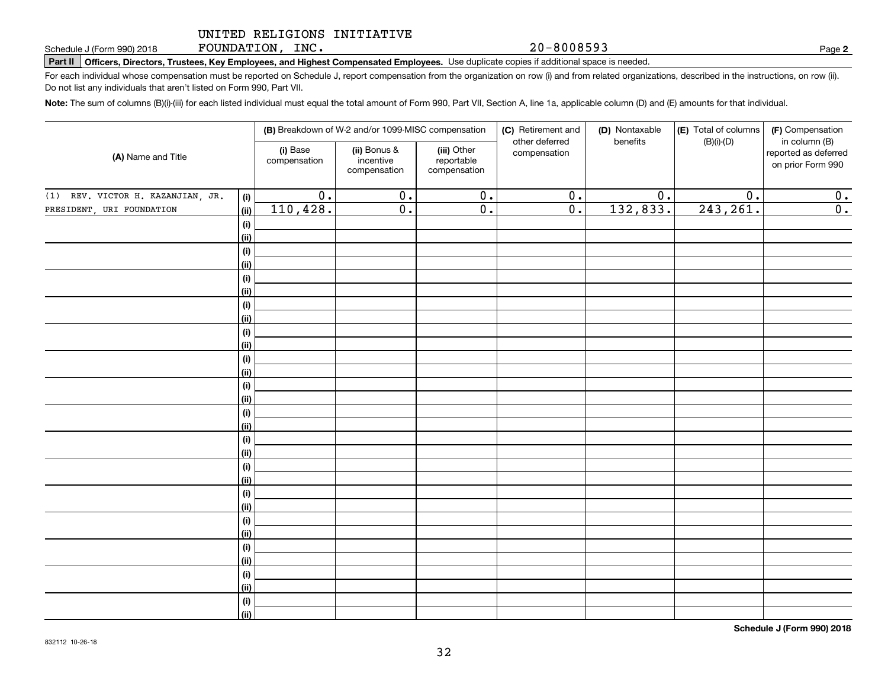FOUNDATION, INC.

**Part II Officers, Directors, Trustees, Key Employees, and Highest Compensated Employees.**  Schedule J (Form 990) 2018 Page Use duplicate copies if additional space is needed.

For each individual whose compensation must be reported on Schedule J, report compensation from the organization on row (i) and from related organizations, described in the instructions, on row (ii). Do not list any individuals that aren't listed on Form 990, Part VII.

**Note:**  The sum of columns (B)(i)-(iii) for each listed individual must equal the total amount of Form 990, Part VII, Section A, line 1a, applicable column (D) and (E) amounts for that individual.

|                                          |                          | (B) Breakdown of W-2 and/or 1099-MISC compensation |                                           | (C) Retirement and<br>other deferred | (D) Nontaxable<br>benefits | (E) Total of columns | (F) Compensation<br>in column (B)         |
|------------------------------------------|--------------------------|----------------------------------------------------|-------------------------------------------|--------------------------------------|----------------------------|----------------------|-------------------------------------------|
| (A) Name and Title                       | (i) Base<br>compensation | (ii) Bonus &<br>incentive<br>compensation          | (iii) Other<br>reportable<br>compensation | compensation                         |                            | $(B)(i)-(D)$         | reported as deferred<br>on prior Form 990 |
| (1) REV. VICTOR H. KAZANJIAN, JR.<br>(i) | $\overline{0}$ .         | $\overline{0}$ .                                   | $\overline{0}$ .                          | $\overline{0}$ .                     | $\overline{0}$ .           | $\overline{0}$ .     | 0.                                        |
| PRESIDENT, URI FOUNDATION<br>(ii)        | 110,428.                 | $\overline{0}$ .                                   | $\overline{\mathfrak{0}}$ .               | $\overline{0}$ .                     | 132,833.                   | 243, 261.            | $\overline{0}$ .                          |
| (i)                                      |                          |                                                    |                                           |                                      |                            |                      |                                           |
| (ii)                                     |                          |                                                    |                                           |                                      |                            |                      |                                           |
| $(\sf{i})$                               |                          |                                                    |                                           |                                      |                            |                      |                                           |
| (ii)                                     |                          |                                                    |                                           |                                      |                            |                      |                                           |
| (i)                                      |                          |                                                    |                                           |                                      |                            |                      |                                           |
| (ii)                                     |                          |                                                    |                                           |                                      |                            |                      |                                           |
| (i)                                      |                          |                                                    |                                           |                                      |                            |                      |                                           |
| (ii)                                     |                          |                                                    |                                           |                                      |                            |                      |                                           |
| (i)                                      |                          |                                                    |                                           |                                      |                            |                      |                                           |
| (ii)                                     |                          |                                                    |                                           |                                      |                            |                      |                                           |
| (i)                                      |                          |                                                    |                                           |                                      |                            |                      |                                           |
| (ii)                                     |                          |                                                    |                                           |                                      |                            |                      |                                           |
| $(\sf{i})$                               |                          |                                                    |                                           |                                      |                            |                      |                                           |
| (ii)                                     |                          |                                                    |                                           |                                      |                            |                      |                                           |
| (i)                                      |                          |                                                    |                                           |                                      |                            |                      |                                           |
| (ii)                                     |                          |                                                    |                                           |                                      |                            |                      |                                           |
| (i)                                      |                          |                                                    |                                           |                                      |                            |                      |                                           |
| (ii)                                     |                          |                                                    |                                           |                                      |                            |                      |                                           |
| (i)                                      |                          |                                                    |                                           |                                      |                            |                      |                                           |
| (ii)                                     |                          |                                                    |                                           |                                      |                            |                      |                                           |
| (i)                                      |                          |                                                    |                                           |                                      |                            |                      |                                           |
| (ii)                                     |                          |                                                    |                                           |                                      |                            |                      |                                           |
| (i)                                      |                          |                                                    |                                           |                                      |                            |                      |                                           |
| (ii)                                     |                          |                                                    |                                           |                                      |                            |                      |                                           |
| (i)                                      |                          |                                                    |                                           |                                      |                            |                      |                                           |
| (ii)                                     |                          |                                                    |                                           |                                      |                            |                      |                                           |
| (i)                                      |                          |                                                    |                                           |                                      |                            |                      |                                           |
| (ii)                                     |                          |                                                    |                                           |                                      |                            |                      |                                           |
| (i)                                      |                          |                                                    |                                           |                                      |                            |                      |                                           |
| (ii)                                     |                          |                                                    |                                           |                                      |                            |                      |                                           |

**Schedule J (Form 990) 2018**

**2**

20-8008593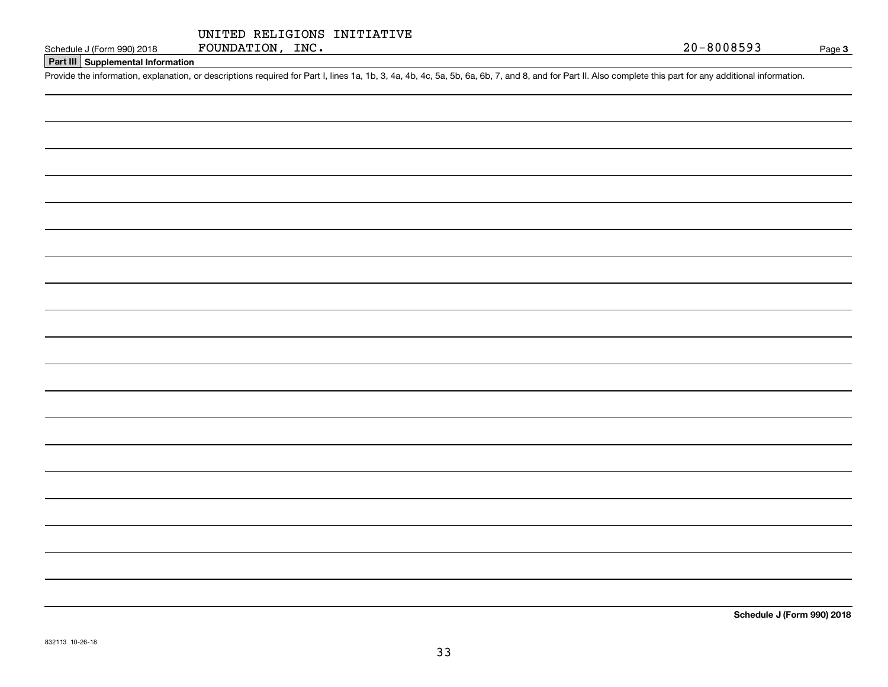|                  |  | UNITED RELIGIONS INITIATIVE |
|------------------|--|-----------------------------|
| FOUNDATION, INC. |  |                             |

#### **Part III Supplemental Information**

Schedule J (Form 990) 2018 FOUNDATION, INC.<br>Part III Supplemental Information<br>Provide the information, explanation, or descriptions required for Part I, lines 1a, 1b, 3, 4a, 4b, 4c, 5a, 5b, 6a, 6b, 7, and 8, and for Part I

**Schedule J (Form 990) 2018**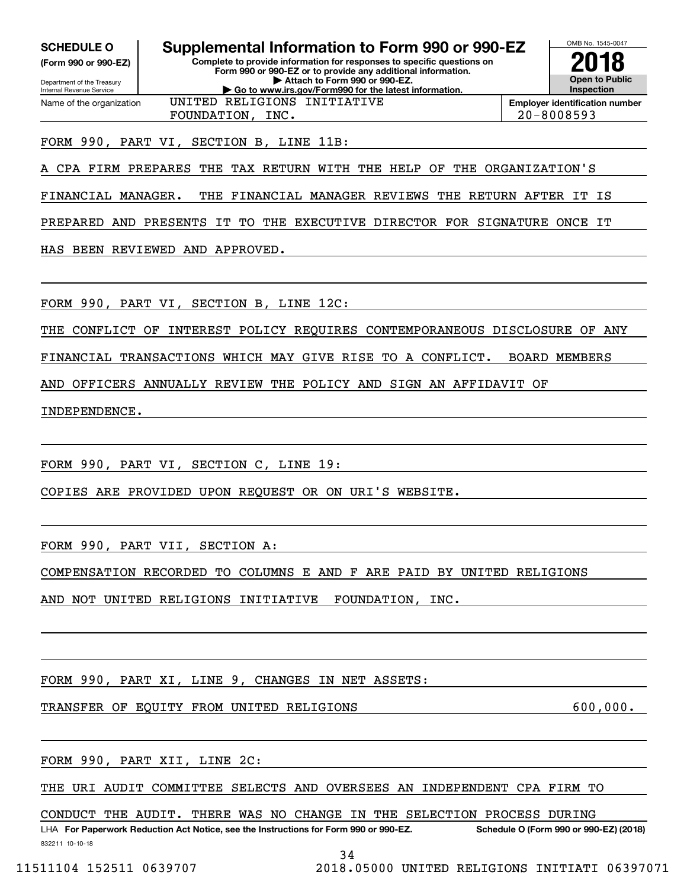**(Form 990 or 990-EZ)**

Department of the Treasury Internal Revenue Service Name of the organization

**Complete to provide information for responses to specific questions on Form 990 or 990-EZ or to provide any additional information. | Attach to Form 990 or 990-EZ. SCHEDULE O Supplemental Information to Form 990 or 990-EZ**

**| Go to www.irs.gov/Form990 for the latest information.**



OMB No. 1545-0047

**Employer identification number** FOUNDATION, INC. 20-8008593

#### FORM 990, PART VI, SECTION B, LINE 11B:

A CPA FIRM PREPARES THE TAX RETURN WITH THE HELP OF THE ORGANIZATION'S

UNITED RELIGIONS INITIATIVE

FINANCIAL MANAGER. THE FINANCIAL MANAGER REVIEWS THE RETURN AFTER IT IS

PREPARED AND PRESENTS IT TO THE EXECUTIVE DIRECTOR FOR SIGNATURE ONCE IT

HAS BEEN REVIEWED AND APPROVED.

FORM 990, PART VI, SECTION B, LINE 12C:

THE CONFLICT OF INTEREST POLICY REQUIRES CONTEMPORANEOUS DISCLOSURE OF ANY

FINANCIAL TRANSACTIONS WHICH MAY GIVE RISE TO A CONFLICT. BOARD MEMBERS

AND OFFICERS ANNUALLY REVIEW THE POLICY AND SIGN AN AFFIDAVIT OF

INDEPENDENCE.

FORM 990, PART VI, SECTION C, LINE 19:

COPIES ARE PROVIDED UPON REQUEST OR ON URI'S WEBSITE.

FORM 990, PART VII, SECTION A:

COMPENSATION RECORDED TO COLUMNS E AND F ARE PAID BY UNITED RELIGIONS

AND NOT UNITED RELIGIONS INITIATIVE FOUNDATION, INC.

FORM 990, PART XI, LINE 9, CHANGES IN NET ASSETS:

TRANSFER OF EQUITY FROM UNITED RELIGIONS 600,000.

FORM 990, PART XII, LINE 2C:

THE URI AUDIT COMMITTEE SELECTS AND OVERSEES AN INDEPENDENT CPA FIRM TO

CONDUCT THE AUDIT. THERE WAS NO CHANGE IN THE SELECTION PROCESS DURING

832211 10-10-18 LHA For Paperwork Reduction Act Notice, see the Instructions for Form 990 or 990-EZ. Schedule O (Form 990 or 990-EZ) (2018)

34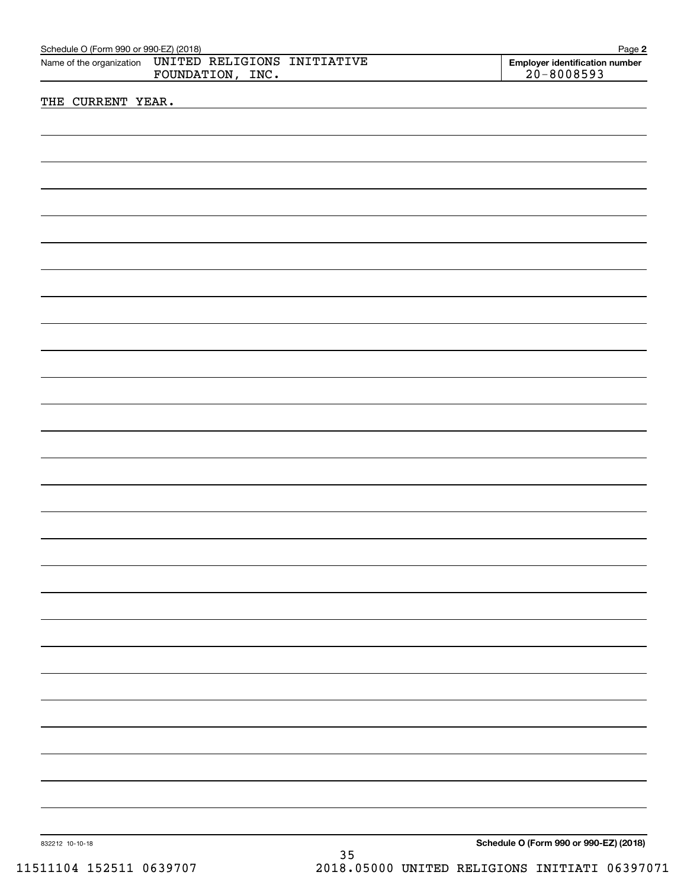| Schedule O (Form 990 or 990-EZ) (2018)<br>UNITED RELIGIONS INITIATIVE<br>Name of the organization | Page 2<br><b>Employer identification number</b> |
|---------------------------------------------------------------------------------------------------|-------------------------------------------------|
| FOUNDATION, INC.                                                                                  | $20 - 8008593$                                  |
| THE CURRENT YEAR.                                                                                 |                                                 |
|                                                                                                   |                                                 |
|                                                                                                   |                                                 |
|                                                                                                   |                                                 |
|                                                                                                   |                                                 |
|                                                                                                   |                                                 |
|                                                                                                   |                                                 |
|                                                                                                   |                                                 |
|                                                                                                   |                                                 |
|                                                                                                   |                                                 |
|                                                                                                   |                                                 |
|                                                                                                   |                                                 |
|                                                                                                   |                                                 |
|                                                                                                   |                                                 |
|                                                                                                   |                                                 |
|                                                                                                   |                                                 |
|                                                                                                   |                                                 |
|                                                                                                   |                                                 |
|                                                                                                   |                                                 |
|                                                                                                   |                                                 |
|                                                                                                   |                                                 |
|                                                                                                   |                                                 |
|                                                                                                   |                                                 |
|                                                                                                   |                                                 |
|                                                                                                   |                                                 |
|                                                                                                   |                                                 |
|                                                                                                   |                                                 |
|                                                                                                   |                                                 |
|                                                                                                   |                                                 |
|                                                                                                   |                                                 |
|                                                                                                   |                                                 |
|                                                                                                   |                                                 |
|                                                                                                   |                                                 |
|                                                                                                   |                                                 |
|                                                                                                   |                                                 |
|                                                                                                   |                                                 |
|                                                                                                   |                                                 |
|                                                                                                   |                                                 |
|                                                                                                   | Schedule O (Form 990 or 990-EZ) (2018)          |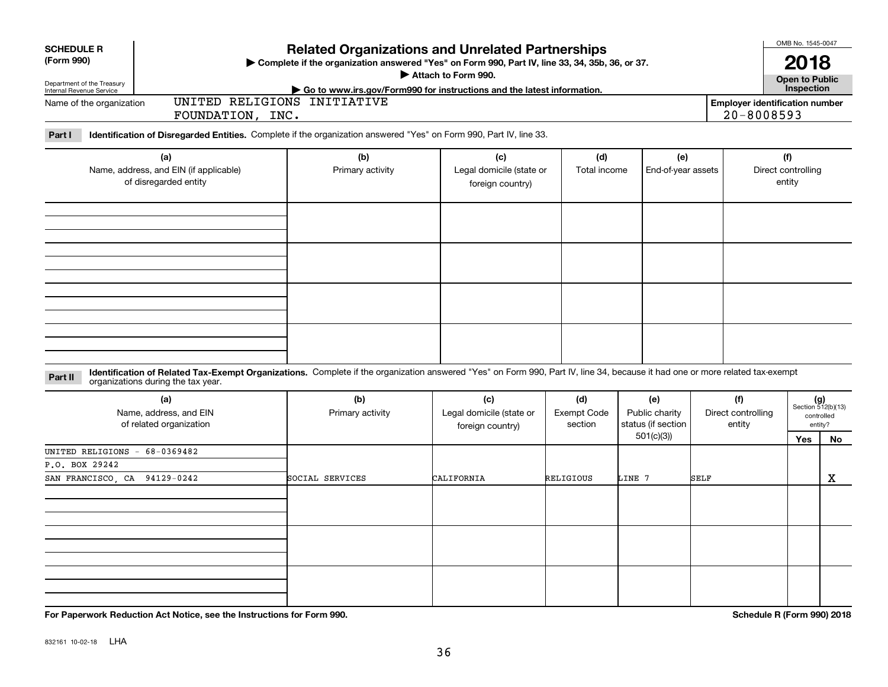| <b>SCHEDULE R</b><br>(Form 990)<br>Department of the Treasury<br>Internal Revenue Service |                                                          | <b>Related Organizations and Unrelated Partnerships</b><br>> Complete if the organization answered "Yes" on Form 990, Part IV, line 33, 34, 35b, 36, or 37.<br>Attach to Form 990.<br>Go to www.irs.gov/Form990 for instructions and the latest information. |                                                     |                               |                                             |      |                                                         |                                     |                                                      |  |
|-------------------------------------------------------------------------------------------|----------------------------------------------------------|--------------------------------------------------------------------------------------------------------------------------------------------------------------------------------------------------------------------------------------------------------------|-----------------------------------------------------|-------------------------------|---------------------------------------------|------|---------------------------------------------------------|-------------------------------------|------------------------------------------------------|--|
| Name of the organization                                                                  | FOUNDATION, INC.                                         | UNITED RELIGIONS INITIATIVE                                                                                                                                                                                                                                  |                                                     |                               |                                             |      | <b>Employer identification number</b><br>$20 - 8008593$ | Inspection                          |                                                      |  |
| Part I                                                                                    |                                                          | Identification of Disregarded Entities. Complete if the organization answered "Yes" on Form 990, Part IV, line 33.                                                                                                                                           |                                                     |                               |                                             |      |                                                         |                                     |                                                      |  |
| (a)<br>Name, address, and EIN (if applicable)<br>of disregarded entity                    |                                                          | (b)<br>Primary activity                                                                                                                                                                                                                                      | (c)<br>Legal domicile (state or<br>foreign country) | (d)<br>Total income           | (e)<br>End-of-year assets                   |      |                                                         | (f)<br>Direct controlling<br>entity |                                                      |  |
|                                                                                           |                                                          |                                                                                                                                                                                                                                                              |                                                     |                               |                                             |      |                                                         |                                     |                                                      |  |
|                                                                                           |                                                          |                                                                                                                                                                                                                                                              |                                                     |                               |                                             |      |                                                         |                                     |                                                      |  |
|                                                                                           |                                                          |                                                                                                                                                                                                                                                              |                                                     |                               |                                             |      |                                                         |                                     |                                                      |  |
|                                                                                           |                                                          |                                                                                                                                                                                                                                                              |                                                     |                               |                                             |      |                                                         |                                     |                                                      |  |
| Part II                                                                                   | organizations during the tax year.                       | Identification of Related Tax-Exempt Organizations. Complete if the organization answered "Yes" on Form 990, Part IV, line 34, because it had one or more related tax-exempt                                                                                 |                                                     |                               |                                             |      |                                                         |                                     |                                                      |  |
|                                                                                           | (a)<br>Name, address, and EIN<br>of related organization | (b)<br>Primary activity                                                                                                                                                                                                                                      | (c)<br>Legal domicile (state or<br>foreign country) | (d)<br>Exempt Code<br>section | (e)<br>Public charity<br>status (if section |      | (f)<br>Direct controlling<br>entity                     |                                     | $(g)$<br>Section 512(b)(13)<br>controlled<br>entity? |  |
| UNITED RELIGIONS - 68-0369482                                                             |                                                          |                                                                                                                                                                                                                                                              |                                                     |                               | 501(c)(3)                                   |      |                                                         | Yes                                 | No                                                   |  |
| P.O. BOX 29242                                                                            |                                                          |                                                                                                                                                                                                                                                              |                                                     |                               |                                             |      |                                                         |                                     |                                                      |  |
| SAN FRANCISCO, CA 94129-0242                                                              |                                                          | SOCIAL SERVICES                                                                                                                                                                                                                                              | CALIFORNIA                                          | RELIGIOUS                     | LINE 7                                      | SELF |                                                         |                                     | $\mathbf X$                                          |  |
|                                                                                           |                                                          |                                                                                                                                                                                                                                                              |                                                     |                               |                                             |      |                                                         |                                     |                                                      |  |
|                                                                                           |                                                          |                                                                                                                                                                                                                                                              |                                                     |                               |                                             |      |                                                         |                                     |                                                      |  |

**For Paperwork Reduction Act Notice, see the Instructions for Form 990. Schedule R (Form 990) 2018**

OMB No. 1545-0047

 $\mathbf{I}$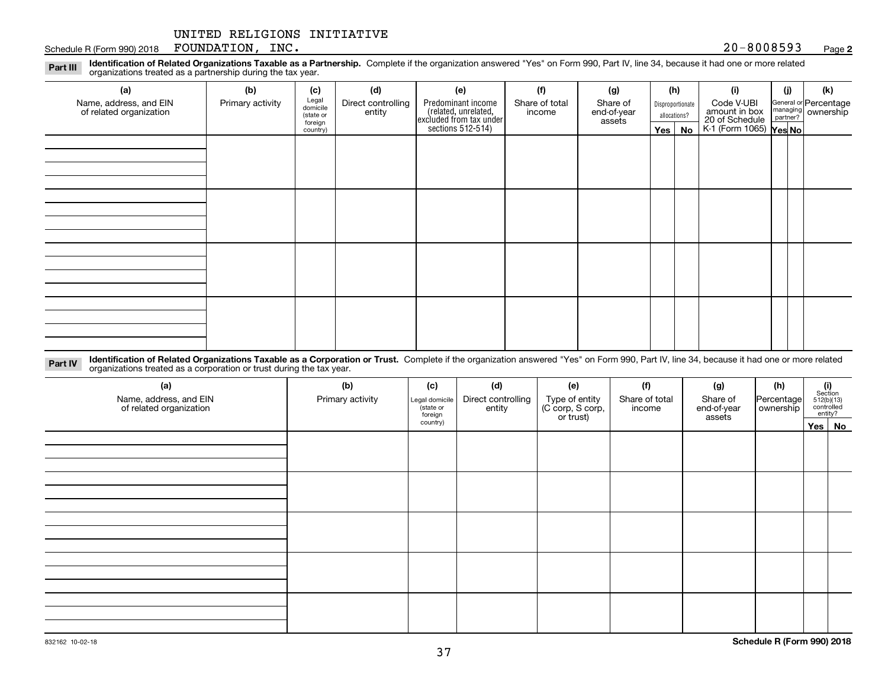| UNITED RELIGIONS INITIATIVE |  |  |  |
|-----------------------------|--|--|--|
|-----------------------------|--|--|--|

#### Schedule R (Form 990) 2018 Page FOUNDATION, INC. 20-8008593

#### **2**

**Identification of Related Organizations Taxable as a Partnership.** Complete if the organization answered "Yes" on Form 990, Part IV, line 34, because it had one or more related **Part III** organizations treated as a partnership during the tax year.

| (a)                     | (b)              | (c)                  | (d)                | (e)                                                                 | (f)            | (g)                   | (h)              | (i)                                      | (j) | (k)                                                       |
|-------------------------|------------------|----------------------|--------------------|---------------------------------------------------------------------|----------------|-----------------------|------------------|------------------------------------------|-----|-----------------------------------------------------------|
| Name, address, and EIN  | Primary activity | Legal<br>domicile    | Direct controlling | Predominant income                                                  | Share of total | Share of              | Disproportionate | Code V-UBI<br>amount in box              |     | General or Percentage<br>managing<br>partner?<br>partner? |
| of related organization |                  | (state or<br>foreign | entity             | related, unrelated,<br>excluded from tax under<br>sections 512-514) | income         | end-of-year<br>assets | allocations?     | 20 of Schedule<br>K-1 (Form 1065) Yes No |     |                                                           |
|                         |                  | country)             |                    |                                                                     |                |                       | Yes   No         |                                          |     |                                                           |
|                         |                  |                      |                    |                                                                     |                |                       |                  |                                          |     |                                                           |
|                         |                  |                      |                    |                                                                     |                |                       |                  |                                          |     |                                                           |
|                         |                  |                      |                    |                                                                     |                |                       |                  |                                          |     |                                                           |
|                         |                  |                      |                    |                                                                     |                |                       |                  |                                          |     |                                                           |
|                         |                  |                      |                    |                                                                     |                |                       |                  |                                          |     |                                                           |
|                         |                  |                      |                    |                                                                     |                |                       |                  |                                          |     |                                                           |
|                         |                  |                      |                    |                                                                     |                |                       |                  |                                          |     |                                                           |
|                         |                  |                      |                    |                                                                     |                |                       |                  |                                          |     |                                                           |
|                         |                  |                      |                    |                                                                     |                |                       |                  |                                          |     |                                                           |
|                         |                  |                      |                    |                                                                     |                |                       |                  |                                          |     |                                                           |
|                         |                  |                      |                    |                                                                     |                |                       |                  |                                          |     |                                                           |
|                         |                  |                      |                    |                                                                     |                |                       |                  |                                          |     |                                                           |
|                         |                  |                      |                    |                                                                     |                |                       |                  |                                          |     |                                                           |
|                         |                  |                      |                    |                                                                     |                |                       |                  |                                          |     |                                                           |
|                         |                  |                      |                    |                                                                     |                |                       |                  |                                          |     |                                                           |
|                         |                  |                      |                    |                                                                     |                |                       |                  |                                          |     |                                                           |
|                         |                  |                      |                    |                                                                     |                |                       |                  |                                          |     |                                                           |

**Identification of Related Organizations Taxable as a Corporation or Trust.** Complete if the organization answered "Yes" on Form 990, Part IV, line 34, because it had one or more related **Part IV** organizations treated as a corporation or trust during the tax year.

| (a)<br>Name, address, and EIN<br>of related organization | (b)<br>Primary activity | (c)<br>Legal domicile<br>(state or<br>foreign | (d)<br>Direct controlling<br>entity | (e)<br>Type of entity<br>(C corp, S corp,<br>or trust) | (f)<br>Share of total<br>income | (g)<br>Share of<br>end-of-year<br>assets | (h)<br>Percentage<br>ownership | $(i)$ Section<br>512(b)(13)<br>controlled<br>entity? |
|----------------------------------------------------------|-------------------------|-----------------------------------------------|-------------------------------------|--------------------------------------------------------|---------------------------------|------------------------------------------|--------------------------------|------------------------------------------------------|
|                                                          |                         | country)                                      |                                     |                                                        |                                 |                                          |                                | Yes No                                               |
|                                                          |                         |                                               |                                     |                                                        |                                 |                                          |                                |                                                      |
|                                                          |                         |                                               |                                     |                                                        |                                 |                                          |                                |                                                      |
|                                                          |                         |                                               |                                     |                                                        |                                 |                                          |                                |                                                      |
|                                                          |                         |                                               |                                     |                                                        |                                 |                                          |                                |                                                      |
|                                                          |                         |                                               |                                     |                                                        |                                 |                                          |                                |                                                      |
|                                                          |                         |                                               |                                     |                                                        |                                 |                                          |                                |                                                      |
|                                                          |                         |                                               |                                     |                                                        |                                 |                                          |                                |                                                      |
|                                                          |                         |                                               |                                     |                                                        |                                 |                                          |                                |                                                      |
|                                                          |                         |                                               |                                     |                                                        |                                 |                                          |                                |                                                      |
|                                                          |                         |                                               |                                     |                                                        |                                 |                                          |                                |                                                      |
|                                                          |                         |                                               |                                     |                                                        |                                 |                                          |                                |                                                      |
|                                                          |                         |                                               |                                     |                                                        |                                 |                                          |                                |                                                      |
|                                                          |                         |                                               |                                     |                                                        |                                 |                                          |                                |                                                      |
|                                                          |                         |                                               |                                     |                                                        |                                 |                                          |                                |                                                      |
|                                                          |                         |                                               |                                     |                                                        |                                 |                                          |                                |                                                      |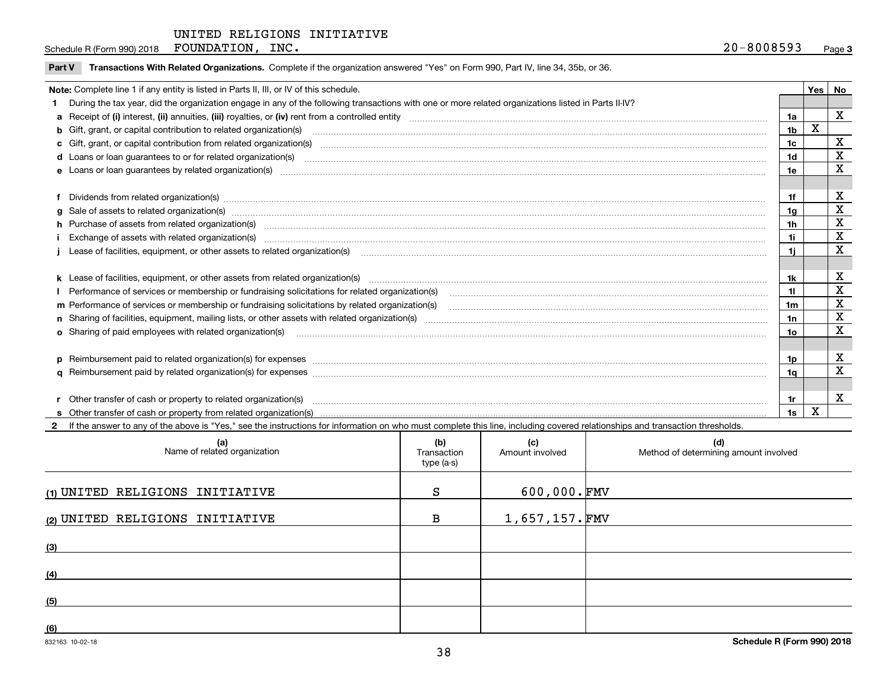Schedule R (Form 990) 2018 Page FOUNDATION, INC. 20-8008593

 $\overline{a}$ 

**Part V** T**ransactions With Related Organizations.** Complete if the organization answered "Yes" on Form 990, Part IV, line 34, 35b, or 36.

| Note: Complete line 1 if any entity is listed in Parts II, III, or IV of this schedule.                                                                                                                                        |                |   |   |  |  |
|--------------------------------------------------------------------------------------------------------------------------------------------------------------------------------------------------------------------------------|----------------|---|---|--|--|
| 1 During the tax year, did the organization engage in any of the following transactions with one or more related organizations listed in Parts II-IV?                                                                          |                |   |   |  |  |
|                                                                                                                                                                                                                                | 1a             |   | X |  |  |
| <b>b</b> Gift, grant, or capital contribution to related organization(s)                                                                                                                                                       | 1 <sub>b</sub> | X |   |  |  |
| c Gift, grant, or capital contribution from related organization(s)                                                                                                                                                            | 1c             |   | X |  |  |
| <b>d</b> Loans or loan quarantees to or for related organization(s)                                                                                                                                                            | 1d             |   | X |  |  |
| <b>e</b> Loans or loan quarantees by related organization(s)                                                                                                                                                                   | 1e             |   | X |  |  |
|                                                                                                                                                                                                                                |                |   |   |  |  |
| f Dividends from related organization(s) manufactured and contract the contract of the contract of the contract of the contract of the contract of the contract of the contract of the contract of the contract of the contrac | 1f             |   | х |  |  |
| g Sale of assets to related organization(s) www.assettion.com/www.assettion.com/www.assettion.com/www.assettion.com/www.assettion.com/www.assettion.com/www.assettion.com/www.assettion.com/www.assettion.com/www.assettion.co | 1g             |   | X |  |  |
| h Purchase of assets from related organization(s) manufactured and content to content the content of assets from related organization(s)                                                                                       | 1 <sub>h</sub> |   | X |  |  |
| Exchange of assets with related organization(s) www.assettion.com/www.assettion.com/www.assettion.com/www.assettion.com/www.assettion.com/www.assettion.com/www.assettion.com/www.assettion.com/www.assettion.com/www.assettio | 1i.            |   | X |  |  |
| Lease of facilities, equipment, or other assets to related organization(s)                                                                                                                                                     | 1i             |   | X |  |  |
|                                                                                                                                                                                                                                |                |   |   |  |  |
|                                                                                                                                                                                                                                | 1k             |   | X |  |  |
| Performance of services or membership or fundraising solicitations for related organization(s)                                                                                                                                 | 11             |   | X |  |  |
| m Performance of services or membership or fundraising solicitations by related organization(s)                                                                                                                                | 1 <sub>m</sub> |   | X |  |  |
|                                                                                                                                                                                                                                | 1n             |   | X |  |  |
| <b>o</b> Sharing of paid employees with related organization(s)                                                                                                                                                                | 10             |   | X |  |  |
|                                                                                                                                                                                                                                |                |   |   |  |  |
| p Reimbursement paid to related organization(s) for expenses [1111] and the content of the content of the content of the content of the content of the content of the content of the content of the content of the content of  | 1p             |   | х |  |  |
|                                                                                                                                                                                                                                | 1q             |   | X |  |  |
|                                                                                                                                                                                                                                |                |   |   |  |  |
| r Other transfer of cash or property to related organization(s)                                                                                                                                                                | 1r             |   | X |  |  |
|                                                                                                                                                                                                                                | 1s             | X |   |  |  |

**2**If the answer to any of the above is "Yes," see the instructions for information on who must complete this line, including covered relationships and transaction thresholds.

| (a)<br>Name of related organization | (b)<br>Transaction<br>type (a-s) | (c)<br>Amount involved | (d)<br>Method of determining amount involved |
|-------------------------------------|----------------------------------|------------------------|----------------------------------------------|
| (1) UNITED RELIGIONS INITIATIVE     | S                                | $600,000.\,$ FMV       |                                              |
| (2) UNITED RELIGIONS INITIATIVE     | в                                | $1,657,157$ . FMV      |                                              |
| (3)                                 |                                  |                        |                                              |
| (4)                                 |                                  |                        |                                              |
| (5)                                 |                                  |                        |                                              |
| (6)                                 |                                  |                        |                                              |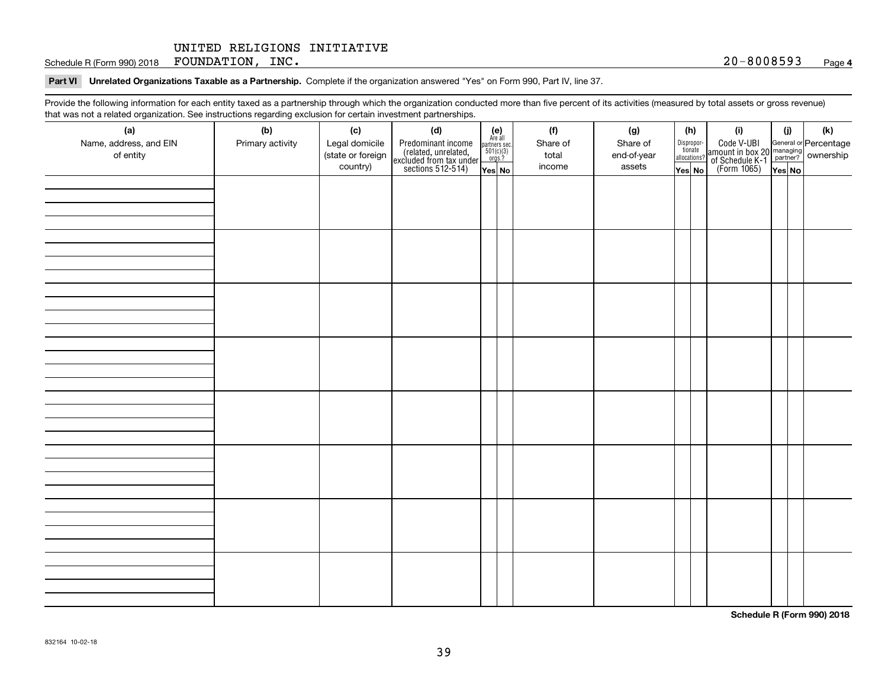Schedule R (Form 990) 2018 Page FOUNDATION, INC. 20-8008593

**Part VI Unrelated Organizations Taxable as a Partnership. Complete if the organization answered "Yes" on Form 990, Part IV, line 37.** 

Provide the following information for each entity taxed as a partnership through which the organization conducted more than five percent of its activities (measured by total assets or gross revenue) that was not a related organization. See instructions regarding exclusion for certain investment partnerships.

| . . <b>. . .</b> . <b>.</b><br>- <del>.</del><br>(a)<br>Name, address, and EIN<br>of entity | . - ອ---<br>(b)<br>Primary activity | (c)<br>Legal domicile<br>(state or foreign<br>country) | .<br>(d)<br>Predominant income<br>(related, unrelated,<br>excluded from tax under<br>sections 512-514) | $\begin{array}{c} \textbf{(e)}\\ \text{Area all} \\ \text{partners sec.}\\ 501(c)(3) \\ \text{orgs.?} \end{array}$<br>Yes No | (f)<br>Share of<br>total<br>income | (g)<br>Share of<br>end-of-year<br>assets | (h)<br>Dispropor-<br>tionate<br>allocations?<br>Yes No | (i)<br>Code V-UBI<br>amount in box 20 managing<br>of Schedule K-1<br>(Form 1065)<br>$\overline{Yes}$ No | (i)<br>Yes No | (k) |
|---------------------------------------------------------------------------------------------|-------------------------------------|--------------------------------------------------------|--------------------------------------------------------------------------------------------------------|------------------------------------------------------------------------------------------------------------------------------|------------------------------------|------------------------------------------|--------------------------------------------------------|---------------------------------------------------------------------------------------------------------|---------------|-----|
|                                                                                             |                                     |                                                        |                                                                                                        |                                                                                                                              |                                    |                                          |                                                        |                                                                                                         |               |     |
|                                                                                             |                                     |                                                        |                                                                                                        |                                                                                                                              |                                    |                                          |                                                        |                                                                                                         |               |     |
|                                                                                             |                                     |                                                        |                                                                                                        |                                                                                                                              |                                    |                                          |                                                        |                                                                                                         |               |     |
|                                                                                             |                                     |                                                        |                                                                                                        |                                                                                                                              |                                    |                                          |                                                        |                                                                                                         |               |     |
|                                                                                             |                                     |                                                        |                                                                                                        |                                                                                                                              |                                    |                                          |                                                        |                                                                                                         |               |     |
|                                                                                             |                                     |                                                        |                                                                                                        |                                                                                                                              |                                    |                                          |                                                        |                                                                                                         |               |     |
|                                                                                             |                                     |                                                        |                                                                                                        |                                                                                                                              |                                    |                                          |                                                        |                                                                                                         |               |     |
|                                                                                             |                                     |                                                        |                                                                                                        |                                                                                                                              |                                    |                                          |                                                        |                                                                                                         |               |     |

**Schedule R (Form 990) 2018**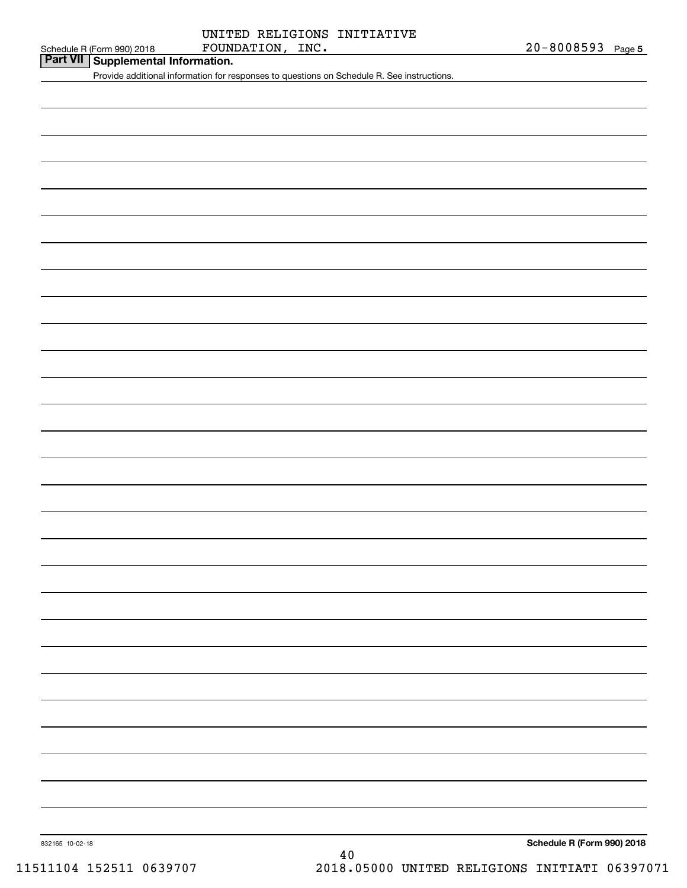## **Part VII Supplemental Information.**

Provide additional information for responses to questions on Schedule R. See instructions.

**Schedule R (Form 990) 2018**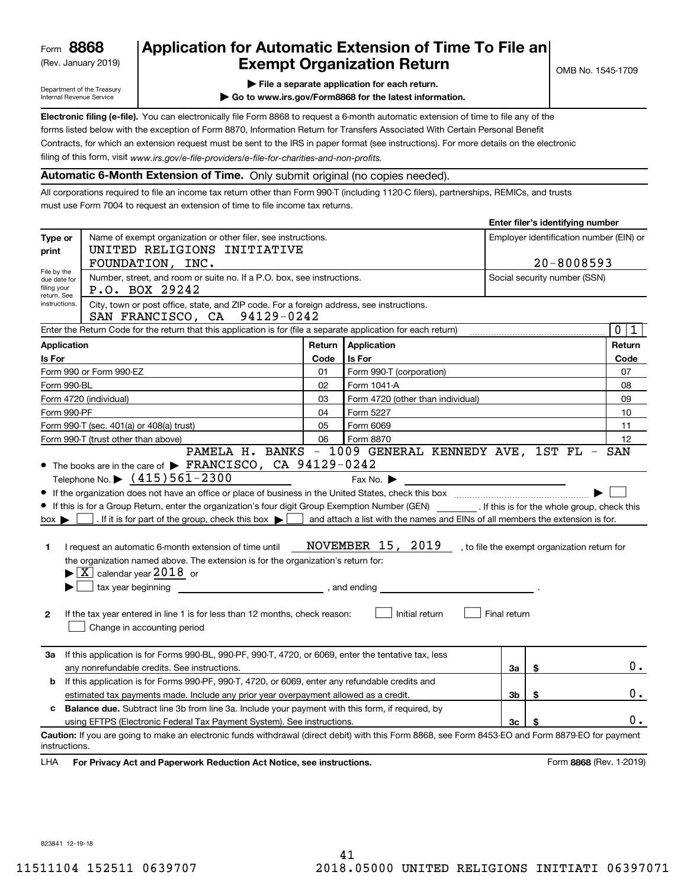(Rev. January 2019)

## **Application for Automatic Extension of Time To File an Exempt Organization Return**

Department of the Treasury Internal Revenue Service

**| File a separate application for each return.**

**| Go to www.irs.gov/Form8868 for the latest information.**

**Electronic filing (e-file).**  You can electronically file Form 8868 to request a 6-month automatic extension of time to file any of the filing of this form, visit www.irs.gov/e-file-providers/e-file-for-charities-and-non-profits. forms listed below with the exception of Form 8870, Information Return for Transfers Associated With Certain Personal Benefit Contracts, for which an extension request must be sent to the IRS in paper format (see instructions). For more details on the electronic

**Automatic 6-Month Extension of Time.** Only submit original (no copies needed).

All corporations required to file an income tax return other than Form 990-T (including 1120-C filers), partnerships, REMICs, and trusts must use Form 7004 to request an extension of time to file income tax returns.

|                                                |                                                                                                                                                                                                                                                                                                                                                                                                                                                                                                                                                                                                                                                               |              |                                                                      |                | Enter filer's identifying number             |                             |  |
|------------------------------------------------|---------------------------------------------------------------------------------------------------------------------------------------------------------------------------------------------------------------------------------------------------------------------------------------------------------------------------------------------------------------------------------------------------------------------------------------------------------------------------------------------------------------------------------------------------------------------------------------------------------------------------------------------------------------|--------------|----------------------------------------------------------------------|----------------|----------------------------------------------|-----------------------------|--|
| Type or<br>print                               | Name of exempt organization or other filer, see instructions.<br>UNITED RELIGIONS INITIATIVE                                                                                                                                                                                                                                                                                                                                                                                                                                                                                                                                                                  |              |                                                                      |                | Employer identification number (EIN) or      |                             |  |
|                                                | FOUNDATION, INC.<br>File by the                                                                                                                                                                                                                                                                                                                                                                                                                                                                                                                                                                                                                               |              |                                                                      |                | $20 - 8008593$                               |                             |  |
| due date for<br>filing your<br>return. See     | Number, street, and room or suite no. If a P.O. box, see instructions.<br>P.O. BOX 29242                                                                                                                                                                                                                                                                                                                                                                                                                                                                                                                                                                      |              |                                                                      |                | Social security number (SSN)                 |                             |  |
|                                                | City, town or post office, state, and ZIP code. For a foreign address, see instructions.<br>instructions.<br>SAN FRANCISCO, CA 94129-0242                                                                                                                                                                                                                                                                                                                                                                                                                                                                                                                     |              |                                                                      |                |                                              |                             |  |
|                                                | Enter the Return Code for the return that this application is for (file a separate application for each return)                                                                                                                                                                                                                                                                                                                                                                                                                                                                                                                                               |              |                                                                      |                |                                              | $\mathbf 0$<br>$\mathbf{1}$ |  |
| <b>Application</b>                             |                                                                                                                                                                                                                                                                                                                                                                                                                                                                                                                                                                                                                                                               | Return       | Application                                                          |                |                                              | Return                      |  |
| Is For                                         |                                                                                                                                                                                                                                                                                                                                                                                                                                                                                                                                                                                                                                                               | Code         | Is For                                                               |                |                                              | Code                        |  |
|                                                | Form 990 or Form 990-EZ                                                                                                                                                                                                                                                                                                                                                                                                                                                                                                                                                                                                                                       | 01           | Form 990-T (corporation)                                             |                |                                              | 07                          |  |
| Form 990-BL                                    |                                                                                                                                                                                                                                                                                                                                                                                                                                                                                                                                                                                                                                                               | 02           | Form 1041-A                                                          |                |                                              | 08                          |  |
|                                                | Form 4720 (individual)                                                                                                                                                                                                                                                                                                                                                                                                                                                                                                                                                                                                                                        | 03           | Form 4720 (other than individual)                                    |                |                                              | 09                          |  |
| Form 990-PF                                    |                                                                                                                                                                                                                                                                                                                                                                                                                                                                                                                                                                                                                                                               | 04           | Form 5227                                                            |                |                                              | 10                          |  |
|                                                | Form 990-T (sec. 401(a) or 408(a) trust)                                                                                                                                                                                                                                                                                                                                                                                                                                                                                                                                                                                                                      | 05           | Form 6069                                                            |                |                                              | 11                          |  |
|                                                | Form 990-T (trust other than above)                                                                                                                                                                                                                                                                                                                                                                                                                                                                                                                                                                                                                           | 06           | Form 8870                                                            |                |                                              | 12                          |  |
| $box \blacktriangleright$<br>1<br>$\mathbf{2}$ | Telephone No. $\triangleright$ $(415)561-2300$<br>If this is for a Group Return, enter the organization's four digit Group Exemption Number (GEN) [67] If this is for the whole group, check this<br>If it is for part of the group, check this box $\ $ and attach a list with the names and EINs of all members the extension is for.<br>I request an automatic 6-month extension of time until<br>the organization named above. The extension is for the organization's return for:<br>$\blacktriangleright$ $\boxed{\text{X}}$ calendar year 2018 or<br>tax year beginning<br>If the tax year entered in line 1 is for less than 12 months, check reason: | , and ending | Fax No. $\blacktriangleright$<br>NOVEMBER 15, 2019<br>Initial return | Final return   | , to file the exempt organization return for |                             |  |
| За                                             | Change in accounting period<br>If this application is for Forms 990-BL, 990-PF, 990-T, 4720, or 6069, enter the tentative tax, less                                                                                                                                                                                                                                                                                                                                                                                                                                                                                                                           |              |                                                                      |                |                                              |                             |  |
|                                                | any nonrefundable credits. See instructions.                                                                                                                                                                                                                                                                                                                                                                                                                                                                                                                                                                                                                  |              |                                                                      | За             | \$                                           | 0.                          |  |
| b                                              | If this application is for Forms 990-PF, 990-T, 4720, or 6069, enter any refundable credits and                                                                                                                                                                                                                                                                                                                                                                                                                                                                                                                                                               |              |                                                                      |                |                                              |                             |  |
|                                                | estimated tax payments made. Include any prior year overpayment allowed as a credit.                                                                                                                                                                                                                                                                                                                                                                                                                                                                                                                                                                          |              |                                                                      | Зb             | \$                                           | 0.                          |  |
| c                                              | <b>Balance due.</b> Subtract line 3b from line 3a. Include your payment with this form, if required, by                                                                                                                                                                                                                                                                                                                                                                                                                                                                                                                                                       |              |                                                                      |                |                                              |                             |  |
|                                                | using EFTPS (Electronic Federal Tax Payment System). See instructions.                                                                                                                                                                                                                                                                                                                                                                                                                                                                                                                                                                                        |              |                                                                      | 3 <sub>c</sub> | \$                                           | 0.                          |  |
| instructions.                                  | Caution: If you are going to make an electronic funds withdrawal (direct debit) with this Form 8868, see Form 8453-EO and Form 8879-EO for payment                                                                                                                                                                                                                                                                                                                                                                                                                                                                                                            |              |                                                                      |                |                                              |                             |  |
| LHA                                            | For Privacy Act and Paperwork Reduction Act Notice, see instructions.                                                                                                                                                                                                                                                                                                                                                                                                                                                                                                                                                                                         |              |                                                                      |                |                                              | Form 8868 (Rev. 1-2019)     |  |

823841 12-19-18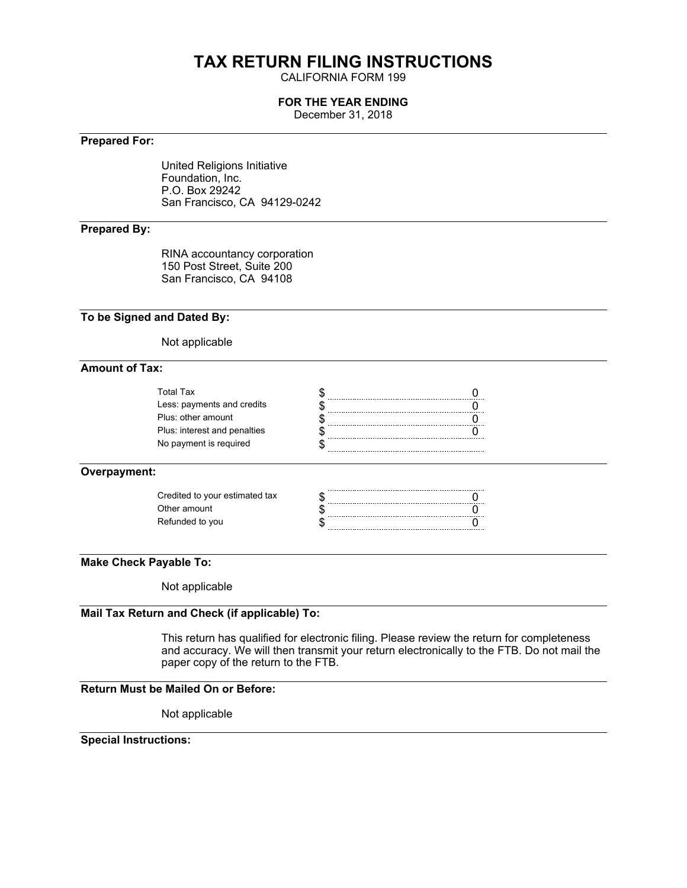# **TAX RETURN FILING INSTRUCTIONS**

CALIFORNIA FORM 199

#### **FOR THE YEAR ENDING**

December 31, 2018

### **Prepared For:**

United Religions Initiative Foundation, Inc. P.O. Box 29242 San Francisco, CA 94129-0242

#### **Prepared By:**

RINA accountancy corporation 150 Post Street, Suite 200 San Francisco, CA 94108

#### **To be Signed and Dated By:**

Not applicable

#### **Amount of Tax:**

| Total Tax                    |  |
|------------------------------|--|
| Less: payments and credits   |  |
| Plus: other amount           |  |
| Plus: interest and penalties |  |
| No payment is required       |  |
|                              |  |

#### **Overpayment:**

| Credited to your estimated tax |  |
|--------------------------------|--|
| Other amount                   |  |
| Refunded to you                |  |

#### **Make Check Payable To:**

#### Not applicable

#### **Mail Tax Return and Check (if applicable) To:**

This return has qualified for electronic filing. Please review the return for completeness and accuracy. We will then transmit your return electronically to the FTB. Do not mail the paper copy of the return to the FTB.

#### **Return Must be Mailed On or Before:**

Not applicable

#### **Special Instructions:**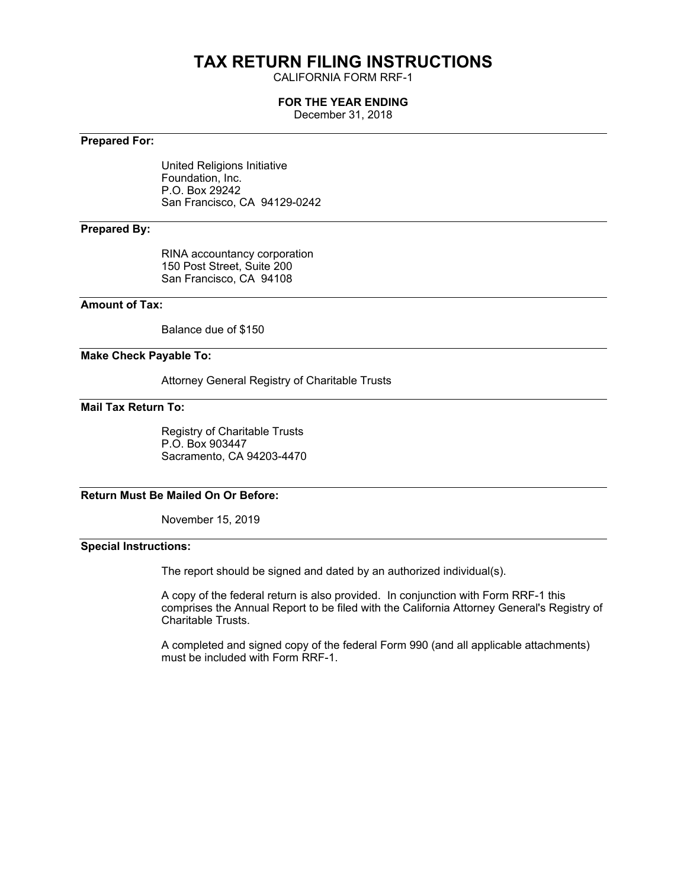## **TAX RETURN FILING INSTRUCTIONS**

CALIFORNIA FORM RRF-1

#### **FOR THE YEAR ENDING**

December 31, 2018

#### **Prepared For:**

United Religions Initiative Foundation, Inc. P.O. Box 29242 San Francisco, CA 94129-0242

#### **Prepared By:**

RINA accountancy corporation 150 Post Street, Suite 200 San Francisco, CA 94108

#### **Amount of Tax:**

Balance due of \$150

#### **Make Check Payable To:**

Attorney General Registry of Charitable Trusts

### **Mail Tax Return To:**

Registry of Charitable Trusts P.O. Box 903447 Sacramento, CA 94203-4470

#### **Return Must Be Mailed On Or Before:**

November 15, 2019

#### **Special Instructions:**

The report should be signed and dated by an authorized individual(s).

A copy of the federal return is also provided. In conjunction with Form RRF-1 this comprises the Annual Report to be filed with the California Attorney General's Registry of Charitable Trusts.

A completed and signed copy of the federal Form 990 (and all applicable attachments) must be included with Form RRF-1.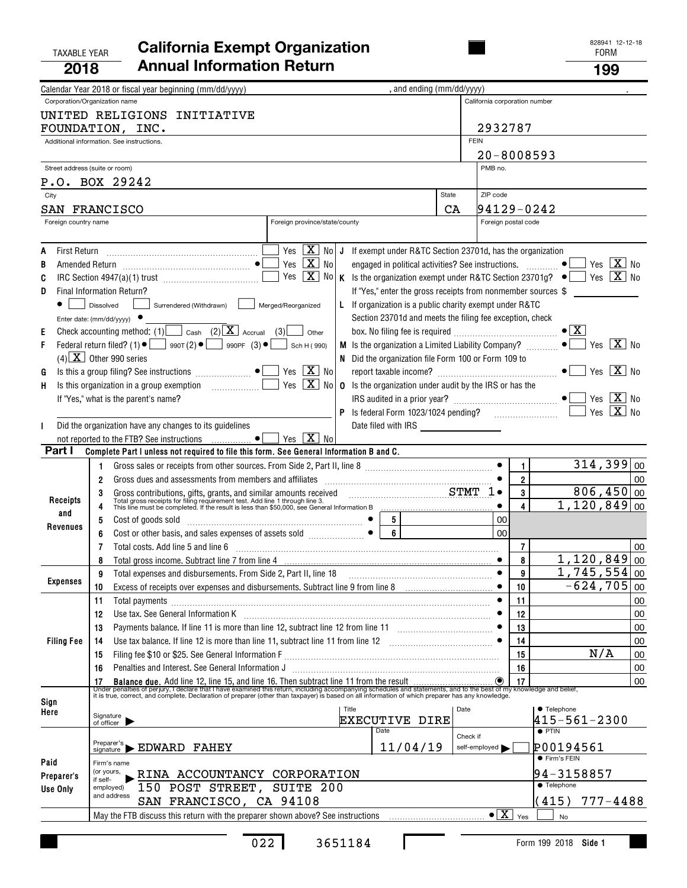#### TAXABLE YEAR FORM **California Exempt Organization 2018Annual Information Return <sup>199</sup>**

|   |                      | Calendar Year 2018 or fiscal year beginning (mm/dd/yyyy)                                                                                                                                                                                                     | , and ending (mm/dd/yyyy)                                    |                               |                                     |                                                                                                                                                                   |          |
|---|----------------------|--------------------------------------------------------------------------------------------------------------------------------------------------------------------------------------------------------------------------------------------------------------|--------------------------------------------------------------|-------------------------------|-------------------------------------|-------------------------------------------------------------------------------------------------------------------------------------------------------------------|----------|
|   |                      | Corporation/Organization name                                                                                                                                                                                                                                |                                                              | California corporation number |                                     |                                                                                                                                                                   |          |
|   |                      | UNITED RELIGIONS INITIATIVE                                                                                                                                                                                                                                  |                                                              |                               |                                     |                                                                                                                                                                   |          |
|   |                      | FOUNDATION, INC.                                                                                                                                                                                                                                             |                                                              |                               | 2932787                             |                                                                                                                                                                   |          |
|   |                      | Additional information. See instructions.                                                                                                                                                                                                                    |                                                              | <b>FEIN</b>                   |                                     |                                                                                                                                                                   |          |
|   |                      |                                                                                                                                                                                                                                                              |                                                              |                               |                                     | 20-8008593                                                                                                                                                        |          |
|   |                      | Street address (suite or room)                                                                                                                                                                                                                               |                                                              | PMB no.                       |                                     |                                                                                                                                                                   |          |
|   |                      | P.O. BOX 29242                                                                                                                                                                                                                                               |                                                              |                               |                                     |                                                                                                                                                                   |          |
|   | City                 |                                                                                                                                                                                                                                                              |                                                              | ZIP code<br>State             |                                     |                                                                                                                                                                   |          |
|   |                      | <b>SAN FRANCISCO</b>                                                                                                                                                                                                                                         |                                                              | CA                            |                                     | 94129-0242                                                                                                                                                        |          |
|   | Foreign country name | Foreign province/state/county                                                                                                                                                                                                                                |                                                              |                               | Foreign postal code                 |                                                                                                                                                                   |          |
| A |                      | Yes $\boxed{\mathbf{X}}$ No $\boxed{\mathbf{J}}$ If exempt under R&TC Section 23701d, has the organization                                                                                                                                                   |                                                              |                               |                                     |                                                                                                                                                                   |          |
| В |                      | Yes $\boxed{\mathbf{X}}$ No                                                                                                                                                                                                                                  | engaged in political activities? See instructions.  ● [      |                               |                                     | Yes $X $ No                                                                                                                                                       |          |
| C |                      |                                                                                                                                                                                                                                                              |                                                              |                               |                                     | Yes $\boxed{\mathbf{X}}$ No $\boxed{\mathbf{K}}$ is the organization exempt under R&TC Section 23701g? $\bullet$ $\boxed{\mathbf{X}}$ Yes $\boxed{\mathbf{X}}$ No |          |
| D |                      | Final Information Return?                                                                                                                                                                                                                                    | If "Yes," enter the gross receipts from nonmember sources \$ |                               |                                     |                                                                                                                                                                   |          |
|   |                      | Dissolved<br>Surrendered (Withdrawn)  <br>Merged/Reorganized                                                                                                                                                                                                 | L If organization is a public charity exempt under R&TC      |                               |                                     |                                                                                                                                                                   |          |
|   |                      | Enter date: (mm/dd/yyyy) $\bullet$                                                                                                                                                                                                                           | Section 23701d and meets the filing fee exception, check     |                               |                                     |                                                                                                                                                                   |          |
| Ε |                      | Check accounting method: $(1)$ cash $(2)$ X Accrual $(3)$<br>Other                                                                                                                                                                                           |                                                              |                               |                                     | $\bullet$ $\mid$ X $\mid$                                                                                                                                         |          |
| F |                      | Federal return filed? (1) $\bullet$ $\bullet$ 990T (2) $\bullet$ 990PF (3) $\bullet$<br>Sch H (990)                                                                                                                                                          |                                                              |                               |                                     | Yes $X$ No                                                                                                                                                        |          |
|   |                      | $(4)$ X Other 990 series                                                                                                                                                                                                                                     | N Did the organization file Form 100 or Form 109 to          |                               |                                     |                                                                                                                                                                   |          |
| G |                      | Yes $\boxed{\mathbf{X}}$ No                                                                                                                                                                                                                                  |                                                              |                               |                                     | Yes $X \mid N_0$                                                                                                                                                  |          |
| н |                      | Yes $\boxed{\mathbf{X}}$ No   0 Is the organization under audit by the IRS or has the                                                                                                                                                                        |                                                              |                               |                                     |                                                                                                                                                                   |          |
|   |                      | If "Yes," what is the parent's name?                                                                                                                                                                                                                         |                                                              |                               |                                     | Yes $ \bar{\mathbf{X}} $ No                                                                                                                                       |          |
|   |                      |                                                                                                                                                                                                                                                              |                                                              |                               |                                     | Yes<br>$ X $ No                                                                                                                                                   |          |
|   |                      | Did the organization have any changes to its guidelines                                                                                                                                                                                                      | Date filed with IRS ___________________                      |                               |                                     |                                                                                                                                                                   |          |
|   |                      | Yes $\boxed{\mathbf{X}}$ No                                                                                                                                                                                                                                  |                                                              |                               |                                     |                                                                                                                                                                   |          |
|   | Part I               | Complete Part I unless not required to file this form. See General Information B and C.                                                                                                                                                                      |                                                              |                               |                                     |                                                                                                                                                                   |          |
|   |                      | 1.                                                                                                                                                                                                                                                           |                                                              |                               | $\mathbf{1}$                        | $314,399$ 00                                                                                                                                                      |          |
|   |                      | Gross dues and assessments from members and affiliates [111] [11] content and a filiates [11] [11] content and affiliates [11] [11] content and affiliates [11] $\alpha$ [11] $\alpha$ [11] $\alpha$ [11] $\alpha$ [11] $\alpha$ [11] $\alpha$ [11] $\$<br>2 |                                                              |                               | $\overline{\mathbf{2}}$             |                                                                                                                                                                   | 00       |
|   | Receipts             | Gross contributions, gifts, grants, and similar amounts received <b>STMT</b><br>Total gross receipts for filing requirement test. Add line 1 through line 3.<br>This line must be completed. If the result is less than \$50,000, see Gene<br>3              |                                                              |                               | $\mathbf 3$                         | $806,450$ 00                                                                                                                                                      |          |
|   | and                  |                                                                                                                                                                                                                                                              |                                                              |                               | 4                                   | $1,120,849$ <sub>00</sub>                                                                                                                                         |          |
|   | Revenues             | 5<br>Cost of goods sold<br>Cost or other basis, and sales expenses of assets sold<br><b>6</b>                                                                                                                                                                | 5 <sup>1</sup>                                               |                               | 00                                  |                                                                                                                                                                   |          |
|   |                      | 6                                                                                                                                                                                                                                                            |                                                              |                               | 00                                  |                                                                                                                                                                   |          |
|   |                      | Total costs. Add line 5 and line 6                                                                                                                                                                                                                           |                                                              |                               | $\overline{7}$                      |                                                                                                                                                                   | 00       |
|   |                      |                                                                                                                                                                                                                                                              |                                                              |                               | 8                                   | $1,120,849$ 00                                                                                                                                                    |          |
|   | Expenses             | Total expenses and disbursements. From Side 2, Part II, line 18<br>9                                                                                                                                                                                         |                                                              |                               | 9<br>٠                              | $1,745,554$ 00<br>$-624, 705$ 00                                                                                                                                  |          |
|   |                      | Excess of receipts over expenses and disbursements. Subtract line 9 from line 8 [11, 11, 11, 11, 11, 11, 11, 1<br>10                                                                                                                                         |                                                              | $\bullet$                     | 10                                  |                                                                                                                                                                   |          |
|   |                      | 11<br>Total payments                                                                                                                                                                                                                                         |                                                              |                               | 11                                  |                                                                                                                                                                   | 00       |
|   |                      | Use tax. See General Information K<br>12                                                                                                                                                                                                                     |                                                              |                               | 12                                  |                                                                                                                                                                   | 00       |
|   |                      | Payments balance. If line 11 is more than line 12, subtract line 12 from line 11<br>13                                                                                                                                                                       |                                                              |                               | 13                                  |                                                                                                                                                                   | 00       |
|   | <b>Filing Fee</b>    | Use tax balance. If line 12 is more than line 11, subtract line 11 from line 12 [11] [12] [11] [12] [11] [12] [11] [12] [11] [12] [11] [12] [11] [12] [11] [12] [11] [12] [11] [12] [11] [12] [11] [12] [11] [12] [11] [12] [1<br>14                         |                                                              |                               | 14<br>15                            | N/A                                                                                                                                                               | 00<br>00 |
|   |                      | 15<br>Penalties and Interest. See General Information J<br>16                                                                                                                                                                                                |                                                              |                               | 16                                  |                                                                                                                                                                   | 00       |
|   |                      |                                                                                                                                                                                                                                                              |                                                              |                               |                                     |                                                                                                                                                                   | 00       |
|   |                      |                                                                                                                                                                                                                                                              |                                                              |                               |                                     |                                                                                                                                                                   |          |
|   | Sign                 | Title                                                                                                                                                                                                                                                        |                                                              | Date                          |                                     | ● Telephone                                                                                                                                                       |          |
|   | Here                 | Signature<br>of officer                                                                                                                                                                                                                                      | EXECUTIVE DIRE                                               |                               |                                     | 415-561-2300                                                                                                                                                      |          |
|   |                      |                                                                                                                                                                                                                                                              | Date                                                         | Check if                      |                                     | $\bullet$ PTIN                                                                                                                                                    |          |
|   |                      | Preparer's<br>EDWARD FAHEY<br>signature                                                                                                                                                                                                                      | 11/04/19                                                     | self-employed                 |                                     | P00194561                                                                                                                                                         |          |
|   | Paid                 | Firm's name                                                                                                                                                                                                                                                  |                                                              |                               |                                     | ● Firm's FEIN                                                                                                                                                     |          |
|   | Preparer's           | (or yours,<br>RINA ACCOUNTANCY CORPORATION                                                                                                                                                                                                                   |                                                              |                               |                                     | 94-3158857                                                                                                                                                        |          |
|   | Use Only             | if self-<br>150 POST STREET, SUITE 200<br>employed)                                                                                                                                                                                                          |                                                              |                               |                                     | • Telephone                                                                                                                                                       |          |
|   |                      | and address<br>SAN FRANCISCO, CA 94108                                                                                                                                                                                                                       |                                                              |                               |                                     | (415)<br>$777 - 4488$                                                                                                                                             |          |
|   |                      |                                                                                                                                                                                                                                                              |                                                              |                               | $\bullet$ $\boxed{\text{X}}$<br>Yes | No                                                                                                                                                                |          |
|   |                      |                                                                                                                                                                                                                                                              |                                                              |                               |                                     |                                                                                                                                                                   |          |

022 3651184

 $\mathbf I$ 

**Side 1** Form 199 2018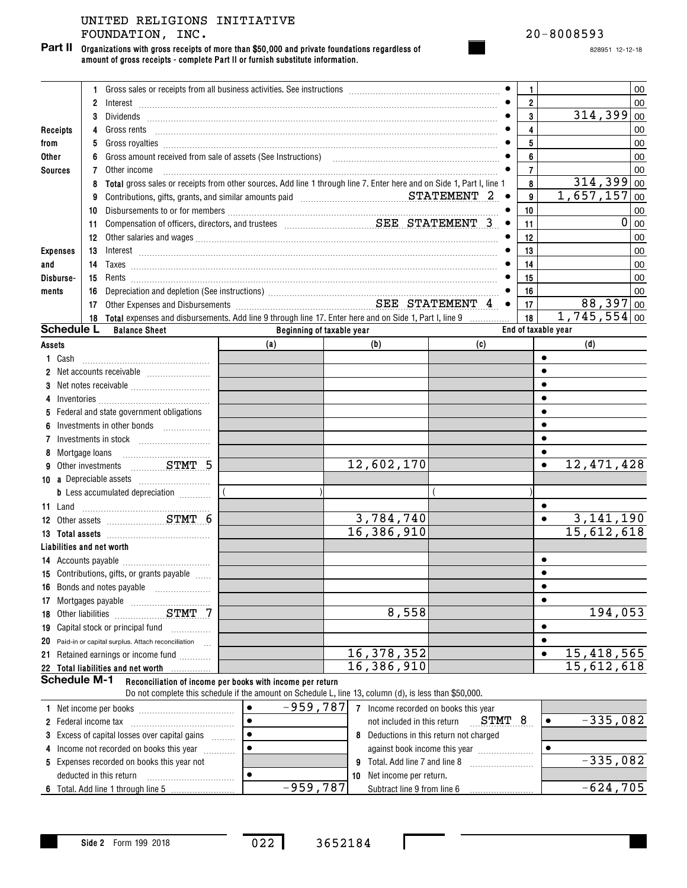#### FOUNDATION, INC. 20-8008593 UNITED RELIGIONS INITIATIVE

**Organizations with gross receipts of more than \$50,000 and private foundations regardless of Part II amount of gross receipts - complete Part II or furnish substitute information.**

828951 12-12-18

|                     | Gross sales or receipts from all business activities. See instructions [11] contains the contraction of the sales or receipts from all business activities. See instructions [11] $\frac{1}{2}$<br>1                                                                                                                                                           |                                                                                                        |                                         |                               | 1                   | 00                        |
|---------------------|----------------------------------------------------------------------------------------------------------------------------------------------------------------------------------------------------------------------------------------------------------------------------------------------------------------------------------------------------------------|--------------------------------------------------------------------------------------------------------|-----------------------------------------|-------------------------------|---------------------|---------------------------|
|                     | 2<br>$Interest \begin{array}{c} \rule{2.5cm}{0.15cm} \rule{2.5cm}{0.15cm} \rule{2.5cm}{0.15cm} \rule{2.5cm}{0.15cm} \rule{2.5cm}{0.15cm} \rule{2.5cm}{0.15cm} \rule{2.5cm}{0.15cm} \rule{2.5cm}{0.15cm} \rule{2.5cm}{0.15cm} \rule{2.5cm}{0.15cm} \rule{2.5cm}{0.15cm} \rule{2.5cm}{0.15cm} \rule{2.5cm}{0.15cm} \rule{2.5cm}{0.15cm} \rule{2.5cm}{0.15cm} \$  |                                                                                                        |                                         |                               | $\overline{2}$      | 00                        |
|                     | 3<br>Dividends                                                                                                                                                                                                                                                                                                                                                 |                                                                                                        |                                         |                               | 3                   | 314,399<br>00             |
| Receipts            | 4<br>Gross rents                                                                                                                                                                                                                                                                                                                                               |                                                                                                        |                                         |                               | 4                   | 00                        |
| from                | 5                                                                                                                                                                                                                                                                                                                                                              |                                                                                                        |                                         |                               | 5                   | 00                        |
| <b>Other</b>        | 6                                                                                                                                                                                                                                                                                                                                                              |                                                                                                        |                                         |                               | 6                   | 00                        |
| <b>Sources</b>      | Other income<br>7                                                                                                                                                                                                                                                                                                                                              |                                                                                                        |                                         |                               | 7                   | 00                        |
|                     | Total gross sales or receipts from other sources. Add line 1 through line 7. Enter here and on Side 1, Part I, line 1<br>8                                                                                                                                                                                                                                     |                                                                                                        |                                         |                               | 8                   | 314,399<br>00             |
|                     | Contributions, gifts, grants, and similar amounts paid material contributions, gifts, grants, and similar amounts paid<br>9                                                                                                                                                                                                                                    |                                                                                                        |                                         |                               | 9                   | 1,657,157<br>00           |
|                     | 10                                                                                                                                                                                                                                                                                                                                                             |                                                                                                        |                                         |                               | 10                  | 00                        |
|                     | 11                                                                                                                                                                                                                                                                                                                                                             |                                                                                                        |                                         |                               | 11                  | 0<br>00                   |
|                     | 12                                                                                                                                                                                                                                                                                                                                                             |                                                                                                        |                                         |                               | 12                  | 00                        |
| <b>Expenses</b>     | 13<br>$Interest \begin{array}{c} \rule{2.5cm}{0.15cm} \rule{2.5cm}{0.15cm} \rule{2.5cm}{0.15cm} \rule{2.5cm}{0.15cm} \rule{2.5cm}{0.15cm} \rule{2.5cm}{0.15cm} \rule{2.5cm}{0.15cm} \rule{2.5cm}{0.15cm} \rule{2.5cm}{0.15cm} \rule{2.5cm}{0.15cm} \rule{2.5cm}{0.15cm} \rule{2.5cm}{0.15cm} \rule{2.5cm}{0.15cm} \rule{2.5cm}{0.15cm} \rule{2.5cm}{0.15cm} \$ |                                                                                                        |                                         |                               | 13                  | 00                        |
| and                 | 14                                                                                                                                                                                                                                                                                                                                                             |                                                                                                        |                                         |                               | 14                  | 00                        |
| Disburse-           | 15                                                                                                                                                                                                                                                                                                                                                             |                                                                                                        |                                         |                               | 15                  | 00                        |
| ments               | 16                                                                                                                                                                                                                                                                                                                                                             |                                                                                                        |                                         |                               | 16                  | 00                        |
|                     | Other Expenses and Disbursements Material Material SEE STATEMENT 4<br>17                                                                                                                                                                                                                                                                                       |                                                                                                        |                                         | $\bullet$                     | 17                  | $88,397$ 00               |
|                     | Total expenses and disbursements. Add line 9 through line 17. Enter here and on Side 1, Part I, line 9<br>18                                                                                                                                                                                                                                                   |                                                                                                        |                                         | .                             | 18                  | $\overline{1,745,554}$ 00 |
| <b>Schedule L</b>   | <b>Balance Sheet</b>                                                                                                                                                                                                                                                                                                                                           | Beginning of taxable year                                                                              |                                         |                               | End of taxable year |                           |
| Assets              |                                                                                                                                                                                                                                                                                                                                                                | (a)                                                                                                    | (b)                                     | (c)                           |                     | (d)                       |
| 1 Cash              |                                                                                                                                                                                                                                                                                                                                                                |                                                                                                        |                                         |                               | $\bullet$           |                           |
| 2                   |                                                                                                                                                                                                                                                                                                                                                                |                                                                                                        |                                         |                               | $\bullet$           |                           |
| 3                   |                                                                                                                                                                                                                                                                                                                                                                |                                                                                                        |                                         |                               | $\bullet$           |                           |
| 4                   |                                                                                                                                                                                                                                                                                                                                                                |                                                                                                        |                                         |                               | $\bullet$           |                           |
| 5                   | Federal and state government obligations                                                                                                                                                                                                                                                                                                                       |                                                                                                        |                                         |                               | $\bullet$           |                           |
| 6                   | Investments in other bonds                                                                                                                                                                                                                                                                                                                                     |                                                                                                        |                                         |                               | $\bullet$           |                           |
| 7                   |                                                                                                                                                                                                                                                                                                                                                                |                                                                                                        |                                         |                               | $\bullet$           |                           |
| 8                   | Mortgage loans                                                                                                                                                                                                                                                                                                                                                 |                                                                                                        |                                         |                               | $\bullet$           |                           |
| 9                   | Other investments  STMT 5                                                                                                                                                                                                                                                                                                                                      |                                                                                                        | $\overline{12}$ , 602, 170              |                               | $\bullet$           | 12, 471, 428              |
|                     |                                                                                                                                                                                                                                                                                                                                                                |                                                                                                        |                                         |                               |                     |                           |
|                     | <b>b</b> Less accumulated depreciation <i></i>                                                                                                                                                                                                                                                                                                                 |                                                                                                        |                                         |                               |                     |                           |
| 11 Land             |                                                                                                                                                                                                                                                                                                                                                                |                                                                                                        |                                         |                               | $\bullet$           |                           |
|                     | 12 Other assets STMT 6                                                                                                                                                                                                                                                                                                                                         |                                                                                                        | 3,784,740                               |                               | $\bullet$           | 3, 141, 190               |
|                     |                                                                                                                                                                                                                                                                                                                                                                |                                                                                                        | 16,386,910                              |                               |                     | 15,612,618                |
|                     | Liabilities and net worth                                                                                                                                                                                                                                                                                                                                      |                                                                                                        |                                         |                               |                     |                           |
|                     |                                                                                                                                                                                                                                                                                                                                                                |                                                                                                        |                                         |                               | $\bullet$           |                           |
|                     | 15 Contributions, gifts, or grants payable                                                                                                                                                                                                                                                                                                                     |                                                                                                        |                                         |                               |                     |                           |
|                     | <b>16</b> Bonds and notes payable                                                                                                                                                                                                                                                                                                                              |                                                                                                        |                                         |                               | $\bullet$           |                           |
| 17                  |                                                                                                                                                                                                                                                                                                                                                                |                                                                                                        |                                         |                               | $\bullet$           |                           |
|                     |                                                                                                                                                                                                                                                                                                                                                                |                                                                                                        | 8,558                                   |                               |                     | 194,053                   |
| 19                  | Capital stock or principal fund                                                                                                                                                                                                                                                                                                                                |                                                                                                        |                                         |                               | $\bullet$           |                           |
| 20                  | Paid-in or capital surplus. Attach reconciliation                                                                                                                                                                                                                                                                                                              |                                                                                                        |                                         |                               | $\bullet$           |                           |
| 21                  | Retained earnings or income fund                                                                                                                                                                                                                                                                                                                               |                                                                                                        | 16, 378, 352                            |                               | $\bullet$           | 15,418,565                |
|                     | 22 Total liabilities and net worth                                                                                                                                                                                                                                                                                                                             |                                                                                                        | 16,386,910                              |                               |                     | 15,612,618                |
| <b>Schedule M-1</b> |                                                                                                                                                                                                                                                                                                                                                                | Reconciliation of income per books with income per return                                              |                                         |                               |                     |                           |
|                     |                                                                                                                                                                                                                                                                                                                                                                | Do not complete this schedule if the amount on Schedule L, line 13, column (d), is less than \$50,000. |                                         |                               |                     |                           |
|                     |                                                                                                                                                                                                                                                                                                                                                                | $-959,787$<br>$\bullet$                                                                                | 7 Income recorded on books this year    |                               |                     |                           |
|                     |                                                                                                                                                                                                                                                                                                                                                                | $\bullet$                                                                                              | not included in this return             | STMT 8                        | $\bullet$           | $-335,082$                |
|                     | 3 Excess of capital losses over capital gains                                                                                                                                                                                                                                                                                                                  | $\bullet$                                                                                              | 8 Deductions in this return not charged |                               |                     |                           |
|                     | 4 Income not recorded on books this year                                                                                                                                                                                                                                                                                                                       | $\bullet$                                                                                              |                                         | against book income this year |                     |                           |
|                     | 5 Expenses recorded on books this year not<br>9 Total. Add line 7 and line 8                                                                                                                                                                                                                                                                                   |                                                                                                        |                                         |                               |                     | $-335,082$                |

~~~~~~~~~~~

deducted in this return

-959,787

**6** Total. Add line 1 through line 5

 $\bullet$ 

022 3652184

**9** Total. Add line 7 and line 8 **10** Net income per return.

Subtract line 9 from line 6

 $-624,705$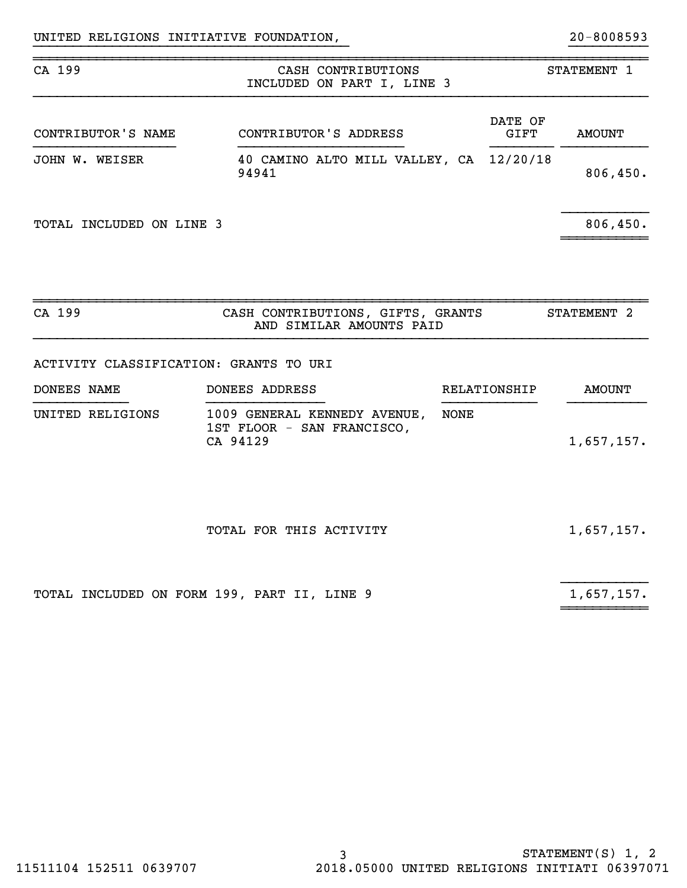| CA 199                   | CASH CONTRIBUTIONS<br>INCLUDED ON PART I, LINE 3 | STATEMENT 1     |               |  |
|--------------------------|--------------------------------------------------|-----------------|---------------|--|
| CONTRIBUTOR'S NAME       | CONTRIBUTOR'S ADDRESS                            | DATE OF<br>GIFT | <b>AMOUNT</b> |  |
| JOHN W.<br>WEISER        | 40 CAMINO ALTO MILL VALLEY, CA<br>94941          | 12/20/18        | 806,450.      |  |
| TOTAL INCLUDED ON LINE 3 |                                                  |                 | 806,450.      |  |
|                          |                                                  |                 |               |  |

~~~~~~~~~~~~~~~~~~~~~~~~~~~~~~~~~~~~~~~~~~~~~~~~~~~~~~~~~~~~~~~~~~~~~~~~~~~~~~

}}}}}}}}}}}}}}}}}}}}}}}}}}}}}}}}}}}}}}}} }}}}}}}}}}

| CA 199                                 |  |                                                                        | CASH CONTRIBUTIONS, GIFTS, GRANTS<br>AND SIMILAR AMOUNTS PAID |               |  |  |  |  |  |
|----------------------------------------|--|------------------------------------------------------------------------|---------------------------------------------------------------|---------------|--|--|--|--|--|
| ACTIVITY CLASSIFICATION: GRANTS TO URI |  |                                                                        |                                                               |               |  |  |  |  |  |
| DONEES NAME                            |  | DONEES ADDRESS                                                         | RELATIONSHIP                                                  | <b>AMOUNT</b> |  |  |  |  |  |
| UNITED RELIGIONS                       |  | 1009 GENERAL KENNEDY AVENUE,<br>1ST FLOOR - SAN FRANCISCO,<br>CA 94129 | NONE                                                          | 1,657,157.    |  |  |  |  |  |
|                                        |  | TOTAL FOR THIS ACTIVITY                                                |                                                               | 1,657,157.    |  |  |  |  |  |
|                                        |  | TOTAL INCLUDED ON FORM 199, PART II, LINE 9                            |                                                               | 1,657,157.    |  |  |  |  |  |

~~~~~~~~~~~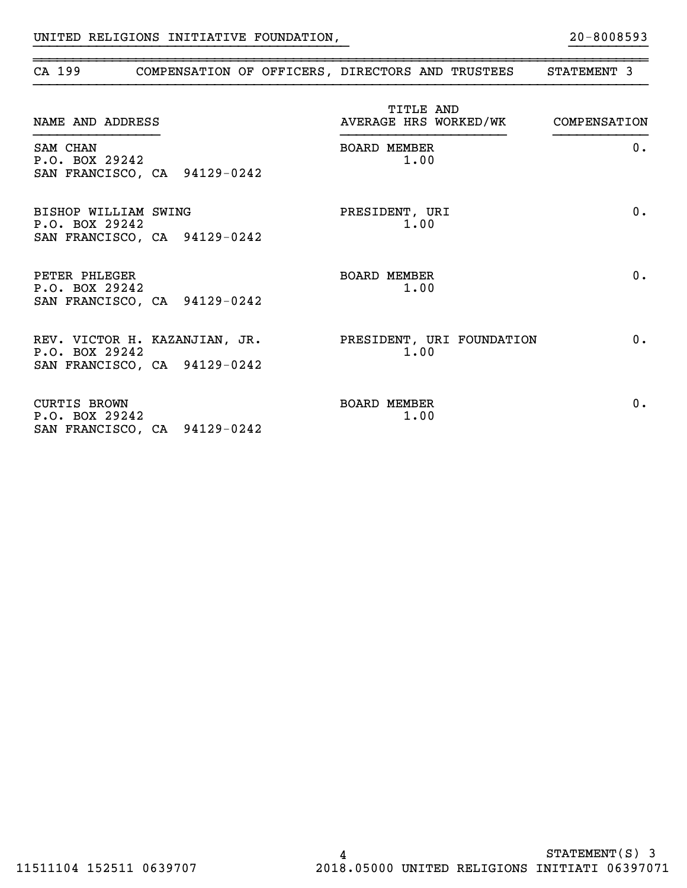| CA 199                                                                          |  | COMPENSATION OF OFFICERS, DIRECTORS AND TRUSTEES | STATEMENT 3                        |
|---------------------------------------------------------------------------------|--|--------------------------------------------------|------------------------------------|
| NAME AND ADDRESS                                                                |  | TITLE AND                                        | AVERAGE HRS WORKED/WK COMPENSATION |
| SAM CHAN<br>P.O. BOX 29242<br>SAN FRANCISCO, CA 94129-0242                      |  | <b>BOARD MEMBER</b><br>1.00                      | $0$ .                              |
| BISHOP WILLIAM SWING<br>P.O. BOX 29242<br>SAN FRANCISCO, CA 94129-0242          |  | PRESIDENT, URI<br>1.00                           | 0.                                 |
| PETER PHLEGER<br>P.O. BOX 29242<br>SAN FRANCISCO, CA 94129-0242                 |  | <b>BOARD MEMBER</b><br>1.00                      | $0$ .                              |
| REV. VICTOR H. KAZANJIAN, JR.<br>P.O. BOX 29242<br>SAN FRANCISCO, CA 94129-0242 |  | PRESIDENT, URI FOUNDATION<br>1.00                | $0$ .                              |
| <b>CURTIS BROWN</b><br>P.O. BOX 29242<br>SAN FRANCISCO, CA 94129-0242           |  | <b>BOARD MEMBER</b><br>1.00                      | $0$ .                              |

}}}}}}}}}}}}}}}}}}}}}}}}}}}}}}}}}}}}}}}} }}}}}}}}}}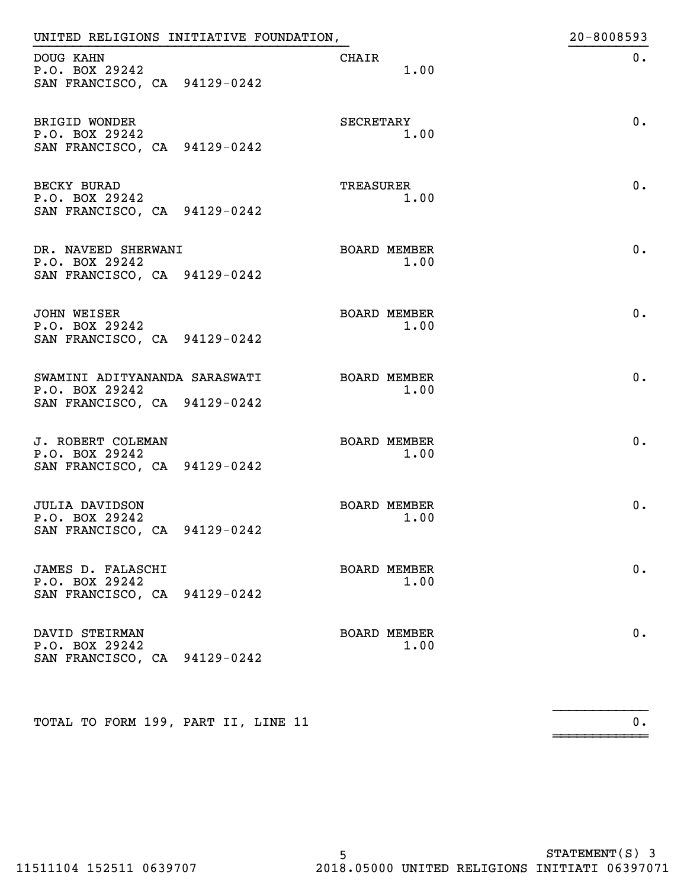| UNITED RELIGIONS INITIATIVE FOUNDATION,                                                                |                             | $20 - 8008593$ |
|--------------------------------------------------------------------------------------------------------|-----------------------------|----------------|
| DOUG KAHN<br>P.O. BOX 29242<br>SAN FRANCISCO, CA 94129-0242                                            | CHAIR<br>1.00               | $0$ .          |
| BRIGID WONDER<br>P.O. BOX 29242<br>SAN FRANCISCO, CA 94129-0242                                        | SECRETARY<br>1.00           | 0.             |
| <b>BECKY BURAD</b><br>P.O. BOX 29242<br>SAN FRANCISCO, CA 94129-0242                                   | TREASURER<br>1.00           | 0.             |
| DR. NAVEED SHERWANI<br>P.O. BOX 29242<br>SAN FRANCISCO, CA 94129-0242                                  | BOARD MEMBER<br>1.00        | 0.             |
| <b>JOHN WEISER</b><br>P.O. BOX 29242<br>SAN FRANCISCO, CA 94129-0242                                   | <b>BOARD MEMBER</b><br>1.00 | 0.             |
| SWAMINI ADITYANANDA SARASWATI           BOARD MEMBER<br>P.O. BOX 29242<br>SAN FRANCISCO, CA 94129-0242 | 1.00                        | 0.             |
| J. ROBERT COLEMAN<br>P.O. BOX 29242<br>SAN FRANCISCO, CA 94129-0242                                    | <b>BOARD MEMBER</b><br>1.00 | 0.             |
| <b>JULIA DAVIDSON</b><br>P.O. BOX 29242<br>SAN FRANCISCO, CA 94129-0242                                | <b>BOARD MEMBER</b><br>1.00 | 0.             |
| JAMES D. FALASCHI<br>P.O. BOX 29242<br>SAN FRANCISCO, CA 94129-0242                                    | <b>BOARD MEMBER</b><br>1.00 | $0$ .          |
| DAVID STEIRMAN<br>P.O. BOX 29242<br>SAN FRANCISCO, CA 94129-0242                                       | <b>BOARD MEMBER</b><br>1.00 | 0.             |
| MOMAI MO RODM 100 DADM IT ITNE 11                                                                      |                             |                |

~~~~~~~~~~~~

TOTAL TO FORM 199, PART II, LINE 11 0.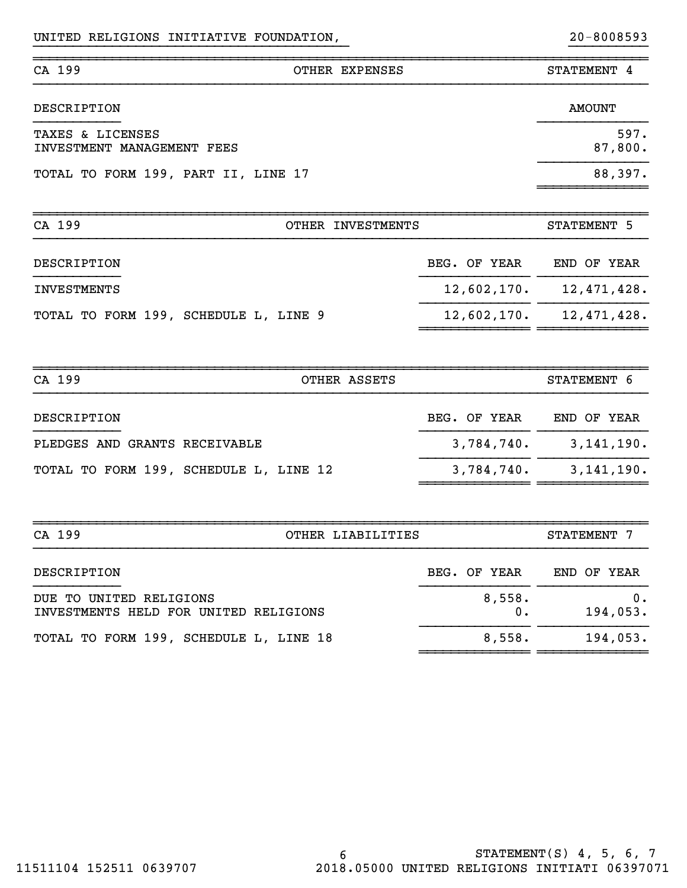| CA 199                                                           | OTHER EXPENSES    |                 | STATEMENT 4    |  |
|------------------------------------------------------------------|-------------------|-----------------|----------------|--|
| DESCRIPTION                                                      |                   |                 | <b>AMOUNT</b>  |  |
| TAXES & LICENSES<br>INVESTMENT MANAGEMENT FEES                   | 597.<br>87,800.   |                 |                |  |
| TOTAL TO FORM 199, PART II, LINE 17                              |                   | 88,397.         |                |  |
| CA 199                                                           | OTHER INVESTMENTS |                 | STATEMENT 5    |  |
| DESCRIPTION                                                      |                   | BEG. OF YEAR    | END OF YEAR    |  |
| <b>INVESTMENTS</b>                                               |                   | 12,602,170.     | 12, 471, 428.  |  |
| TOTAL TO FORM 199, SCHEDULE L, LINE 9                            |                   | 12,602,170.     | 12, 471, 428.  |  |
| CA 199                                                           | OTHER ASSETS      |                 | STATEMENT 6    |  |
| DESCRIPTION                                                      |                   | BEG. OF YEAR    | END OF YEAR    |  |
| PLEDGES AND GRANTS RECEIVABLE                                    |                   | 3,784,740.      | 3, 141, 190.   |  |
| TOTAL TO FORM 199, SCHEDULE L, LINE 12                           |                   | 3,784,740.      | 3, 141, 190.   |  |
| CA 199                                                           | OTHER LIABILITIES |                 | STATEMENT 7    |  |
| DESCRIPTION                                                      |                   | BEG. OF YEAR    | END OF YEAR    |  |
| DUE TO UNITED RELIGIONS<br>INVESTMENTS HELD FOR UNITED RELIGIONS |                   | 8,558.<br>$0$ . | 0.<br>194,053. |  |
| TOTAL TO FORM 199, SCHEDULE L, LINE 18                           |                   | 8,558.          | 194,053.       |  |

~~~~~~~~~~~~~~ ~~~~~~~~~~~~~~

}}}}}}}}}}}}}}}}}}}}}}}}}}}}}}}}}}}}}}}} }}}}}}}}}}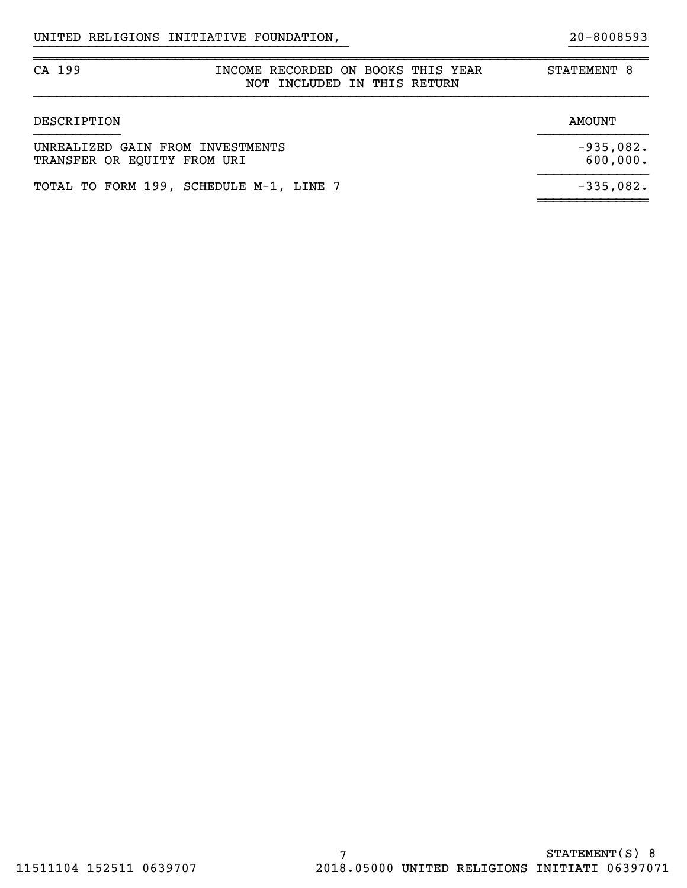| CA 199                                                          | INCOME RECORDED ON BOOKS THIS YEAR<br>NOT INCLUDED IN THIS RETURN | STATEMENT 8             |
|-----------------------------------------------------------------|-------------------------------------------------------------------|-------------------------|
| DESCRIPTION                                                     |                                                                   | AMOUNT                  |
| UNREALIZED GAIN FROM INVESTMENTS<br>TRANSFER OR EOUITY FROM URI |                                                                   | $-935,082.$<br>600,000. |
|                                                                 | TOTAL TO FORM 199, SCHEDULE M-1, LINE 7                           | $-335,082$ .            |

~~~~~~~~~~~~~~

}}}}}}}}}}}}}}}}}}}}}}}}}}}}}}}}}}}}}}}} }}}}}}}}}}

~~~~~~~~~~~~~~~~~~~~~~~~~~~~~~~~~~~~~~~~~~~~~~~~~~~~~~~~~~~~~~~~~~~~~~~~~~~~~~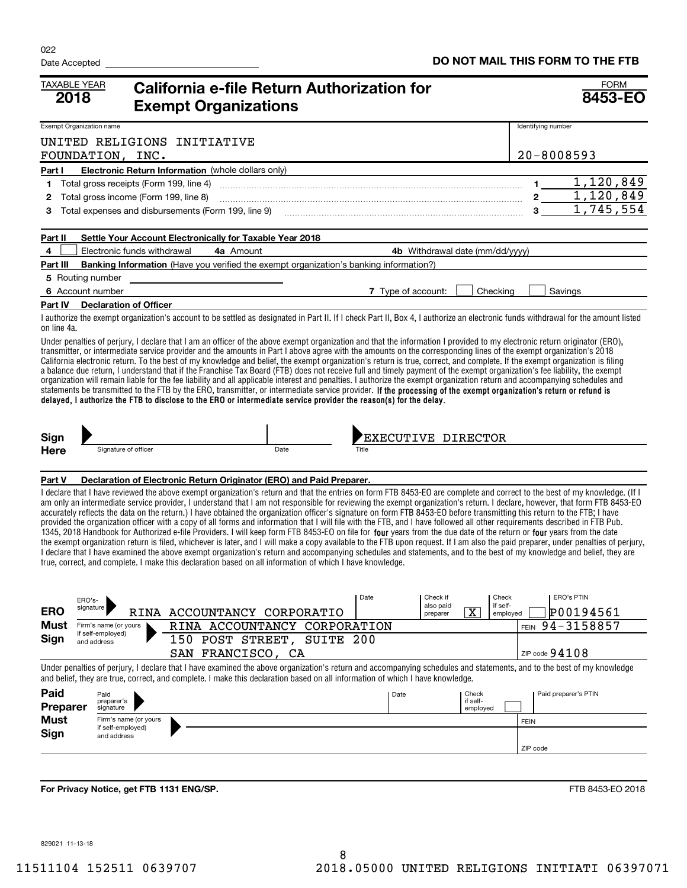| <b>TAXABLE YEAR</b><br>2018                       | <b>California e-file Return Authorization for</b><br><b>Exempt Organizations</b>                                                                                                                                                                                                                                                                                                                                                                                                                                                                                                                                                                                                                                                                                                                                                                                                                                                                                                                                                                                                                                                                                                                                                                                                                                                                                                                                                              | <b>FORM</b><br>8453-EO                                                                      |
|---------------------------------------------------|-----------------------------------------------------------------------------------------------------------------------------------------------------------------------------------------------------------------------------------------------------------------------------------------------------------------------------------------------------------------------------------------------------------------------------------------------------------------------------------------------------------------------------------------------------------------------------------------------------------------------------------------------------------------------------------------------------------------------------------------------------------------------------------------------------------------------------------------------------------------------------------------------------------------------------------------------------------------------------------------------------------------------------------------------------------------------------------------------------------------------------------------------------------------------------------------------------------------------------------------------------------------------------------------------------------------------------------------------------------------------------------------------------------------------------------------------|---------------------------------------------------------------------------------------------|
| Exempt Organization name                          |                                                                                                                                                                                                                                                                                                                                                                                                                                                                                                                                                                                                                                                                                                                                                                                                                                                                                                                                                                                                                                                                                                                                                                                                                                                                                                                                                                                                                                               | Identifying number                                                                          |
|                                                   | UNITED RELIGIONS INITIATIVE                                                                                                                                                                                                                                                                                                                                                                                                                                                                                                                                                                                                                                                                                                                                                                                                                                                                                                                                                                                                                                                                                                                                                                                                                                                                                                                                                                                                                   |                                                                                             |
|                                                   | FOUNDATION, INC.                                                                                                                                                                                                                                                                                                                                                                                                                                                                                                                                                                                                                                                                                                                                                                                                                                                                                                                                                                                                                                                                                                                                                                                                                                                                                                                                                                                                                              | $20 - 8008593$                                                                              |
| Part I                                            | Electronic Return Information (whole dollars only)                                                                                                                                                                                                                                                                                                                                                                                                                                                                                                                                                                                                                                                                                                                                                                                                                                                                                                                                                                                                                                                                                                                                                                                                                                                                                                                                                                                            |                                                                                             |
| 1.                                                | Total gross receipts (Form 199, line 4)                                                                                                                                                                                                                                                                                                                                                                                                                                                                                                                                                                                                                                                                                                                                                                                                                                                                                                                                                                                                                                                                                                                                                                                                                                                                                                                                                                                                       | 1,120,849<br>1.                                                                             |
| 2                                                 | Total gross income (Form 199, line 8)                                                                                                                                                                                                                                                                                                                                                                                                                                                                                                                                                                                                                                                                                                                                                                                                                                                                                                                                                                                                                                                                                                                                                                                                                                                                                                                                                                                                         | 1,120,849<br>$2\overline{ }$                                                                |
| з                                                 |                                                                                                                                                                                                                                                                                                                                                                                                                                                                                                                                                                                                                                                                                                                                                                                                                                                                                                                                                                                                                                                                                                                                                                                                                                                                                                                                                                                                                                               | 1,745,554<br>3                                                                              |
| Part II                                           | Settle Your Account Electronically for Taxable Year 2018                                                                                                                                                                                                                                                                                                                                                                                                                                                                                                                                                                                                                                                                                                                                                                                                                                                                                                                                                                                                                                                                                                                                                                                                                                                                                                                                                                                      |                                                                                             |
| 4                                                 | Electronic funds withdrawal<br>4a Amount<br>4b Withdrawal date (mm/dd/yyyy)                                                                                                                                                                                                                                                                                                                                                                                                                                                                                                                                                                                                                                                                                                                                                                                                                                                                                                                                                                                                                                                                                                                                                                                                                                                                                                                                                                   |                                                                                             |
| Part III                                          | <b>Banking Information</b> (Have you verified the exempt organization's banking information?)                                                                                                                                                                                                                                                                                                                                                                                                                                                                                                                                                                                                                                                                                                                                                                                                                                                                                                                                                                                                                                                                                                                                                                                                                                                                                                                                                 |                                                                                             |
| 5 Routing number                                  |                                                                                                                                                                                                                                                                                                                                                                                                                                                                                                                                                                                                                                                                                                                                                                                                                                                                                                                                                                                                                                                                                                                                                                                                                                                                                                                                                                                                                                               |                                                                                             |
| 6 Account number                                  | Checking<br>7 Type of account:                                                                                                                                                                                                                                                                                                                                                                                                                                                                                                                                                                                                                                                                                                                                                                                                                                                                                                                                                                                                                                                                                                                                                                                                                                                                                                                                                                                                                | Savings                                                                                     |
| Part IV                                           | <b>Declaration of Officer</b>                                                                                                                                                                                                                                                                                                                                                                                                                                                                                                                                                                                                                                                                                                                                                                                                                                                                                                                                                                                                                                                                                                                                                                                                                                                                                                                                                                                                                 |                                                                                             |
| on line 4a.                                       | I authorize the exempt organization's account to be settled as designated in Part II. If I check Part II, Box 4, I authorize an electronic funds withdrawal for the amount listed                                                                                                                                                                                                                                                                                                                                                                                                                                                                                                                                                                                                                                                                                                                                                                                                                                                                                                                                                                                                                                                                                                                                                                                                                                                             |                                                                                             |
| Sign                                              | California electronic return. To the best of my knowledge and belief, the exempt organization's return is true, correct, and complete. If the exempt organization is filing<br>a balance due return, I understand that if the Franchise Tax Board (FTB) does not receive full and timely payment of the exempt organization's fee liability, the exempt<br>organization will remain liable for the fee liability and all applicable interest and penalties. I authorize the exempt organization return and accompanying schedules and<br>statements be transmitted to the FTB by the ERO, transmitter, or intermediate service provider. If the processing of the exempt organization's return or refund is<br>delayed, I authorize the FTB to disclose to the ERO or intermediate service provider the reason(s) for the delay.<br>EXECUTIVE DIRECTOR                                                                                                                                                                                                                                                                                                                                                                                                                                                                                                                                                                                        |                                                                                             |
| <b>Here</b>                                       | Signature of officer<br>Date<br>Title                                                                                                                                                                                                                                                                                                                                                                                                                                                                                                                                                                                                                                                                                                                                                                                                                                                                                                                                                                                                                                                                                                                                                                                                                                                                                                                                                                                                         |                                                                                             |
|                                                   |                                                                                                                                                                                                                                                                                                                                                                                                                                                                                                                                                                                                                                                                                                                                                                                                                                                                                                                                                                                                                                                                                                                                                                                                                                                                                                                                                                                                                                               |                                                                                             |
| Part V                                            | Declaration of Electronic Return Originator (ERO) and Paid Preparer.<br>I declare that I have reviewed the above exempt organization's return and that the entries on form FTB 8453-EO are complete and correct to the best of my knowledge. (If I<br>am only an intermediate service provider, I understand that I am not responsible for reviewing the exempt organization's return. I declare, however, that form FTB 8453-EO<br>accurately reflects the data on the return.) I have obtained the organization officer's signature on form FTB 8453-EO before transmitting this return to the FTB; I have<br>provided the organization officer with a copy of all forms and information that I will file with the FTB, and I have followed all other requirements described in FTB Pub.<br>1345, 2018 Handbook for Authorized e-file Providers. I will keep form FTB 8453-EO on file for four years from the due date of the return or four years from the date<br>the exempt organization return is filed, whichever is later, and I will make a copy available to the FTB upon request. If I am also the paid preparer, under penalties of perjury,<br>I declare that I have examined the above exempt organization's return and accompanying schedules and statements, and to the best of my knowledge and belief, they are<br>true, correct, and complete. I make this declaration based on all information of which I have knowledge. |                                                                                             |
| ERO's-<br>signature<br><b>ERO</b><br>Must<br>Sign | Date<br>Check if<br>Check<br>if self-<br>also paid<br>RINA ACCOUNTANCY CORPORATIO<br>$\overline{\text{X}}$<br>preparer<br>RINA ACCOUNTANCY CORPORATION<br>Firm's name (or yours<br>if self-employed)<br>150 POST STREET, SUITE 200<br>and address<br>SAN FRANCISCO, CA                                                                                                                                                                                                                                                                                                                                                                                                                                                                                                                                                                                                                                                                                                                                                                                                                                                                                                                                                                                                                                                                                                                                                                        | <b>ERO's PTIN</b><br>P00194561<br>employed<br>94-3158857<br><b>FEIN</b><br>ZIP code $94108$ |
|                                                   | Under penalties of perjury, I declare that I have examined the above organization's return and accompanying schedules and statements, and to the best of my knowledge<br>and belief, they are true, correct, and complete. I make this declaration based on all information of which I have knowledge.                                                                                                                                                                                                                                                                                                                                                                                                                                                                                                                                                                                                                                                                                                                                                                                                                                                                                                                                                                                                                                                                                                                                        |                                                                                             |
| Paid                                              | Date<br>Paid<br>Check                                                                                                                                                                                                                                                                                                                                                                                                                                                                                                                                                                                                                                                                                                                                                                                                                                                                                                                                                                                                                                                                                                                                                                                                                                                                                                                                                                                                                         | Paid preparer's PTIN                                                                        |
| Preparer                                          | if self-<br>preparer's<br>signature<br>employed                                                                                                                                                                                                                                                                                                                                                                                                                                                                                                                                                                                                                                                                                                                                                                                                                                                                                                                                                                                                                                                                                                                                                                                                                                                                                                                                                                                               |                                                                                             |
| <b>Must</b>                                       | Firm's name (or yours                                                                                                                                                                                                                                                                                                                                                                                                                                                                                                                                                                                                                                                                                                                                                                                                                                                                                                                                                                                                                                                                                                                                                                                                                                                                                                                                                                                                                         | <b>FEIN</b>                                                                                 |
| Sign                                              | if self-employed)<br>and address                                                                                                                                                                                                                                                                                                                                                                                                                                                                                                                                                                                                                                                                                                                                                                                                                                                                                                                                                                                                                                                                                                                                                                                                                                                                                                                                                                                                              |                                                                                             |
|                                                   |                                                                                                                                                                                                                                                                                                                                                                                                                                                                                                                                                                                                                                                                                                                                                                                                                                                                                                                                                                                                                                                                                                                                                                                                                                                                                                                                                                                                                                               | ZIP code                                                                                    |

**For Privacy Notice, get FTB 1131 ENG/SP.**

FTB 8453-EO 2018

829021 11-13-18